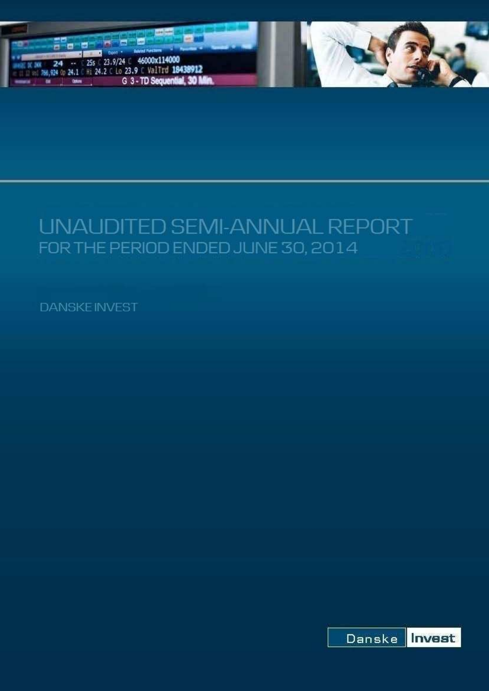

# UNAUDITED SEMI-ANNUAL REPORT FOR THE PERIOD ENDED JUNE 30, 2014

**DANSKE INVEST** 

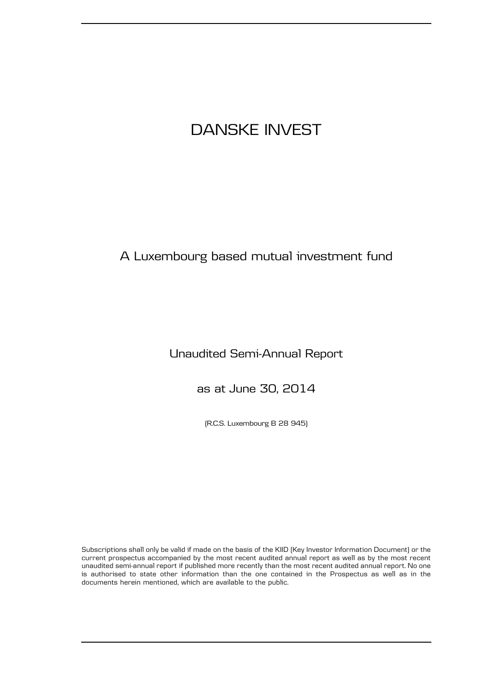# A Luxembourg based mutual investment fund

## Unaudited Semi-Annual Report

as at June 30, 2014

(R.C.S. Luxembourg B 28 945)

Subscriptions shall only be valid if made on the basis of the KIID (Key Investor Information Document) or the current prospectus accompanied by the most recent audited annual report as well as by the most recent unaudited semi-annual report if published more recently than the most recent audited annual report. No one is authorised to state other information than the one contained in the Prospectus as well as in the documents herein mentioned, which are available to the public.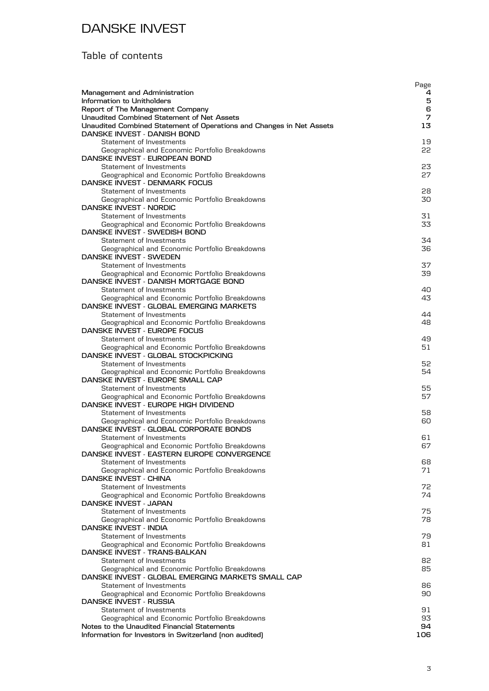## Table of contents

|                                                                                                     | Page     |
|-----------------------------------------------------------------------------------------------------|----------|
| Management and Administration<br>Information to Unitholders                                         | 4<br>5   |
| Report of The Management Company                                                                    | 6        |
| <b>Unaudited Combined Statement of Net Assets</b>                                                   | 7        |
| Unaudited Combined Statement of Operations and Changes in Net Assets<br>DANSKE INVEST - DANISH BOND | 13       |
| Statement of Investments                                                                            | 19       |
| Geographical and Economic Portfolio Breakdowns                                                      | 22       |
| DANSKE INVEST - EUROPEAN BOND                                                                       |          |
| Statement of Investments                                                                            | 23       |
| Geographical and Economic Portfolio Breakdowns<br>DANSKE INVEST - DENMARK FOCUS                     | 27       |
| Statement of Investments                                                                            | 28       |
| Geographical and Economic Portfolio Breakdowns                                                      | 30       |
| DANSKE INVEST - NORDIC                                                                              |          |
| Statement of Investments                                                                            | 31       |
| Geographical and Economic Portfolio Breakdowns<br>DANSKE INVEST - SWEDISH BOND                      | 33       |
| Statement of Investments                                                                            | 34       |
| Geographical and Economic Portfolio Breakdowns                                                      | 36       |
| DANSKE INVEST - SWEDEN                                                                              |          |
| Statement of Investments                                                                            | 37       |
| Geographical and Economic Portfolio Breakdowns<br>DANSKE INVEST - DANISH MORTGAGE BOND              | 39       |
| Statement of Investments                                                                            | 40       |
| Geographical and Economic Portfolio Breakdowns                                                      | 43       |
| DANSKE INVEST - GLOBAL EMERGING MARKETS                                                             |          |
| Statement of Investments                                                                            | 44       |
| Geographical and Economic Portfolio Breakdowns<br>DANSKE INVEST - EUROPE FOCUS                      | 48       |
| Statement of Investments                                                                            | 49       |
| Geographical and Economic Portfolio Breakdowns                                                      | 51       |
| DANSKE INVEST - GLOBAL STOCKPICKING                                                                 |          |
| Statement of Investments                                                                            | 52       |
| Geographical and Economic Portfolio Breakdowns<br>DANSKE INVEST - EUROPE SMALL CAP                  | 54       |
| Statement of Investments                                                                            | 55       |
| Geographical and Economic Portfolio Breakdowns                                                      | 57       |
| DANSKE INVEST - EUROPE HIGH DIVIDEND                                                                |          |
| Statement of Investments                                                                            | 58       |
| Geographical and Economic Portfolio Breakdowns<br>DANSKE INVEST - GLOBAL CORPORATE BONDS            | 60.      |
| Statement of Investments                                                                            | 61       |
| Geographical and Economic Portfolio Breakdowns                                                      | 67       |
| DANSKE INVEST - EASTERN EUROPE CONVERGENCE                                                          |          |
| Statement of Investments                                                                            | 68       |
| Geographical and Economic Portfolio Breakdowns<br><b>DANSKE INVEST - CHINA</b>                      | 71       |
| Statement of Investments                                                                            | 72       |
| Geographical and Economic Portfolio Breakdowns                                                      | 74       |
| DANSKE INVEST - JAPAN                                                                               |          |
| Statement of Investments                                                                            | 75       |
| Geographical and Economic Portfolio Breakdowns<br><b>DANSKE INVEST - INDIA</b>                      | 78.      |
| Statement of Investments                                                                            | 79       |
| Geographical and Economic Portfolio Breakdowns                                                      | 81       |
| DANSKE INVEST - TRANS-BALKAN                                                                        |          |
| Statement of Investments                                                                            | 82<br>85 |
| Geographical and Economic Portfolio Breakdowns<br>DANSKE INVEST - GLOBAL EMERGING MARKETS SMALL CAP |          |
| Statement of Investments                                                                            | 86       |
| Geographical and Economic Portfolio Breakdowns                                                      | 90       |
| DANSKE INVEST - RUSSIA                                                                              |          |
| Statement of Investments                                                                            | 91       |
| Geographical and Economic Portfolio Breakdowns<br>Notes to the Unaudited Financial Statements       | 93<br>94 |
| Information for Investors in Switzerland (non audited)                                              | 106      |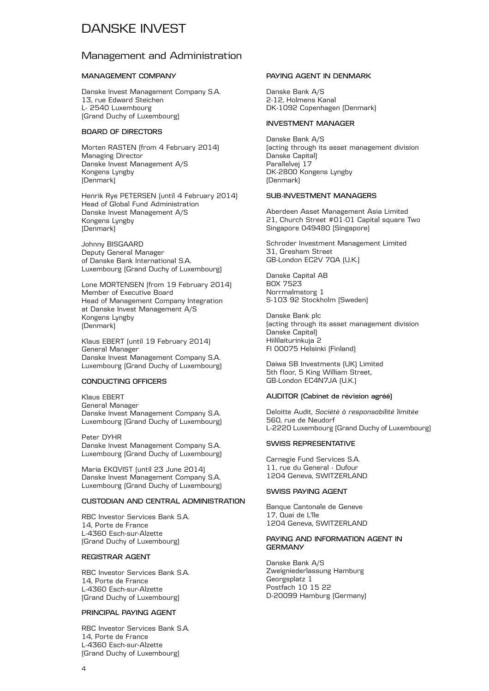#### Management and Administration

#### **MANAGEMENT COMPANY**

Danske Invest Management Company S.A. 13, rue Edward Steichen L- 2540 Luxembourg (Grand Duchy of Luxembourg)

#### **BOARD OF DIRECTORS**

Morten RASTEN (from 4 February 2014) Managing Director Danske Invest Management A/S Kongens Lyngby (Denmark)

Henrik Rye PETERSEN (until 4 February 2014) Head of Global Fund Administration Danske Invest Management A/S Kongens Lyngby (Denmark)

Johnny BISGAARD Deputy General Manager of Danske Bank International S.A. Luxembourg (Grand Duchy of Luxembourg)

Lone MORTENSEN (from 19 February 2014) Member of Executive Board Head of Management Company Integration at Danske Invest Management A/S Kongens Lyngby (Denmark)

Klaus EBERT (until 19 February 2014) General Manager Danske Invest Management Company S.A. Luxembourg (Grand Duchy of Luxembourg)

#### **CONDUCTING OFFICERS**

Klaus EBERT General Manager Danske Invest Management Company S.A. Luxembourg (Grand Duchy of Luxembourg)

Peter DYHR Danske Invest Management Company S.A. Luxembourg (Grand Duchy of Luxembourg)

Maria EKQVIST (until 23 June 2014) Danske Invest Management Company S.A. Luxembourg (Grand Duchy of Luxembourg)

#### **CUSTODIAN AND CENTRAL ADMINISTRATION**

RBC Investor Services Bank S.A. 14, Porte de France L-4360 Esch-sur-Alzette (Grand Duchy of Luxembourg)

#### **REGISTRAR AGENT**

RBC Investor Services Bank S.A. 14, Porte de France L-4360 Esch-sur-Alzette (Grand Duchy of Luxembourg)

#### **PRINCIPAL PAYING AGENT**

RBC Investor Services Bank S.A. 14, Porte de France L-4360 Esch-sur-Alzette (Grand Duchy of Luxembourg)

#### **PAYING AGENT IN DENMARK**

Danske Bank A/S 2-12, Holmens Kanal DK-1092 Copenhagen (Denmark)

#### **INVESTMENT MANAGER**

Danske Bank A/S (acting through its asset management division Danske Capital) Parallelvej 17 DK-2800 Kongens Lyngby (Denmark)

#### **SUB-INVESTMENT MANAGERS**

Aberdeen Asset Management Asia Limited 21, Church Street #01-01 Capital square Two Singapore 049480 (Singapore)

Schroder Investment Management Limited 31, Gresham Street GB-London EC2V 7QA (U.K.)

Danske Capital AB BOX 7523 Norrmalmstorg 1 S-103 92 Stockholm (Sweden)

Danske Bank plc (acting through its asset management division Danske Capital) Hiililaiturinkuja 2 FI 00075 Helsinki (Finland)

Daiwa SB Investments (UK) Limited 5th floor, 5 King William Street, GB-London EC4N7JA (U.K.)

#### **AUDITOR (Cabinet de révision agréé)**

Deloitte Audit, *Société à responsabilité limitée* 560, rue de Neudorf L-2220 Luxembourg (Grand Duchy of Luxembourg)

#### **SWISS REPRESENTATIVE**

Carnegie Fund Services S.A. 11, rue du General - Dufour 1204 Geneva, SWITZERLAND

#### **SWISS PAYING AGENT**

Banque Cantonale de Geneve 17, Quai de L'lle 1204 Geneva, SWITZERLAND

#### **PAYING AND INFORMATION AGENT IN GERMANY**

Danske Bank A/S Zweigniederlassung Hamburg Georgsplatz 1 Postfach 10 15 22 D-20099 Hamburg (Germany)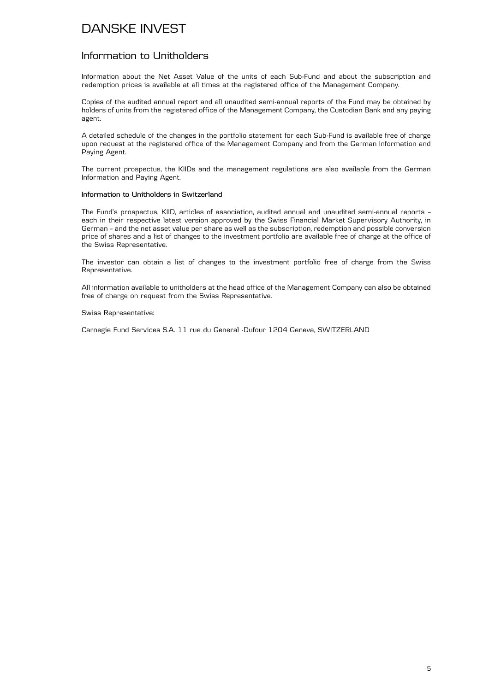#### Information to Unitholders

Information about the Net Asset Value of the units of each Sub-Fund and about the subscription and redemption prices is available at all times at the registered office of the Management Company.

Copies of the audited annual report and all unaudited semi-annual reports of the Fund may be obtained by holders of units from the registered office of the Management Company, the Custodian Bank and any paying agent.

A detailed schedule of the changes in the portfolio statement for each Sub-Fund is available free of charge upon request at the registered office of the Management Company and from the German Information and Paying Agent.

The current prospectus, the KIIDs and the management regulations are also available from the German Information and Paying Agent.

#### **Information to Unitholders in Switzerland**

The Fund's prospectus, KIID, articles of association, audited annual and unaudited semi-annual reports – each in their respective latest version approved by the Swiss Financial Market Supervisory Authority, in German – and the net asset value per share as well as the subscription, redemption and possible conversion price of shares and a list of changes to the investment portfolio are available free of charge at the office of the Swiss Representative.

The investor can obtain a list of changes to the investment portfolio free of charge from the Swiss Representative.

All information available to unitholders at the head office of the Management Company can also be obtained free of charge on request from the Swiss Representative.

#### Swiss Representative:

Carnegie Fund Services S.A. 11 rue du General -Dufour 1204 Geneva, SWITZERLAND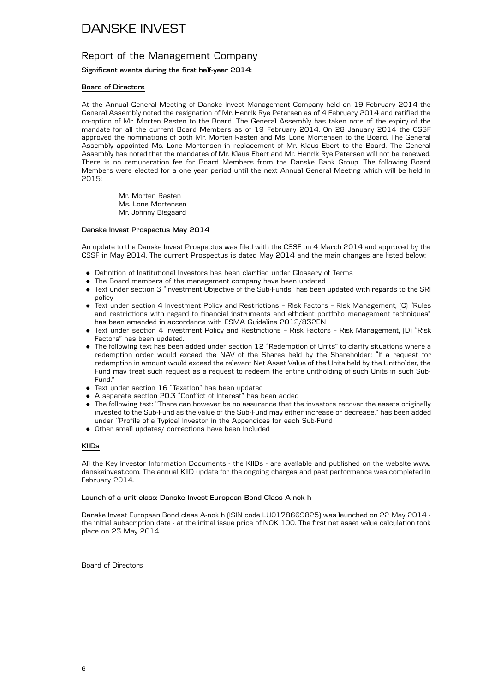#### Report of the Management Company

#### **Significant events during the first half-year 2014:**

#### **Board of Directors**

At the Annual General Meeting of Danske Invest Management Company held on 19 February 2014 the General Assembly noted the resignation of Mr. Henrik Rye Petersen as of 4 February 2014 and ratified the co-option of Mr. Morten Rasten to the Board. The General Assembly has taken note of the expiry of the mandate for all the current Board Members as of 19 February 2014. On 28 January 2014 the CSSF approved the nominations of both Mr. Morten Rasten and Ms. Lone Mortensen to the Board. The General Assembly appointed Ms. Lone Mortensen in replacement of Mr. Klaus Ebert to the Board. The General Assembly has noted that the mandates of Mr. Klaus Ebert and Mr. Henrik Rye Petersen will not be renewed. There is no remuneration fee for Board Members from the Danske Bank Group. The following Board Members were elected for a one year period until the next Annual General Meeting which will be held in 2015:

> Mr. Morten Rasten Ms. Lone Mortensen Mr. Johnny Bisgaard

#### **Danske Invest Prospectus May 2014**

An update to the Danske Invest Prospectus was filed with the CSSF on 4 March 2014 and approved by the CSSF in May 2014. The current Prospectus is dated May 2014 and the main changes are listed below:

- . Definition of Institutional Investors has been clarified under Glossary of Terms
- . The Board members of the management company have been updated
- . Text under section 3 "Investment Objective of the Sub-Funds" has been updated with regards to the SRI policy
- . Text under section 4 Investment Policy and Restrictions Risk Factors Risk Management, (C) "Rules and restrictions with regard to financial instruments and efficient portfolio management techniques" has been amended in accordance with ESMA Guideline 2012/832EN
- . Text under section 4 Investment Policy and Restrictions Risk Factors Risk Management, (D) "Risk Factors" has been updated.
- . The following text has been added under section 12 "Redemption of Units" to clarify situations where a redemption order would exceed the NAV of the Shares held by the Shareholder: "If a request for redemption in amount would exceed the relevant Net Asset Value of the Units held by the Unitholder, the Fund may treat such request as a request to redeem the entire unitholding of such Units in such Sub-Fund."
- . Text under section 16 "Taxation" has been updated
- . A separate section 20.3 "Conflict of Interest" has been added
- . The following text: "There can however be no assurance that the investors recover the assets originally invested to the Sub-Fund as the value of the Sub-Fund may either increase or decrease." has been added under "Profile of a Typical Investor in the Appendices for each Sub-Fund
- . Other small updates/ corrections have been included

#### **KIIDs**

All the Key Investor Information Documents - the KIIDs - are available and published on the website www. danskeinvest.com. The annual KIID update for the ongoing charges and past performance was completed in February 2014.

#### **Launch of a unit class: Danske Invest European Bond Class A-nok h**

Danske Invest European Bond class A-nok h (ISIN code LU0178669825) was launched on 22 May 2014 the initial subscription date - at the initial issue price of NOK 100. The first net asset value calculation took place on 23 May 2014.

Board of Directors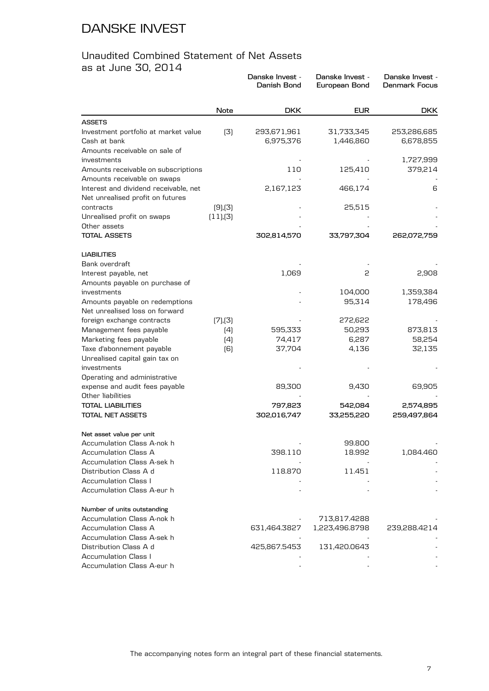#### Unaudited Combined Statement of Net Assets as at June 30, 2014

| ao at ouno oo, Lor <del>i</del>                                      |               | Danske Invest -<br>Danish Bond | Danske Invest -<br>European Bond | Danske Invest -<br><b>Denmark Focus</b> |
|----------------------------------------------------------------------|---------------|--------------------------------|----------------------------------|-----------------------------------------|
|                                                                      | <b>Note</b>   | <b>DKK</b>                     | <b>EUR</b>                       | <b>DKK</b>                              |
| <b>ASSETS</b>                                                        |               |                                |                                  |                                         |
| Investment portfolio at market value<br>Cash at bank                 | (3)           | 293,671,961<br>6,975,376       | 31,733,345<br>1,446,860          | 253,286,685<br>6,678,855                |
| Amounts receivable on sale of                                        |               |                                |                                  |                                         |
| investments                                                          |               | 110                            | 125,410                          | 1,727,999                               |
| Amounts receivable on subscriptions                                  |               |                                |                                  | 379,214                                 |
| Amounts receivable on swaps<br>Interest and dividend receivable, net |               | 2,167,123                      | 466,174                          | 6                                       |
| Net unrealised profit on futures                                     |               |                                |                                  |                                         |
| contracts                                                            | $(9)$ , $(3)$ |                                | 25,515                           |                                         |
| Unrealised profit on swaps<br>Other assets                           | (11), (3)     |                                |                                  |                                         |
| <b>TOTAL ASSETS</b>                                                  |               | 302,814,570                    | 33,797,304                       | 262,072,759                             |
| <b>LIABILITIES</b>                                                   |               |                                |                                  |                                         |
| Bank overdraft                                                       |               |                                |                                  |                                         |
| Interest payable, net                                                |               | 1,069                          | 2                                | 2,908                                   |
| Amounts payable on purchase of<br>investments                        |               |                                | 104,000                          | 1,359,384                               |
| Amounts payable on redemptions                                       |               |                                | 95,314                           | 178,496                                 |
| Net unrealised loss on forward                                       |               |                                |                                  |                                         |
| foreign exchange contracts                                           | (7),(3)       |                                | 272,622                          |                                         |
| Management fees payable                                              | (4)           | 595,333                        | 50,293                           | 873,813                                 |
| Marketing fees payable                                               | (4)           | 74,417                         | 6,287                            | 58,254                                  |
| Taxe d'abonnement payable                                            | (6)           | 37,704                         | 4,136                            | 32,135                                  |
| Unrealised capital gain tax on                                       |               |                                |                                  |                                         |
| investments                                                          |               |                                |                                  |                                         |
| Operating and administrative                                         |               |                                |                                  |                                         |
| expense and audit fees payable                                       |               | 89,300                         | 9,430                            | 69,905                                  |
| Other liabilities                                                    |               |                                |                                  |                                         |
| <b>TOTAL LIABILITIES</b>                                             |               | 797,823                        | 542,084                          | 2,574,895                               |
| TOTAL NET ASSETS                                                     |               | 302,016,747                    | 33,255,220                       | 259,497,864                             |
| Net asset value per unit                                             |               |                                |                                  |                                         |
| Accumulation Class A-nok h                                           |               |                                | 99.800                           |                                         |
| Accumulation Class A                                                 |               | 398.110                        | 18.992                           | 1,084.460                               |
| Accumulation Class A-sek h                                           |               |                                |                                  |                                         |
| Distribution Class A d                                               |               | 118.870                        | 11.451                           |                                         |
| Accumulation Class I                                                 |               |                                |                                  |                                         |
| Accumulation Class A-eur h                                           |               |                                |                                  |                                         |
| Number of units outstanding                                          |               |                                |                                  |                                         |
| Accumulation Class A-nok h                                           |               |                                | 713,817.4288                     |                                         |
| Accumulation Class A                                                 |               | 631,464.3827                   | 1,223,496.8798                   | 239,288.4214                            |
| Accumulation Class A-sek h                                           |               |                                |                                  |                                         |
| Distribution Class A d                                               |               | 425,867.5453                   | 131,420.0643                     |                                         |
| <b>Accumulation Class I</b>                                          |               |                                |                                  |                                         |
| Accumulation Class A-eur h                                           |               |                                |                                  |                                         |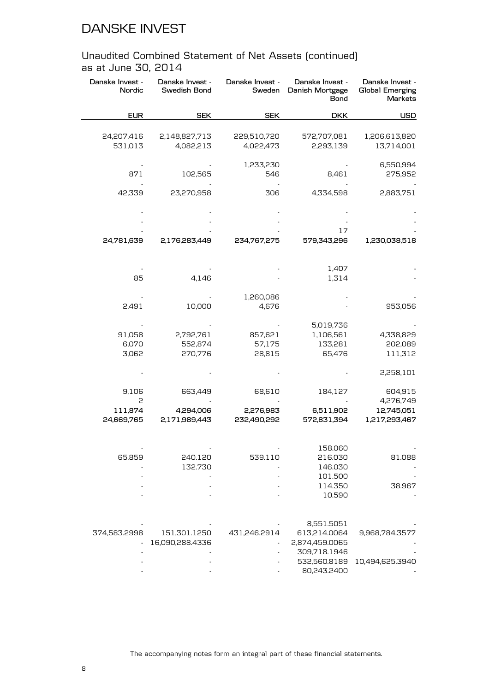| Danske Invest -<br>Nordic | Danske Invest -<br>Swedish Bond | Danske Invest -<br>Sweden | Danske Invest -<br>Danish Mortgage<br><b>Bond</b> | Danske Invest -<br><b>Global Emerging</b><br>Markets |
|---------------------------|---------------------------------|---------------------------|---------------------------------------------------|------------------------------------------------------|
| <b>EUR</b>                | <b>SEK</b>                      | <b>SEK</b>                | <b>DKK</b>                                        | <b>USD</b>                                           |
|                           |                                 |                           |                                                   |                                                      |
| 24,207,416<br>531,013     | 2,148,827,713<br>4,082,213      | 229,510,720<br>4,022,473  | 572,707,081<br>2,293,139                          | 1,206,613,820<br>13,714,001                          |
| 871                       | 102,565                         | 1,233,230<br>546          | 8,461                                             | 6,550,994<br>275,952                                 |
| 42,339                    | 23,270,958                      | 306                       | 4,334,598                                         | 2,883,751                                            |
|                           |                                 |                           |                                                   |                                                      |
|                           |                                 |                           | 17                                                |                                                      |
| 24,781,639                | 2,176,283,449                   | 234,767,275               | 579,343,296                                       | 1,230,038,518                                        |
|                           |                                 |                           | 1,407                                             |                                                      |
| 85                        | 4,146                           |                           | 1,314                                             |                                                      |
|                           |                                 | 1,260,086                 |                                                   |                                                      |
| 2,491                     | 10,000                          | 4,676                     |                                                   | 953,056                                              |
|                           |                                 |                           | 5,019,736                                         |                                                      |
| 91,058                    | 2,792,761                       | 857,621                   | 1,106,561                                         | 4,338,829                                            |
| 6,070                     | 552,874                         | 57,175                    | 133,281                                           | 202,089                                              |
| 3,062                     | 270,776                         | 28,815                    | 65,476                                            | 111,312                                              |
|                           |                                 |                           |                                                   | 2,258,101                                            |
| 9,106                     | 663,449                         | 68,610                    | 184,127                                           | 604,915                                              |
| 2                         |                                 |                           |                                                   | 4,276,749                                            |
| 111,874                   | 4,294,006                       | 2,276,983                 | 6,511,902                                         | 12,745,051                                           |
| 24,669,765                | 2,171,989,443                   | 232,490,292               | 572,831,394                                       | 1,217,293,467                                        |
|                           |                                 |                           | 158.060                                           |                                                      |
| 65.859                    | 240.120                         | 539.110                   | 216.030                                           | 81.088                                               |
|                           | 132.730                         |                           | 146.030                                           |                                                      |
|                           |                                 |                           | 101.500                                           |                                                      |
|                           |                                 |                           | 114.350                                           | 38.967                                               |
|                           |                                 |                           | 10.590                                            |                                                      |
|                           |                                 |                           | 8,551.5051                                        |                                                      |
| 374,583.2998              | 151,301.1250                    | 431,246.2914              | 613,214.0064                                      | 9,968,784.3577                                       |
|                           | 16,090,288.4336                 |                           | 2,874,459.0065                                    |                                                      |
|                           |                                 |                           | 309,718.1946                                      |                                                      |
|                           |                                 |                           | 532,560.8189                                      | 10,494,625.3940                                      |
|                           |                                 |                           | 80,243.2400                                       |                                                      |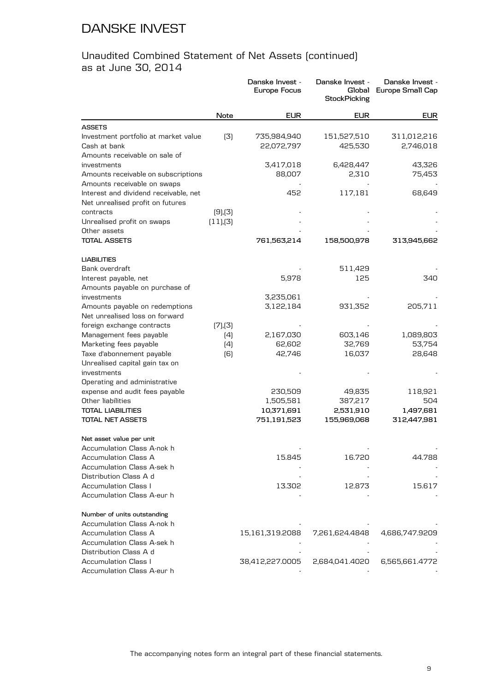|                                       |               | Danske Invest -<br><b>Europe Focus</b> | Danske Invest -<br>Global<br><b>StockPicking</b> | Danske Invest -<br>Europe Small Cap |
|---------------------------------------|---------------|----------------------------------------|--------------------------------------------------|-------------------------------------|
|                                       | Note          | <b>EUR</b>                             | <b>EUR</b>                                       | <b>EUR</b>                          |
| <b>ASSETS</b>                         |               |                                        |                                                  |                                     |
| Investment portfolio at market value  | (3)           | 735,984,940                            | 151,527,510                                      | 311,012,216                         |
| Cash at bank                          |               | 22,072,797                             | 425,530                                          | 2,746,018                           |
| Amounts receivable on sale of         |               |                                        |                                                  |                                     |
| investments                           |               | 3,417,018                              | 6,428,447                                        | 43,326                              |
| Amounts receivable on subscriptions   |               | 88,007                                 | 2,310                                            | 75,453                              |
| Amounts receivable on swaps           |               |                                        |                                                  |                                     |
| Interest and dividend receivable, net |               | 452                                    | 117,181                                          | 68,649                              |
| Net unrealised profit on futures      |               |                                        |                                                  |                                     |
| contracts                             | $(9)$ , $(3)$ |                                        |                                                  |                                     |
| Unrealised profit on swaps            | (11),(3)      |                                        |                                                  |                                     |
| Other assets                          |               |                                        |                                                  |                                     |
| <b>TOTAL ASSETS</b>                   |               | 761,563,214                            | 158,500,978                                      | 313,945,662                         |
| <b>LIABILITIES</b>                    |               |                                        |                                                  |                                     |
| Bank overdraft                        |               |                                        | 511,429                                          |                                     |
| Interest payable, net                 |               | 5,978                                  | 125                                              | 340                                 |
| Amounts payable on purchase of        |               |                                        |                                                  |                                     |
| investments                           |               | 3,235,061                              |                                                  |                                     |
| Amounts payable on redemptions        |               | 3,122,184                              | 931,352                                          | 205,711                             |
| Net unrealised loss on forward        |               |                                        |                                                  |                                     |
| foreign exchange contracts            | (7),(3)       |                                        |                                                  |                                     |
| Management fees payable               | (4)           | 2,167,030                              | 603,146                                          | 1,089,803                           |
| Marketing fees payable                | (4)           | 62,602                                 | 32,769                                           | 53,754                              |
| Taxe d'abonnement payable             | (6)           | 42,746                                 | 16,037                                           | 28,648                              |
| Unrealised capital gain tax on        |               |                                        |                                                  |                                     |
| investments                           |               |                                        |                                                  |                                     |
| Operating and administrative          |               |                                        |                                                  |                                     |
| expense and audit fees payable        |               | 230,509                                | 49,835                                           | 118,921                             |
| Other liabilities                     |               | 1,505,581                              | 387,217                                          | 504                                 |
| <b>TOTAL LIABILITIES</b>              |               | 10,371,691                             | 2,531,910                                        | 1,497,681                           |
| <b>TOTAL NET ASSETS</b>               |               | 751,191,523                            | 155,969,068                                      | 312,447,981                         |
| Net asset value per unit              |               |                                        |                                                  |                                     |
| Accumulation Class A-nok h            |               |                                        |                                                  |                                     |
| <b>Accumulation Class A</b>           |               | 15.845                                 | 16.720                                           | 44.788                              |
| Accumulation Class A-sek h            |               |                                        |                                                  |                                     |
| Distribution Class A d                |               |                                        |                                                  |                                     |
| <b>Accumulation Class I</b>           |               | 13.302                                 | 12.873                                           | 15.617                              |
| Accumulation Class A-eur h            |               |                                        |                                                  |                                     |
| Number of units outstanding           |               |                                        |                                                  |                                     |
| Accumulation Class A-nok h            |               |                                        |                                                  |                                     |
| Accumulation Class A                  |               | 15,161,319.2088                        | 7,261,624.4848                                   | 4,686,747.9209                      |
| Accumulation Class A-sek h            |               |                                        |                                                  |                                     |
| Distribution Class A d                |               |                                        |                                                  |                                     |
| <b>Accumulation Class I</b>           |               | 38,412,227.0005                        | 2,684,041.4020                                   | 6,565,661.4772                      |
| Accumulation Class A-eur h            |               |                                        |                                                  |                                     |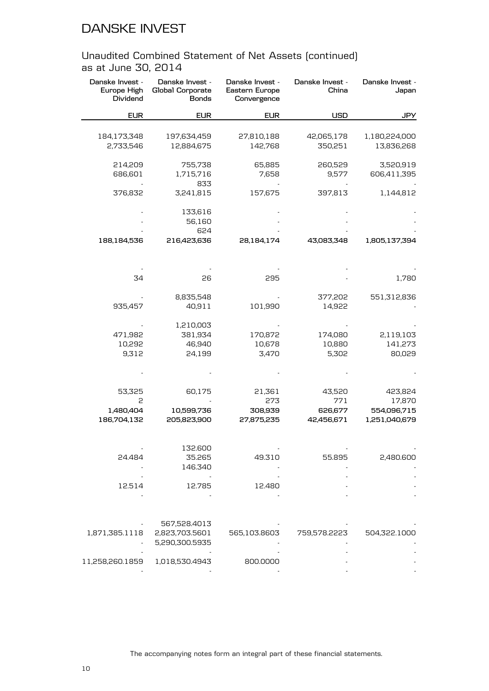| Danske Invest -<br>Europe High<br>Dividend | Danske Invest -<br>Global Corporate<br><b>Bonds</b> | Danske Invest -<br>Eastern Europe<br>Convergence | Danske Invest -<br>China | Danske Invest -<br>Japan |
|--------------------------------------------|-----------------------------------------------------|--------------------------------------------------|--------------------------|--------------------------|
| <b>EUR</b>                                 | <b>EUR</b>                                          | <b>EUR</b>                                       | <b>USD</b>               | <b>JPY</b>               |
|                                            |                                                     |                                                  |                          |                          |
| 184,173,348                                | 197,634,459                                         | 27,810,188                                       | 42,065,178               | 1,180,224,000            |
| 2,733,546                                  | 12,884,675                                          | 142,768                                          | 350,251                  | 13,836,268               |
| 214,209                                    | 755,738                                             | 65,885                                           | 260,529                  | 3,520,919                |
| 686,601                                    | 1,715,716                                           | 7,658                                            | 9,577                    | 606,411,395              |
|                                            | 833                                                 |                                                  |                          |                          |
| 376,832                                    | 3,241,815                                           | 157,675                                          | 397,813                  | 1,144,812                |
|                                            | 133,616                                             |                                                  |                          |                          |
|                                            | 56,160                                              |                                                  |                          |                          |
|                                            | 624                                                 |                                                  |                          |                          |
| 188,184,536                                | 216,423,636                                         | 28,184,174                                       | 43,083,348               | 1,805,137,394            |
|                                            |                                                     |                                                  |                          |                          |
| 34                                         | 26                                                  | 295                                              |                          | 1,780                    |
|                                            | 8,835,548                                           |                                                  | 377,202                  | 551,312,836              |
| 935,457                                    | 40,911                                              | 101,990                                          | 14,922                   |                          |
|                                            | 1,210,003                                           |                                                  |                          |                          |
| 471,982                                    | 381,934                                             | 170,872                                          | 174,080                  | 2,119,103                |
| 10,292                                     | 46,940                                              | 10,678                                           | 10,880                   | 141,273                  |
| 9,312                                      | 24,199                                              | 3,470                                            | 5,302                    | 80,029                   |
|                                            |                                                     |                                                  |                          |                          |
| 53,325                                     | 60,175                                              | 21,361                                           | 43,520                   | 423,824                  |
| 2                                          |                                                     | 273                                              | 771                      | 17,870                   |
| 1,480,404                                  | 10,599,736                                          | 308,939                                          | 626,677                  | 554,096,715              |
| 186,704,132                                | 205,823,900                                         | 27,875,235                                       | 42,456,671               | 1,251,040,679            |
|                                            |                                                     |                                                  |                          |                          |
|                                            | 132.600                                             |                                                  |                          |                          |
| 24.484                                     | 35.265                                              | 49.310                                           | 55.895                   | 2,480.600                |
|                                            | 146.340                                             |                                                  |                          |                          |
| 12.514                                     | 12.785                                              | 12.480                                           |                          |                          |
|                                            |                                                     |                                                  |                          |                          |
|                                            |                                                     |                                                  |                          |                          |
|                                            | 567,528.4013                                        |                                                  |                          |                          |
| 1,871,385.1118                             | 2,823,703.5601                                      | 565,103.8603                                     | 759,578.2223             | 504,322.1000             |
|                                            | 5,290,300.5935                                      |                                                  |                          |                          |
| 11,258,260.1859                            | 1,018,530.4943                                      | 800.0000                                         |                          |                          |
|                                            |                                                     |                                                  |                          |                          |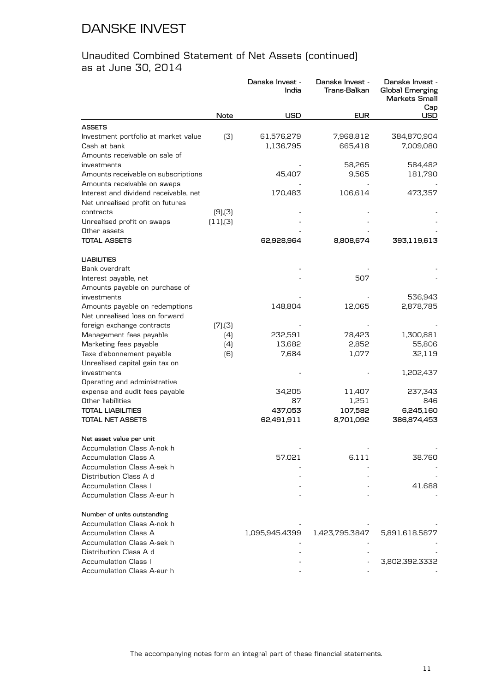|                                       |               | Danske Invest -<br>India | Danske Invest -<br>Trans-Balkan | Danske Invest -<br>Global Emerging<br>Markets Small<br>Cap |
|---------------------------------------|---------------|--------------------------|---------------------------------|------------------------------------------------------------|
|                                       | Note          | <b>USD</b>               | <b>EUR</b>                      | <b>USD</b>                                                 |
| <b>ASSETS</b>                         |               |                          |                                 |                                                            |
| Investment portfolio at market value  | (3)           | 61,576,279               | 7,968,812                       | 384,870,904                                                |
| Cash at bank                          |               | 1,136,795                | 665,418                         | 7,009,080                                                  |
| Amounts receivable on sale of         |               |                          |                                 |                                                            |
| investments                           |               |                          | 58,265                          | 584,482                                                    |
| Amounts receivable on subscriptions   |               | 45,407                   | 9,565                           | 181,790                                                    |
| Amounts receivable on swaps           |               |                          |                                 |                                                            |
| Interest and dividend receivable, net |               | 170,483                  | 106,614                         | 473,357                                                    |
| Net unrealised profit on futures      |               |                          |                                 |                                                            |
| contracts                             | $(9)$ , $(3)$ |                          |                                 |                                                            |
| Unrealised profit on swaps            | (11),(3)      |                          |                                 |                                                            |
| Other assets                          |               |                          |                                 |                                                            |
| <b>TOTAL ASSETS</b>                   |               | 62,928,964               | 8,808,674                       | 393,119,613                                                |
| <b>LIABILITIES</b>                    |               |                          |                                 |                                                            |
| Bank overdraft                        |               |                          |                                 |                                                            |
| Interest payable, net                 |               |                          | 507                             |                                                            |
| Amounts payable on purchase of        |               |                          |                                 |                                                            |
| investments                           |               |                          |                                 | 536,943                                                    |
| Amounts payable on redemptions        |               | 148,804                  | 12,065                          | 2,878,785                                                  |
| Net unrealised loss on forward        |               |                          |                                 |                                                            |
| foreign exchange contracts            | (7),(3)       |                          |                                 |                                                            |
| Management fees payable               | (4)           | 232,591                  | 78,423                          | 1,300,881                                                  |
| Marketing fees payable                | (4)           | 13,682                   | 2,852                           | 55,806                                                     |
| Taxe d'abonnement payable             | (6)           | 7,684                    | 1,077                           | 32,119                                                     |
| Unrealised capital gain tax on        |               |                          |                                 |                                                            |
| investments                           |               |                          |                                 | 1,202,437                                                  |
| Operating and administrative          |               |                          |                                 |                                                            |
| expense and audit fees payable        |               | 34,205                   | 11,407                          | 237,343                                                    |
| Other liabilities                     |               | 87                       | 1,251                           | 846                                                        |
| <b>TOTAL LIABILITIES</b>              |               | 437,053                  | 107,582                         | 6,245,160                                                  |
| <b>TOTAL NET ASSETS</b>               |               | 62,491,911               | 8,701,092                       | 386,874,453                                                |
| Net asset value per unit              |               |                          |                                 |                                                            |
| Accumulation Class A-nok h            |               |                          |                                 |                                                            |
| Accumulation Class A                  |               | 57.021                   | 6.111                           | 38.760                                                     |
| Accumulation Class A-sek h            |               |                          |                                 |                                                            |
| Distribution Class A d                |               |                          |                                 |                                                            |
| <b>Accumulation Class I</b>           |               |                          |                                 | 41.688                                                     |
| Accumulation Class A-eur h            |               |                          |                                 |                                                            |
| Number of units outstanding           |               |                          |                                 |                                                            |
| Accumulation Class A-nok h            |               |                          |                                 |                                                            |
| <b>Accumulation Class A</b>           |               | 1,095,945.4399           | 1,423,795.3847                  | 5,891,618.5877                                             |
| Accumulation Class A-sek h            |               |                          |                                 |                                                            |
| Distribution Class A d                |               |                          |                                 |                                                            |
| <b>Accumulation Class I</b>           |               |                          |                                 | 3,802,392.3332                                             |
| Accumulation Class A-eur h            |               |                          |                                 |                                                            |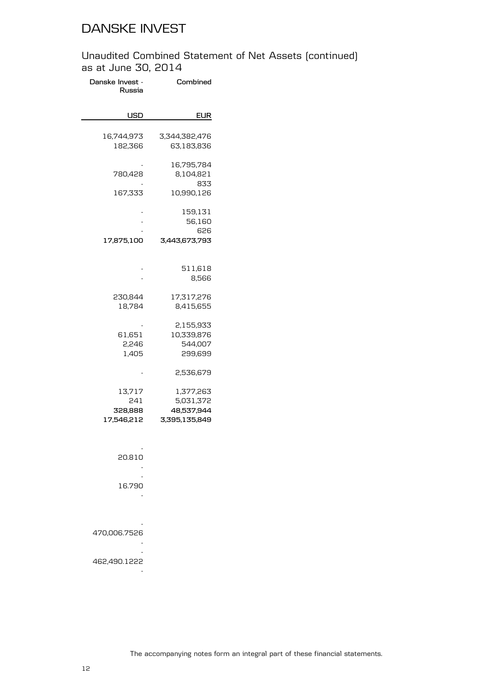| Combined                                              | Danske Invest -<br>Russia              |
|-------------------------------------------------------|----------------------------------------|
| EUR                                                   | USD                                    |
| 3,344,382,476<br>63,183,836                           | 16,744,973<br>182,366                  |
| 16,795,784<br>8,104,821<br>833                        | 780,428                                |
| 10,990,126                                            | 167,333                                |
| 159,131<br>56,160<br>626                              |                                        |
| 3,443,673,793                                         | 17,875,100                             |
| 511,618<br>8,566                                      | -                                      |
| 17,317,276<br>8,415,655                               | 230,844<br>18,784                      |
| 2,155,933<br>10,339,876<br>544,007<br>299,699         | 61,651<br>2,246<br>1,405               |
| 2,536,679                                             |                                        |
| 1,377,263<br>5,031,372<br>48,537,944<br>3,395,135,849 | 13,717<br>241<br>328,888<br>17,546,212 |
|                                                       | 20.810                                 |
|                                                       | 16.790                                 |
|                                                       | 470,006.7526                           |
|                                                       | 462,490.1222                           |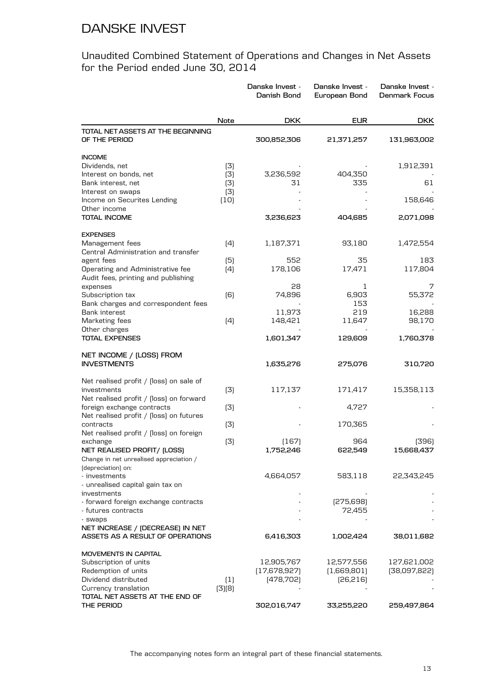#### Unaudited Combined Statement of Operations and Changes in Net Assets for the Period ended June 30, 2014

|                                                     |                  | Danske Invest -<br>Danish Bond | Danske Invest -<br>European Bond | Danske Invest -<br>Denmark Focus |
|-----------------------------------------------------|------------------|--------------------------------|----------------------------------|----------------------------------|
|                                                     | Note             | <b>DKK</b>                     | <b>EUR</b>                       | <b>DKK</b>                       |
| TOTAL NET ASSETS AT THE BEGINNING<br>OF THE PERIOD  |                  | 300,852,306                    | 21,371,257                       | 131,963,002                      |
| <b>INCOME</b>                                       |                  |                                |                                  |                                  |
| Dividends, net                                      | (3)              |                                |                                  | 1,912,391                        |
| Interest on bonds, net                              | (3)              | 3,236,592                      | 404,350                          |                                  |
| Bank interest, net                                  | (3)              | 31                             | 335                              | 61                               |
| Interest on swaps                                   | (3)              |                                |                                  |                                  |
| Income on Securites Lending<br>Other income         | (10)             |                                |                                  | 158,646                          |
| <b>TOTAL INCOME</b>                                 |                  | 3,236,623                      | 404,685                          | 2,071,098                        |
| <b>EXPENSES</b>                                     |                  |                                |                                  |                                  |
| Management fees                                     | (4)              | 1,187,371                      | 93,180                           | 1,472,554                        |
| Central Administration and transfer                 |                  |                                |                                  |                                  |
| agent fees                                          | (5)              | 552                            | 35                               | 183                              |
| Operating and Administrative fee                    | (4)              | 178,106                        | 17,471                           | 117,804                          |
| Audit fees, printing and publishing<br>expenses     |                  | 28                             | 1                                | 7                                |
| Subscription tax                                    | (6)              | 74,896                         | 6,903                            | 55,372                           |
| Bank charges and correspondent fees                 |                  |                                | 153                              |                                  |
| Bank interest                                       |                  | 11,973                         | 219                              | 16,288                           |
| Marketing fees                                      | (4)              | 148,421                        | 11,647                           | 98,170                           |
| Other charges                                       |                  |                                |                                  |                                  |
| <b>TOTAL EXPENSES</b>                               |                  | 1,601,347                      | 129,609                          | 1,760,378                        |
| NET INCOME / (LOSS) FROM<br><b>INVESTMENTS</b>      |                  | 1,635,276                      | 275,076                          | 310,720                          |
|                                                     |                  |                                |                                  |                                  |
| Net realised profit / (loss) on sale of             |                  |                                |                                  |                                  |
| investments                                         | (3)              | 117,137                        | 171,417                          | 15,358,113                       |
| Net realised profit / [loss] on forward             |                  |                                |                                  |                                  |
| foreign exchange contracts                          | (3)              |                                | 4,727                            |                                  |
| Net realised profit / (loss) on futures             |                  |                                |                                  |                                  |
| contracts                                           | (3)              |                                | 170,365                          |                                  |
| Net realised profit / [loss] on foreign<br>exchange | (3)              | (167)                          | 964                              | (396)                            |
| NET REALISED PROFIT/ (LOSS)                         |                  | 1,752,246                      | 622,549                          | 15,668,437                       |
| Change in net unrealised appreciation /             |                  |                                |                                  |                                  |
| (depreciation) on:                                  |                  |                                |                                  |                                  |
| - investments                                       |                  | 4,664,057                      | 583,118                          | 22,343,245                       |
| - unrealised capital gain tax on                    |                  |                                |                                  |                                  |
| investments                                         |                  |                                |                                  |                                  |
| - forward foreign exchange contracts                |                  |                                | [275,698]                        |                                  |
| - futures contracts                                 |                  |                                | 72,455                           |                                  |
| - swaps<br>NET INCREASE / (DECREASE) IN NET         |                  |                                |                                  |                                  |
| ASSETS AS A RESULT OF OPERATIONS                    |                  | 6,416,303                      | 1,002,424                        | 38,011,682                       |
| <b>MOVEMENTS IN CAPITAL</b>                         |                  |                                |                                  |                                  |
| Subscription of units                               |                  | 12,905,767                     | 12,577,556                       | 127,621,002                      |
| Redemption of units                                 |                  | (17,678,927)                   | (1,669,801)                      | [38,097,822]                     |
| Dividend distributed                                | $\left(1\right)$ | [478, 702]                     | [26,216]                         |                                  |
| Currency translation                                | (3)(8)           |                                |                                  |                                  |
| TOTAL NET ASSETS AT THE END OF                      |                  |                                |                                  |                                  |
| THE PERIOD                                          |                  | 302,016,747                    | 33,255,220                       | 259,497,864                      |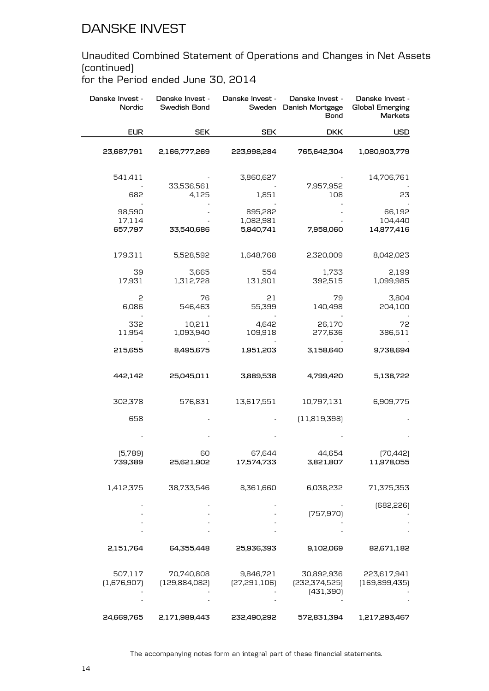Unaudited Combined Statement of Operations and Changes in Net Assets (continued)

for the Period ended June 30, 2014

| Danske Invest -<br>Nordic   | Danske Invest -<br>Swedish Bond | Danske Invest -                   | Danske Invest -<br>Sweden Danish Mortgage<br><b>Bond</b> | Danske Invest -<br><b>Global Emerging</b><br>Markets |
|-----------------------------|---------------------------------|-----------------------------------|----------------------------------------------------------|------------------------------------------------------|
| <b>EUR</b>                  | <b>SEK</b>                      | <b>SEK</b>                        | <b>DKK</b>                                               | <b>USD</b>                                           |
| 23,687,791                  | 2,166,777,269                   | 223,998,284                       | 765,642,304                                              | 1,080,903,779                                        |
| 541,411                     | 33,536,561                      | 3,860,627                         | 7,957,952                                                | 14,706,761                                           |
| 682                         | 4,125                           | 1,851                             | 108                                                      | 23                                                   |
| 98,590<br>17,114<br>657,797 | 33,540,686                      | 895,282<br>1,082,981<br>5,840,741 | 7,958,060                                                | 66,192<br>104,440<br>14,877,416                      |
|                             |                                 |                                   |                                                          |                                                      |
| 179,311                     | 5,528,592                       | 1,648,768                         | 2,320,009                                                | 8,042,023                                            |
| 39<br>17,931                | 3,665<br>1,312,728              | 554<br>131,901                    | 1,733<br>392,515                                         | 2,199<br>1,099,985                                   |
| 2<br>6,086                  | 76<br>546,463                   | 21<br>55,399                      | 79<br>140,498                                            | 3,804<br>204,100                                     |
| 332<br>11,954               | 10,211<br>1,093,940             | 4,642<br>109,918                  | 26,170<br>277,636                                        | 72<br>386,511                                        |
| 215,655                     | 8,495,675                       | 1,951,203                         | 3,158,640                                                | 9,738,694                                            |
| 442,142                     | 25,045,011                      | 3,889,538                         | 4,799,420                                                | 5,138,722                                            |
| 302,378                     | 576,831                         | 13,617,551                        | 10,797,131                                               | 6,909,775                                            |
| 658                         |                                 |                                   | (11,819,398)                                             |                                                      |
|                             |                                 |                                   |                                                          |                                                      |
| (5,789)<br>739,389          | 60<br>25,621,902                | 67,644<br>17,574,733              | 44,654<br>3,821,807                                      | [70, 442]<br>11,978,055                              |
| 1,412,375                   | 38,733,546                      | 8,361,660                         | 6,038,232                                                | 71,375,353                                           |
|                             |                                 |                                   | [757, 970]                                               | [682,226]                                            |
|                             |                                 |                                   |                                                          |                                                      |
| 2,151,764                   | 64,355,448                      | 25,936,393                        | 9,102,069                                                | 82,671,182                                           |
| 507,117<br>(1,676,907)      | 70,740,808<br>[129,884,082]     | 9,846,721<br>[27,291,106]         | 30,892,936<br>[232, 374, 525]<br>[431,390]               | 223,617,941<br>[169,899,435]                         |
| 24,669,765                  | 2,171,989,443                   | 232,490,292                       | 572,831,394                                              | 1,217,293,467                                        |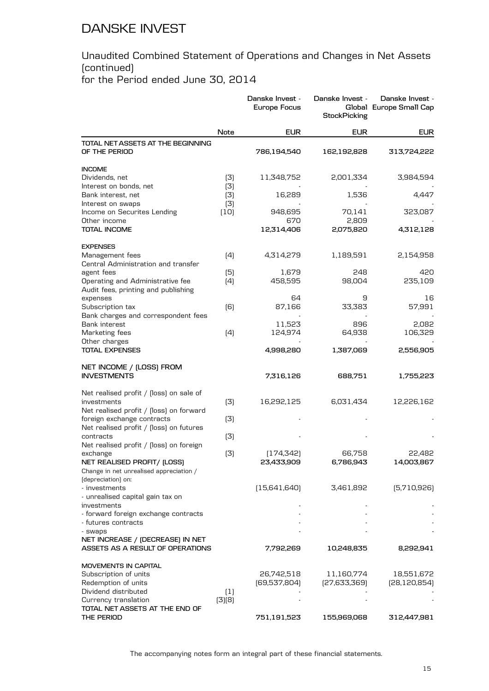#### Unaudited Combined Statement of Operations and Changes in Net Assets (continued) for the Period ended June 30, 2014

|                                                                       |             | Danske Invest -<br><b>Europe Focus</b> | Danske Invest -<br><b>StockPicking</b> | Danske Invest -<br>Global Europe Small Cap |
|-----------------------------------------------------------------------|-------------|----------------------------------------|----------------------------------------|--------------------------------------------|
|                                                                       | Note        | <b>EUR</b>                             | <b>EUR</b>                             | <b>EUR</b>                                 |
| TOTAL NET ASSETS AT THE BEGINNING<br>OF THE PERIOD                    |             | 786,194,540                            | 162,192,828                            | 313,724,222                                |
| <b>INCOME</b>                                                         |             |                                        |                                        |                                            |
| Dividends, net                                                        | (3)         | 11,348,752                             | 2,001,334                              | 3,984,594                                  |
| Interest on bonds, net                                                | (3)         |                                        |                                        |                                            |
| Bank interest, net                                                    | (3)         | 16,289                                 | 1,536                                  | 4,447                                      |
| Interest on swaps<br>Income on Securites Lending                      | (3)<br>(10) | 948,695                                | 70,141                                 | 323,087                                    |
| Other income                                                          |             | 670                                    | 2,809                                  |                                            |
| TOTAL INCOME                                                          |             | 12,314,406                             | 2,075,820                              | 4,312,128                                  |
| <b>EXPENSES</b>                                                       |             |                                        |                                        |                                            |
| Management fees                                                       | (4)         | 4,314,279                              | 1,189,591                              | 2,154,958                                  |
| Central Administration and transfer                                   |             |                                        |                                        |                                            |
| agent fees                                                            | (5)         | 1,679                                  | 248                                    | 420                                        |
| Operating and Administrative fee                                      | (4)         | 458,595                                | 98,004                                 | 235,109                                    |
| Audit fees, printing and publishing                                   |             |                                        | 9                                      |                                            |
| expenses<br>Subscription tax                                          | [6]         | 64<br>87,166                           | 33,383                                 | 16<br>57,991                               |
| Bank charges and correspondent fees                                   |             |                                        |                                        |                                            |
| Bank interest                                                         |             | 11,523                                 | 896                                    | 2,082                                      |
| Marketing fees                                                        | (4)         | 124,974                                | 64,938                                 | 106,329                                    |
| Other charges                                                         |             |                                        |                                        |                                            |
| <b>TOTAL EXPENSES</b>                                                 |             | 4,998,280                              | 1,387,069                              | 2,556,905                                  |
| NET INCOME / (LOSS) FROM                                              |             |                                        |                                        |                                            |
| <b>INVESTMENTS</b>                                                    |             | 7,316,126                              | 688,751                                | 1,755,223                                  |
| Net realised profit / [loss] on sale of                               |             |                                        |                                        |                                            |
| investments                                                           | (3)         | 16,292,125                             | 6,031,434                              | 12,226,162                                 |
| Net realised profit / [loss] on forward                               |             |                                        |                                        |                                            |
| foreign exchange contracts<br>Net realised profit / [loss] on futures | (3)         |                                        |                                        |                                            |
| contracts                                                             | (3)         |                                        |                                        |                                            |
| Net realised profit / [loss] on foreign                               |             |                                        |                                        |                                            |
| exchange                                                              | (3)         | (174, 342)                             | 66,758                                 | 22,482                                     |
| NET REALISED PROFIT/ (LOSS)                                           |             | 23,433,909                             | 6,786,943                              | 14,003,867                                 |
| Change in net unrealised appreciation /                               |             |                                        |                                        |                                            |
| (depreciation) on:                                                    |             |                                        |                                        |                                            |
| - investments                                                         |             | [15,641,640]                           | 3,461,892                              | [5,710,926]                                |
| - unrealised capital gain tax on<br>investments                       |             |                                        |                                        |                                            |
| - forward foreign exchange contracts                                  |             |                                        |                                        |                                            |
| - futures contracts                                                   |             |                                        |                                        |                                            |
| - swaps                                                               |             |                                        |                                        |                                            |
| NET INCREASE / (DECREASE) IN NET                                      |             |                                        |                                        |                                            |
| ASSETS AS A RESULT OF OPERATIONS                                      |             | 7,792,269                              | 10,248,835                             | 8,292,941                                  |
| MOVEMENTS IN CAPITAL                                                  |             |                                        |                                        |                                            |
| Subscription of units                                                 |             | 26,742,518                             | 11,160,774                             | 18,551,672                                 |
| Redemption of units                                                   |             | [69,537,804]                           | [27,633,369]                           | [28, 120, 854]                             |
| Dividend distributed                                                  | (1)         |                                        |                                        |                                            |
| Currency translation<br>TOTAL NET ASSETS AT THE END OF                | (3)(8)      |                                        |                                        |                                            |
| THE PERIOD                                                            |             | 751,191,523                            | 155,969,068                            | 312,447,981                                |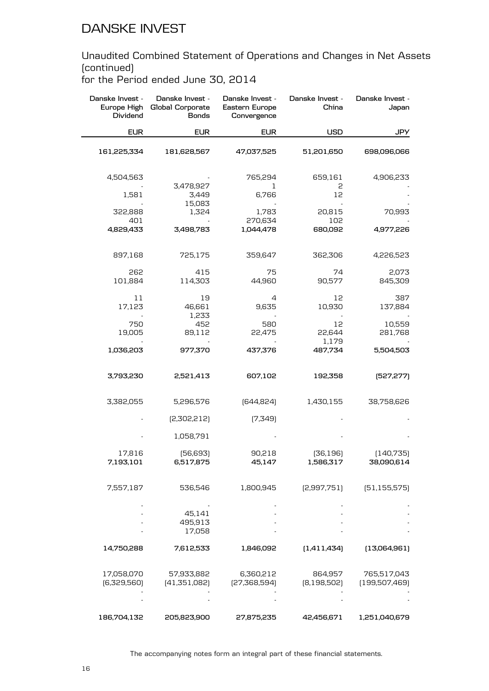Unaudited Combined Statement of Operations and Changes in Net Assets (continued)

for the Period ended June 30, 2014

| Danske Invest -<br>Europe High<br>Dividend | Danske Invest -<br>Global Corporate<br><b>Bonds</b> | Danske Invest -<br>Eastern Europe<br>Convergence | Danske Invest -<br>China | Danske Invest -<br>Japan     |
|--------------------------------------------|-----------------------------------------------------|--------------------------------------------------|--------------------------|------------------------------|
| <b>EUR</b>                                 | <b>EUR</b>                                          | <b>EUR</b>                                       | <b>USD</b>               | JPY                          |
| 161,225,334                                | 181,628,567                                         | 47,037,525                                       | 51,201,650               | 698,096,066                  |
| 4,504,563                                  | 3,478,927                                           | 765,294<br>1                                     | 659,161<br>2             | 4,906,233                    |
| 1,581                                      | 3,449<br>15,083                                     | 6,766                                            | 12                       |                              |
| 322,888                                    | 1,324                                               | 1,783                                            | 20,815                   | 70,993                       |
| 401<br>4,829,433                           | 3,498,783                                           | 270,634<br>1,044,478                             | 102<br>680,092           | 4,977,226                    |
| 897,168                                    | 725,175                                             | 359,647                                          | 362,306                  | 4,226,523                    |
| 262<br>101,884                             | 415<br>114,303                                      | 75<br>44,960                                     | 74<br>90,577             | 2,073<br>845,309             |
| 11<br>17,123                               | 19<br>46,661                                        | 4<br>9,635                                       | 12<br>10,930             | 387<br>137,884               |
| 750<br>19,005                              | 1,233<br>452<br>89,112                              | 580<br>22,475                                    | 12<br>22,644             | 10,559<br>281,768            |
| 1,036,203                                  | 977,370                                             | 437,376                                          | 1,179<br>487,734         | 5,504,503                    |
| 3,793,230                                  | 2,521,413                                           | 607,102                                          | 192,358                  | [527, 277]                   |
| 3,382,055                                  | 5,296,576                                           | [644, 824]                                       | 1,430,155                | 38,758,626                   |
|                                            | [2,302,212]                                         | [7,349]                                          |                          |                              |
|                                            | 1,058,791                                           |                                                  |                          |                              |
| 17,816<br>7,193,101                        | [56, 693]<br>6,517,875                              | 90,218<br>45,147                                 | [36, 196]<br>1,586,317   | [140,735]<br>38,090,614      |
| 7,557,187                                  | 536,546                                             | 1,800,945                                        | [2,997,751]              | [51, 155, 575]               |
|                                            | 45,141                                              |                                                  |                          |                              |
|                                            | 495,913<br>17,058                                   |                                                  |                          |                              |
| 14,750,288                                 | 7,612,533                                           | 1,846,092                                        | [1,411,434]              | (13,064,961)                 |
| 17,058,070<br>[6,329,560]                  | 57,933,882<br>[41,351,082]                          | 6,360,212<br>[27,368,594]                        | 864,957<br>[8,198,502]   | 765,517,043<br>[199,507,469] |
|                                            |                                                     |                                                  |                          |                              |
| 186,704,132                                | 205,823,900                                         | 27,875,235                                       | 42,456,671               | 1,251,040,679                |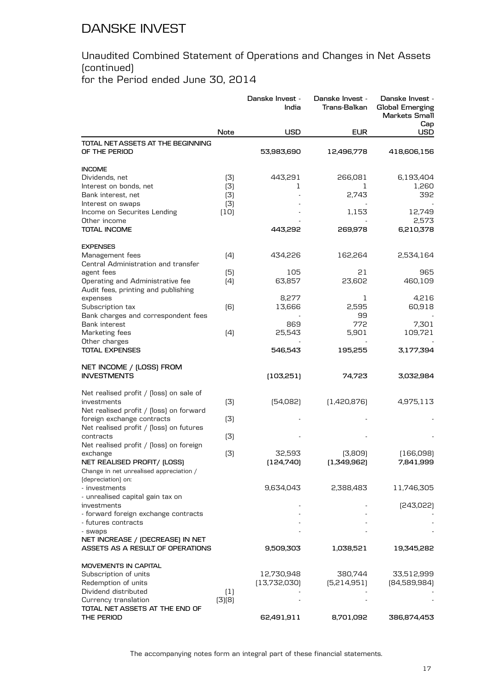#### Unaudited Combined Statement of Operations and Changes in Net Assets (continued) for the Period ended June 30, 2014

|                                                         |                  | Danske Invest -<br>India | Danske Invest -<br>Trans-Balkan | Danske Invest -<br><b>Global Emerging</b><br>Markets Small<br>Cap |
|---------------------------------------------------------|------------------|--------------------------|---------------------------------|-------------------------------------------------------------------|
|                                                         | Note             | <b>USD</b>               | <b>EUR</b>                      | USD                                                               |
| TOTAL NET ASSETS AT THE BEGINNING<br>OF THE PERIOD      |                  | 53,983,690               | 12,496,778                      | 418,606,156                                                       |
| <b>INCOME</b>                                           |                  |                          |                                 |                                                                   |
| Dividends, net                                          | (3)              | 443,291                  | 266,081                         | 6,193,404                                                         |
| Interest on bonds, net                                  | (3)              | 1                        | 1                               | 1,260                                                             |
| Bank interest, net                                      | (3)              |                          | 2,743                           | 392                                                               |
| Interest on swaps<br>Income on Securites Lending        | (3)              |                          | 1,153                           | 12,749                                                            |
| Other income                                            | (10)             |                          |                                 | 2,573                                                             |
| <b>TOTAL INCOME</b>                                     |                  | 443,292                  | 269,978                         | 6,210,378                                                         |
| <b>EXPENSES</b>                                         |                  |                          |                                 |                                                                   |
| Management fees                                         | (4)              | 434,226                  | 162,264                         | 2,534,164                                                         |
| Central Administration and transfer                     |                  |                          |                                 |                                                                   |
| agent fees                                              | (5)              | 105                      | 21                              | 965                                                               |
| Operating and Administrative fee                        | (4)              | 63,857                   | 23,602                          | 460,109                                                           |
| Audit fees, printing and publishing                     |                  |                          |                                 |                                                                   |
| expenses                                                |                  | 8,277                    | 1                               | 4,216                                                             |
| Subscription tax<br>Bank charges and correspondent fees | (6)              | 13,666                   | 2,595<br>99                     | 60,918                                                            |
| <b>Bank interest</b>                                    |                  | 869                      | 772                             | 7,301                                                             |
| Marketing fees                                          | (4)              | 25,543                   | 5,901                           | 109,721                                                           |
| Other charges                                           |                  |                          |                                 |                                                                   |
| <b>TOTAL EXPENSES</b>                                   |                  | 546,543                  | 195,255                         | 3,177,394                                                         |
| NET INCOME / (LOSS) FROM<br><b>INVESTMENTS</b>          |                  | (103,251)                | 74,723                          | 3,032,984                                                         |
| Net realised profit / [loss] on sale of                 |                  |                          |                                 |                                                                   |
| investments                                             | (3)              | [54,082]                 | [1,420,876]                     | 4,975,113                                                         |
| Net realised profit / [loss] on forward                 |                  |                          |                                 |                                                                   |
| foreign exchange contracts                              | (3)              |                          |                                 |                                                                   |
| Net realised profit / [loss] on futures<br>contracts    | (3)              |                          |                                 |                                                                   |
| Net realised profit / [loss] on foreign                 |                  |                          |                                 |                                                                   |
| exchange                                                | (3)              | 32,593                   | (3,809)                         | (166,098)                                                         |
| NET REALISED PROFIT/ (LOSS)                             |                  | [124,740]                | (1,349,962)                     | 7,841,999                                                         |
| Change in net unrealised appreciation /                 |                  |                          |                                 |                                                                   |
| (depreciation) on:                                      |                  |                          |                                 |                                                                   |
| - investments                                           |                  | 9,634,043                | 2,388,483                       | 11,746,305                                                        |
| - unrealised capital gain tax on                        |                  |                          |                                 |                                                                   |
| investments<br>- forward foreign exchange contracts     |                  |                          |                                 | [243,022]                                                         |
| - futures contracts                                     |                  |                          |                                 |                                                                   |
| - swaps                                                 |                  |                          |                                 |                                                                   |
| NET INCREASE / (DECREASE) IN NET                        |                  |                          |                                 |                                                                   |
| ASSETS AS A RESULT OF OPERATIONS                        |                  | 9,509,303                | 1,038,521                       | 19,345,282                                                        |
| <b>MOVEMENTS IN CAPITAL</b>                             |                  |                          |                                 |                                                                   |
| Subscription of units                                   |                  | 12,730,948               | 380,744                         | 33,512,999                                                        |
| Redemption of units                                     |                  | (13,732,030)             | [5,214,951]                     | [84,589,984]                                                      |
| Dividend distributed                                    | $\left(1\right)$ |                          |                                 |                                                                   |
| Currency translation                                    | (3)(8)           |                          |                                 |                                                                   |
| TOTAL NET ASSETS AT THE END OF<br>THE PERIOD            |                  | 62,491,911               | 8,701,092                       | 386,874,453                                                       |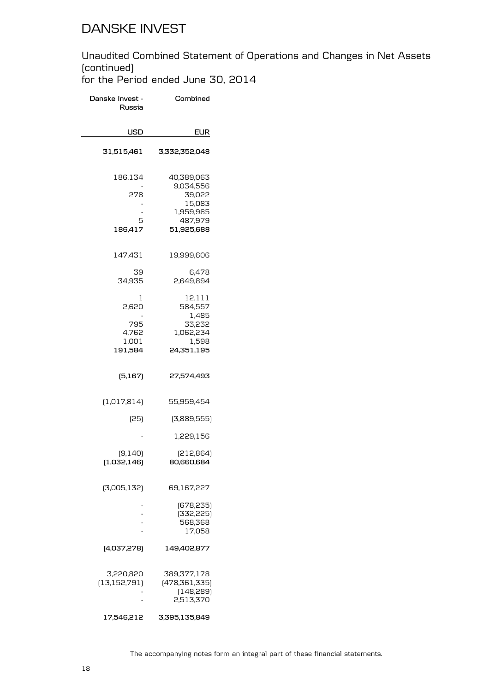#### Unaudited Combined Statement of Operations and Changes in Net Assets (continued) for the Period ended June 30, 2014

**Danske Invest - Russia Combined USD EUR 31,515,461 3,332,352,048** 186,134 40,389,063 - 9,034,556 39,022 - 15,083 - 1,959,985 5 487,979<br>186,417 51,925,688 **186,417 51,925,688** 147,431 19,999,606 39 6,478<br>34,935 34,935 2,649,894 2,649,894 1 12,111<br>12,620 584,557 584,557 - 1,485 33,232 4,762 1,062,234<br>1,001 1,598 1,001 1,598<br>191,584 24,351,195 **191,584 24,351,195 (5,167) 27,574,493** (1,017,814) 55,959,454 (25) (3,889,555) - 1,229,156 (9,140) (212,864)<br>**32,146) 80,660,684 (1,032,146) 80,660,684** (3,005,132) 69,167,227 - (678,235) - (332,225) - 568,368 - 17,058 **(4,037,278) 149,402,877** 3,220,820 389,377,178 (478,361,335) - (148,289) - 2,513,370 **17,546,212 3,395,135,849**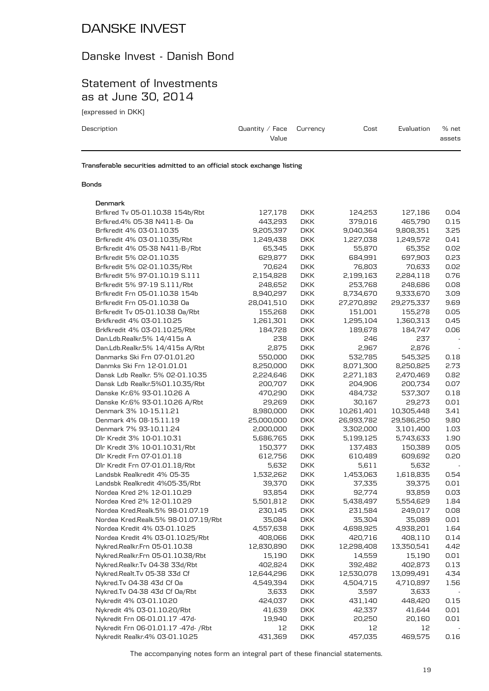### Danske Invest - Danish Bond

### Statement of Investments as at June 30, 2014

(expressed in DKK)

| Description | Quantity / Face $C$ urrency<br>Value | Cost | Evaluation | % net<br>assets |
|-------------|--------------------------------------|------|------------|-----------------|
|             |                                      |      |            |                 |

**Transferable securities admitted to an official stock exchange listing**

#### **Bonds**

#### **Denmark**

| Brfkred Tv 05-01.10.38 154b/Rbt      | 127,178    | <b>DKK</b> | 124,253    | 127,186    | 0.04 |
|--------------------------------------|------------|------------|------------|------------|------|
| Brfkred.4% 05-38 N411-B- 0a          | 443,293    | <b>DKK</b> | 379,016    | 465,790    | 0.15 |
| Brfkredit 4% 03-01.10.35             | 9,205,397  | <b>DKK</b> | 9,040,364  | 9,808,351  | 3.25 |
| Brfkredit 4% 03-01.10.35/Rbt         | 1,249,438  | <b>DKK</b> | 1,227,038  | 1,249,572  | 0.41 |
| Brfkredit 4% 05-38 N411-B-/Rbt       | 65,345     | <b>DKK</b> | 55,870     | 65,352     | 0.02 |
| Brfkredit 5% 02-01.10.35             | 629,877    | <b>DKK</b> | 684,991    | 697,903    | 0.23 |
| Brfkredit 5% 02-01.10.35/Rbt         | 70,624     | <b>DKK</b> | 76,803     | 70,633     | 0.02 |
| Brfkredit 5% 97-01.10.19 S.111       | 2,154,828  | <b>DKK</b> | 2,199,163  | 2,284,118  | 0.76 |
| Brfkredit 5% 97-19 S.111/Rbt         | 248,652    | <b>DKK</b> | 253,768    | 248,686    | 0.08 |
| Brfkredit Frn 05-01.10.38 154b       | 8,940,297  | <b>DKK</b> | 8,734,670  | 9,333,670  | 3.09 |
| Brfkredit Frn 05-01.10.38 Oa         | 28,041,510 | <b>DKK</b> | 27,270,892 | 29,275,337 | 9.69 |
| Brfkredit Tv 05-01.10.38 Oa/Rbt      | 155,268    | <b>DKK</b> | 151,001    | 155,278    | 0.05 |
| Brkfkredit 4% 03-01.10.25            | 1,261,301  | <b>DKK</b> | 1,295,104  | 1,360,313  | 0.45 |
| Brkfkredit 4% 03-01.10.25/Rbt        | 184,728    | <b>DKK</b> | 189,678    | 184,747    | 0.06 |
| Dan.Ldb.Realkr.5% 14/415s A          | 238        | <b>DKK</b> | 246        | 237        |      |
| Dan.Ldb.Realkr.5% 14/415s A/Rbt      | 2,875      | <b>DKK</b> | 2,967      | 2,876      |      |
| Danmarks Ski Frn 07-01.01.20         | 550,000    | <b>DKK</b> | 532,785    | 545,325    | 0.18 |
| Danmks Ski Frn 12-01.01.01           | 8,250,000  | <b>DKK</b> | 8,071,300  | 8,250,825  | 2.73 |
| Dansk Ldb Realkr. 5% 02-01.10.35     | 2,224,646  | <b>DKK</b> | 2,271,183  | 2,470,469  | 0.82 |
| Dansk Ldb Realkr.5%01.10.35/Rbt      | 200,707    | <b>DKK</b> | 204,906    | 200,734    | 0.07 |
| Danske Kr.6% 93-01.10.26 A           | 470,290    | <b>DKK</b> | 484,732    | 537,307    | 0.18 |
| Danske Kr.6% 93-01.10.26 A/Rbt       | 29,269     | <b>DKK</b> | 30,167     | 29,273     | 0.01 |
| Denmark 3% 10-15.11.21               | 8,980,000  | <b>DKK</b> | 10,261,401 | 10,305,448 | 3.41 |
| Denmark 4% 08-15.11.19               | 25,000,000 | <b>DKK</b> | 26,993,782 | 29,586,250 | 9.80 |
| Denmark 7% 93-10.11.24               | 2,000,000  | <b>DKK</b> | 3,302,000  | 3,101,400  | 1.03 |
| Dlr Kredit 3% 10-01.10.31            | 5,686,765  | <b>DKK</b> | 5,199,125  | 5,743,633  | 1.90 |
| Dlr Kredit 3% 10-01.10.31/Rbt        | 150,377    | <b>DKK</b> | 137,483    | 150,389    | 0.05 |
| Dlr Kredit Frn 07-01.01.18           | 612,756    | <b>DKK</b> | 610,489    | 609,692    | 0.20 |
| Dlr Kredit Frn 07-01.01.18/Rbt       | 5,632      | <b>DKK</b> | 5,611      | 5,632      |      |
| Landsbk Realkredit 4% 05-35          | 1,532,262  | <b>DKK</b> | 1,453,063  | 1,618,835  | 0.54 |
| Landsbk Realkredit 4%05-35/Rbt       | 39,370     | <b>DKK</b> | 37,335     | 39,375     | 0.01 |
| Nordea Kred 2% 12-01.10.29           | 93,854     | <b>DKK</b> | 92,774     | 93,859     | 0.03 |
| Nordea Kred 2% 12-01.10.29           | 5,501,812  | <b>DKK</b> | 5,438,497  | 5,554,629  | 1.84 |
| Nordea Kred.Realk.5% 98-01.07.19     | 230,145    | <b>DKK</b> | 231,584    | 249,017    | 0.08 |
| Nordea Kred.Realk.5% 98-01.07.19/Rbt | 35,084     | <b>DKK</b> | 35,304     | 35,089     | 0.01 |
| Nordea Kredit 4% 03-01.10.25         | 4,557,638  | <b>DKK</b> | 4,698,925  | 4,938,201  | 1.64 |
| Nordea Kredit 4% 03-01.10.25/Rbt     | 408,066    | <b>DKK</b> | 420,716    | 408,110    | 0.14 |
| Nykred.Realkr.Frn 05-01.10.38        | 12,830,890 | <b>DKK</b> | 12,298,408 | 13,350,541 | 4.42 |
| Nykred.Realkr.Frn 05-01.10.38/Rbt    | 15,190     | <b>DKK</b> | 14,559     | 15,190     | 0.01 |
| Nykred.Realkr.Tv 04-38 33d/Rbt       | 402,824    | <b>DKK</b> | 392,482    | 402,873    | 0.13 |
| Nykred.Realt.Tv 05-38 33d Cf         | 12,644,296 | <b>DKK</b> | 12,530,078 | 13,099,491 | 4.34 |
| Nykred.Tv 04-38 43d Cf Oa            | 4,549,394  | DKK        | 4,504,715  | 4,710,897  | 1.56 |
| Nykred.Tv 04-38 43d Cf 0a/Rbt        | 3,633      | <b>DKK</b> | 3,597      | 3,633      |      |
| Nykredit 4% 03-01.10.20              | 424,037    | <b>DKK</b> | 431,140    | 448,420    | 0.15 |
| Nykredit 4% 03-01.10.20/Rbt          | 41,639     | <b>DKK</b> | 42,337     | 41,644     | 0.01 |
| Nykredit Frn 06-01.01.17 -47d-       | 19,940     | <b>DKK</b> | 20,250     | 20,160     | 0.01 |
| Nykredit Frn 06-01.01.17 -47d- / Rbt | 12         | <b>DKK</b> | 12         | 12         |      |
| Nykredit Realkr. 4% 03-01.10.25      | 431,369    | <b>DKK</b> | 457,035    | 469,575    | 0.16 |
|                                      |            |            |            |            |      |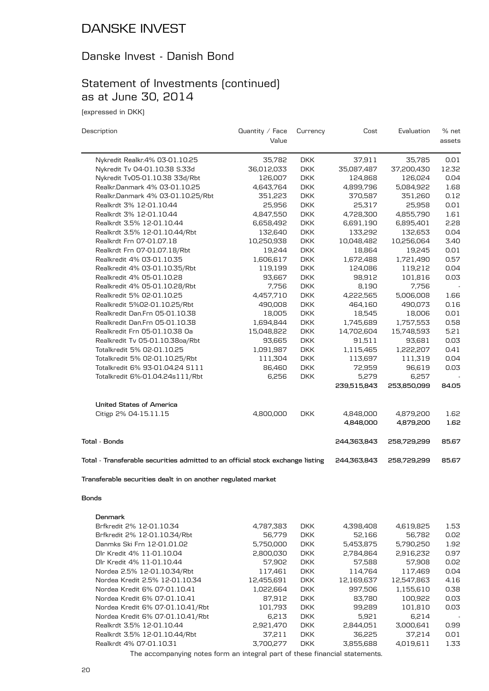#### Danske Invest - Danish Bond

### Statement of Investments (continued) as at June 30, 2014

(expressed in DKK)

| Description                                                                    | Quantity / Face | Currency   | Cost                 | Evaluation  | % net  |
|--------------------------------------------------------------------------------|-----------------|------------|----------------------|-------------|--------|
|                                                                                | Value           |            |                      |             | assets |
| Nykredit Realkr.4% 03-01.10.25                                                 | 35,782          | <b>DKK</b> | 37,911               | 35,785      | 0.01   |
| Nykredit Tv 04-01.10.38 S.33d                                                  | 36,012,033      | <b>DKK</b> | 35,087,487           | 37,200,430  | 12.32  |
| Nykredit Tv05-01.10.38 33d/Rbt                                                 | 126,007         | <b>DKK</b> | 124,868              | 126,024     | 0.04   |
| Realkr.Danmark 4% 03-01.10.25                                                  | 4,643,764       | <b>DKK</b> | 4,899,796            | 5,084,922   | 1.68   |
| Realkr.Danmark 4% 03-01.10.25/Rbt                                              | 351,223         | <b>DKK</b> | 370,587              | 351,260     | 0.12   |
| Realkrdt 3% 12-01.10.44                                                        | 25,956          | <b>DKK</b> | 25,317               | 25,958      | 0.01   |
| Realkrdt 3% 12-01.10.44                                                        | 4,847,550       | <b>DKK</b> | 4,728,300            | 4,855,790   | 1.61   |
| Realkrdt 3.5% 12-01.10.44                                                      | 6,658,492       | <b>DKK</b> | 6,691,190            | 6,895,401   | 2.28   |
| Realkrdt 3.5% 12-01.10.44/Rbt                                                  | 132,640         | <b>DKK</b> | 133,292              | 132,653     | 0.04   |
| Realkrdt Frn 07-01.07.18                                                       | 10,250,938      | <b>DKK</b> | 10,048,482           | 10,256,064  | 3.40   |
| Realkrdt Frn 07-01.07.18/Rbt                                                   | 19,244          | <b>DKK</b> | 18,864               | 19,245      | 0.01   |
| Realkredit 4% 03-01.10.35                                                      | 1,606,617       | <b>DKK</b> | 1,672,488            | 1,721,490   | 0.57   |
| Realkredit 4% 03-01.10.35/Rbt                                                  | 119,199         | <b>DKK</b> | 124,086              | 119,212     | 0.04   |
| Realkredit 4% 05-01.10.28                                                      | 93,667          | <b>DKK</b> | 98,912               | 101,816     | 0.03   |
| Realkredit 4% 05-01.10.28/Rbt                                                  | 7,756           | <b>DKK</b> | 8,190                | 7,756       |        |
| Realkredit 5% 02-01.10.25                                                      | 4,457,710       | <b>DKK</b> | 4,222,565            | 5,006,008   | 1.66   |
| Realkredit 5%02-01.10.25/Rbt                                                   | 490,008         | <b>DKK</b> | 464,160              | 490,073     | 0.16   |
| Realkredit Dan.Frn 05-01.10.38                                                 | 18,005          | <b>DKK</b> | 18,545               | 18,006      | 0.01   |
| Realkredit Dan.Frn 05-01.10.38                                                 | 1,694,844       | <b>DKK</b> | 1,745,689            | 1,757,553   | 0.58   |
| Realkredit Frn 05-01.10.38 Oa                                                  |                 | <b>DKK</b> |                      | 15,748,593  | 5.21   |
| Realkredit Tv 05-01.10.38oa/Rbt                                                | 15,048,822      | <b>DKK</b> | 14,702,604<br>91,511 | 93,681      | 0.03   |
|                                                                                | 93,665          |            |                      |             |        |
| Totalkredit 5% 02-01.10.25                                                     | 1,091,987       | <b>DKK</b> | 1,115,465            | 1,222,207   | 0.41   |
| Totalkredit 5% 02-01.10.25/Rbt                                                 | 111,304         | <b>DKK</b> | 113,697              | 111,319     | 0.04   |
| Totalkredit 6% 93-01.04.24 S111                                                | 86,460          | <b>DKK</b> | 72,959               | 96,619      | 0.03   |
| Totalkredit 6%-01.04.24s111/Rbt                                                | 6,256           | <b>DKK</b> | 5,279                | 6,257       |        |
|                                                                                |                 |            | 239,515,843          | 253,850,099 | 84.05  |
| <b>United States of America</b>                                                |                 |            |                      |             |        |
| Citigp 2% 04-15.11.15                                                          | 4,800,000       | <b>DKK</b> | 4,848,000            | 4,879,200   | 1.62   |
|                                                                                |                 |            | 4,848,000            | 4,879,200   | 1.62   |
| Total - Bonds                                                                  |                 |            | 244,363,843          | 258,729,299 | 85.67  |
| Total - Transferable securities admitted to an official stock exchange listing |                 |            | 244,363,843          | 258,729,299 | 85.67  |
|                                                                                |                 |            |                      |             |        |
| Transferable securities dealt in on another regulated market                   |                 |            |                      |             |        |
| Bonds                                                                          |                 |            |                      |             |        |
| Denmark                                                                        |                 |            |                      |             |        |
| Brfkredit 2% 12-01.10.34                                                       | 4,787,383       | <b>DKK</b> | 4,398,408            | 4,619,825   | 1.53   |
| Brfkredit 2% 12-01.10.34/Rbt                                                   | 56,779          | <b>DKK</b> | 52,166               | 56,782      | 0.02   |
| Danmks Ski Frn 12-01.01.02                                                     | 5,750,000       | <b>DKK</b> | 5,453,875            | 5,790,250   | 1.92   |
| Dlr Kredit 4% 11-01.10.04                                                      | 2,800,030       | <b>DKK</b> | 2,784,864            | 2,916,232   | 0.97   |
| Dlr Kredit 4% 11-01.10.44                                                      | 57,902          | <b>DKK</b> | 57,588               | 57,908      | 0.02   |
| Nordea 2.5% 12-01.10.34/Rbt                                                    | 117,461         | <b>DKK</b> | 114,764              | 117,469     | 0.04   |
| Nordea Kredit 2.5% 12-01.10.34                                                 | 12,455,691      | <b>DKK</b> | 12,169,637           | 12,547,863  | 4.16   |
| Nordea Kredit 6% 07-01.10.41                                                   | 1,022,664       | <b>DKK</b> | 997,506              | 1,155,610   | 0.38   |
| Nordea Kredit 6% 07-01.10.41                                                   | 87,912          | <b>DKK</b> | 83,780               | 100,922     | 0.03   |
| Nordea Kredit 6% 07-01.10.41/Rbt                                               | 101,793         | <b>DKK</b> | 99,289               | 101,810     | 0.03   |
| Nordea Kredit 6% 07-01.10.41/Rbt                                               | 6,213           | <b>DKK</b> | 5,921                | 6,214       |        |

The accompanying notes form an integral part of these financial statements. Realkrdt 4% 07-01.10.31 3,700,277 DKK 3,855,688 4,019,611 1.33

Realkrdt 3.5% 12-01.10.44/Rbt 37,211<br>Realkrdt 4% 07-01.10.31 3,700,277

Realkrdt 3.5% 12-01.10.44 2,921,470 DKK 2,844,051 3,000,641 0.99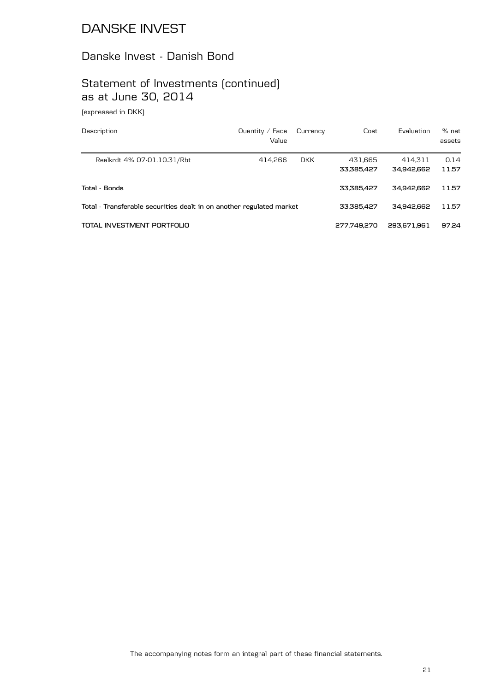# Danske Invest - Danish Bond

# Statement of Investments (continued) as at June 30, 2014

(expressed in DKK)

| Description                                                          | Quantity $\angle$ Face<br>Value | Currency   | Cost                  | Evaluation            | $%$ net<br>assets |
|----------------------------------------------------------------------|---------------------------------|------------|-----------------------|-----------------------|-------------------|
| Realkrdt 4% 07-01.10.31/Rbt                                          | 414.266                         | <b>DKK</b> | 431,665<br>33,385,427 | 414.311<br>34,942,662 | 0.14<br>11.57     |
| Total - Bonds                                                        |                                 |            | 33.385.427            | 34.942.662            | 11.57             |
| Total - Transferable securities dealt in on another regulated market |                                 |            | 33.385.427            | 34.942.662            | 11.57             |
| TOTAL INVESTMENT PORTFOLIO                                           |                                 |            | 277.749.270           | 293.671.961           | 97.24             |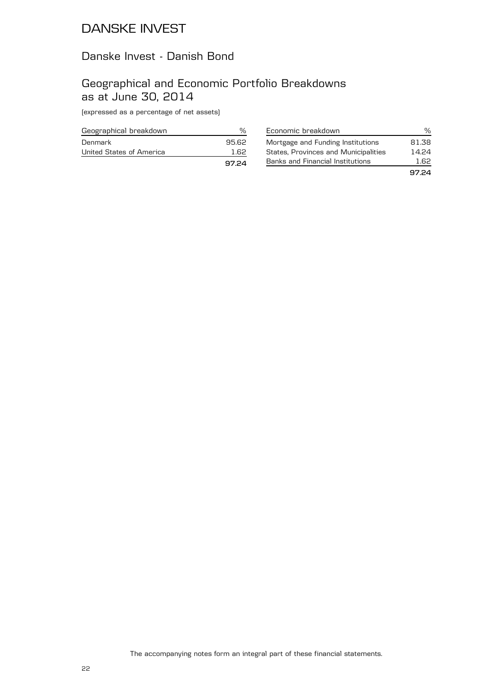### Danske Invest - Danish Bond

### Geographical and Economic Portfolio Breakdowns as at June 30, 2014

(expressed as a percentage of net assets)

| Geographical breakdown   |       |
|--------------------------|-------|
| Denmark                  | 95.62 |
| United States of America | 1 62  |
|                          | 97.24 |

| Economic breakdown                          | ℆     |
|---------------------------------------------|-------|
| Mortgage and Funding Institutions           | 81.38 |
| <b>States, Provinces and Municipalities</b> | 14.24 |
| Banks and Financial Institutions            | 1.62  |
|                                             | 97.24 |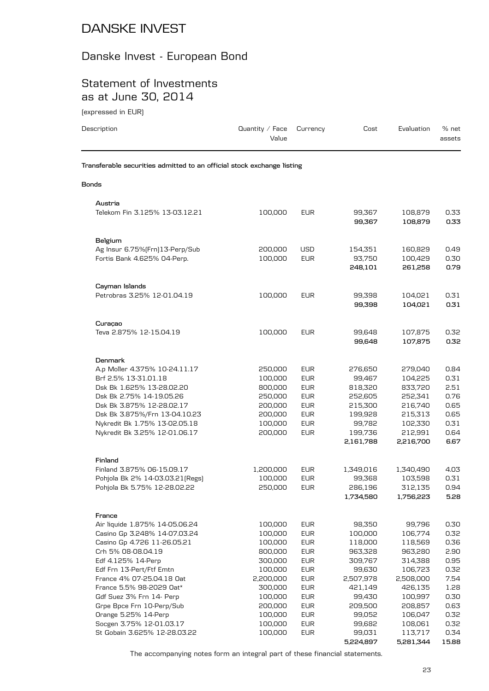# Danske Invest - European Bond

## Statement of Investments as at June 30, 2014

(expressed in EUR)

| Description                                                            | Quantity / Face<br>Value | Currency                 | Cost              | Evaluation         | % net<br>assets |
|------------------------------------------------------------------------|--------------------------|--------------------------|-------------------|--------------------|-----------------|
| Transferable securities admitted to an official stock exchange listing |                          |                          |                   |                    |                 |
| <b>Bonds</b>                                                           |                          |                          |                   |                    |                 |
| Austria                                                                |                          |                          |                   |                    |                 |
| Telekom Fin 3.125% 13-03.12.21                                         | 100,000                  | <b>EUR</b>               | 99,367<br>99.367  | 108,879<br>108,879 | 0.33<br>0.33    |
| Belgium                                                                |                          |                          |                   |                    |                 |
| Ag Insur 6.75% [Frn] 13-Perp/Sub                                       | 200,000                  | USD                      | 154,351           | 160,829            | 0.49            |
| Fortis Bank 4.625% 04-Perp.                                            | 100,000                  | <b>EUR</b>               | 93,750            | 100,429            | 0.30            |
|                                                                        |                          |                          | 248,101           | 261,258            | 0.79            |
| Cayman Islands                                                         |                          |                          |                   |                    |                 |
| Petrobras 3.25% 12-01.04.19                                            | 100,000                  | <b>EUR</b>               | 99,398            | 104,021            | 0.31            |
|                                                                        |                          |                          | 99,398            | 104,021            | 0.31            |
| Curaçao                                                                |                          |                          |                   |                    |                 |
| Teva 2.875% 12-15.04.19                                                | 100,000                  | <b>EUR</b>               | 99,648            | 107,875            | 0.32            |
|                                                                        |                          |                          | 99,648            | 107,875            | 0.32            |
| Denmark                                                                |                          |                          |                   |                    |                 |
| A.p Moller 4.375% 10-24.11.17                                          | 250,000                  | <b>EUR</b>               | 276,650           | 279,040            | 0.84            |
| Brf 2.5% 13-31.01.18                                                   | 100,000                  | <b>EUR</b>               | 99,467            | 104,225            | 0.31            |
| Dsk Bk 1.625% 13-28.02.20                                              | 800,000                  | <b>EUR</b>               | 818,320           | 833,720            | 2.51            |
| Dsk Bk 2.75% 14-19.05.26                                               | 250,000                  | <b>EUR</b>               | 252,605           | 252,341            | 0.76            |
| Dsk Bk 3.875% 12-28.02.17                                              | 200,000                  | <b>EUR</b>               | 215,300           | 216,740            | 0.65            |
| Dsk Bk 3.875%/Frn 13-04.10.23<br>Nykredit Bk 1.75% 13-02.05.18         | 200,000<br>100,000       | <b>EUR</b><br><b>EUR</b> | 199,928<br>99,782 | 215,313<br>102,330 | 0.65<br>0.31    |
| Nykredit Bk 3.25% 12-01.06.17                                          | 200,000                  | <b>EUR</b>               | 199,736           | 212,991            | 0.64            |
|                                                                        |                          |                          | 2,161,788         | 2,216,700          | 6.67            |
| Finland                                                                |                          |                          |                   |                    |                 |
| Finland 3.875% 06-15.09.17                                             | 1,200,000                | <b>EUR</b>               | 1,349,016         | 1,340,490          | 4.03            |
| Pohjola Bk 2% 14-03.03.21 [Regs]                                       | 100,000                  | <b>EUR</b>               | 99,368            | 103,598            | 0.31            |
| Pohjola Bk 5.75% 12-28.02.22                                           | 250,000                  | <b>EUR</b>               | 286,196           | 312,135            | 0.94            |
|                                                                        |                          |                          | 1,734,580         | 1,756,223          | 5.28            |
| France                                                                 |                          |                          |                   |                    |                 |
| Air liquide 1.875% 14-05.06.24                                         | 100,000                  | <b>EUR</b>               | 98,350            | 99,796             | 0.30            |
| Casino Gp 3.248% 14-07.03.24                                           | 100,000                  | <b>EUR</b>               | 100,000           | 106,774            | 0.32            |
| Casino Gp 4.726 11-26.05.21                                            | 100,000                  | <b>EUR</b>               | 118,000           | 118,569            | 0.36            |
| Crh 5% 08-08.04.19                                                     | 800,000                  | <b>EUR</b>               | 963,328           | 963,280            | 2.90            |
| Edf 4.125% 14-Perp<br>Edf Frn 13-Pert/Ftf Emtn                         | 300,000<br>100,000       | <b>EUR</b><br><b>EUR</b> | 309,767<br>99,630 | 314,388<br>106,723 | 0.95<br>0.32    |
| France 4% 07-25.04.18 Oat                                              | 2,200,000                | <b>EUR</b>               | 2,507,978         | 2,508,000          | 7.54            |
| France 5.5% 98-2029 Oat*                                               | 300,000                  | <b>EUR</b>               | 421,149           | 426,135            | 1.28            |
| Gdf Suez 3% Frn 14- Perp                                               | 100,000                  | EUR                      | 99,430            | 100,997            | 0.30            |
| Grpe Bpce Frn 10-Perp/Sub                                              | 200,000                  | <b>EUR</b>               | 209,500           | 208,857            | 0.63            |
| Orange 5.25% 14-Perp                                                   | 100,000                  | <b>EUR</b>               | 99,052            | 106,047            | 0.32            |
| Socgen 3.75% 12-01.03.17                                               | 100,000                  | <b>EUR</b>               | 99,682            | 108,061            | 0.32            |
| St Gobain 3.625% 12-28.03.22                                           | 100,000                  | <b>EUR</b>               | 99,031            | 113,717            | 0.34            |

The accompanying notes form an integral part of these financial statements.

**5,224,897 5,281,344 15.88**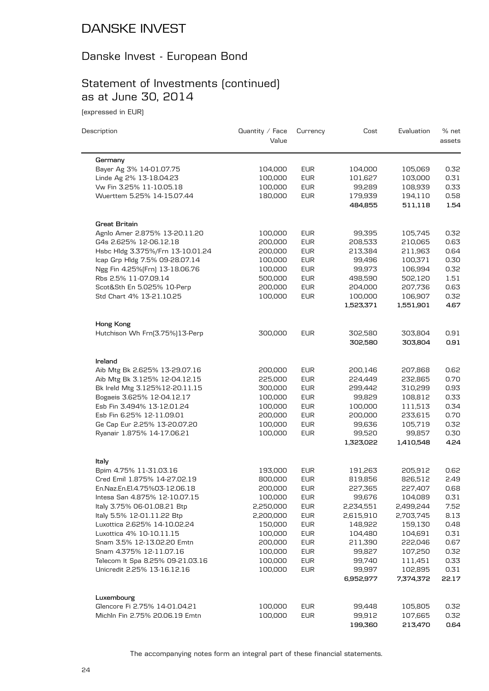## Danske Invest - European Bond

# Statement of Investments (continued) as at June 30, 2014

(expressed in EUR)

| Description                      | Quantity $\angle$ Face | Currency   | Cost      | Evaluation | % net  |
|----------------------------------|------------------------|------------|-----------|------------|--------|
|                                  | Value                  |            |           |            | assets |
| Germany                          |                        |            |           |            |        |
| Bayer Ag 3% 14-01.07.75          | 104,000                | <b>EUR</b> | 104,000   | 105,069    | 0.32   |
| Linde Ag 2% 13-18.04.23          | 100,000                | <b>EUR</b> | 101,627   | 103,000    | 0.31   |
| Vw Fin 3.25% 11-10.05.18         | 100,000                | <b>EUR</b> | 99,289    | 108,939    | 0.33   |
| Wuerttem 5.25% 14-15.07.44       | 180,000                | <b>EUR</b> | 179,939   | 194,110    | 0.58   |
|                                  |                        |            | 484,855   | 511,118    | 1.54   |
| Great Britain                    |                        |            |           |            |        |
| Agnlo Amer 2.875% 13-20.11.20    | 100,000                | <b>EUR</b> | 99,395    | 105,745    | 0.32   |
| G4s 2.625% 12-06.12.18           | 200,000                | <b>EUR</b> | 208,533   | 210,065    | 0.63   |
| Hsbc Hldg 3.375%/Frn 13-10.01.24 | 200,000                | <b>EUR</b> | 213,384   | 211,963    | 0.64   |
| Icap Grp Hldg 7.5% 09-28.07.14   | 100,000                | <b>EUR</b> | 99,496    | 100,371    | 0.30   |
| Ngg Fin 4.25% [Frn] 13-18.06.76  | 100,000                | <b>EUR</b> | 99,973    | 106,994    | 0.32   |
| Rbs 2.5% 11-07.09.14             | 500,000                | <b>EUR</b> | 498,590   | 502,120    | 1.51   |
| Scot&Sth En 5.025% 10-Perp       | 200,000                | <b>EUR</b> | 204,000   | 207,736    | 0.63   |
| Std Chart 4% 13-21.10.25         | 100,000                | <b>EUR</b> | 100,000   | 106,907    | 0.32   |
|                                  |                        |            | 1,523,371 | 1,551,901  | 4.67   |
|                                  |                        |            |           |            |        |
| Hong Kong                        |                        |            |           |            |        |
| Hutchison Wh Frn(3.75%)13-Perp   | 300,000                | <b>EUR</b> | 302,580   | 303,804    | 0.91   |
|                                  |                        |            | 302,580   | 303,804    | 0.91   |
| Ireland                          |                        |            |           |            |        |
| Aib Mtg Bk 2.625% 13-29.07.16    | 200,000                | <b>EUR</b> | 200,146   | 207,868    | 0.62   |
| Aib Mtg Bk 3.125% 12-04.12.15    | 225,000                | <b>EUR</b> | 224,449   | 232,865    | 0.70   |
| Bk Ireld Mtg 3.125%12-20.11.15   | 300,000                | <b>EUR</b> | 299,442   | 310,299    | 0.93   |
| Bogaeis 3.625% 12-04.12.17       | 100,000                | <b>EUR</b> | 99,829    | 108,812    | 0.33   |
| Esb Fin 3.494% 13-12.01.24       | 100,000                | <b>EUR</b> | 100,000   | 111,513    | 0.34   |
| Esb Fin 6.25% 12-11.09.01        | 200,000                | <b>EUR</b> | 200,000   | 233,615    | 0.70   |
| Ge Cap Eur 2.25% 13-20.07.20     | 100,000                | <b>EUR</b> | 99,636    | 105,719    | 0.32   |
| Ryanair 1.875% 14-17.06.21       | 100,000                | <b>EUR</b> | 99,520    | 99,857     | 0.30   |
|                                  |                        |            | 1,323,022 | 1,410,548  | 4.24   |
| ltaly                            |                        |            |           |            |        |
| Bpim 4.75% 11-31.03.16           | 193,000                | <b>EUR</b> | 191,263   | 205,912    | 0.62   |
| Cred Emil 1.875% 14-27.02.19     | 800,000                | <b>EUR</b> | 819,856   | 826,512    | 2.49   |
| En.Naz.En.El.4.75%03-12.06.18    | 200,000                | <b>EUR</b> | 227,365   | 227,407    | 0.68   |
| Intesa San 4.875% 12-10.07.15    | 100,000                | <b>EUR</b> | 99,676    | 104,089    | 0.31   |
| Italy 3.75% 06-01.08.21 Btp      | 2,250,000              | <b>EUR</b> | 2,234,551 | 2,499,244  | 7.52   |
| Italy 5.5% 12-01.11.22 Btp       | 2,200,000              | <b>EUR</b> | 2,615,910 | 2,703,745  | 8.13   |
| Luxottica 2.625% 14-10.02.24     | 150,000                | <b>EUR</b> | 148,922   | 159,130    | 0.48   |
| Luxottica 4% 10-10.11.15         | 100,000                | <b>EUR</b> | 104,480   | 104,691    | 0.31   |
| Snam 3.5% 12-13.02.20 Emtn       | 200,000                | <b>EUR</b> | 211,390   | 222,046    | 0.67   |
| Snam 4.375% 12-11.07.16          | 100,000                | <b>EUR</b> | 99,827    | 107,250    | 0.32   |
| Telecom It Spa 8.25% 09-21.03.16 | 100,000                | <b>EUR</b> | 99,740    | 111,451    | 0.33   |
| Unicredit 2.25% 13-16.12.16      | 100,000                | <b>EUR</b> | 99,997    | 102,895    | 0.31   |
|                                  |                        |            | 6,952,977 | 7,374,372  | 22.17  |
| Luxembourg                       |                        |            |           |            |        |
| Glencore Fi 2.75% 14-01.04.21    | 100,000                | <b>EUR</b> | 99,448    | 105,805    | 0.32   |
| Michln Fin 2.75% 20.06.19 Emtn   | 100,000                | <b>EUR</b> | 99,912    | 107,665    | 0.32   |
|                                  |                        |            | 199,360   | 213,470    | 0.64   |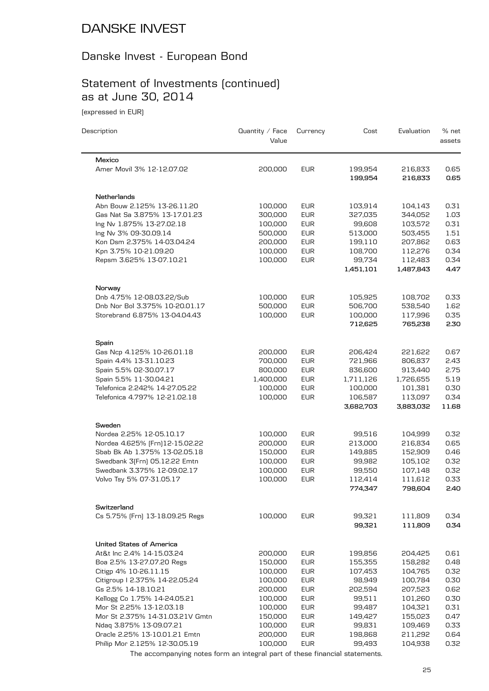# Danske Invest - European Bond

# Statement of Investments (continued) as at June 30, 2014

(expressed in EUR)

| Description                                                    | Quantity $\angle$ Face<br>Value | Currency                 | Cost               | Evaluation         | % net<br>assets |
|----------------------------------------------------------------|---------------------------------|--------------------------|--------------------|--------------------|-----------------|
| Mexico                                                         |                                 |                          |                    |                    |                 |
| Amer Movil 3% 12-12.07.02                                      | 200,000                         | <b>EUR</b>               | 199,954<br>199,954 | 216,833<br>216,833 | 0.65<br>0.65    |
| Netherlands                                                    |                                 |                          |                    |                    |                 |
| Abn Bouw 2.125% 13-26.11.20                                    | 100,000                         | <b>EUR</b>               | 103,914            | 104,143            | 0.31            |
| Gas Nat Sa 3.875% 13-17.01.23                                  | 300,000                         | <b>EUR</b>               | 327,035            | 344,052            | 1.03            |
| Ing Nv 1.875% 13-27.02.18                                      | 100,000                         | <b>EUR</b>               | 99,608             | 103.572            | 0.31            |
| Ing Nv 3% 09-30.09.14                                          | 500,000                         | <b>EUR</b>               | 513,000            | 503,455            | 1.51            |
| Kon Dsm 2.375% 14-03.04.24                                     | 200,000                         | <b>EUR</b>               | 199,110            | 207,862            | 0.63            |
| Kpn 3.75% 10-21.09.20                                          | 100,000                         | <b>EUR</b>               | 108,700            | 112,276            | 0.34            |
| Repsm 3.625% 13-07.10.21                                       | 100,000                         | <b>EUR</b>               | 99,734             | 112,483            | 0.34            |
|                                                                |                                 |                          | 1,451,101          | 1,487,843          | 4.47            |
| Norway                                                         |                                 |                          |                    |                    |                 |
| Dnb 4.75% 12-08.03.22/Sub                                      | 100,000                         | <b>EUR</b>               | 105,925            | 108,702            | 0.33            |
| Dnb Nor Bol 3.375% 10-20.01.17                                 | 500,000                         | <b>EUR</b>               | 506,700            | 538,540            | 1.62            |
| Storebrand 6.875% 13-04.04.43                                  | 100,000                         | <b>EUR</b>               | 100,000            | 117,996            | 0.35            |
|                                                                |                                 |                          | 712,625            | 765,238            | 2.30            |
| Spain                                                          |                                 |                          |                    |                    |                 |
| Gas Ncp 4.125% 10-26.01.18                                     | 200,000                         | <b>EUR</b>               | 206,424            | 221,622            | 0.67            |
| Spain 4.4% 13-31.10.23                                         | 700,000                         | <b>EUR</b>               | 721,966            | 806,837            | 2.43            |
| Spain 5.5% 02-30.07.17                                         | 800,000                         | <b>EUR</b>               | 836,600            | 913,440            | 2.75            |
| Spain 5.5% 11-30.04.21                                         | 1,400,000                       | <b>EUR</b>               | 1,711,126          | 1,726,655          | 5.19            |
| Telefonica 2.242% 14-27.05.22<br>Telefonica 4.797% 12-21.02.18 | 100,000<br>100,000              | <b>EUR</b><br><b>EUR</b> | 100,000<br>106,587 | 101,381<br>113,097 | 0.30<br>0.34    |
|                                                                |                                 |                          | 3,682,703          | 3,883,032          | 11.68           |
| Sweden                                                         |                                 |                          |                    |                    |                 |
| Nordea 2.25% 12-05.10.17                                       | 100,000                         | <b>EUR</b>               | 99,516             | 104,999            | 0.32            |
| Nordea 4.625% [Frn]12-15.02.22                                 | 200,000                         | <b>EUR</b>               | 213,000            | 216,834            | 0.65            |
| Sbab Bk Ab 1.375% 13-02.05.18                                  | 150,000                         | <b>EUR</b>               | 149,885            | 152,909            | 0.46            |
| Swedbank 3(Frn) 05.12.22 Emtn                                  | 100,000                         | <b>EUR</b>               | 99,982             | 105,102            | 0.32            |
| Swedbank 3.375% 12-09.02.17                                    | 100,000                         | <b>EUR</b>               | 99,550             | 107,148            | 0.32            |
| Volvo Tsy 5% 07-31.05.17                                       | 100,000                         | <b>EUR</b>               | 112,414            | 111,612            | 0.33            |
|                                                                |                                 |                          | 774,347            | 798,604            | 2.40            |
| Switzerland                                                    |                                 |                          |                    |                    |                 |
| Cs 5.75% [Frn] 13-18.09.25 Regs                                | 100,000                         | <b>EUR</b>               | 99,321             | 111,809            | 0.34            |
|                                                                |                                 |                          | 99,321             | 111,809            | 0.34            |
| <b>United States of America</b>                                |                                 |                          |                    |                    |                 |
| At&t Inc 2.4% 14-15.03.24                                      | 200,000                         | <b>EUR</b>               | 199,856            | 204,425            | 0.61            |
| Boa 2.5% 13-27.07.20 Regs                                      | 150,000                         | <b>EUR</b>               | 155,355            | 158,282            | 0.48            |
| Citigp 4% 10-26.11.15                                          | 100,000                         | <b>EUR</b>               | 107,453            | 104,765            | 0.32            |
| Citigroup I 2.375% 14-22.05.24                                 | 100,000                         | <b>EUR</b>               | 98,949             | 100,784            | 0.30            |
| Gs 2.5% 14-18.10.21                                            | 200,000                         | <b>EUR</b>               | 202,594            | 207,523            | 0.62            |
| Kellogg Co 1.75% 14-24.05.21                                   | 100,000                         | <b>EUR</b>               | 99,511             | 101,260            | 0.30            |
| Mor St 2.25% 13-12.03.18                                       | 100,000                         | <b>EUR</b>               | 99,487             | 104,321            | 0.31            |
| Mor St 2.375% 14-31.03.21V Gmtn                                | 150,000                         | <b>EUR</b>               | 149,427            | 155,023            | 0.47            |
| Ndaq 3.875% 13-09.07.21<br>Oracle 2.25% 13-10.01.21 Emtn       | 100,000<br>200,000              | <b>EUR</b><br><b>EUR</b> | 99,831<br>198,868  | 109,469<br>211,292 | 0.33            |
| Philip Mor 2.125% 12-30.05.19                                  | 100,000                         | <b>EUR</b>               | 99,493             | 104,938            | 0.64<br>0.32    |
|                                                                |                                 |                          |                    |                    |                 |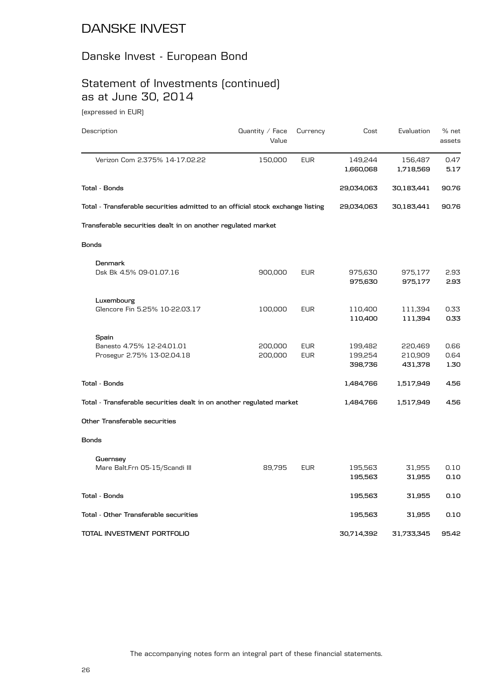## Danske Invest - European Bond

# Statement of Investments (continued) as at June 30, 2014

(expressed in EUR)

| Description                                                                    | Quantity / Face | Currency   | Cost               | Evaluation         | % net        |
|--------------------------------------------------------------------------------|-----------------|------------|--------------------|--------------------|--------------|
|                                                                                | Value           |            |                    |                    | assets       |
| Verizon Com 2.375% 14-17.02.22                                                 | 150,000         | <b>EUR</b> | 149,244            | 156,487            | 0.47         |
|                                                                                |                 |            | 1,660,068          | 1,718,569          | 5.17         |
| <b>Total - Bonds</b>                                                           |                 |            | 29,034,063         | 30,183,441         | 90.76        |
| Total - Transferable securities admitted to an official stock exchange listing |                 |            | 29,034,063         | 30,183,441         | 90.76        |
| Transferable securities dealt in on another regulated market                   |                 |            |                    |                    |              |
| <b>Bonds</b>                                                                   |                 |            |                    |                    |              |
| Denmark                                                                        |                 |            |                    |                    |              |
| Dsk Bk 4.5% 09-01.07.16                                                        | 900,000         | <b>EUR</b> | 975,630            | 975,177            | 2.93         |
|                                                                                |                 |            | 975,630            | 975,177            | 2.93         |
| Luxembourg                                                                     |                 |            |                    |                    |              |
| Glencore Fin 5.25% 10-22.03.17                                                 | 100,000         | <b>EUR</b> | 110,400<br>110,400 | 111,394<br>111,394 | 0.33<br>0.33 |
|                                                                                |                 |            |                    |                    |              |
| Spain<br>Banesto 4.75% 12-24.01.01                                             | 200,000         | <b>EUR</b> | 199,482            | 220,469            | 0.66         |
| Prosegur 2.75% 13-02.04.18                                                     | 200,000         | <b>EUR</b> | 199,254            | 210,909            | 0.64         |
|                                                                                |                 |            | 398,736            | 431,378            | 1.30         |
| <b>Total - Bonds</b>                                                           |                 |            | 1,484,766          | 1,517,949          | 4.56         |
| Total - Transferable securities dealt in on another regulated market           |                 |            | 1,484,766          | 1,517,949          | 4.56         |
| Other Transferable securities                                                  |                 |            |                    |                    |              |
| <b>Bonds</b>                                                                   |                 |            |                    |                    |              |
| Guernsey                                                                       |                 |            |                    |                    |              |
| Mare Balt.Frn 05-15/Scandi III                                                 | 89,795          | <b>EUR</b> | 195,563            | 31,955             | 0.10         |
|                                                                                |                 |            | 195,563            | 31,955             | 0.10         |
| Total - Bonds                                                                  |                 |            | 195,563            | 31,955             | 0.10         |
| Total - Other Transferable securities                                          |                 |            | 195,563            | 31,955             | 0.10         |
| TOTAL INVESTMENT PORTFOLIO                                                     |                 |            | 30,714,392         | 31,733,345         | 95.42        |
|                                                                                |                 |            |                    |                    |              |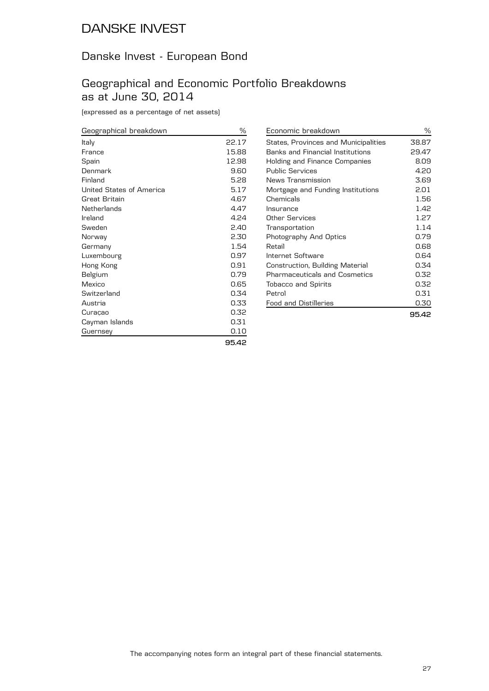## Danske Invest - European Bond

## Geographical and Economic Portfolio Breakdowns as at June 30, 2014

(expressed as a percentage of net assets)

| Geographical breakdown   | $\%$  |
|--------------------------|-------|
| Italy                    | 22.17 |
| France                   | 15.88 |
| Spain                    | 12.98 |
| Denmark                  | 9.60  |
| Finland                  | 5.28  |
| United States of America | 5.17  |
| Great Britain            | 4.67  |
| Netherlands              | 4.47  |
| Ireland                  | 4.24  |
| Sweden                   | 2.40  |
| Norway                   | 2.30  |
| Germany                  | 1.54  |
| Luxembourg               | 0.97  |
| Hong Kong                | 0.91  |
| Belgium                  | 0.79  |
| Mexico                   | 0.65  |
| Switzerland              | 0.34  |
| Austria                  | 0.33  |
| Curaçao                  | 0.32  |
| Cayman Islands           | 0.31  |
| Guernsey                 | 0.10  |
|                          | 95.42 |

| Economic breakdown                      | ℅     |
|-----------------------------------------|-------|
| States, Provinces and Municipalities    | 38.87 |
| <b>Banks and Financial Institutions</b> | 29.47 |
| Holding and Finance Companies           | 8.09  |
| <b>Public Services</b>                  | 4.20  |
| News Transmission                       | 3.69  |
| Mortgage and Funding Institutions       | 2.01  |
| Chemicals                               | 1.56  |
| Insurance                               | 1.42  |
| Other Services                          | 1.27  |
| Transportation                          | 1.14  |
| Photography And Optics                  | 0.79  |
| Retail                                  | 0.68  |
| Internet Software                       | 0.64  |
| Construction, Building Material         | 0.34  |
| <b>Pharmaceuticals and Cosmetics</b>    | 0.32  |
| <b>Tobacco and Spirits</b>              | 0.32  |
| Petrol                                  | 0.31  |
| Food and Distilleries                   | 0.30  |
|                                         | 95.42 |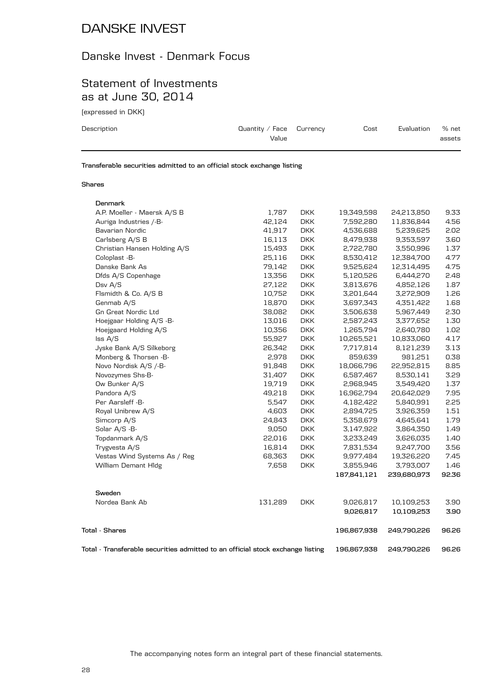### Danske Invest - Denmark Focus

### Statement of Investments as at June 30, 2014

(expressed in DKK)

| Description | Quantity / Face $C$ urrency<br>Value | Cost | Evaluation | % net<br>assets |
|-------------|--------------------------------------|------|------------|-----------------|
|             |                                      |      |            |                 |

**Transferable securities admitted to an official stock exchange listing**

#### **Shares**

| Denmark                                                                        |         |            |             |             |       |
|--------------------------------------------------------------------------------|---------|------------|-------------|-------------|-------|
| A.P. Moeller - Maersk A/S B                                                    | 1,787   | <b>DKK</b> | 19,349,598  | 24,213,850  | 9.33  |
| Auriga Industries /-B-                                                         | 42,124  | <b>DKK</b> | 7,592,280   | 11,836,844  | 4.56  |
| Bavarian Nordic                                                                | 41,917  | <b>DKK</b> | 4,536,688   | 5,239,625   | 2.02  |
| Carlsberg A/S B                                                                | 16,113  | <b>DKK</b> | 8,479,938   | 9,353,597   | 3.60  |
| Christian Hansen Holding A/S                                                   | 15,493  | <b>DKK</b> | 2,722,780   | 3,550,996   | 1.37  |
| Coloplast -B-                                                                  | 25,116  | <b>DKK</b> | 8,530,412   | 12,384,700  | 4.77  |
| Danske Bank As                                                                 | 79,142  | <b>DKK</b> | 9,525,624   | 12,314,495  | 4.75  |
| Dfds A/S Copenhage                                                             | 13,356  | <b>DKK</b> | 5,120,526   | 6,444,270   | 2.48  |
| Dsv A/S                                                                        | 27,122  | <b>DKK</b> | 3,813,676   | 4,852,126   | 1.87  |
| Flsmidth & Co. A/S B                                                           | 10,752  | <b>DKK</b> | 3,201,644   | 3,272,909   | 1.26  |
| Genmab A/S                                                                     | 18,870  | <b>DKK</b> | 3,697,343   | 4,351,422   | 1.68  |
| <b>Gn Great Nordic Ltd</b>                                                     | 38,082  | <b>DKK</b> | 3,506,638   | 5,967,449   | 2.30  |
| Hoejgaar Holding A/S -B-                                                       | 13,016  | <b>DKK</b> | 2,587,243   | 3,377,652   | 1.30  |
| Hoejgaard Holding A/S                                                          | 10,356  | <b>DKK</b> | 1,265,794   | 2,640,780   | 1.02  |
| Iss A/S                                                                        | 55,927  | <b>DKK</b> | 10,265,521  | 10,833,060  | 4.17  |
| Jyske Bank A/S Silkeborg                                                       | 26,342  | <b>DKK</b> | 7,717,814   | 8,121,239   | 3.13  |
| Monberg & Thorsen -B-                                                          | 2,978   | <b>DKK</b> | 859,639     | 981,251     | 0.38  |
| Novo Nordisk A/S /-B-                                                          | 91,848  | <b>DKK</b> | 18,066,796  | 22,952,815  | 8.85  |
| Novozymes Shs-B-                                                               | 31,407  | <b>DKK</b> | 6,587,467   | 8,530,141   | 3.29  |
| Ow Bunker A/S                                                                  | 19,719  | <b>DKK</b> | 2,968,945   | 3,549,420   | 1.37  |
| Pandora A/S                                                                    | 49,218  | <b>DKK</b> | 16,962,794  | 20,642,029  | 7.95  |
| Per Aarsleff -B-                                                               | 5,547   | <b>DKK</b> | 4,182,422   | 5,840,991   | 2.25  |
| Royal Unibrew A/S                                                              | 4,603   | <b>DKK</b> | 2,894,725   | 3,926,359   | 1.51  |
| Simcorp A/S                                                                    | 24,843  | <b>DKK</b> | 5,358,679   | 4,645,641   | 1.79  |
| Solar A/S -B-                                                                  | 9,050   | <b>DKK</b> | 3,147,922   | 3,864,350   | 1.49  |
| Topdanmark A/S                                                                 | 22,016  | <b>DKK</b> | 3,233,249   | 3,626,035   | 1.40  |
| Trygvesta A/S                                                                  | 16,814  | <b>DKK</b> | 7,831,534   | 9,247,700   | 3.56  |
| Vestas Wind Systems As / Reg                                                   | 68,363  | <b>DKK</b> | 9,977,484   | 19,326,220  | 7.45  |
| William Demant Hldg                                                            | 7,658   | <b>DKK</b> | 3,855,946   | 3,793,007   | 1.46  |
|                                                                                |         |            | 187,841,121 | 239,680,973 | 92.36 |
| Sweden                                                                         |         |            |             |             |       |
| Nordea Bank Ab                                                                 | 131,289 | <b>DKK</b> | 9,026,817   | 10,109,253  | 3.90  |
|                                                                                |         |            | 9,026,817   | 10,109,253  | 3.90  |
| Total - Shares                                                                 |         |            | 196,867,938 | 249,790,226 | 96.26 |
| Total - Transferable securities admitted to an official stock exchange listing |         |            | 196,867,938 | 249,790,226 | 96.26 |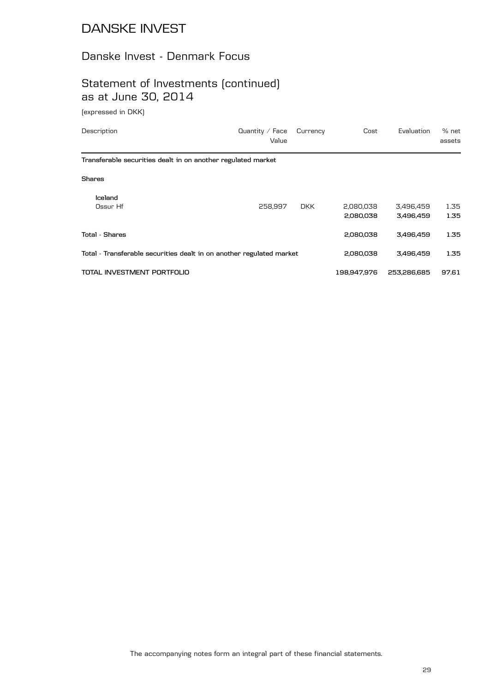### Danske Invest - Denmark Focus

## Statement of Investments (continued) as at June 30, 2014

(expressed in DKK)

| Description                                                          | Quantity $/$ Face<br>Value | Currency   | Cost                   | Evaluation             | % net<br>assets |
|----------------------------------------------------------------------|----------------------------|------------|------------------------|------------------------|-----------------|
| Transferable securities dealt in on another regulated market         |                            |            |                        |                        |                 |
| <b>Shares</b>                                                        |                            |            |                        |                        |                 |
| Iceland<br>Ossur Hf                                                  | 258,997                    | <b>DKK</b> | 2,080,038<br>2,080,038 | 3,496,459<br>3,496,459 | 1.35<br>1.35    |
| <b>Total - Shares</b>                                                |                            |            | 2,080,038              | 3,496,459              | 1.35            |
| Total - Transferable securities dealt in on another regulated market |                            | 2,080,038  | 3,496,459              | 1.35                   |                 |
| TOTAL INVESTMENT PORTFOLIO                                           |                            |            | 198,947,976            | 253,286,685            | 97.61           |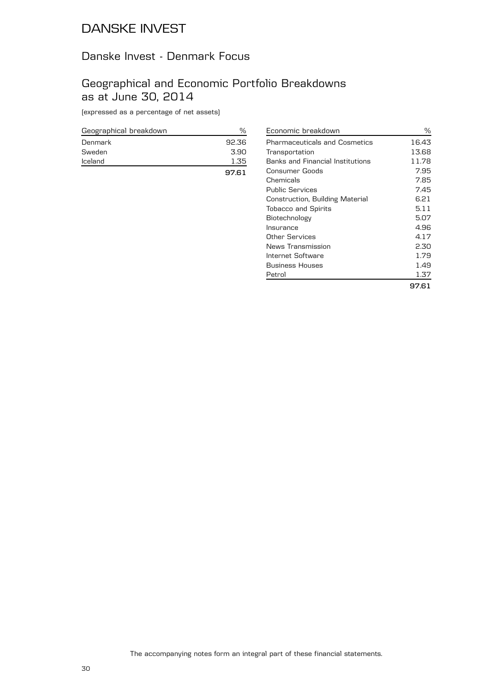### Danske Invest - Denmark Focus

### Geographical and Economic Portfolio Breakdowns as at June 30, 2014

(expressed as a percentage of net assets)

| Geographical breakdown | %     |
|------------------------|-------|
| Denmark                | 92.36 |
| Sweden                 | 3.90  |
| Iceland                | 1.35  |
|                        | 97.61 |

| Economic breakdown                      | %     |
|-----------------------------------------|-------|
| <b>Pharmaceuticals and Cosmetics</b>    | 16.43 |
| Transportation                          | 13.68 |
| <b>Banks and Financial Institutions</b> | 11.78 |
| Consumer Goods                          | 7.95  |
| Chemicals                               | 7.85  |
| <b>Public Services</b>                  | 7.45  |
| Construction, Building Material         | 6.21  |
| <b>Tobacco and Spirits</b>              | 5.11  |
| Biotechnology                           | 5.07  |
| Insurance                               | 4.96  |
| Other Services                          | 4.17  |
| News Transmission                       | 2.30  |
| Internet Software                       | 1.79  |
| <b>Business Houses</b>                  | 1.49  |
| Petrol                                  | 1.37  |
|                                         | 97.61 |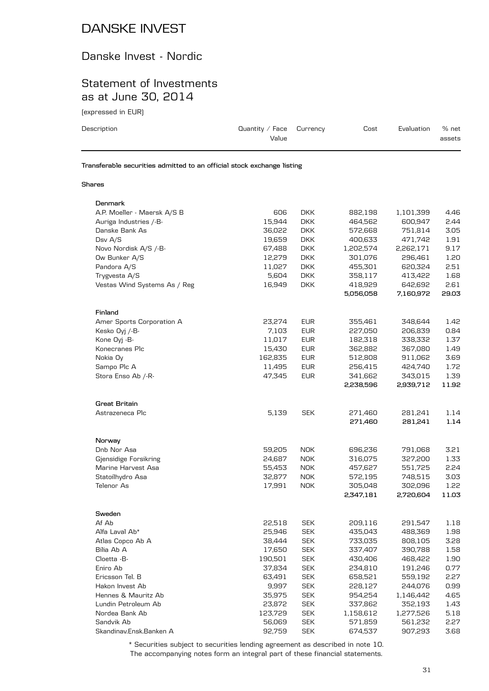### Danske Invest - Nordic

### Statement of Investments as at June 30, 2014

(expressed in EUR)

| Description | Quantity / Face $C$ urrency<br>Value                                   | Cost | Evaluation | $%$ net<br>assets |
|-------------|------------------------------------------------------------------------|------|------------|-------------------|
|             | Transferable securities admitted to an official stock exchange listing |      |            |                   |

#### **Shares**

| Denmark                      |         |            |           |           |       |
|------------------------------|---------|------------|-----------|-----------|-------|
| A.P. Moeller - Maersk A/S B  | 606     | <b>DKK</b> | 882,198   | 1,101,399 | 4.46  |
| Auriga Industries /-B-       | 15,944  | <b>DKK</b> | 464,562   | 600,947   | 2.44  |
| Danske Bank As               | 36,022  | <b>DKK</b> | 572,668   | 751,814   | 3.05  |
| Dsv $A/S$                    | 19,659  | <b>DKK</b> | 400,633   | 471,742   | 1.91  |
| Novo Nordisk A/S /-B-        | 67,488  | <b>DKK</b> | 1,202,574 | 2,262,171 | 9.17  |
| Ow Bunker A/S                | 12,279  | <b>DKK</b> | 301,076   | 296,461   | 1.20  |
| Pandora A/S                  | 11,027  | <b>DKK</b> | 455,301   | 620,324   | 2.51  |
| Trygvesta A/S                | 5,604   | <b>DKK</b> | 358,117   | 413,422   | 1.68  |
| Vestas Wind Systems As / Reg | 16,949  | <b>DKK</b> | 418,929   | 642,692   | 2.61  |
|                              |         |            | 5,056,058 | 7,160,972 | 29.03 |
| Finland                      |         |            |           |           |       |
| Amer Sports Corporation A    | 23,274  | <b>EUR</b> | 355,461   | 348,644   | 1.42  |
| Kesko Oyj /-B-               | 7,103   | <b>EUR</b> | 227,050   | 206,839   | 0.84  |
| Kone Oyj -B-                 | 11,017  | <b>EUR</b> | 182,318   | 338,332   | 1.37  |
| Konecranes Plc               | 15,430  | <b>EUR</b> | 362,882   | 367,080   | 1.49  |
| Nokia Oy                     | 162,835 | <b>EUR</b> | 512,808   | 911,062   | 3.69  |
| Sampo Plc A                  | 11,495  | <b>EUR</b> | 256,415   | 424,740   | 1.72  |
| Stora Enso Ab /-R-           | 47,345  | <b>EUR</b> | 341,662   | 343,015   | 1.39  |
|                              |         |            | 2,238,596 | 2,939,712 | 11.92 |
| Great Britain                |         |            |           |           |       |
| Astrazeneca Plc              | 5,139   | <b>SEK</b> | 271,460   | 281,241   | 1.14  |
|                              |         |            | 271,460   | 281,241   | 1.14  |
| Norway                       |         |            |           |           |       |
| Dnb Nor Asa                  | 59,205  | <b>NOK</b> | 696,236   | 791,068   | 3.21  |
| Gjensidige Forsikring        | 24,687  | <b>NOK</b> | 316,075   | 327,200   | 1.33  |
| Marine Harvest Asa           | 55,453  | <b>NOK</b> | 457,627   | 551,725   | 2.24  |
| Statoilhydro Asa             | 32,877  | <b>NOK</b> | 572,195   | 748,515   | 3.03  |
| Telenor As                   | 17,991  | <b>NOK</b> | 305,048   | 302,096   | 1.22  |
|                              |         |            | 2,347,181 | 2,720,604 | 11.03 |
| Sweden                       |         |            |           |           |       |
| Af Ab                        | 22,518  | <b>SEK</b> | 209,116   | 291,547   | 1.18  |
| Alfa Laval Ab*               | 25,946  | <b>SEK</b> | 435,043   | 488,369   | 1.98  |
| Atlas Copco Ab A             | 38,444  | <b>SEK</b> | 733,035   | 808,105   | 3.28  |
| Bilia Ab A                   | 17,650  | <b>SEK</b> | 337,407   | 390,788   | 1.58  |
| Cloetta -B-                  | 190,501 | <b>SEK</b> | 430,406   | 468,422   | 1.90  |
| Eniro Ab                     | 37,834  | <b>SEK</b> | 234,810   | 191,246   | 0.77  |
| Ericsson Tel. B              | 63,491  | <b>SEK</b> | 658,521   | 559,192   | 2.27  |
| Hakon Invest Ab              | 9,997   | <b>SEK</b> | 228,127   | 244,076   | 0.99  |
| Hennes & Mauritz Ab          | 35,975  | <b>SEK</b> | 954,254   | 1,146,442 | 4.65  |
| Lundin Petroleum Ab          | 23,872  | <b>SEK</b> | 337,862   | 352,193   | 1.43  |
| Nordea Bank Ab               | 123,729 | <b>SEK</b> | 1,158,612 | 1,277,526 | 5.18  |
| Sandvik Ab                   | 56,069  | <b>SEK</b> | 571,859   | 561,232   | 2.27  |
| Skandinav.Ensk.Banken A      | 92,759  | <b>SEK</b> | 674,537   | 907,293   | 3.68  |
|                              |         |            |           |           |       |

The accompanying notes form an integral part of these financial statements. \* Securities subject to securities lending agreement as described in note 10.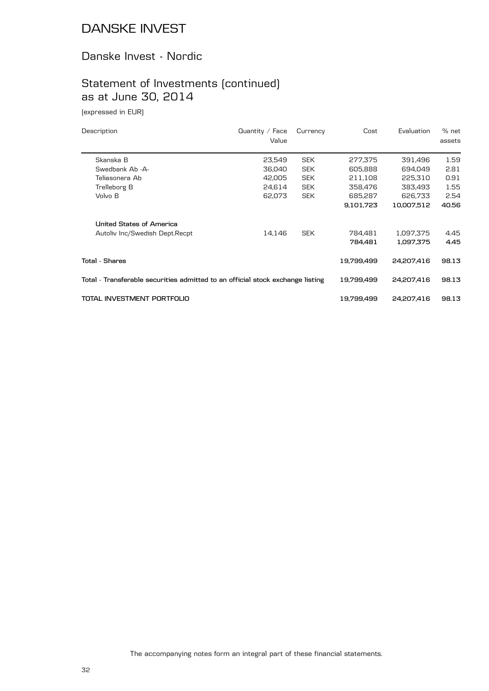#### Danske Invest - Nordic

# Statement of Investments (continued) as at June 30, 2014

(expressed in EUR)

| Description                                                                    | Quantity $/$ Face<br>Value | Currency   | Cost       | Evaluation | % net<br>assets |
|--------------------------------------------------------------------------------|----------------------------|------------|------------|------------|-----------------|
| Skanska B                                                                      | 23,549                     | <b>SEK</b> | 277,375    | 391,496    | 1.59            |
| Swedbank Ab -A-                                                                | 36,040                     | <b>SEK</b> | 605,888    | 694,049    | 2.81            |
| Teliasonera Ab                                                                 | 42,005                     | <b>SEK</b> | 211,108    | 225,310    | 0.91            |
| Trelleborg B                                                                   | 24,614                     | <b>SEK</b> | 358,476    | 383,493    | 1.55            |
| Volvo B                                                                        | 62,073                     | <b>SEK</b> | 685,287    | 626,733    | 2.54            |
|                                                                                |                            |            | 9,101,723  | 10,007,512 | 40.56           |
| United States of America                                                       |                            |            |            |            |                 |
| Autoliv Inc/Swedish Dept.Recpt                                                 | 14,146                     | <b>SEK</b> | 784,481    | 1,097,375  | 4.45            |
|                                                                                |                            |            | 784.481    | 1,097,375  | 4.45            |
| Total - Shares                                                                 |                            |            | 19,799,499 | 24,207,416 | 98.13           |
| Total - Transferable securities admitted to an official stock exchange listing |                            |            | 19,799,499 | 24,207,416 | 98.13           |
| TOTAL INVESTMENT PORTFOLIO                                                     |                            |            | 19.799.499 | 24.207.416 | 98.13           |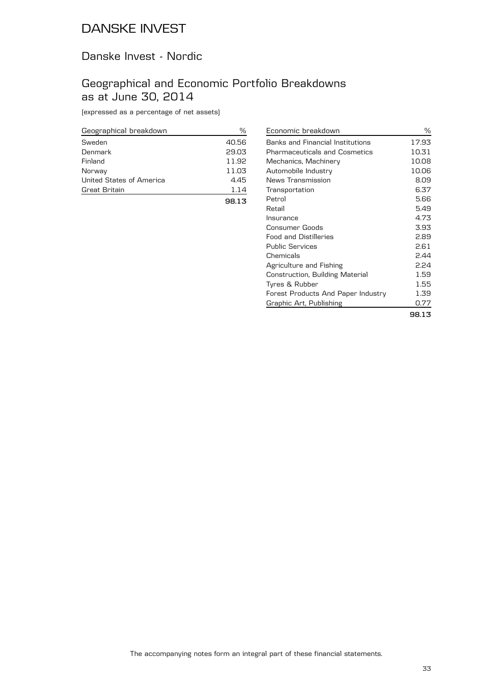#### Danske Invest - Nordic

## Geographical and Economic Portfolio Breakdowns as at June 30, 2014

(expressed as a percentage of net assets)

| Geographical breakdown   | ℅     |
|--------------------------|-------|
| Sweden                   | 40.56 |
| Denmark                  | 29.03 |
| Finland                  | 11.92 |
| Norway                   | 11.03 |
| United States of America | 4.45  |
| Great Britain            | 1.14  |
|                          | 98.13 |

| Economic breakdown                      | ℅     |
|-----------------------------------------|-------|
| <b>Banks and Financial Institutions</b> | 17.93 |
| <b>Pharmaceuticals and Cosmetics</b>    | 10.31 |
| Mechanics, Machinery                    | 10.08 |
| Automobile Industry                     | 10.06 |
| News Transmission                       | 8.09  |
| Transportation                          | 6.37  |
| Petrol                                  | 5.66  |
| Retail                                  | 5.49  |
| Insurance                               | 4.73  |
| Consumer Goods                          | 3.93  |
| <b>Food and Distilleries</b>            | 2.89  |
| <b>Public Services</b>                  | 2.61  |
| Chemicals                               | 2.44  |
| Agriculture and Fishing                 | 2.24  |
| Construction, Building Material         | 1.59  |
| Tyres & Rubber                          | 1.55  |
| Forest Products And Paper Industry      | 1.39  |
| Graphic Art, Publishing                 | 0.77  |
|                                         | 98.13 |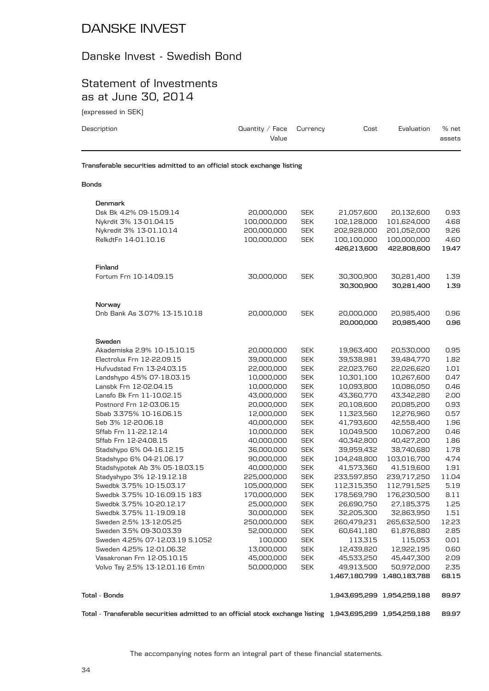#### Danske Invest - Swedish Bond

### Statement of Investments as at June 30, 2014

(expressed in SEK)

| Description                                                            | Quantity / Face $C$ urrency<br>Value | Cost | Evaluation | % net<br>assets |
|------------------------------------------------------------------------|--------------------------------------|------|------------|-----------------|
| Transferable securities admitted to an official stock exchange listing |                                      |      |            |                 |
| <b>Bonds</b>                                                           |                                      |      |            |                 |

| Denmark                                       |                          |                          |                          |                             |              |
|-----------------------------------------------|--------------------------|--------------------------|--------------------------|-----------------------------|--------------|
| Dsk Bk 4.2% 09-15.09.14                       | 20,000,000               | <b>SEK</b>               | 21,057,600               | 20,132,600                  | 0.93         |
| Nykrdit 3% 13-01.04.15                        | 100,000,000              | <b>SEK</b>               | 102,128,000              | 101,624,000                 | 4.68         |
| Nykredit 3% 13-01.10.14                       | 200,000,000              | <b>SEK</b>               | 202,928,000              | 201,052,000                 | 9.26         |
| RelkdtFn 14-01.10.16                          | 100,000,000              | <b>SEK</b>               | 100,100,000              | 100,000,000                 | 4.60         |
|                                               |                          |                          | 426,213,600              | 422,808,600                 | 19.47        |
| Finland                                       |                          |                          |                          |                             |              |
| Fortum Frn 10-14.09.15                        | 30,000,000               | <b>SEK</b>               | 30,300,900               | 30,281,400                  | 1.39         |
|                                               |                          |                          | 30,300,900               | 30,281,400                  | 1.39         |
| Norway                                        |                          |                          |                          |                             |              |
| Dnb Bank As 3.07% 13-15.10.18                 | 20,000,000               | <b>SEK</b>               | 20,000,000               | 20,985,400                  | 0.96         |
|                                               |                          |                          | 20,000,000               | 20,985,400                  | 0.96         |
| Sweden                                        |                          |                          |                          |                             |              |
| Akademiska 2.9% 10-15.10.15                   | 20,000,000               | <b>SEK</b>               | 19,963,400               | 20,530,000                  | 0.95         |
| Electrolux Frn 12-22.09.15                    | 39,000,000               | <b>SEK</b>               | 39,538,981               | 39,484,770                  | 1.82         |
| Hufvudstad Frn 13-24.03.15                    | 22,000,000               | <b>SEK</b>               | 22,023,760               | 22,026,620                  | 1.01         |
| Landshypo 4.5% 07-18.03.15                    | 10,000,000               | <b>SEK</b>               | 10,301,100               | 10,267,600                  | 0.47         |
| Lansbk Frn 12-02.04.15                        | 10,000,000               | <b>SEK</b>               | 10,093,800               | 10,086,050                  | 0.46         |
| Lansfo Bk Frn 11-10.02.15                     | 43,000,000               | <b>SEK</b>               | 43,360,770               | 43,342,280                  | 2.00         |
| Postnord Frn 12-03.06.15                      | 20,000,000               | <b>SEK</b>               | 20,108,600               | 20,085,200                  | 0.93         |
| Sbab 3.375% 10-16.06.15<br>Seb 3% 12-20.06.18 | 12,000,000               | <b>SEK</b><br><b>SEK</b> | 11,323,560               | 12,276,960                  | 0.57<br>1.96 |
| Sffab Frn 11-22.12.14                         | 40,000,000<br>10,000,000 | <b>SEK</b>               | 41,793,600<br>10,049,500 | 42,558,400<br>10,067,200    | 0.46         |
| Sffab Frn 12-24.08.15                         | 40,000,000               | <b>SEK</b>               | 40,342,800               | 40,427,200                  | 1.86         |
| Stadshypo 6% 04-16.12.15                      | 36,000,000               | <b>SEK</b>               | 39,959,432               | 38,740,680                  | 1.78         |
| Stadshypo 6% 04-21.06.17                      | 90,000,000               | <b>SEK</b>               | 104,248,800              | 103,016,700                 | 4.74         |
| Stadshypotek Ab 3% 05-18.03.15                | 40,000,000               | <b>SEK</b>               | 41,573,360               | 41,519,600                  | 1.91         |
| Stadyshypo 3% 12-19.12.18                     | 225,000,000              | <b>SEK</b>               | 233,597,850              | 239,717,250                 | 11.04        |
| Swedbk 3.75% 10-15.03.17                      | 105,000,000              | <b>SEK</b>               | 112,315,350              | 112,791,525                 | 5.19         |
| Swedbk 3.75% 10-16.09.15 183                  | 170,000,000              | <b>SEK</b>               | 178,569,790              | 176,230,500                 | 8.11         |
| Swedbk 3.75% 10-20.12.17                      | 25,000,000               | <b>SEK</b>               | 26,690,750               | 27,185,375                  | 1.25         |
| Swedbk 3.75% 11-19.09.18                      | 30,000,000               | <b>SEK</b>               | 32,205,300               | 32,863,950                  | 1.51         |
| Sweden 2.5% 13-12.05.25                       | 250,000,000              | <b>SEK</b>               | 260,479,231              | 265,632,500                 | 12.23        |
| Sweden 3.5% 09-30.03.39                       | 52,000,000               | <b>SEK</b>               | 60,641,180               | 61,876,880                  | 2.85         |
| Sweden 4.25% 07-12.03.19 S.1052               | 100,000                  | <b>SEK</b>               | 113,315                  | 115,053                     | 0.01         |
| Sweden 4.25% 12-01.06.32                      | 13,000,000               | <b>SEK</b>               | 12,439,820               | 12,922,195                  | 0.60         |
| Vasakronan Frn 12-05.10.15                    | 45,000,000               | <b>SEK</b>               | 45,533,250               | 45,447,300                  | 2.09         |
| Volvo Tsy 2.5% 13-12.01.16 Emtn               | 50,000,000               | <b>SEK</b>               | 49,913,500               | 50,972,000                  | 2.35         |
|                                               |                          |                          |                          | 1,467,180,799 1,480,183,788 | 68.15        |
| Tota1 - Bonds                                 |                          |                          |                          | 1,943,695,299 1,954,259,188 | 89.97        |
|                                               |                          |                          |                          |                             |              |

**Total - Transferable securities admitted to an official stock exchange listing 1,943,695,299 1,954,259,188 89.97**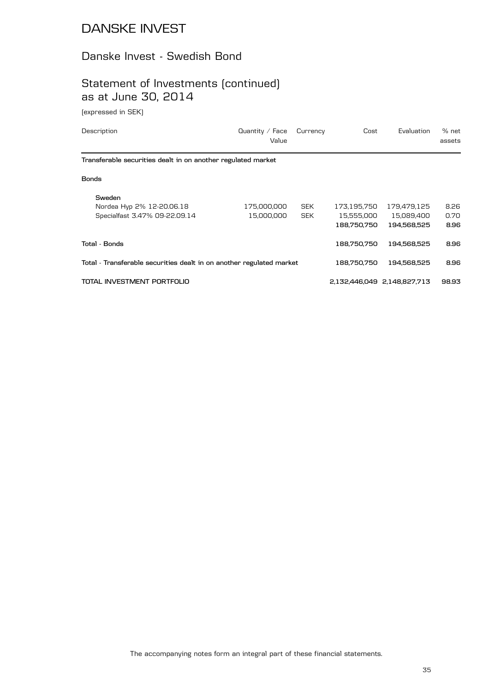### Danske Invest - Swedish Bond

## Statement of Investments (continued) as at June 30, 2014

(expressed in SEK)

| Description                                                          | Quantity / Face<br>Value | Currency   | Cost        | Evaluation                  | % net<br>assets |
|----------------------------------------------------------------------|--------------------------|------------|-------------|-----------------------------|-----------------|
| Transferable securities dealt in on another regulated market         |                          |            |             |                             |                 |
| <b>Bonds</b>                                                         |                          |            |             |                             |                 |
| Sweden                                                               |                          |            |             |                             |                 |
| Nordea Hyp 2% 12-20.06.18                                            | 175,000,000              | <b>SEK</b> | 173,195,750 | 179,479,125                 | 8.26            |
| Specialfast 3.47% 09-22.09.14                                        | 15,000,000               | <b>SEK</b> | 15,555,000  | 15,089,400                  | 0.70            |
|                                                                      |                          |            | 188,750,750 | 194,568,525                 | 8.96            |
| Total - Bonds                                                        |                          |            | 188.750.750 | 194,568,525                 | 8.96            |
| Total - Transferable securities dealt in on another regulated market |                          |            | 188,750,750 | 194,568,525                 | 8.96            |
| TOTAL INVESTMENT PORTFOLIO                                           |                          |            |             | 2,132,446,049 2,148,827,713 | 98.93           |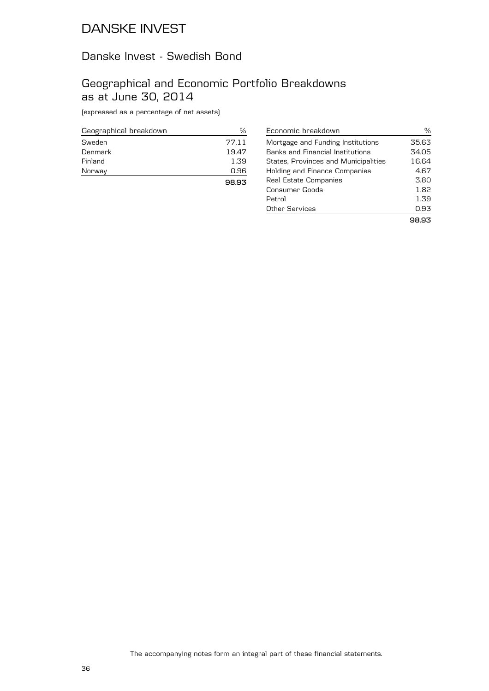### Danske Invest - Swedish Bond

### Geographical and Economic Portfolio Breakdowns as at June 30, 2014

(expressed as a percentage of net assets)

| Geographical breakdown | %     |
|------------------------|-------|
| Sweden                 | 77.11 |
| Denmark                | 19.47 |
| Finland                | 1.39  |
| Norway                 | 0.96  |
|                        | 98.93 |

| Economic breakdown                      | ℅     |
|-----------------------------------------|-------|
| Mortgage and Funding Institutions       | 35.63 |
| <b>Banks and Financial Institutions</b> | 34.05 |
| States, Provinces and Municipalities    | 16.64 |
| <b>Holding and Finance Companies</b>    | 4.67  |
| Real Estate Companies                   | 3.80  |
| Consumer Goods                          | 1.82  |
| Petrol                                  | 1.39  |
| <b>Other Services</b>                   | 0.93  |
|                                         |       |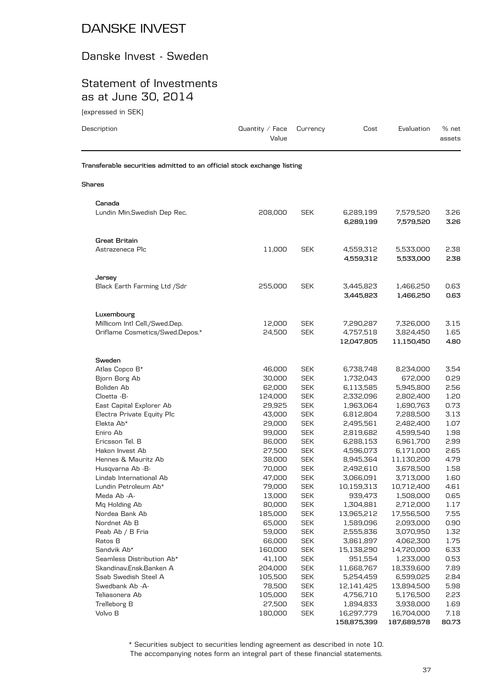#### Danske Invest - Sweden

#### Statement of Investments as at June 30, 2014

(expressed in SEK)

| ן החדר וווי המאמנות                                                            |                                 |                          |                                      |                                      |                      |
|--------------------------------------------------------------------------------|---------------------------------|--------------------------|--------------------------------------|--------------------------------------|----------------------|
| Description                                                                    | Quantity $\angle$ Face<br>Value | Currency                 | Cost                                 | Evaluation                           | % net<br>assets      |
| Transferable securities admitted to an official stock exchange listing         |                                 |                          |                                      |                                      |                      |
| <b>Shares</b>                                                                  |                                 |                          |                                      |                                      |                      |
| Canada<br>Lundin Min.Swedish Dep Rec.                                          | 208,000                         | <b>SEK</b>               | 6,289,199<br>6,289,199               | 7,579,520<br>7,579,520               | 3.26<br>3.26         |
| <b>Great Britain</b><br>Astrazeneca Plc                                        | 11,000                          | <b>SEK</b>               | 4,559,312<br>4,559,312               | 5,533,000<br>5,533,000               | 2.38<br>2.38         |
| Jersey<br>Black Earth Farming Ltd /Sdr                                         | 255,000                         | <b>SEK</b>               | 3,445,823<br>3,445,823               | 1,466,250<br>1,466,250               | 0.63<br>0.63         |
| Luxembourg<br>Millicom Intl Cell./Swed.Dep.<br>Oriflame Cosmetics/Swed.Depos.* | 12,000<br>24,500                | <b>SEK</b><br><b>SEK</b> | 7,290,287<br>4,757,518<br>12,047,805 | 7,326,000<br>3,824,450<br>11,150,450 | 3.15<br>1.65<br>4.80 |
| Sweden<br>Atlas Copco B*<br>Bjorn Borg Ab                                      | 46,000<br>30,000                | <b>SEK</b><br><b>SEK</b> | 6,738,748<br>1,732,043               | 8,234,000<br>672,000                 | 3.54<br>0.29         |

| Sweden                     |         |            |             |             |       |
|----------------------------|---------|------------|-------------|-------------|-------|
| Atlas Copco B*             | 46,000  | <b>SEK</b> | 6,738,748   | 8,234,000   | 3.54  |
| Bjorn Borg Ab              | 30,000  | <b>SEK</b> | 1,732,043   | 672,000     | 0.29  |
| Boliden Ab                 | 62,000  | <b>SEK</b> | 6,113,585   | 5,945,800   | 2.56  |
| Cloetta -B-                | 124,000 | <b>SEK</b> | 2,332,096   | 2,802,400   | 1.20  |
| East Capital Explorer Ab   | 29,925  | <b>SEK</b> | 1,963,064   | 1,690,763   | 0.73  |
| Electra Private Equity Plc | 43,000  | <b>SEK</b> | 6,812,804   | 7,288,500   | 3.13  |
| Elekta Ab*                 | 29,000  | <b>SEK</b> | 2,495,561   | 2,482,400   | 1.07  |
| Eniro Ab                   | 99,000  | <b>SEK</b> | 2,819,682   | 4,599,540   | 1.98  |
| Ericsson Tel. B            | 86,000  | <b>SEK</b> | 6,288,153   | 6,961,700   | 2.99  |
| Hakon Invest Ab            | 27,500  | <b>SEK</b> | 4.596.073   | 6,171,000   | 2.65  |
| Hennes & Mauritz Ab        | 38,000  | <b>SEK</b> | 8,945,364   | 11,130,200  | 4.79  |
| Husqvarna Ab -B-           | 70,000  | <b>SEK</b> | 2,492,610   | 3,678,500   | 1.58  |
| Lindab International Ab    | 47,000  | <b>SEK</b> | 3,066,091   | 3,713,000   | 1.60  |
| Lundin Petroleum Ab*       | 79,000  | <b>SEK</b> | 10,159,313  | 10,712,400  | 4.61  |
| Meda Ab -A-                | 13,000  | <b>SEK</b> | 939,473     | 1,508,000   | 0.65  |
| Mg Holding Ab              | 80,000  | <b>SEK</b> | 1,304,881   | 2,712,000   | 1.17  |
| Nordea Bank Ab             | 185,000 | <b>SEK</b> | 13,965,212  | 17,556,500  | 7.55  |
| Nordnet Ab B               | 65,000  | <b>SEK</b> | 1,589,096   | 2,093,000   | 0.90  |
| Peab Ab / B Fria           | 59,000  | <b>SEK</b> | 2,555,836   | 3,070,950   | 1.32  |
| Ratos B                    | 66,000  | <b>SEK</b> | 3,861,897   | 4,062,300   | 1.75  |
| Sandvik Ab*                | 160,000 | <b>SEK</b> | 15,138,290  | 14,720,000  | 6.33  |
| Seamless Distribution Ab*  | 41,100  | <b>SEK</b> | 951,554     | 1,233,000   | 0.53  |
| Skandinav.Ensk.Banken A    | 204,000 | <b>SEK</b> | 11,668,767  | 18,339,600  | 7.89  |
| Ssab Swedish Steel A       | 105,500 | <b>SEK</b> | 5,254,459   | 6,599,025   | 2.84  |
| Swedbank Ab -A-            | 78,500  | <b>SEK</b> | 12,141,425  | 13,894,500  | 5.98  |
| Teliasonera Ab             | 105,000 | <b>SEK</b> | 4,756,710   | 5,176,500   | 2.23  |
| Trelleborg B               | 27,500  | <b>SEK</b> | 1,894,833   | 3,938,000   | 1.69  |
| Volvo B                    | 180,000 | <b>SEK</b> | 16,297,779  | 16,704,000  | 7.18  |
|                            |         |            | 158,875,399 | 187,689,578 | 80.73 |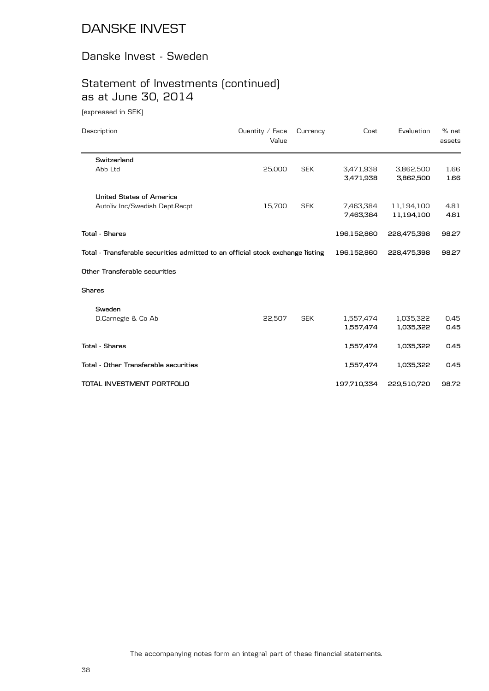#### Danske Invest - Sweden

## Statement of Investments (continued) as at June 30, 2014

(expressed in SEK)

| Description                                                                    | Quantity $\angle$ Face<br>Value | Currency   | Cost        | Evaluation  | % net<br>assets |
|--------------------------------------------------------------------------------|---------------------------------|------------|-------------|-------------|-----------------|
| Switzerland                                                                    |                                 |            |             |             |                 |
| Abb Ltd                                                                        | 25,000                          | <b>SEK</b> | 3,471,938   | 3,862,500   | 1.66            |
|                                                                                |                                 |            | 3,471,938   | 3,862,500   | 1.66            |
| United States of America                                                       |                                 |            |             |             |                 |
| Autoliv Inc/Swedish Dept.Recpt                                                 | 15,700                          | <b>SEK</b> | 7,463,384   | 11,194,100  | 4.81            |
|                                                                                |                                 |            | 7,463,384   | 11,194,100  | 4.81            |
| <b>Total - Shares</b>                                                          |                                 |            | 196,152,860 | 228,475,398 | 98.27           |
| Total - Transferable securities admitted to an official stock exchange listing |                                 |            | 196,152,860 | 228,475,398 | 98.27           |
| Other Transferable securities                                                  |                                 |            |             |             |                 |
| <b>Shares</b>                                                                  |                                 |            |             |             |                 |
| Sweden                                                                         |                                 |            |             |             |                 |
| D.Carnegie & Co Ab                                                             | 22,507                          | <b>SEK</b> | 1,557,474   | 1,035,322   | 0.45            |
|                                                                                |                                 |            | 1,557,474   | 1,035,322   | 0.45            |
| <b>Total - Shares</b>                                                          |                                 |            | 1,557,474   | 1,035,322   | 0.45            |
| Total - Other Transferable securities                                          |                                 |            | 1,557,474   | 1,035,322   | 0.45            |
| TOTAL INVESTMENT PORTFOLIO                                                     |                                 |            | 197,710,334 | 229,510,720 | 98.72           |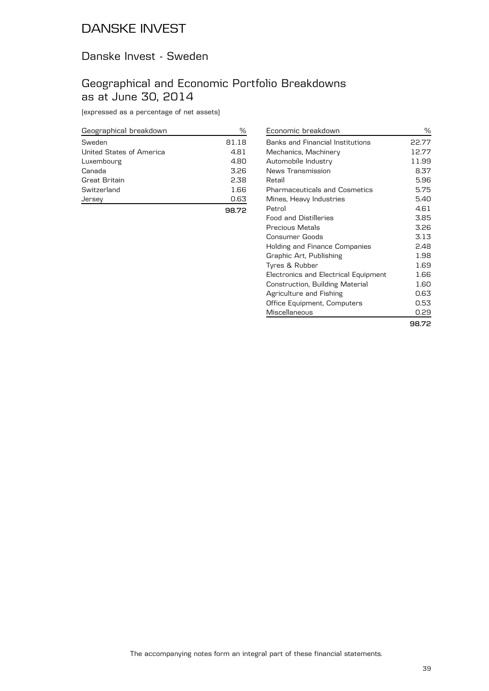#### Danske Invest - Sweden

#### Geographical and Economic Portfolio Breakdowns as at June 30, 2014

(expressed as a percentage of net assets)

| Geographical breakdown   | ℅     |
|--------------------------|-------|
| Sweden                   | 81.18 |
| United States of America | 4.81  |
| Luxembourg               | 4.80  |
| Canada                   | 3.26  |
| Great Britain            | 2.38  |
| Switzerland              | 1.66  |
| Jersev                   | 0.63  |
|                          |       |

| Economic breakdown                      | ℅     |
|-----------------------------------------|-------|
| <b>Banks and Financial Institutions</b> | 22.77 |
| Mechanics, Machinery                    | 12.77 |
| Automobile Industry                     | 11.99 |
| News Transmission                       | 8.37  |
| Retail                                  | 5.96  |
| <b>Pharmaceuticals and Cosmetics</b>    | 5.75  |
| Mines, Heavy Industries                 | 5.40  |
| Petrol                                  | 4.61  |
| <b>Food and Distilleries</b>            | 3.85  |
| <b>Precious Metals</b>                  | 3.26  |
| Consumer Goods                          | 3.13  |
| Holding and Finance Companies           | 2.48  |
| Graphic Art, Publishing                 | 1.98  |
| Tyres & Rubber                          | 1.69  |
| Electronics and Electrical Equipment    | 1.66  |
| Construction, Building Material         | 1.60  |
| Agriculture and Fishing                 | 0.63  |
| Office Equipment, Computers             | 0.53  |
| Miscellaneous                           | 0.29  |
|                                         | 98.72 |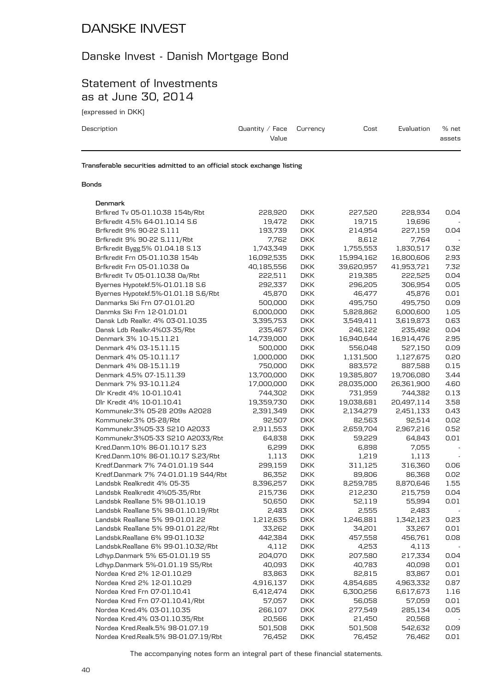#### Danske Invest - Danish Mortgage Bond

#### Statement of Investments as at June 30, 2014

(expressed in DKK)

| Description | Quantity / Face $C$ urrency<br>Value | Cost | Evaluation | % net<br>assets |
|-------------|--------------------------------------|------|------------|-----------------|
|             |                                      |      |            |                 |

**Transferable securities admitted to an official stock exchange listing**

#### **Bonds**

#### **Denmark**

| Denmark                              |            |            |            |            |      |
|--------------------------------------|------------|------------|------------|------------|------|
| Brfkred Tv 05-01.10.38 154b/Rbt      | 228,920    | <b>DKK</b> | 227,520    | 228,934    | 0.04 |
| Brfkredit 4.5% 64-01.10.14 S.6       | 19,472     | <b>DKK</b> | 19,715     | 19,696     |      |
| Brfkredit 9% 90-22 S.111             | 193,739    | <b>DKK</b> | 214,954    | 227,159    | 0.04 |
| Brfkredit 9% 90-22 S.111/Rbt         | 7,762      | <b>DKK</b> | 8,612      | 7,764      |      |
| Brfkredit Bygg.5% 01.04.18 S.13      | 1,743,349  | <b>DKK</b> | 1,755,553  | 1,830,517  | 0.32 |
| Brfkredit Frn 05-01.10.38 154b       | 16,092,535 | <b>DKK</b> | 15,994,162 | 16,800,606 | 2.93 |
| Brfkredit Frn 05-01.10.38 Oa         | 40,185,556 | <b>DKK</b> | 39,620,957 | 41,953,721 | 7.32 |
| Brfkredit Tv 05-01.10.38 Oa/Rbt      | 222,511    | <b>DKK</b> | 219,385    | 222,525    | 0.04 |
| Byernes Hypotekf.5%-01.01.18 S.6     | 292,337    | <b>DKK</b> | 296,205    | 306,954    | 0.05 |
| Byernes Hypotekf.5%-01.01.18 S.6/Rbt | 45,870     | <b>DKK</b> | 46,477     | 45,876     | 0.01 |
| Danmarks Ski Frn 07-01.01.20         | 500,000    | <b>DKK</b> | 495,750    | 495,750    | 0.09 |
| Danmks Ski Frn 12-01.01.01           | 6,000,000  | <b>DKK</b> | 5,828,862  | 6,000,600  | 1.05 |
| Dansk Ldb Realkr. 4% 03-01.10.35     | 3,395,753  | <b>DKK</b> | 3,549,411  | 3,619,873  | 0.63 |
| Dansk Ldb Realkr.4%03-35/Rbt         | 235,467    | <b>DKK</b> | 246,122    | 235,492    | 0.04 |
| Denmark 3% 10-15.11.21               | 14,739,000 | <b>DKK</b> | 16,940,644 | 16,914,476 | 2.95 |
| Denmark 4% 03-15.11.15               | 500,000    | <b>DKK</b> | 556,048    | 527,150    | 0.09 |
| Denmark 4% 05-10.11.17               | 1,000,000  | <b>DKK</b> | 1,131,500  | 1,127,675  | 0.20 |
| Denmark 4% 08-15.11.19               | 750,000    | <b>DKK</b> | 883,572    | 887,588    | 0.15 |
| Denmark 4.5% 07-15.11.39             | 13,700,000 | <b>DKK</b> | 19,385,807 | 19,706,080 | 3.44 |
| Denmark 7% 93-10.11.24               | 17,000,000 | <b>DKK</b> | 28,035,000 | 26,361,900 | 4.60 |
| Dlr Kredit 4% 10-01.10.41            | 744,302    | <b>DKK</b> | 731,959    | 744,382    | 0.13 |
| Dlr Kredit 4% 10-01.10.41            | 19,359,730 | <b>DKK</b> | 19,038,681 | 20,497,114 | 3.58 |
| Kommunekr.3% 05-28 209s A2028        | 2,391,349  | <b>DKK</b> | 2,134,279  | 2,451,133  | 0.43 |
| Kommunekr.3% 05-28/Rbt               | 92,507     | <b>DKK</b> | 82,563     | 92,514     | 0.02 |
| Kommunekr.3%05-33 S210 A2033         | 2,911,553  | <b>DKK</b> | 2,659,704  | 2,967,216  | 0.52 |
| Kommunekr.3%05-33 S210 A2033/Rbt     | 64,838     | <b>DKK</b> | 59,229     | 64,843     | 0.01 |
| Kred.Danm.10% 86-01.10.17 S.23       | 6,299      | <b>DKK</b> | 6,898      | 7,055      |      |
| Kred.Danm.10% 86-01.10.17 S.23/Rbt   | 1,113      | <b>DKK</b> | 1,219      | 1,113      |      |
| Kredf.Danmark 7% 74-01.01.19 S44     | 299,159    | <b>DKK</b> | 311,125    | 316,360    | 0.06 |
| Kredf.Danmark 7% 74-01.01.19 S44/Rbt | 86,352     | <b>DKK</b> | 89,806     | 86,368     | 0.02 |
| Landsbk Realkredit 4% 05-35          | 8,396,257  | <b>DKK</b> | 8,259,785  | 8,870,646  | 1.55 |
| Landsbk Realkredit 4%05-35/Rbt       | 215,736    | <b>DKK</b> | 212,230    | 215,759    | 0.04 |
| Landsbk Reallane 5% 98-01.10.19      | 50,650     | <b>DKK</b> | 52,119     | 55,994     | 0.01 |
| Landsbk Reallane 5% 98-01.10.19/Rbt  | 2,483      | <b>DKK</b> | 2,555      | 2,483      |      |
| Landsbk Reallane 5% 99-01.01.22      | 1,212,635  | <b>DKK</b> | 1,246,881  | 1,342,123  | 0.23 |
| Landsbk Reallane 5% 99-01.01.22/Rbt  | 33,262     | <b>DKK</b> | 34,201     | 33,267     | 0.01 |
| Landsbk.Reallane 6% 99-01.10.32      | 442,384    | <b>DKK</b> | 457,558    | 456,761    | 0.08 |
| Landsbk.Reallane 6% 99-01.10.32/Rbt  | 4,112      | <b>DKK</b> | 4,253      | 4,113      |      |
| Ldhyp.Danmark 5% 65-01.01.19 S5      | 204,070    | <b>DKK</b> | 207,580    | 217,334    | 0.04 |
| Ldhyp.Danmark 5%-01.01.19 S5/Rbt     | 40,093     | <b>DKK</b> | 40,783     | 40,098     | 0.01 |
| Nordea Kred 2% 12-01.10.29           | 83,863     | <b>DKK</b> | 82,815     | 83,867     | 0.01 |
| Nordea Kred 2% 12-01.10.29           | 4,916,137  | <b>DKK</b> | 4,854,685  | 4,963,332  | 0.87 |
| Nordea Kred Frn 07-01.10.41          | 6,412,474  | <b>DKK</b> | 6,300,256  | 6,617,673  | 1.16 |
| Nordea Kred Frn 07-01.10.41/Rbt      | 57,057     | <b>DKK</b> | 56,058     | 57,059     | 0.01 |
| Nordea Kred.4% 03-01.10.35           | 266,107    | DKK        | 277,549    | 285,134    | 0.05 |
| Nordea Kred.4% 03-01.10.35/Rbt       | 20,566     | <b>DKK</b> | 21,450     | 20,568     |      |
| Nordea Kred.Realk.5% 98-01.07.19     | 501,508    | <b>DKK</b> | 501,508    | 542,632    | 0.09 |
| Nordea Kred.Realk.5% 98-01.07.19/Rbt | 76,452     | <b>DKK</b> | 76,452     | 76,462     | 0.01 |
|                                      |            |            |            |            |      |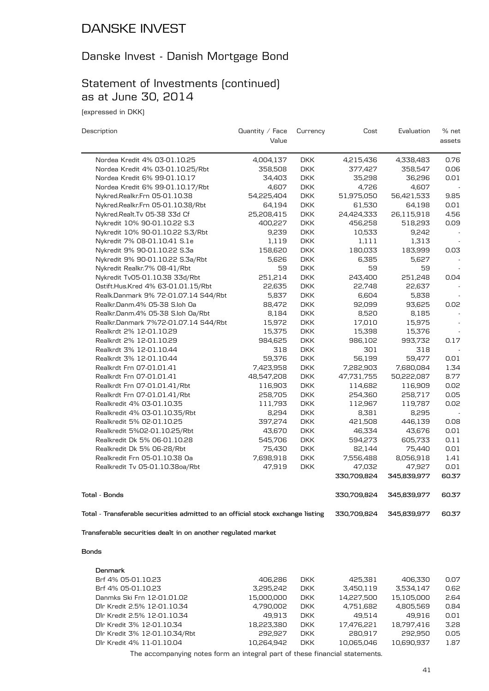#### Danske Invest - Danish Mortgage Bond

#### Statement of Investments (continued) as at June 30, 2014

(expressed in DKK)

| Description                                                                    | Quantity / Face | Currency   | Cost        | Evaluation  | % net  |
|--------------------------------------------------------------------------------|-----------------|------------|-------------|-------------|--------|
|                                                                                | Value           |            |             |             | assets |
| Nordea Kredit 4% 03-01.10.25                                                   | 4,004,137       | <b>DKK</b> | 4,215,436   | 4,338,483   | 0.76   |
| Nordea Kredit 4% 03-01.10.25/Rbt                                               | 358,508         | <b>DKK</b> | 377,427     | 358,547     | 0.06   |
| Nordea Kredit 6% 99-01.10.17                                                   | 34,403          | <b>DKK</b> | 35,298      | 36,296      | 0.01   |
| Nordea Kredit 6% 99-01.10.17/Rbt                                               | 4,607           | <b>DKK</b> | 4,726       | 4,607       |        |
| Nykred.Realkr.Frn 05-01.10.38                                                  | 54,225,404      | <b>DKK</b> | 51,975,050  | 56,421,533  | 9.85   |
| Nykred.Realkr.Frn 05-01.10.38/Rbt                                              | 64,194          | <b>DKK</b> | 61,530      | 64,198      | 0.01   |
| Nykred.Realt.Tv 05-38 33d Cf                                                   | 25,208,415      | <b>DKK</b> | 24,424,333  | 26,115,918  | 4.56   |
| Nykredit 10% 90-01.10.22 S.3                                                   | 400,227         | <b>DKK</b> | 456,258     | 518,293     | 0.09   |
| Nykredit 10% 90-01.10.22 S.3/Rbt                                               | 9,239           | <b>DKK</b> | 10,533      | 9,242       |        |
| Nykredit 7% 08-01.10.41 S.1e                                                   | 1,119           | <b>DKK</b> | 1,111       | 1,313       |        |
| Nykredit 9% 90-01.10.22 S.3a                                                   | 158,620         | <b>DKK</b> | 180,033     | 183,999     | 0.03   |
| Nykredit 9% 90-01.10.22 S.3a/Rbt                                               | 5,626           | <b>DKK</b> | 6,385       | 5,627       |        |
| Nykredit Realkr.7% 08-41/Rbt                                                   | 59              | <b>DKK</b> | 59          | 59          |        |
| Nykredit Tv05-01.10.38 33d/Rbt                                                 | 251,214         | <b>DKK</b> | 243,400     | 251,248     | 0.04   |
| Ostift.Hus.Kred 4% 63-01.01.15/Rbt                                             | 22,635          | <b>DKK</b> | 22,748      | 22,637      |        |
| Realk.Danmark 9% 72-01.07.14 S44/Rbt                                           | 5,837           | <b>DKK</b> | 6,604       | 5,838       |        |
| Realkr.Danm.4% 05-38 S.loh Oa                                                  | 88,472          | <b>DKK</b> | 92,099      | 93,625      | 0.02   |
| Realkr.Danm.4% 05-38 S.loh 0a/Rbt                                              | 8,184           | <b>DKK</b> | 8,520       | 8,185       |        |
| Realkr.Danmark 7%72-01.07.14 S44/Rbt                                           | 15,972          | <b>DKK</b> | 17,010      | 15,975      |        |
| Realkrdt 2% 12-01.10.29                                                        | 15,375          | <b>DKK</b> | 15,398      | 15,376      |        |
| Realkrdt 2% 12-01.10.29                                                        | 984,625         | <b>DKK</b> | 986,102     | 993,732     | 0.17   |
| Realkrdt 3% 12-01.10.44                                                        | 318             | <b>DKK</b> | 301         | 318         |        |
| Realkrdt 3% 12-01.10.44                                                        | 59,376          | <b>DKK</b> | 56,199      | 59,477      | 0.01   |
| Realkrdt Frn 07-01.01.41                                                       | 7,423,958       | <b>DKK</b> | 7,282,903   | 7,680,084   | 1.34   |
| Realkrdt Frn 07-01.01.41                                                       | 48,547,208      | <b>DKK</b> | 47,731,755  | 50,222,087  | 8.77   |
| Realkrdt Frn 07-01.01.41/Rbt                                                   | 116,903         | <b>DKK</b> | 114,682     | 116,909     | 0.02   |
| Realkrdt Frn 07-01.01.41/Rbt                                                   | 258,705         | <b>DKK</b> | 254,360     | 258,717     | 0.05   |
| Realkredit 4% 03-01.10.35                                                      | 111,793         | <b>DKK</b> | 112,967     | 119,787     | 0.02   |
| Realkredit 4% 03-01.10.35/Rbt                                                  | 8,294           | <b>DKK</b> | 8,381       | 8,295       |        |
| Realkredit 5% 02-01.10.25                                                      | 397,274         | <b>DKK</b> | 421,508     | 446,139     | 0.08   |
| Realkredit 5%02-01.10.25/Rbt                                                   | 43,670          | <b>DKK</b> | 46,334      | 43,676      | 0.01   |
| Realkredit Dk 5% 06-01.10.28                                                   | 545,706         | <b>DKK</b> | 594,273     | 605,733     | 0.11   |
| Realkredit Dk 5% 06-28/Rbt                                                     | 75,430          | <b>DKK</b> | 82,144      | 75,440      | 0.01   |
| Realkredit Frn 05-01.10.38 Oa                                                  | 7,698,918       | <b>DKK</b> | 7,556,488   | 8,056,918   | 1.41   |
| Realkredit Tv 05-01.10.38oa/Rbt                                                | 47,919          | <b>DKK</b> | 47,032      | 47,927      | 0.01   |
|                                                                                |                 |            | 330,709,824 | 345,839,977 | 60.37  |
| <b>Total - Bonds</b>                                                           |                 |            | 330,709,824 | 345,839,977 | 60.37  |
| Total - Transferable securities admitted to an official stock exchange listing |                 |            | 330,709,824 | 345,839,977 | 60.37  |

**Transferable securities dealt in on another regulated market**

#### **Bonds**

| Denmark                       |            |            |            |            |      |
|-------------------------------|------------|------------|------------|------------|------|
| Brf 4% 05-01.10.23            | 406.286    | DKK.       | 425.381    | 406.330    | 0.07 |
| Brf 4% 05-01.10.23            | 3.295.242  | <b>DKK</b> | 3.450.119  | 3.534.147  | 0.62 |
| Danmks Ski Frn 12-01.01.02    | 15,000,000 | <b>DKK</b> | 14.227.500 | 15.105.000 | 2.64 |
| Dlr Kredit 2.5% 12-01.10.34   | 4,790,002  | <b>DKK</b> | 4,751,682  | 4.805.569  | 0.84 |
| Dir Kredit 2.5% 12-01.10.34   | 49.913     | <b>DKK</b> | 49.514     | 49.916     | 0.01 |
| Dlr Kredit 3% 12-01.10.34     | 18.223.380 | <b>DKK</b> | 17.476.221 | 18.797.416 | 3.28 |
| Dlr Kredit 3% 12-01.10.34/Rbt | 292.927    | <b>DKK</b> | 280.917    | 292.950    | 0.05 |
| Dlr Kredit 4% 11-01.10.04     | 10.264.942 | <b>DKK</b> | 10.065.046 | 10.690.937 | 1.87 |
|                               |            |            |            |            |      |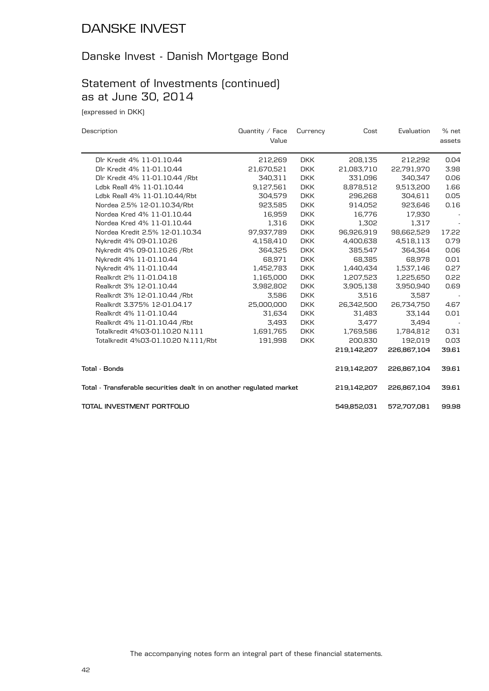#### Danske Invest - Danish Mortgage Bond

## Statement of Investments (continued) as at June 30, 2014

(expressed in DKK)

| Description                                                          | Quantity $\angle$ Face | Currency   | Cost        | Evaluation  | % net  |
|----------------------------------------------------------------------|------------------------|------------|-------------|-------------|--------|
|                                                                      | Value                  |            |             |             | assets |
| Dlr Kredit 4% 11-01.10.44                                            | 212,269                | DKK.       | 208,135     | 212,292     | 0.04   |
| Dlr Kredit 4% 11-01.10.44                                            | 21,670,521             | <b>DKK</b> | 21,083,710  | 22,791,970  | 3.98   |
| Dlr Kredit 4% 11-01.10.44 / Rbt                                      | 340,311                | <b>DKK</b> | 331,096     | 340,347     | 0.06   |
| Ldbk Reall 4% 11-01.10.44                                            | 9,127,561              | <b>DKK</b> | 8,878,512   | 9,513,200   | 1.66   |
| Ldbk Reall 4% 11-01.10.44/Rbt                                        | 304,579                | <b>DKK</b> | 296,268     | 304,611     | 0.05   |
| Nordea 2.5% 12-01.10.34/Rbt                                          | 923,585                | <b>DKK</b> | 914,052     | 923,646     | 0.16   |
| Nordea Kred 4% 11-01.10.44                                           | 16,959                 | <b>DKK</b> | 16,776      | 17,930      |        |
| Nordea Kred 4% 11-01.10.44                                           | 1,316                  | <b>DKK</b> | 1,302       | 1,317       |        |
| Nordea Kredit 2.5% 12-01.10.34                                       | 97,937,789             | <b>DKK</b> | 96,926,919  | 98,662,529  | 17.22  |
| Nykredit 4% 09-01.10.26                                              | 4,158,410              | <b>DKK</b> | 4,400,638   | 4,518,113   | 0.79   |
| Nykredit 4% 09-01.10.26 / Rbt                                        | 364,325                | <b>DKK</b> | 385,547     | 364.364     | 0.06   |
| Nykredit 4% 11-01.10.44                                              | 68,971                 | <b>DKK</b> | 68,385      | 68,978      | 0.01   |
| Nykredit 4% 11-01.10.44                                              | 1,452,783              | <b>DKK</b> | 1,440,434   | 1,537,146   | 0.27   |
| Realkrdt 2% 11-01.04.18                                              | 1,165,000              | <b>DKK</b> | 1,207,523   | 1,225,650   | 0.22   |
| Realkrdt 3% 12-01.10.44                                              | 3,982,802              | <b>DKK</b> | 3,905,138   | 3,950,940   | 0.69   |
| Realkrdt 3% 12-01.10.44 / Rbt                                        | 3,586                  | <b>DKK</b> | 3,516       | 3,587       |        |
| Realkrdt 3.375% 12-01.04.17                                          | 25,000,000             | <b>DKK</b> | 26,342,500  | 26,734,750  | 4.67   |
| Realkrdt 4% 11-01.10.44                                              | 31,634                 | <b>DKK</b> | 31,483      | 33,144      | 0.01   |
| Realkrdt 4% 11-01.10.44 / Rbt                                        | 3,493                  | <b>DKK</b> | 3,477       | 3,494       |        |
| Totalkredit 4%03-01.10.20 N.111                                      | 1,691,765              | <b>DKK</b> | 1,769,586   | 1,784,812   | 0.31   |
| Totalkredit 4%03-01.10.20 N.111/Rbt                                  | 191,998                | <b>DKK</b> | 200,830     | 192,019     | 0.03   |
|                                                                      |                        |            | 219,142,207 | 226,867,104 | 39.61  |
| Total - Bonds                                                        |                        |            | 219,142,207 | 226,867,104 | 39.61  |
| Total - Transferable securities dealt in on another regulated market |                        |            | 219,142,207 | 226,867,104 | 39.61  |
| TOTAL INVESTMENT PORTFOLIO                                           |                        |            | 549,852,031 | 572,707,081 | 99.98  |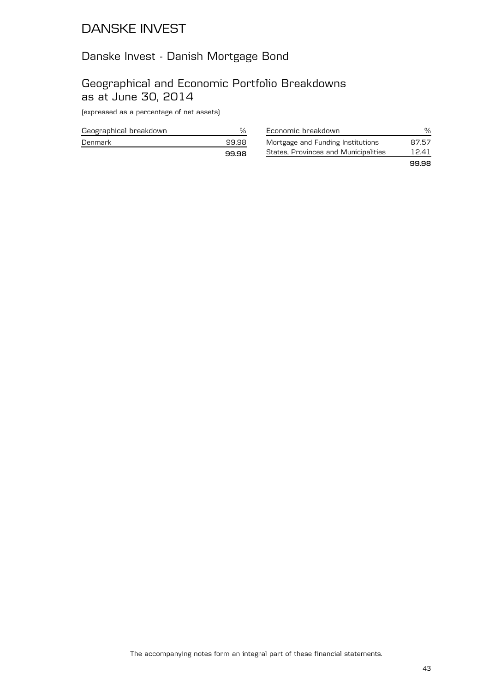#### Danske Invest - Danish Mortgage Bond

#### Geographical and Economic Portfolio Breakdowns as at June 30, 2014

(expressed as a percentage of net assets)

| Geographical breakdown |       |
|------------------------|-------|
| Denmark                | 99.98 |
|                        | 9998  |

| Economic breakdown                   | ፵     |
|--------------------------------------|-------|
| Mortgage and Funding Institutions    | 87.57 |
| States, Provinces and Municipalities | 12.41 |
|                                      | 99.98 |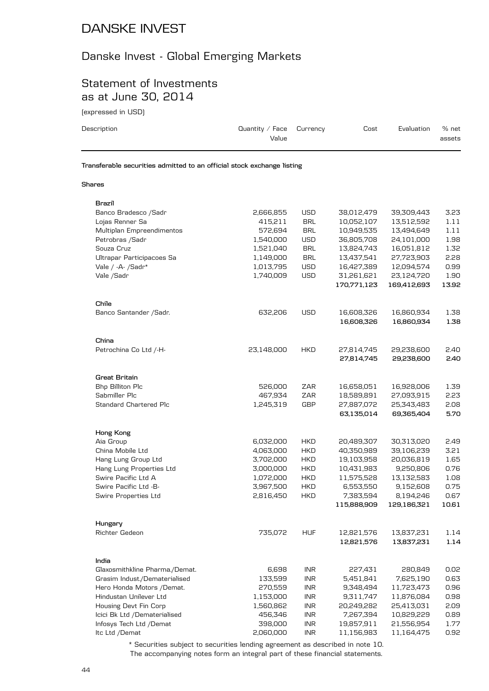#### Danske Invest - Global Emerging Markets

#### Statement of Investments as at June 30, 2014

(expressed in USD)

| lexbressed in USDI                                                     |                          |            |             |             |                 |
|------------------------------------------------------------------------|--------------------------|------------|-------------|-------------|-----------------|
| Description                                                            | Quantity / Face<br>Value | Currency   | Cost        | Evaluation  | % net<br>assets |
| Transferable securities admitted to an official stock exchange listing |                          |            |             |             |                 |
| <b>Shares</b>                                                          |                          |            |             |             |                 |
| Brazil                                                                 |                          |            |             |             |                 |
| Banco Bradesco /Sadr                                                   | 2,666,855                | <b>USD</b> | 38,012,479  | 39,309,443  | 3.23            |
| Lojas Renner Sa                                                        | 415,211                  | <b>BRL</b> | 10,052,107  | 13,512,592  | 1.11            |
| Multiplan Empreendimentos                                              | 572,694                  | <b>BRL</b> | 10,949,535  | 13,494,649  | 1.11            |
| Petrobras / Sadr                                                       | 1,540,000                | <b>USD</b> | 36,805,708  | 24,101,000  | 1.98            |
| Souza Cruz                                                             | 1,521,040                | <b>BRL</b> | 13,824,743  | 16,051,812  | 1.32            |
| Ultrapar Participacoes Sa                                              | 1,149,000                | <b>BRL</b> | 13,437,541  | 27,723,903  | 2.28            |
| Vale / -A- /Sadr*                                                      | 1,013,795                | <b>USD</b> | 16,427,389  | 12,094,574  | 0.99            |
| Vale /Sadr                                                             | 1,740,009                | <b>USD</b> | 31,261,621  | 23,124,720  | 1.90            |
|                                                                        |                          |            | 170,771,123 | 169,412,693 | 13.92           |
| Chile                                                                  |                          |            |             |             |                 |
| Banco Santander / Sadr.                                                | 632,206                  | <b>USD</b> | 16,608,326  | 16,860,934  | 1.38            |
|                                                                        |                          |            | 16,608,326  | 16,860,934  | 1.38            |
| China                                                                  |                          |            |             |             |                 |
| Petrochina Co Ltd /-H-                                                 | 23,148,000               | <b>HKD</b> | 27,814,745  | 29,238,600  | 2.40            |
|                                                                        |                          |            | 27,814,745  | 29,238,600  | 2.40            |
| <b>Great Britain</b>                                                   |                          |            |             |             |                 |
| Bhp Billiton Plc                                                       | 526,000                  | ZAR        | 16,658,051  | 16,928,006  | 1.39            |
| Sabmiller Plc                                                          | 467,934                  | ZAR        | 18,589,891  | 27,093,915  | 2.23            |
| <b>Standard Chartered Plc</b>                                          | 1,245,319                | <b>GBP</b> | 27,887,072  | 25,343,483  | 2.08            |
|                                                                        |                          |            | 63,135,014  | 69.365.404  | 5.70            |

| Hong Kong                      |           |            |             |             |       |
|--------------------------------|-----------|------------|-------------|-------------|-------|
| Aia Group                      | 6,032,000 | <b>HKD</b> | 20,489,307  | 30,313,020  | 2.49  |
| China Mobile Ltd               | 4,063,000 | <b>HKD</b> | 40,350,989  | 39,106,239  | 3.21  |
| Hang Lung Group Ltd            | 3,702,000 | <b>HKD</b> | 19,103,958  | 20,036,819  | 1.65  |
| Hang Lung Properties Ltd       | 3,000,000 | <b>HKD</b> | 10,431,983  | 9,250,806   | 0.76  |
| Swire Pacific Ltd A            | 1,072,000 | <b>HKD</b> | 11,575,528  | 13,132,583  | 1.08  |
| Swire Pacific Ltd -B-          | 3,967,500 | <b>HKD</b> | 6,553,550   | 9,152,608   | 0.75  |
| <b>Swire Properties Ltd</b>    | 2,816,450 | <b>HKD</b> | 7,383,594   | 8,194,246   | 0.67  |
|                                |           |            | 115,888,909 | 129,186,321 | 10.61 |
|                                |           |            |             |             |       |
| Hungary                        |           |            |             |             |       |
| Richter Gedeon                 | 735,072   | <b>HUF</b> | 12,821,576  | 13,837,231  | 1.14  |
|                                |           |            | 12,821,576  | 13,837,231  | 1.14  |
|                                |           |            |             |             |       |
| India                          |           |            |             |             |       |
| Glaxosmithkline Pharma./Demat. | 6,698     | <b>INR</b> | 227,431     | 280,849     | 0.02  |
| Grasim Indust./Dematerialised  | 133,599   | <b>INR</b> | 5,451,841   | 7,625,190   | 0.63  |
| Hero Honda Motors /Demat.      | 270,559   | <b>INR</b> | 9,348,494   | 11,723,473  | 0.96  |
| Hindustan Unilever Ltd         | 1,153,000 | <b>INR</b> | 9,311,747   | 11,876,084  | 0.98  |
| Housing Devt Fin Corp          | 1,560,862 | <b>INR</b> | 20,249,282  | 25,413,031  | 2.09  |
| Icici Bk Ltd /Dematerialised   | 456,346   | <b>INR</b> | 7,267,394   | 10,829,229  | 0.89  |
| Infosys Tech Ltd /Demat        | 398,000   | <b>INR</b> | 19,857,911  | 21,556,954  | 1.77  |
| Itc Ltd /Demat                 | 2,060,000 | <b>INR</b> | 11,156,983  | 11,164,475  | 0.92  |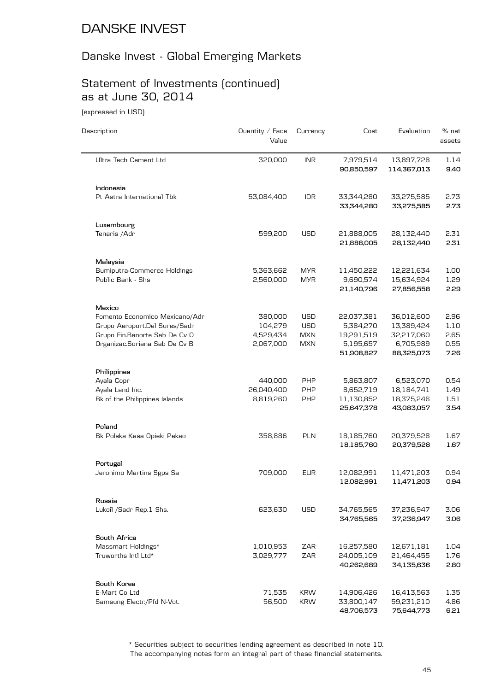# Danske Invest - Global Emerging Markets

# Statement of Investments (continued) as at June 30, 2014

(expressed in USD)

| Description                                                     | Quantity / Face<br>Value | Currency                 | Cost                                   | Evaluation                             | % net<br>assets      |
|-----------------------------------------------------------------|--------------------------|--------------------------|----------------------------------------|----------------------------------------|----------------------|
| Ultra Tech Cement Ltd                                           | 320,000                  | <b>INR</b>               | 7,979,514<br>90,850,597                | 13,897,728<br>114,367,013              | 1.14<br>9.40         |
| Indonesia                                                       |                          |                          |                                        |                                        |                      |
| Pt Astra International Tbk                                      | 53,084,400               | <b>IDR</b>               | 33,344,280<br>33,344,280               | 33,275,585<br>33,275,585               | 2.73<br>2.73         |
| Luxembourg                                                      |                          |                          |                                        |                                        |                      |
| Tenaris / Adr                                                   | 599,200                  | <b>USD</b>               | 21,888,005<br>21,888,005               | 28,132,440<br>28,132,440               | 2.31<br>2.31         |
| Malaysia                                                        |                          |                          |                                        |                                        |                      |
| <b>Bumiputra-Commerce Holdings</b><br>Public Bank - Shs         | 5,363,662<br>2,560,000   | <b>MYR</b><br><b>MYR</b> | 11,450,222<br>9,690,574<br>21,140,796  | 12,221,634<br>15,634,924<br>27,856,558 | 1.00<br>1.29<br>2.29 |
| Mexico                                                          |                          |                          |                                        |                                        |                      |
| Fomento Economico Mexicano/Adr<br>Grupo Aeroport.Del Sures/Sadr | 380,000<br>104,279       | <b>USD</b><br><b>USD</b> | 22,037,381<br>5,384,270                | 36,012,600<br>13,389,424               | 2.96<br>1.10         |
| Grupo Fin.Banorte Sab De Cv O<br>Organizac.Soriana Sab De Cv B  | 4,529,434<br>2,067,000   | <b>MXN</b><br><b>MXN</b> | 19,291,519<br>5,195,657<br>51,908,827  | 32,217,060<br>6,705,989<br>88,325,073  | 2.65<br>0.55<br>7.26 |
| Philippines                                                     |                          |                          |                                        |                                        |                      |
| Ayala Copr<br>Ayala Land Inc.                                   | 440,000<br>26,040,400    | PHP<br>PHP               | 5,863,807<br>8,652,719                 | 6,523,070<br>18,184,741                | 0.54<br>1.49         |
| Bk of the Philippines Islands                                   | 8,819,260                | PHP                      | 11,130,852<br>25,647,378               | 18,375,246<br>43,083,057               | 1.51<br>3.54         |
| Poland                                                          |                          |                          |                                        |                                        |                      |
| Bk Polska Kasa Opieki Pekao                                     | 358,886                  | PLN                      | 18,185,760<br>18,185,760               | 20,379,528<br>20,379,528               | 1.67<br>1.67         |
| Portugal                                                        |                          |                          |                                        |                                        |                      |
| Jeronimo Martins Sgps Sa                                        | 709,000                  | <b>EUR</b>               | 12,082,991<br>12,082,991               | 11,471,203<br>11,471,203               | 0.94<br>0.94         |
| Russia                                                          |                          |                          |                                        |                                        |                      |
| Lukoil /Sadr Rep.1 Shs.                                         | 623,630                  | <b>USD</b>               | 34,765,565<br>34,765,565               | 37,236,947<br>37,236,947               | 3.06<br>3.06         |
| South Africa                                                    |                          |                          |                                        |                                        |                      |
| Massmart Holdings*<br>Truworths Intl Ltd*                       | 1,010,953<br>3,029,777   | ZAR<br>ZAR               | 16,257,580<br>24,005,109<br>40,262,689 | 12,671,181<br>21,464,455<br>34,135,636 | 1.04<br>1.76<br>2.80 |
|                                                                 |                          |                          |                                        |                                        |                      |
| South Korea<br>E-Mart Co Ltd                                    | 71,535                   | <b>KRW</b>               | 14,906,426                             | 16,413,563                             | 1.35                 |
| Samsung Electr./Pfd N-Vot.                                      | 56,500                   | <b>KRW</b>               | 33,800,147<br>48,706,573               | 59,231,210<br>75,644,773               | 4.86<br>6.21         |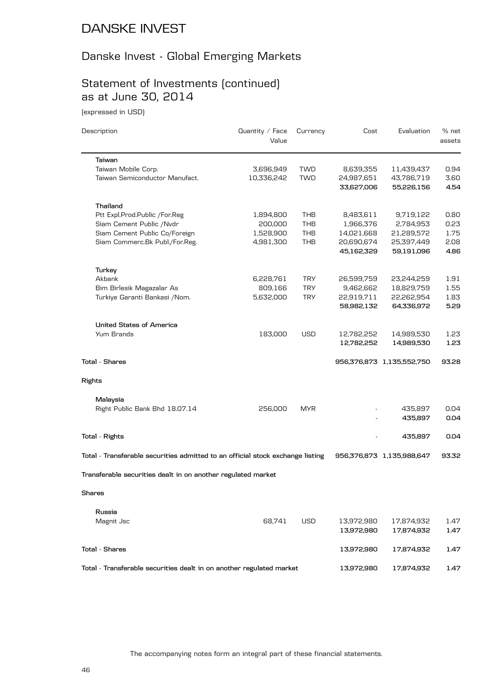#### Danske Invest - Global Emerging Markets

# Statement of Investments (continued) as at June 30, 2014

(expressed in USD)

| Description                                                                    | Quantity $\angle$ Face<br>Value | Currency   | Cost       | Evaluation                | % net<br>assets |
|--------------------------------------------------------------------------------|---------------------------------|------------|------------|---------------------------|-----------------|
| Taiwan                                                                         |                                 |            |            |                           |                 |
| Taiwan Mobile Corp.                                                            | 3,696,949                       | <b>TWD</b> | 8,639,355  | 11,439,437                | 0.94            |
| Taiwan Semiconductor Manufact.                                                 | 10,336,242                      | <b>TWD</b> | 24,987,651 | 43,786,719                | 3.60            |
|                                                                                |                                 |            | 33,627,006 | 55,226,156                | 4.54            |
| Thailand                                                                       |                                 |            |            |                           |                 |
| Ptt Expl.Prod.Public /For.Reg                                                  | 1,894,800                       | THB        | 8,483,611  | 9,719,122                 | 0.80            |
| Siam Cement Public /Nvdr                                                       | 200,000                         | THB        | 1,966,376  | 2,784,953                 | 0.23            |
| Siam Cement Public Co/Foreign                                                  | 1,528,900                       | THB        | 14,021,668 | 21,289,572                | 1.75            |
| Siam Commerc.Bk Publ./For.Reg.                                                 | 4,981,300                       | THB        | 20,690,674 | 25,397,449                | 2.08            |
|                                                                                |                                 |            | 45,162,329 | 59,191,096                | 4.86            |
| Turkey                                                                         |                                 |            |            |                           |                 |
| Akbank                                                                         | 6,228,761                       | <b>TRY</b> | 26,599,759 | 23,244,259                | 1.91            |
| Bim Birlesik Magazalar As                                                      | 809,166                         | <b>TRY</b> | 9,462,662  | 18,829,759                | 1.55            |
| Turkiye Garanti Bankasi / Nom.                                                 | 5,632,000                       | <b>TRY</b> | 22,919,711 | 22,262,954                | 1.83            |
|                                                                                |                                 |            | 58,982,132 | 64,336,972                | 5.29            |
|                                                                                |                                 |            |            |                           |                 |
| <b>United States of America</b>                                                |                                 |            |            |                           |                 |
| Yum Brands                                                                     | 183,000                         | <b>USD</b> | 12,782,252 | 14,989,530                | 1.23            |
|                                                                                |                                 |            | 12,782,252 | 14,989,530                | 1.23            |
| Total - Shares                                                                 |                                 |            |            | 956,376,873 1,135,552,750 | 93.28           |
| Rights                                                                         |                                 |            |            |                           |                 |
| Malaysia                                                                       |                                 |            |            |                           |                 |
| Right Public Bank Bhd 18.07.14                                                 | 256,000                         | <b>MYR</b> |            | 435,897                   | 0.04            |
|                                                                                |                                 |            |            | 435,897                   | 0.04            |
|                                                                                |                                 |            |            |                           |                 |
| Total - Rights                                                                 |                                 |            |            | 435,897                   | 0.04            |
| Total - Transferable securities admitted to an official stock exchange listing |                                 |            |            | 956,376,873 1,135,988,647 | 93.32           |
| Transferable securities dealt in on another regulated market                   |                                 |            |            |                           |                 |
| Shares                                                                         |                                 |            |            |                           |                 |
|                                                                                |                                 |            |            |                           |                 |
| Russia                                                                         |                                 |            |            |                           |                 |
| Magnit Jsc                                                                     | 68,741                          | <b>USD</b> | 13,972,980 | 17,874,932                | 1.47            |
|                                                                                |                                 |            | 13,972,980 | 17,874,932                | 1.47            |
| <b>Total - Shares</b>                                                          |                                 |            | 13,972,980 | 17,874,932                | 1.47            |
| Total - Transferable securities dealt in on another regulated market           |                                 |            | 13,972,980 | 17,874,932                | 1.47            |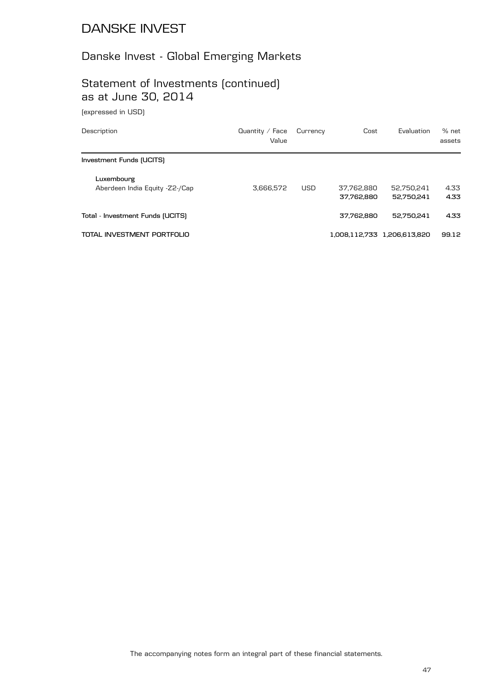# Danske Invest - Global Emerging Markets

## Statement of Investments (continued) as at June 30, 2014

(expressed in USD)

| Description                                  | Quantity $\angle$ Face<br>Value | Currency   | Cost                     | Evaluation                  | % net<br>assets |
|----------------------------------------------|---------------------------------|------------|--------------------------|-----------------------------|-----------------|
| Investment Funds (UCITS)                     |                                 |            |                          |                             |                 |
| Luxembourg<br>Aberdeen India Equity -Z2-/Cap | 3.666.572                       | <b>USD</b> | 37.762.880<br>37.762.880 | 52.750.241<br>52.750.241    | 4.33<br>4.33    |
| Total - Investment Funds (UCITS)             |                                 |            | 37.762.880               | 52.750.241                  | 4.33            |
| TOTAL INVESTMENT PORTFOLIO                   |                                 |            |                          | 1,008,112,733 1,206,613,820 | 99.12           |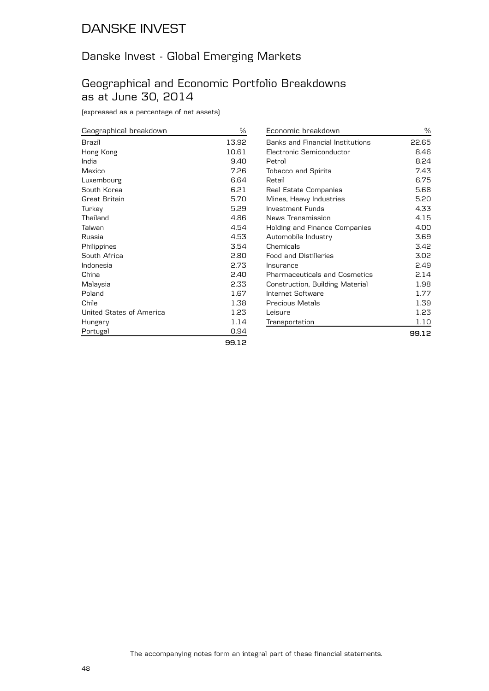#### Danske Invest - Global Emerging Markets

#### Geographical and Economic Portfolio Breakdowns as at June 30, 2014

(expressed as a percentage of net assets)

| Geographical breakdown   | ℅     | $\overline{E}$ |
|--------------------------|-------|----------------|
| Brazil                   | 13.92 | B              |
| Hong Kong                | 10.61 | E              |
| India                    | 9.40  | P              |
| Mexico                   | 7.26  | Τ              |
| Luxembourg               | 6.64  | R              |
| South Korea              | 6.21  | R              |
| Great Britain            | 5.70  | N              |
| Turkey                   | 5.29  | In             |
| Thailand                 | 4.86  | Ν              |
| Taiwan                   | 4.54  | Н              |
| Russia                   | 4.53  | А              |
| Philippines              | 3.54  | С              |
| South Africa             | 2.80  | F۱             |
| Indonesia                | 2.73  | In             |
| China                    | 2.40  | P              |
| Malaysia                 | 2.33  | C              |
| Poland                   | 1.67  | In             |
| Chile                    | 1.38  | Р              |
| United States of America | 1.23  | L١             |
| Hungary                  | 1.14  | Tı             |
| Portugal                 | 0.94  |                |
|                          | 99.12 |                |

| Economic breakdown               | ℅     |
|----------------------------------|-------|
| Banks and Financial Institutions | 22.65 |
| Electronic Semiconductor         | 8.46  |
| Petrol                           | 8.24  |
| <b>Tobacco and Spirits</b>       | 7.43  |
| Retail                           | 6.75  |
| Real Estate Companies            | 5.68  |
| Mines, Heavy Industries          | 5.20  |
| Investment Funds                 | 4.33  |
| News Transmission                | 4.15  |
| Holding and Finance Companies    | 4.00  |
| Automobile Industry              | 3.69  |
| Chemicals                        | 3.42  |
| <b>Food and Distilleries</b>     | 3.02  |
| Insurance                        | 2.49  |
| Pharmaceuticals and Cosmetics    | 2.14  |
| Construction, Building Material  | 1.98  |
| Internet Software                | 1.77  |
| Precious Metals                  | 1.39  |
| Leisure                          | 1.23  |
| Transportation                   | 1.10  |
|                                  | 99.12 |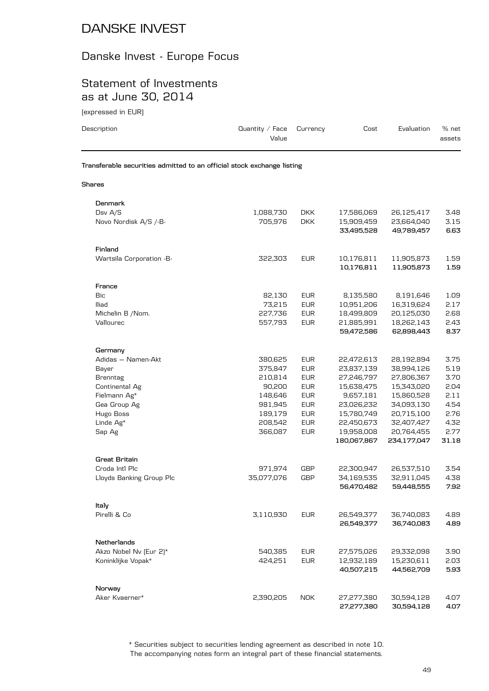# Danske Invest - Europe Focus

## Statement of Investments as at June 30, 2014

(expressed in EUR)

| Description                                                            | Quantity $/$ Face<br>Value | Currency                 | Cost                     | Evaluation               | % net<br>assets |
|------------------------------------------------------------------------|----------------------------|--------------------------|--------------------------|--------------------------|-----------------|
| Transferable securities admitted to an official stock exchange listing |                            |                          |                          |                          |                 |
| Shares                                                                 |                            |                          |                          |                          |                 |
| Denmark<br>Dsv $A/S$<br>Novo Nordisk A/S /-B-                          | 1,088,730<br>705.976       | <b>DKK</b><br><b>DKK</b> | 17,586,069<br>15,909,459 | 26,125,417<br>23,664,040 | 3.48<br>3.15    |

|                          |            |            | 33,495,528  | 49,789,457  | 6.63  |
|--------------------------|------------|------------|-------------|-------------|-------|
| Finland                  |            |            |             |             |       |
| Wartsila Corporation -B- | 322,303    | <b>EUR</b> | 10,176,811  | 11,905,873  | 1.59  |
|                          |            |            | 10,176,811  | 11,905,873  | 1.59  |
| France                   |            |            |             |             |       |
| <b>Bic</b>               | 82,130     | <b>EUR</b> | 8,135,580   | 8,191,646   | 1.09  |
| lliad                    | 73,215     | <b>EUR</b> | 10,951,206  | 16,319,624  | 2.17  |
| Michelin B /Nom.         | 227,736    | <b>EUR</b> | 18,499,809  | 20,125,030  | 2.68  |
| Vallourec                | 557,793    | <b>EUR</b> | 21,885,991  | 18,262,143  | 2.43  |
|                          |            |            | 59,472,586  | 62,898,443  | 8.37  |
| Germany                  |            |            |             |             |       |
| Adidas - Namen-Akt       | 380,625    | <b>EUR</b> | 22,472,613  | 28,192,894  | 3.75  |
| Bayer                    | 375,847    | <b>EUR</b> | 23,837,139  | 38,994,126  | 5.19  |
| <b>Brenntag</b>          | 210,814    | <b>EUR</b> | 27,246,797  | 27,806,367  | 3.70  |
| Continental Ag           | 90,200     | <b>EUR</b> | 15,638,475  | 15,343,020  | 2.04  |
| Fielmann Ag*             | 148,646    | <b>EUR</b> | 9,657,181   | 15,860,528  | 2.11  |
| Gea Group Ag             | 981,945    | <b>EUR</b> | 23,026,232  | 34,093,130  | 4.54  |
| Hugo Boss                | 189,179    | <b>EUR</b> | 15,780,749  | 20,715,100  | 2.76  |
| Linde Ag*                | 208,542    | <b>EUR</b> | 22,450,673  | 32,407,427  | 4.32  |
| Sap Ag                   | 366,087    | <b>EUR</b> | 19,958,008  | 20,764,455  | 2.77  |
|                          |            |            | 180,067,867 | 234,177,047 | 31.18 |
| <b>Great Britain</b>     |            |            |             |             |       |
| Croda Intl Plc           | 971,974    | <b>GBP</b> | 22,300,947  | 26,537,510  | 3.54  |
| Lloyds Banking Group Plc | 35,077,076 | GBP        | 34,169,535  | 32,911,045  | 4.38  |
|                          |            |            | 56,470,482  | 59,448,555  | 7.92  |
| Italy                    |            |            |             |             |       |
| Pirelli & Co             | 3,110,930  | <b>EUR</b> | 26,549,377  | 36,740,083  | 4.89  |
|                          |            |            | 26,549,377  | 36,740,083  | 4.89  |
| <b>Netherlands</b>       |            |            |             |             |       |
| Akzo Nobel Nv (Eur 2)*   | 540,385    | <b>EUR</b> | 27,575,026  | 29,332,098  | 3.90  |
| Koninklijke Vopak*       | 424,251    | <b>EUR</b> | 12,932,189  | 15,230,611  | 2.03  |
|                          |            |            | 40,507,215  | 44,562,709  | 5.93  |
| Norway                   |            |            |             |             |       |
| Aker Kvaerner*           | 2,390,205  | <b>NOK</b> | 27,277,380  | 30,594,128  | 4.07  |
|                          |            |            | 27,277,380  | 30,594,128  | 4.07  |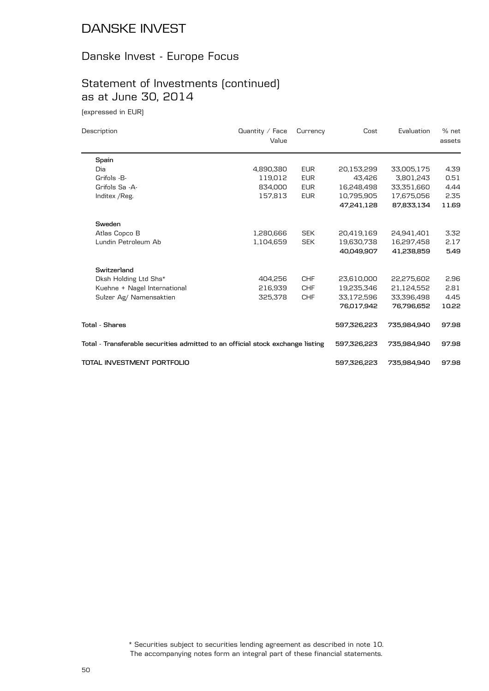#### Danske Invest - Europe Focus

# Statement of Investments (continued) as at June 30, 2014

(expressed in EUR)

| Description                                                                    | Quantity $\angle$ Face<br>Value | Currency   | Cost        | Evaluation  | % net<br>assets |
|--------------------------------------------------------------------------------|---------------------------------|------------|-------------|-------------|-----------------|
| Spain                                                                          |                                 |            |             |             |                 |
| Dia                                                                            | 4,890,380                       | <b>EUR</b> | 20,153,299  | 33,005,175  | 4.39            |
| Grifols -B-                                                                    | 119,012                         | <b>EUR</b> | 43.426      | 3,801,243   | 0.51            |
| Grifols Sa -A-                                                                 | 834,000                         | <b>EUR</b> | 16,248,498  | 33,351,660  | 4.44            |
| Inditex / Reg.                                                                 | 157,813                         | <b>EUR</b> | 10,795,905  | 17,675,056  | 2.35            |
|                                                                                |                                 |            | 47,241,128  | 87,833,134  | 11.69           |
| Sweden                                                                         |                                 |            |             |             |                 |
| Atlas Copco B                                                                  | 1,280,666                       | <b>SEK</b> | 20,419,169  | 24,941,401  | 3.32            |
| Lundin Petroleum Ab                                                            | 1,104,659                       | <b>SEK</b> | 19,630,738  | 16,297,458  | 2.17            |
|                                                                                |                                 |            | 40,049,907  | 41,238,859  | 5.49            |
| Switzerland                                                                    |                                 |            |             |             |                 |
| Dksh Holding Ltd Shs*                                                          | 404,256                         | <b>CHF</b> | 23,610,000  | 22,275,602  | 2.96            |
| Kuehne + Nagel International                                                   | 216,939                         | <b>CHF</b> | 19,235,346  | 21.124.552  | 2.81            |
| Sulzer Ag/ Namensaktien                                                        | 325,378                         | <b>CHF</b> | 33,172,596  | 33,396,498  | 4.45            |
|                                                                                |                                 |            | 76,017,942  | 76,796,652  | 10.22           |
| <b>Total - Shares</b>                                                          |                                 |            | 597,326,223 | 735.984.940 | 97.98           |
| Total - Transferable securities admitted to an official stock exchange listing |                                 |            | 597,326,223 | 735,984,940 | 97.98           |
| TOTAL INVESTMENT PORTFOLIO                                                     |                                 |            | 597,326,223 | 735,984,940 | 97.98           |

The accompanying notes form an integral part of these financial statements. \* Securities subject to securities lending agreement as described in note 10.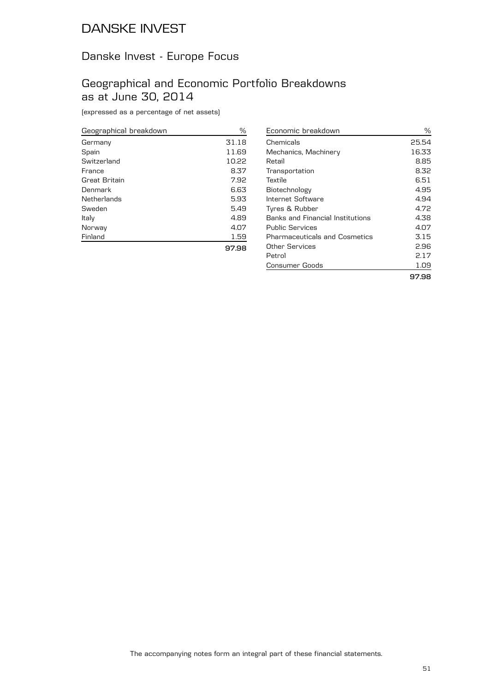#### Danske Invest - Europe Focus

#### Geographical and Economic Portfolio Breakdowns as at June 30, 2014

(expressed as a percentage of net assets)

| Geographical breakdown | %     |
|------------------------|-------|
| Germany                | 31.18 |
| Spain                  | 11.69 |
| Switzerland            | 10.22 |
| France                 | 8.37  |
| Great Britain          | 7.92  |
| Denmark                | 6.63  |
| Netherlands            | 5.93  |
| Sweden                 | 5.49  |
| Italy                  | 4.89  |
| Norway                 | 4.07  |
| Finland                | 1.59  |
|                        | 97.98 |

| Economic breakdown                   | ℅     |
|--------------------------------------|-------|
| Chemicals                            | 25.54 |
| Mechanics, Machinery                 | 16.33 |
| Retail                               | 8.85  |
| Transportation                       | 8.32  |
| Textile                              | 6.51  |
| Biotechnology                        | 4.95  |
| Internet Software                    | 4.94  |
| Tyres & Rubber                       | 4.72  |
| Banks and Financial Institutions     | 4.38  |
| Public Services                      | 4.07  |
| <b>Pharmaceuticals and Cosmetics</b> | 3.15  |
| Other Services                       | 2.96  |
| Petrol                               | 2.17  |
| Consumer Goods                       | 1.09  |
|                                      | 97.98 |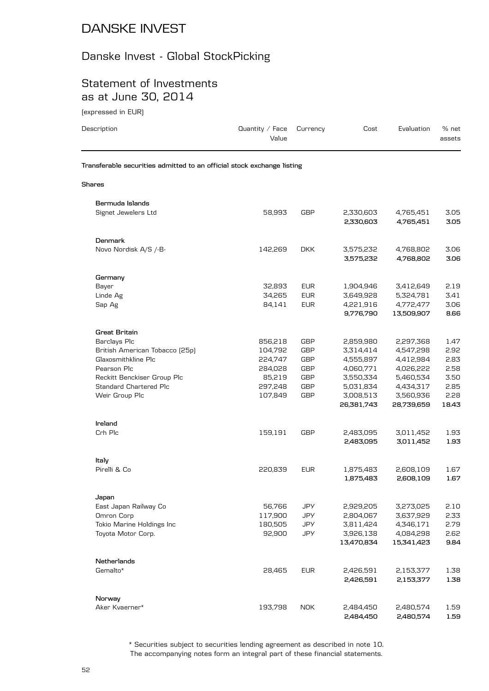#### Danske Invest - Global StockPicking

#### Statement of Investments as at June 30, 2014

| (expressed in EUR)                                                     |                          |            |                         |                         |                 |
|------------------------------------------------------------------------|--------------------------|------------|-------------------------|-------------------------|-----------------|
| Description                                                            | Quantity / Face<br>Value | Currency   | Cost                    | Evaluation              | % net<br>assets |
| Transferable securities admitted to an official stock exchange listing |                          |            |                         |                         |                 |
| Shares                                                                 |                          |            |                         |                         |                 |
| Bermuda Islands                                                        |                          |            |                         |                         |                 |
| Signet Jewelers Ltd                                                    | 58,993                   | GBP        | 2,330,603<br>2,330,603  | 4,765,451<br>4,765,451  | 3.05<br>3.05    |
| <b>Denmark</b>                                                         |                          |            |                         |                         |                 |
| Novo Nordisk A/S /-B-                                                  | 142,269                  | <b>DKK</b> | 3,575,232<br>3,575,232  | 4,768,802<br>4,768,802  | 3.06<br>3.06    |
| Germany                                                                |                          |            |                         |                         |                 |
| Bayer                                                                  | 32,893                   | <b>EUR</b> | 1,904,946               | 3,412,649               | 2.19            |
| Linde Ag                                                               | 34,265                   | <b>EUR</b> | 3,649,928               | 5,324,781               | 3.41            |
| Sap Ag                                                                 | 84,141                   | <b>EUR</b> | 4,221,916<br>9,776,790  | 4,772,477<br>13,509,907 | 3.06<br>8.66    |
| <b>Great Britain</b>                                                   |                          |            |                         |                         |                 |
| Barclays Plc                                                           | 856,218                  | <b>GBP</b> | 2,859,980               | 2,297,368               | 1.47            |
| British American Tobacco (25p)                                         | 104,792                  | <b>GBP</b> | 3,314,414               | 4,547,298               | 2.92            |
| Glaxosmithkline Plc                                                    | 224,747                  | <b>GBP</b> | 4,555,897               | 4,412,984               | 2.83            |
| Pearson Plc                                                            | 284,028                  | <b>GBP</b> | 4,060,771               | 4,026,222               | 2.58            |
| Reckitt Benckiser Group Plc                                            | 85,219                   | <b>GBP</b> | 3,550,334               | 5,460,534               | 3.50            |
| Standard Chartered Plc                                                 | 297,248                  | <b>GBP</b> | 5,031,834               | 4,434,317               | 2.85            |
| Weir Group Plc                                                         | 107,849                  | GBP        | 3,008,513<br>26,381,743 | 3,560,936<br>28,739,659 | 2.28<br>18.43   |
|                                                                        |                          |            |                         |                         |                 |
| Ireland<br>Crh Plc                                                     | 159,191                  | GBP        | 2,483,095               | 3,011,452               | 1.93            |
|                                                                        |                          |            | 2,483,095               | 3,011,452               | 1.93            |
| Italy                                                                  |                          |            |                         |                         |                 |
| Pirelli & Co                                                           | 220,839                  | <b>EUR</b> | 1,875,483<br>1,875,483  | 2,608,109<br>2,608,109  | 1.67<br>1.67    |
|                                                                        |                          |            |                         |                         |                 |
| Japan                                                                  |                          |            |                         |                         |                 |
| East Japan Railway Co                                                  | 56,766                   | JPY        | 2,929,205               | 3,273,025               | 2.10            |
| Omron Corp                                                             | 117,900                  | JPY        | 2,804,067               | 3,637,929               | 2.33            |
| Tokio Marine Holdings Inc                                              | 180,505                  | JPY        | 3,811,424               | 4,346,171               | 2.79            |
| Toyota Motor Corp.                                                     | 92,900                   | JPY        | 3,926,138               | 4,084,298               | 2.62            |
|                                                                        |                          |            | 13,470,834              | 15,341,423              | 9.84            |
| Netherlands                                                            |                          |            |                         |                         |                 |
| Gemalto*                                                               | 28,465                   | <b>EUR</b> | 2,426,591               | 2,153,377               | 1.38            |

| Norway         |             |  |  |
|----------------|-------------|--|--|
| Aker Kvaerner* | 193.798 NOK |  |  |

**2,426,591 2,153,377 1.38**

**2,484,450 2,480,574 1.59**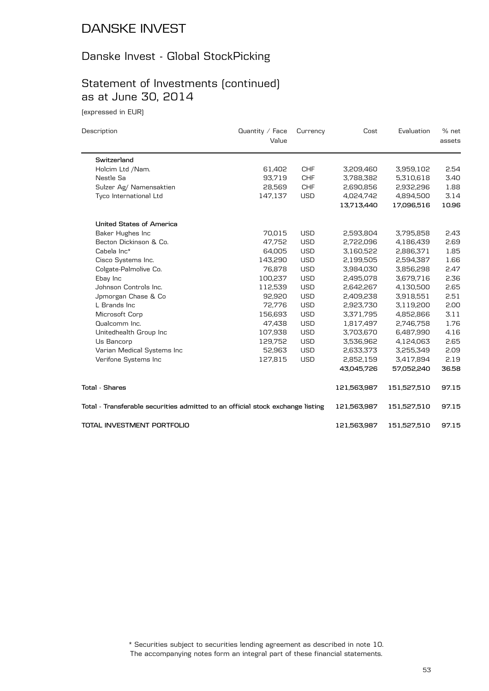#### Danske Invest - Global StockPicking

## Statement of Investments (continued) as at June 30, 2014

(expressed in EUR)

| Description                                                                    | Quantity / Face | Currency   | Cost        | Evaluation  | % net  |
|--------------------------------------------------------------------------------|-----------------|------------|-------------|-------------|--------|
|                                                                                | Value           |            |             |             | assets |
| Switzerland                                                                    |                 |            |             |             |        |
| Holcim Ltd /Nam.                                                               | 61,402          | <b>CHF</b> | 3,209,460   | 3,959,102   | 2.54   |
| Nestle Sa                                                                      | 93,719          | <b>CHF</b> | 3,788,382   | 5,310,618   | 3.40   |
| Sulzer Ag/ Namensaktien                                                        | 28,569          | <b>CHF</b> | 2,690,856   | 2,932,296   | 1.88   |
| Tyco International Ltd                                                         | 147,137         | <b>USD</b> | 4,024,742   | 4,894,500   | 3.14   |
|                                                                                |                 |            | 13,713,440  | 17,096,516  | 10.96  |
| United States of America                                                       |                 |            |             |             |        |
| Baker Hughes Inc                                                               | 70,015          | <b>USD</b> | 2,593,804   | 3,795,858   | 2.43   |
| Becton Dickinson & Co.                                                         | 47,752          | <b>USD</b> | 2,722,096   | 4,186,439   | 2.69   |
| Cabela Inc*                                                                    | 64,005          | <b>USD</b> | 3,160,522   | 2,886,371   | 1.85   |
| Cisco Systems Inc.                                                             | 143,290         | <b>USD</b> | 2,199,505   | 2,594,387   | 1.66   |
| Colgate-Palmolive Co.                                                          | 76,878          | <b>USD</b> | 3,984,030   | 3,856,298   | 2.47   |
| Ebay Inc                                                                       | 100,237         | <b>USD</b> | 2,495,078   | 3,679,716   | 2.36   |
| Johnson Controls Inc.                                                          | 112,539         | <b>USD</b> | 2,642,267   | 4,130,500   | 2.65   |
| Jpmorgan Chase & Co                                                            | 92,920          | <b>USD</b> | 2,409,238   | 3,918,551   | 2.51   |
| L Brands Inc                                                                   | 72,776          | <b>USD</b> | 2,923,730   | 3,119,200   | 2.00   |
| Microsoft Corp                                                                 | 156,693         | <b>USD</b> | 3,371,795   | 4,852,866   | 3.11   |
| Qualcomm Inc.                                                                  | 47,438          | <b>USD</b> | 1,817,497   | 2,746,758   | 1.76   |
| Unitedhealth Group Inc                                                         | 107,938         | <b>USD</b> | 3,703,670   | 6,487,990   | 4.16   |
| Us Bancorp                                                                     | 129,752         | <b>USD</b> | 3,536,962   | 4,124,063   | 2.65   |
| Varian Medical Systems Inc                                                     | 52,963          | <b>USD</b> | 2,633,373   | 3,255,349   | 2.09   |
| Verifone Systems Inc                                                           | 127,815         | <b>USD</b> | 2,852,159   | 3,417,894   | 2.19   |
|                                                                                |                 |            | 43,045,726  | 57,052,240  | 36.58  |
| <b>Total - Shares</b>                                                          |                 |            | 121,563,987 | 151,527,510 | 97.15  |
| Total - Transferable securities admitted to an official stock exchange listing |                 |            | 121,563,987 | 151,527,510 | 97.15  |
| TOTAL INVESTMENT PORTFOLIO                                                     |                 |            | 121,563,987 | 151,527,510 | 97.15  |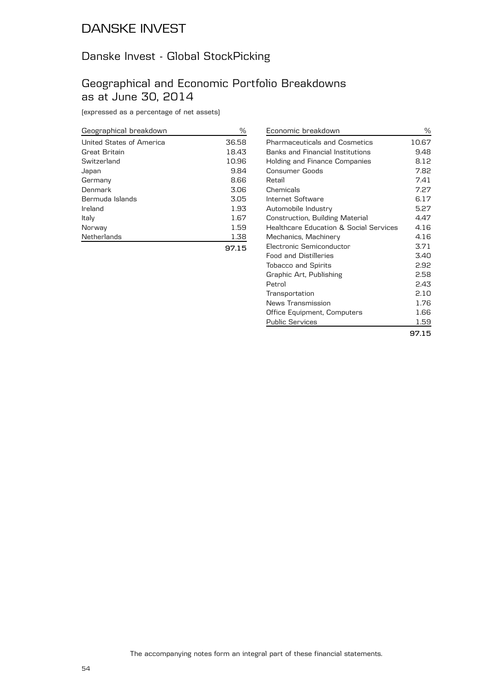#### Danske Invest - Global StockPicking

#### Geographical and Economic Portfolio Breakdowns as at June 30, 2014

(expressed as a percentage of net assets)

| Geographical breakdown   | %     |
|--------------------------|-------|
| United States of America | 36.58 |
| Great Britain            | 18.43 |
| Switzerland              | 10.96 |
| Japan                    | 9.84  |
| Germany                  | 8.66  |
| Denmark                  | 3.06  |
| Bermuda Islands          | 3.05  |
| Ireland                  | 1.93  |
| Italy                    | 1.67  |
| Norway                   | 1.59  |
| Netherlands              | 1.38  |
|                          | 97.15 |

| Economic breakdown                                | ℅     |
|---------------------------------------------------|-------|
| <b>Pharmaceuticals and Cosmetics</b>              | 10.67 |
| <b>Banks and Financial Institutions</b>           | 9.48  |
| Holding and Finance Companies                     | 8.12  |
| Consumer Goods                                    | 7.82  |
| Retail                                            | 7.41  |
| Chemicals                                         | 7.27  |
| Internet Software                                 | 6.17  |
| Automobile Industry                               | 5.27  |
| Construction, Building Material                   | 4.47  |
| <b>Healthcare Education &amp; Social Services</b> | 4.16  |
| Mechanics, Machinery                              | 4.16  |
| Electronic Semiconductor                          | 3.71  |
| <b>Food and Distilleries</b>                      | 3.40  |
| <b>Tobacco and Spirits</b>                        | 2.92  |
| Graphic Art, Publishing                           | 2.58  |
| Petrol                                            | 2.43  |
| Transportation                                    | 2.10  |
| News Transmission                                 | 1.76  |
| Office Equipment, Computers                       | 1.66  |
| <b>Public Services</b>                            | 1.59  |
|                                                   | 97.15 |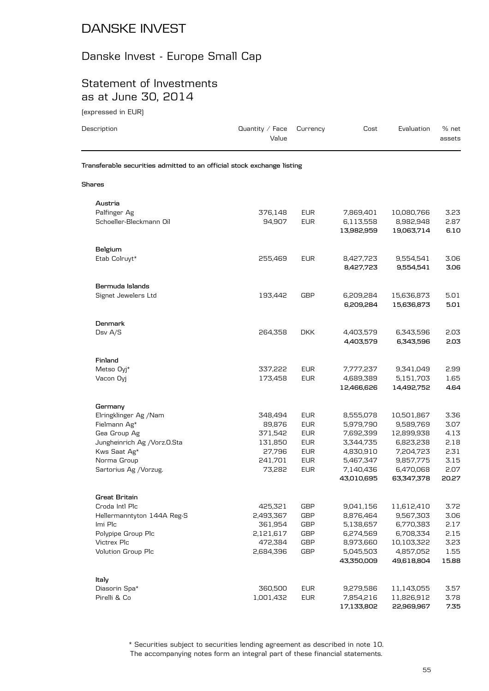#### Danske Invest - Europe Small Cap

#### Statement of Investments as at June 30, 2014

(expressed in EUR)

| Description                                                            | Quantity $\angle$ Face<br>Value | Currency                 | Cost                    | Evaluation               | % net<br>assets |
|------------------------------------------------------------------------|---------------------------------|--------------------------|-------------------------|--------------------------|-----------------|
| Transferable securities admitted to an official stock exchange listing |                                 |                          |                         |                          |                 |
| Shares                                                                 |                                 |                          |                         |                          |                 |
| Austria                                                                |                                 |                          |                         |                          |                 |
| Palfinger Ag                                                           | 376,148                         | <b>EUR</b>               | 7,869,401               | 10,080,766               | 3.23            |
| Schoeller-Bleckmann Oil                                                | 94,907                          | <b>EUR</b>               | 6,113,558<br>13,982,959 | 8,982,948<br>19,063,714  | 2.87<br>6.10    |
| Belgium                                                                |                                 |                          |                         |                          |                 |
| Etab Colruyt*                                                          | 255,469                         | <b>EUR</b>               | 8,427,723<br>8,427,723  | 9,554,541<br>9,554,541   | 3.06<br>3.06    |
| Bermuda Islands                                                        |                                 |                          |                         |                          |                 |
| Signet Jewelers Ltd                                                    | 193,442                         | GBP                      | 6,209,284<br>6,209,284  | 15,636,873<br>15,636,873 | 5.01<br>5.01    |
| <b>Denmark</b>                                                         |                                 |                          |                         |                          |                 |
| Dsv A/S                                                                | 264,358                         | <b>DKK</b>               | 4,403,579<br>4,403,579  | 6,343,596<br>6,343,596   | 2.03<br>2.03    |
| Finland                                                                |                                 |                          |                         |                          |                 |
| Metso Oyj*                                                             | 337,222                         | <b>EUR</b>               | 7,777,237               | 9,341,049                | 2.99            |
| Vacon Oyj                                                              | 173,458                         | <b>EUR</b>               | 4,689,389<br>12,466,626 | 5,151,703<br>14,492,752  | 1.65<br>4.64    |
|                                                                        |                                 |                          |                         |                          |                 |
| Germany                                                                |                                 |                          |                         |                          |                 |
| Elringklinger Ag /Nam                                                  | 348,494                         | <b>EUR</b>               | 8,555,078               | 10,501,867               | 3.36            |
| Fielmann Ag*                                                           | 89,876                          | <b>EUR</b>               | 5,979,790               | 9,589,769                | 3.07            |
| Gea Group Ag<br>Jungheinrich Ag / Vorz.O.Sta                           | 371,542<br>131,850              | <b>EUR</b><br><b>EUR</b> | 7,692,399<br>3,344,735  | 12,899,938<br>6,823,238  | 4.13<br>2.18    |
| Kws Saat Ag*                                                           | 27,796                          | <b>EUR</b>               | 4,830,910               | 7,204,723                | 2.31            |
| Norma Group                                                            | 241,701                         | <b>EUR</b>               | 5,467,347               | 9,857,775                | 3.15            |
| Sartorius Ag / Vorzug.                                                 | 73,282                          | <b>EUR</b>               | 7,140,436               | 6,470,068                | 2.07            |
|                                                                        |                                 |                          | 43,010,695              | 63,347,378               | 20.27           |
| Great Britain                                                          |                                 |                          |                         |                          |                 |
| Croda Intl Plc                                                         | 425,321                         | <b>GBP</b>               | 9,041,156               | 11,612,410               | 3.72            |
| Hellermanntyton 144A Reg-S                                             | 2,493,367                       | <b>GBP</b>               | 8,876,464               | 9,567,303                | 3.06            |
| Imi Plc                                                                | 361,954                         | <b>GBP</b>               | 5,138,657               | 6,770,383                | 2.17            |
| Polypipe Group Plc                                                     | 2,121,617                       | <b>GBP</b>               | 6,274,569               | 6,708,334                | 2.15            |
| Victrex Plc                                                            | 472,384                         | GBP                      | 8,973,660               | 10,103,322               | 3.23            |
| <b>Volution Group Plc</b>                                              | 2,684,396                       | <b>GBP</b>               | 5,045,503               | 4,857,052                | 1.55            |
|                                                                        |                                 |                          | 43,350,009              | 49,618,804               | 15.88           |
| Italy                                                                  |                                 |                          |                         |                          |                 |
| Diasorin Spa*                                                          | 360,500                         | <b>EUR</b>               | 9,279,586               | 11,143,055               | 3.57            |
| Pirelli & Co                                                           | 1,001,432                       | <b>EUR</b>               | 7,854,216               | 11,826,912               | 3.78            |
|                                                                        |                                 |                          | 17,133,802              | 22,969,967               | 7.35            |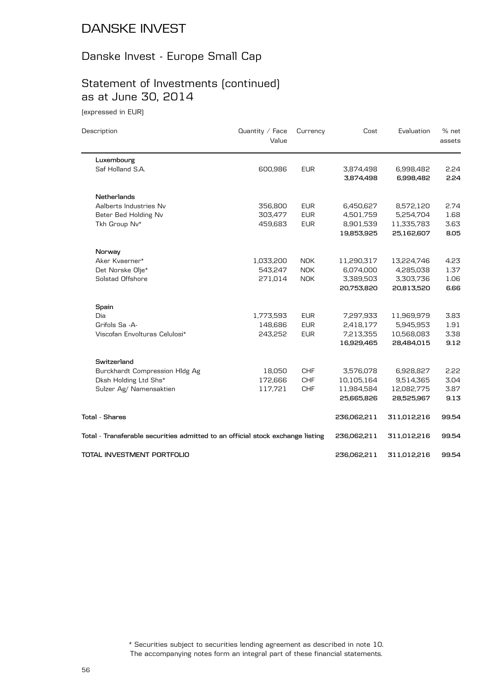#### Danske Invest - Europe Small Cap

## Statement of Investments (continued) as at June 30, 2014

(expressed in EUR)

| Description                                                                    | Quantity / Face<br>Value | Currency   | Cost        | Evaluation  | % net<br>assets |
|--------------------------------------------------------------------------------|--------------------------|------------|-------------|-------------|-----------------|
| Luxembourg                                                                     |                          |            |             |             |                 |
| Saf Holland S.A.                                                               | 600,986                  | <b>EUR</b> | 3,874,498   | 6,998,482   | 2.24            |
|                                                                                |                          |            | 3,874,498   | 6,998,482   | 2.24            |
| <b>Netherlands</b>                                                             |                          |            |             |             |                 |
| Aalberts Industries Nv                                                         | 356,800                  | <b>EUR</b> | 6,450,627   | 8,572,120   | 2.74            |
| Beter Bed Holding Nv                                                           | 303,477                  | <b>EUR</b> | 4,501,759   | 5,254,704   | 1.68            |
| Tkh Group Nv*                                                                  | 459,683                  | <b>EUR</b> | 8,901,539   | 11,335,783  | 3.63            |
|                                                                                |                          |            | 19,853,925  | 25,162,607  | 8.05            |
| Norway                                                                         |                          |            |             |             |                 |
| Aker Kvaerner*                                                                 | 1,033,200                | <b>NOK</b> | 11,290,317  | 13,224,746  | 4.23            |
| Det Norske Olje*                                                               | 543,247                  | <b>NOK</b> | 6,074,000   | 4,285,038   | 1.37            |
| Solstad Offshore                                                               | 271,014                  | <b>NOK</b> | 3,389,503   | 3,303,736   | 1.06            |
|                                                                                |                          |            | 20,753,820  | 20,813,520  | 6.66            |
| Spain                                                                          |                          |            |             |             |                 |
| Dia                                                                            | 1,773,593                | <b>EUR</b> | 7,297,933   | 11,969,979  | 3.83            |
| Grifols Sa -A-                                                                 | 148,686                  | <b>EUR</b> | 2,418,177   | 5,945,953   | 1.91            |
| Viscofan Envolturas Celulosi*                                                  | 243,252                  | <b>EUR</b> | 7,213,355   | 10,568,083  | 3.38            |
|                                                                                |                          |            | 16,929,465  | 28,484,015  | 9.12            |
| Switzerland                                                                    |                          |            |             |             |                 |
| Burckhardt Compression HIdg Ag                                                 | 18,050                   | <b>CHF</b> | 3,576,078   | 6,928,827   | 2.22            |
| Dksh Holding Ltd Shs*                                                          | 172,666                  | <b>CHF</b> | 10,105,164  | 9,514,365   | 3.04            |
| Sulzer Ag/ Namensaktien                                                        | 117,721                  | <b>CHF</b> | 11,984,584  | 12,082,775  | 3.87            |
|                                                                                |                          |            | 25,665,826  | 28,525,967  | 9.13            |
| <b>Total - Shares</b>                                                          |                          |            | 236,062,211 | 311,012,216 | 99.54           |
| Total - Transferable securities admitted to an official stock exchange listing |                          |            | 236,062,211 | 311,012,216 | 99.54           |
| TOTAL INVESTMENT PORTFOLIO                                                     |                          |            | 236,062,211 | 311,012,216 | 99.54           |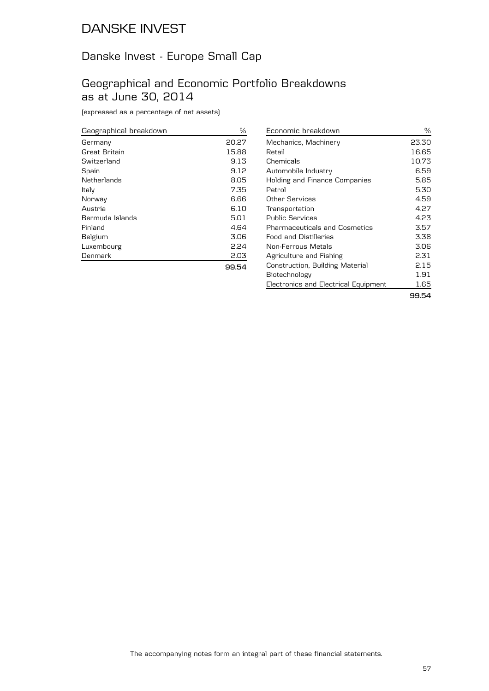## Danske Invest - Europe Small Cap

#### Geographical and Economic Portfolio Breakdowns as at June 30, 2014

(expressed as a percentage of net assets)

| Geographical breakdown | %     |
|------------------------|-------|
| Germany                | 20.27 |
| Great Britain          | 15.88 |
| Switzerland            | 9.13  |
| Spain                  | 9.12  |
| Netherlands            | 8.05  |
| Italy                  | 7.35  |
| Norway                 | 6.66  |
| Austria                | 6.10  |
| Bermuda Islands        | 5.01  |
| Finland                | 4.64  |
| Belgium                | 3.06  |
| Luxembourg             | 2.24  |
| Denmark                | 2.03  |
|                        |       |

| Economic breakdown                   | ℅     |
|--------------------------------------|-------|
| Mechanics, Machinery                 | 23.30 |
| Retail                               | 16.65 |
| Chemicals                            | 10.73 |
| Automobile Industry                  | 6.59  |
| Holding and Finance Companies        | 5.85  |
| Petrol                               | 5.30  |
| Other Services                       | 4.59  |
| Transportation                       | 4.27  |
| Public Services                      | 4.23  |
| Pharmaceuticals and Cosmetics        | 3.57  |
| <b>Food and Distilleries</b>         | 3.38  |
| Non-Ferrous Metals                   | 3.06  |
| Agriculture and Fishing              | 2.31  |
| Construction, Building Material      | 2.15  |
| Biotechnology                        | 1.91  |
| Electronics and Electrical Equipment | 1.65  |
|                                      | 99.54 |

**99.54**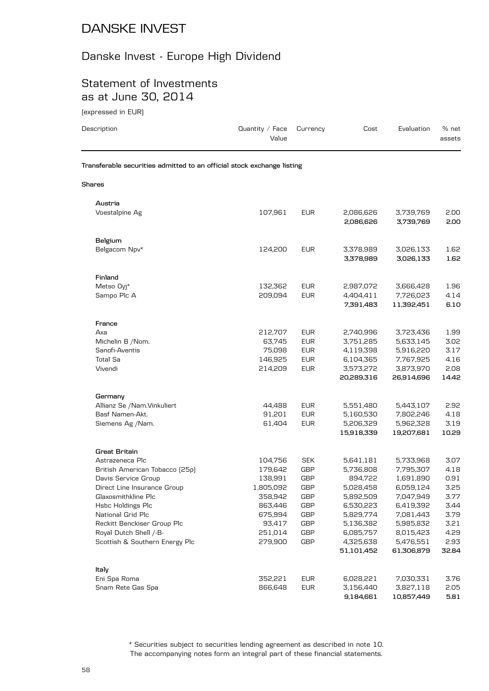#### Danske Invest - Europe High Dividend

#### Statement of Investments as at June 30, 2014

(expressed in EUR)

| Transferable securities admitted to an official stock exchange listing<br><b>Shares</b><br>Austria<br>Voestalpine Ag<br>107,961<br><b>EUR</b><br>3,739,769<br>2,086,626<br>2,086,626<br>3,739,769<br>Belgium<br>Belgacom Npv*<br>124,200<br><b>EUR</b><br>3,026,133<br>3,378,989<br>3,378,989<br>3,026,133<br>Finland<br>Metso Oyj*<br>132,362<br><b>EUR</b><br>2,987,072<br>3,666,428<br><b>EUR</b><br>Sampo Plc A<br>209,094<br>4,404,411<br>7,726,023<br>7,391,483<br>11,392,451<br>France<br>Axa<br>212,707<br><b>EUR</b><br>2,740,996<br>3,723,436<br><b>EUR</b><br>Michelin B / Nom.<br>63,745<br>3,751,285<br>5,633,145<br>Sanofi-Aventis<br>75,098<br><b>EUR</b><br>5,916,220<br>4,119,398<br><b>Total Sa</b><br>146,925<br><b>EUR</b><br>6,104,365<br>7,767,925<br><b>EUR</b><br>Vivendi<br>214,209<br>3,573,272<br>3,873,970<br>20,289,316<br>26,914,696<br>Germany<br>Allianz Se /Nam.Vinkuliert<br>44,488<br><b>EUR</b><br>5,551,480<br>5,443,107<br>Basf Namen-Akt.<br>91,201<br><b>EUR</b><br>5,160,530<br>7,802,246<br><b>EUR</b><br>Siemens Ag /Nam.<br>61,404<br>5,206,329<br>5,962,328<br>15,918,339<br>19,207,681<br>Great Britain<br>Astrazeneca Plc<br>104,756<br><b>SEK</b><br>5,641,181<br>5,733,968 | % net<br>assets |
|-----------------------------------------------------------------------------------------------------------------------------------------------------------------------------------------------------------------------------------------------------------------------------------------------------------------------------------------------------------------------------------------------------------------------------------------------------------------------------------------------------------------------------------------------------------------------------------------------------------------------------------------------------------------------------------------------------------------------------------------------------------------------------------------------------------------------------------------------------------------------------------------------------------------------------------------------------------------------------------------------------------------------------------------------------------------------------------------------------------------------------------------------------------------------------------------------------------------------------|-----------------|
|                                                                                                                                                                                                                                                                                                                                                                                                                                                                                                                                                                                                                                                                                                                                                                                                                                                                                                                                                                                                                                                                                                                                                                                                                             |                 |
|                                                                                                                                                                                                                                                                                                                                                                                                                                                                                                                                                                                                                                                                                                                                                                                                                                                                                                                                                                                                                                                                                                                                                                                                                             |                 |
|                                                                                                                                                                                                                                                                                                                                                                                                                                                                                                                                                                                                                                                                                                                                                                                                                                                                                                                                                                                                                                                                                                                                                                                                                             |                 |
|                                                                                                                                                                                                                                                                                                                                                                                                                                                                                                                                                                                                                                                                                                                                                                                                                                                                                                                                                                                                                                                                                                                                                                                                                             | 2.00            |
|                                                                                                                                                                                                                                                                                                                                                                                                                                                                                                                                                                                                                                                                                                                                                                                                                                                                                                                                                                                                                                                                                                                                                                                                                             | 2.00            |
|                                                                                                                                                                                                                                                                                                                                                                                                                                                                                                                                                                                                                                                                                                                                                                                                                                                                                                                                                                                                                                                                                                                                                                                                                             |                 |
|                                                                                                                                                                                                                                                                                                                                                                                                                                                                                                                                                                                                                                                                                                                                                                                                                                                                                                                                                                                                                                                                                                                                                                                                                             | 1.62            |
|                                                                                                                                                                                                                                                                                                                                                                                                                                                                                                                                                                                                                                                                                                                                                                                                                                                                                                                                                                                                                                                                                                                                                                                                                             | 1.62            |
|                                                                                                                                                                                                                                                                                                                                                                                                                                                                                                                                                                                                                                                                                                                                                                                                                                                                                                                                                                                                                                                                                                                                                                                                                             |                 |
|                                                                                                                                                                                                                                                                                                                                                                                                                                                                                                                                                                                                                                                                                                                                                                                                                                                                                                                                                                                                                                                                                                                                                                                                                             | 1.96            |
|                                                                                                                                                                                                                                                                                                                                                                                                                                                                                                                                                                                                                                                                                                                                                                                                                                                                                                                                                                                                                                                                                                                                                                                                                             | 4.14            |
|                                                                                                                                                                                                                                                                                                                                                                                                                                                                                                                                                                                                                                                                                                                                                                                                                                                                                                                                                                                                                                                                                                                                                                                                                             | 6.10            |
|                                                                                                                                                                                                                                                                                                                                                                                                                                                                                                                                                                                                                                                                                                                                                                                                                                                                                                                                                                                                                                                                                                                                                                                                                             |                 |
|                                                                                                                                                                                                                                                                                                                                                                                                                                                                                                                                                                                                                                                                                                                                                                                                                                                                                                                                                                                                                                                                                                                                                                                                                             | 1.99            |
|                                                                                                                                                                                                                                                                                                                                                                                                                                                                                                                                                                                                                                                                                                                                                                                                                                                                                                                                                                                                                                                                                                                                                                                                                             | 3.02            |
|                                                                                                                                                                                                                                                                                                                                                                                                                                                                                                                                                                                                                                                                                                                                                                                                                                                                                                                                                                                                                                                                                                                                                                                                                             | 3.17            |
|                                                                                                                                                                                                                                                                                                                                                                                                                                                                                                                                                                                                                                                                                                                                                                                                                                                                                                                                                                                                                                                                                                                                                                                                                             | 4.16            |
|                                                                                                                                                                                                                                                                                                                                                                                                                                                                                                                                                                                                                                                                                                                                                                                                                                                                                                                                                                                                                                                                                                                                                                                                                             | 2.08            |
|                                                                                                                                                                                                                                                                                                                                                                                                                                                                                                                                                                                                                                                                                                                                                                                                                                                                                                                                                                                                                                                                                                                                                                                                                             | 14.42           |
|                                                                                                                                                                                                                                                                                                                                                                                                                                                                                                                                                                                                                                                                                                                                                                                                                                                                                                                                                                                                                                                                                                                                                                                                                             |                 |
|                                                                                                                                                                                                                                                                                                                                                                                                                                                                                                                                                                                                                                                                                                                                                                                                                                                                                                                                                                                                                                                                                                                                                                                                                             | 2.92            |
|                                                                                                                                                                                                                                                                                                                                                                                                                                                                                                                                                                                                                                                                                                                                                                                                                                                                                                                                                                                                                                                                                                                                                                                                                             | 4.18            |
|                                                                                                                                                                                                                                                                                                                                                                                                                                                                                                                                                                                                                                                                                                                                                                                                                                                                                                                                                                                                                                                                                                                                                                                                                             | 3.19            |
|                                                                                                                                                                                                                                                                                                                                                                                                                                                                                                                                                                                                                                                                                                                                                                                                                                                                                                                                                                                                                                                                                                                                                                                                                             | 10.29           |
|                                                                                                                                                                                                                                                                                                                                                                                                                                                                                                                                                                                                                                                                                                                                                                                                                                                                                                                                                                                                                                                                                                                                                                                                                             |                 |
|                                                                                                                                                                                                                                                                                                                                                                                                                                                                                                                                                                                                                                                                                                                                                                                                                                                                                                                                                                                                                                                                                                                                                                                                                             | 3.07            |
| 179,642<br><b>GBP</b><br>5,736,808<br>7,795,307<br>British American Tobacco (25p)                                                                                                                                                                                                                                                                                                                                                                                                                                                                                                                                                                                                                                                                                                                                                                                                                                                                                                                                                                                                                                                                                                                                           | 4.18            |
| 138,991<br>GBP<br>1,691,890<br>Davis Service Group<br>894,722                                                                                                                                                                                                                                                                                                                                                                                                                                                                                                                                                                                                                                                                                                                                                                                                                                                                                                                                                                                                                                                                                                                                                               | 0.91            |
| Direct Line Insurance Group<br>1,805,092<br><b>GBP</b><br>6,059,124<br>5,028,458                                                                                                                                                                                                                                                                                                                                                                                                                                                                                                                                                                                                                                                                                                                                                                                                                                                                                                                                                                                                                                                                                                                                            | 3.25            |
| <b>GBP</b><br>7,047,949<br>Glaxosmithkline Plc<br>358,942<br>5,892,509                                                                                                                                                                                                                                                                                                                                                                                                                                                                                                                                                                                                                                                                                                                                                                                                                                                                                                                                                                                                                                                                                                                                                      | 3.77            |
| Hsbc Holdings Plc<br>863,446<br>GBP<br>6,419,392<br>6,530,223                                                                                                                                                                                                                                                                                                                                                                                                                                                                                                                                                                                                                                                                                                                                                                                                                                                                                                                                                                                                                                                                                                                                                               | 3.44            |
| National Grid Plc<br><b>GBP</b><br>5,829,774<br>7,081,443<br>675,994                                                                                                                                                                                                                                                                                                                                                                                                                                                                                                                                                                                                                                                                                                                                                                                                                                                                                                                                                                                                                                                                                                                                                        | 3.79            |
| Reckitt Benckiser Group Plc<br>93,417<br><b>GBP</b><br>5,136,382<br>5,985,832                                                                                                                                                                                                                                                                                                                                                                                                                                                                                                                                                                                                                                                                                                                                                                                                                                                                                                                                                                                                                                                                                                                                               | 3.21            |
| Royal Dutch Shell /-B-<br>GBP<br>251,014<br>6,085,757<br>8,015,423<br>279,900                                                                                                                                                                                                                                                                                                                                                                                                                                                                                                                                                                                                                                                                                                                                                                                                                                                                                                                                                                                                                                                                                                                                               | 4.29            |
| Scottish & Southern Energy Plc<br><b>GBP</b><br>5,476,551<br>4,325,638<br>51,101,452<br>61,306,879                                                                                                                                                                                                                                                                                                                                                                                                                                                                                                                                                                                                                                                                                                                                                                                                                                                                                                                                                                                                                                                                                                                          | 2.93<br>32.84   |
|                                                                                                                                                                                                                                                                                                                                                                                                                                                                                                                                                                                                                                                                                                                                                                                                                                                                                                                                                                                                                                                                                                                                                                                                                             |                 |
| Italy<br>352,221                                                                                                                                                                                                                                                                                                                                                                                                                                                                                                                                                                                                                                                                                                                                                                                                                                                                                                                                                                                                                                                                                                                                                                                                            |                 |
| <b>EUR</b><br>Eni Spa Roma<br>6,028,221<br>7,030,331<br><b>EUR</b><br>Snam Rete Gas Spa<br>866,648<br>3,156,440<br>3,827,118                                                                                                                                                                                                                                                                                                                                                                                                                                                                                                                                                                                                                                                                                                                                                                                                                                                                                                                                                                                                                                                                                                | 3.76<br>2.05    |

The accompanying notes form an integral part of these financial statements. \* Securities subject to securities lending agreement as described in note 10.

**9,184,661 10,857,449 5.81**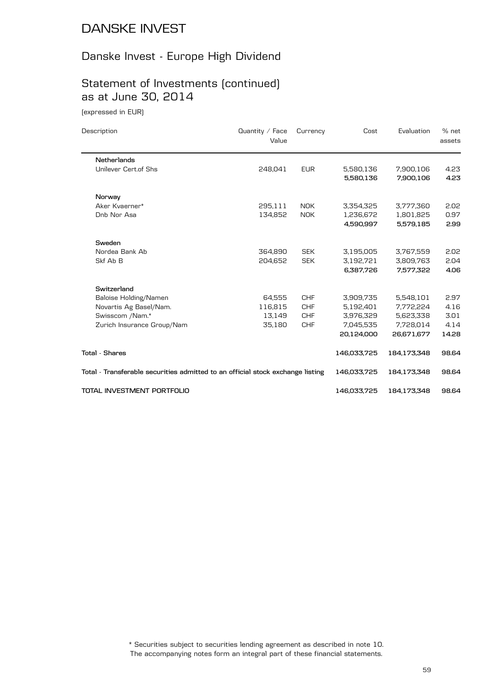# Danske Invest - Europe High Dividend

# Statement of Investments (continued) as at June 30, 2014

(expressed in EUR)

| Description                                                                    | Quantity / Face<br>Value | Currency   | Cost        | Evaluation  | % net<br>assets |
|--------------------------------------------------------------------------------|--------------------------|------------|-------------|-------------|-----------------|
| Netherlands                                                                    |                          |            |             |             |                 |
| Unilever Cert.of Shs                                                           | 248,041                  | <b>EUR</b> | 5,580,136   | 7,900,106   | 4.23            |
|                                                                                |                          |            | 5,580,136   | 7,900,106   | 4.23            |
| Norway                                                                         |                          |            |             |             |                 |
| Aker Kvaerner*                                                                 | 295,111                  | <b>NOK</b> | 3,354,325   | 3,777,360   | 2.02            |
| Dnb Nor Asa                                                                    | 134,852                  | <b>NOK</b> | 1,236,672   | 1,801,825   | 0.97            |
|                                                                                |                          |            | 4,590,997   | 5,579,185   | 2.99            |
| Sweden                                                                         |                          |            |             |             |                 |
| Nordea Bank Ab                                                                 | 364,890                  | <b>SEK</b> | 3,195,005   | 3,767,559   | 2.02            |
| Skf Ab B                                                                       | 204.652                  | <b>SEK</b> | 3,192,721   | 3,809,763   | 2.04            |
|                                                                                |                          |            | 6,387,726   | 7,577,322   | 4.06            |
| Switzerland                                                                    |                          |            |             |             |                 |
| Baloise Holding/Namen                                                          | 64,555                   | <b>CHF</b> | 3,909,735   | 5,548,101   | 2.97            |
| Novartis Ag Basel/Nam.                                                         | 116,815                  | <b>CHF</b> | 5,192,401   | 7,772,224   | 4.16            |
| Swisscom /Nam.*                                                                | 13,149                   | <b>CHF</b> | 3,976,329   | 5,623,338   | 3.01            |
| Zurich Insurance Group/Nam                                                     | 35,180                   | <b>CHF</b> | 7,045,535   | 7,728,014   | 4.14            |
|                                                                                |                          |            | 20,124,000  | 26,671,677  | 14.28           |
| <b>Total - Shares</b>                                                          |                          |            | 146,033,725 | 184,173,348 | 98.64           |
| Total - Transferable securities admitted to an official stock exchange listing |                          |            | 146,033,725 | 184,173,348 | 98.64           |
| TOTAL INVESTMENT PORTFOLIO                                                     |                          |            | 146,033,725 | 184,173,348 | 98.64           |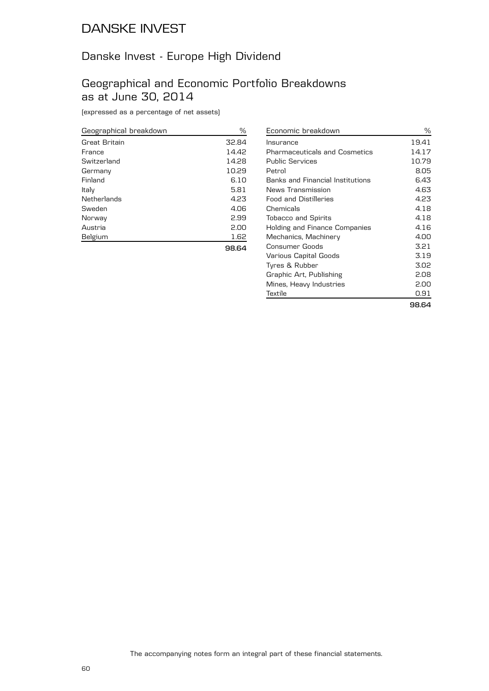#### Danske Invest - Europe High Dividend

#### Geographical and Economic Portfolio Breakdowns as at June 30, 2014

(expressed as a percentage of net assets)

| Geographical breakdown | ℅     |
|------------------------|-------|
| Great Britain          | 32.84 |
| France                 | 14.42 |
| Switzerland            | 14.28 |
| Germany                | 10.29 |
| Finland                | 6.10  |
| Italy                  | 5.81  |
| Netherlands            | 4.23  |
| Sweden                 | 4.06  |
| Norway                 | 2.99  |
| Austria                | 2.00  |
| Belgium                | 1.62  |
|                        | 98.64 |

| Economic breakdown               | ℅     |
|----------------------------------|-------|
| Insurance                        | 19.41 |
| Pharmaceuticals and Cosmetics    | 14.17 |
| Public Services                  | 10.79 |
| Petrol                           | 8.05  |
| Banks and Financial Institutions | 6.43  |
| News Transmission                | 4.63  |
| <b>Food and Distilleries</b>     | 4.23  |
| Chemicals                        | 4.18  |
| <b>Tobacco and Spirits</b>       | 4.18  |
| Holding and Finance Companies    | 4.16  |
| Mechanics, Machinery             | 4.00  |
| Consumer Goods                   | 3.21  |
| Various Capital Goods            | 3.19  |
| Tyres & Rubber                   | 3.02  |
| Graphic Art, Publishing          | 2.08  |
| Mines, Heavy Industries          | 2.00  |
| Textile                          | 0.91  |
|                                  | 98.64 |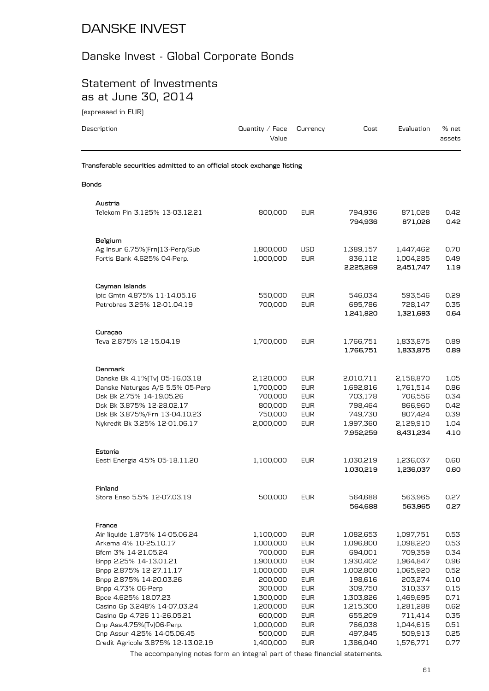# Danske Invest - Global Corporate Bonds

#### Statement of Investments as at June 30, 2014

(expressed in EUR)

| Description                                                            | Quantity / Face<br>Value | Currency                 | Cost                   | Evaluation             | % net<br>assets |
|------------------------------------------------------------------------|--------------------------|--------------------------|------------------------|------------------------|-----------------|
| Transferable securities admitted to an official stock exchange listing |                          |                          |                        |                        |                 |
| <b>Bonds</b>                                                           |                          |                          |                        |                        |                 |
| Austria                                                                |                          |                          |                        |                        |                 |
| Telekom Fin 3.125% 13-03.12.21                                         | 800,000                  | <b>EUR</b>               | 794,936<br>794,936     | 871,028<br>871,028     | 0.42<br>0.42    |
| Belgium                                                                |                          |                          |                        |                        |                 |
| Ag Insur 6.75% [Frn] 13-Perp/Sub                                       | 1,800,000                | USD                      | 1,389,157              | 1,447,462              | 0.70            |
| Fortis Bank 4.625% 04-Perp.                                            | 1,000,000                | <b>EUR</b>               | 836,112<br>2,225,269   | 1,004,285<br>2,451,747 | 0.49<br>1.19    |
|                                                                        |                          |                          |                        |                        |                 |
| Cayman Islands                                                         |                          |                          |                        |                        |                 |
| lpic Gmtn 4.875% 11-14.05.16<br>Petrobras 3.25% 12-01.04.19            | 550,000<br>700,000       | <b>EUR</b><br><b>EUR</b> | 546,034                | 593,546                | 0.29<br>0.35    |
|                                                                        |                          |                          | 695,786<br>1,241,820   | 728,147<br>1,321,693   | 0.64            |
| Curaçao                                                                |                          |                          |                        |                        |                 |
| Teva 2.875% 12-15.04.19                                                | 1,700,000                | <b>EUR</b>               | 1,766,751              | 1,833,875              | 0.89            |
|                                                                        |                          |                          | 1,766,751              | 1,833,875              | 0.89            |
| <b>Denmark</b>                                                         |                          |                          |                        |                        |                 |
| Danske Bk 4.1%(Tv) 05-16.03.18                                         | 2,120,000                | <b>EUR</b>               | 2,010,711              | 2,158,870              | 1.05            |
| Danske Naturgas A/S 5.5% 05-Perp                                       | 1,700,000                | <b>EUR</b>               | 1,692,816              | 1,761,514              | 0.86            |
| Dsk Bk 2.75% 14-19.05.26                                               | 700,000                  | <b>EUR</b>               | 703,178                | 706,556                | 0.34            |
| Dsk Bk 3.875% 12-28.02.17                                              | 800,000                  | <b>EUR</b>               | 798,464                | 866,960                | 0.42            |
| Dsk Bk 3.875%/Frn 13-04.10.23                                          | 750,000                  | <b>EUR</b>               | 749,730                | 807,424                | 0.39            |
| Nykredit Bk 3.25% 12-01.06.17                                          | 2,000,000                | <b>EUR</b>               | 1,997,360              | 2,129,910              | 1.04            |
|                                                                        |                          |                          | 7,952,259              | 8,431,234              | 4.10            |
| Estonia                                                                |                          |                          |                        |                        |                 |
| Eesti Energia 4.5% 05-18.11.20                                         | 1,100,000                | <b>EUR</b>               | 1,030,219              | 1,236,037              | 0.60            |
|                                                                        |                          |                          | 1,030,219              | 1,236,037              | 0.60            |
| Finland                                                                |                          |                          |                        |                        |                 |
| Stora Enso 5.5% 12-07.03.19                                            | 500,000                  | <b>EUR</b>               | 564,688                | 563,965                | 0.27            |
|                                                                        |                          |                          | 564,688                | 563,965                | 0.27            |
| France                                                                 |                          |                          |                        |                        |                 |
| Air liquide 1.875% 14-05.06.24                                         | 1,100,000                | <b>EUR</b>               | 1,082,653              | 1,097,751              | 0.53            |
| Arkema 4% 10-25.10.17                                                  | 1,000,000                | <b>EUR</b>               | 1,096,800              | 1,098,220              | 0.53            |
| Bfcm 3% 14-21.05.24                                                    | 700,000                  | <b>EUR</b>               | 694,001                | 709,359                | 0.34            |
| Bnpp 2.25% 14-13.01.21                                                 | 1,900,000                | <b>EUR</b>               | 1,930,402              | 1,964,847              | 0.96            |
| Bnpp 2.875% 12-27.11.17                                                | 1,000,000                | <b>EUR</b>               | 1,002,800              | 1,065,920              | 0.52            |
| Bnpp 2.875% 14-20.03.26                                                | 200,000                  | <b>EUR</b>               | 198,616                | 203,274                | 0.10            |
| Bnpp 4.73% 06-Perp                                                     | 300,000<br>1,300,000     | <b>EUR</b><br><b>EUR</b> | 309,750                | 310,337                | 0.15            |
| Bpce 4.625% 18.07.23<br>Casino Gp 3.248% 14-07.03.24                   | 1,200,000                | <b>EUR</b>               | 1,303,826<br>1,215,300 | 1,469,695<br>1,281,288 | 0.71<br>0.62    |
| Casino Gp 4.726 11-26.05.21                                            | 600,000                  | <b>EUR</b>               | 655,209                | 711,414                | 0.35            |
| Cnp Ass.4.75%(Tv)06-Perp.                                              | 1,000,000                | <b>EUR</b>               | 766,038                | 1,044,615              | 0.51            |
| Cnp Assur 4.25% 14-05.06.45                                            | 500,000                  | <b>EUR</b>               | 497,845                | 509,913                | 0.25            |
| Credit Agricole 3.875% 12-13.02.19                                     | 1,400,000                | <b>EUR</b>               | 1,386,040              | 1,576,771              | 0.77            |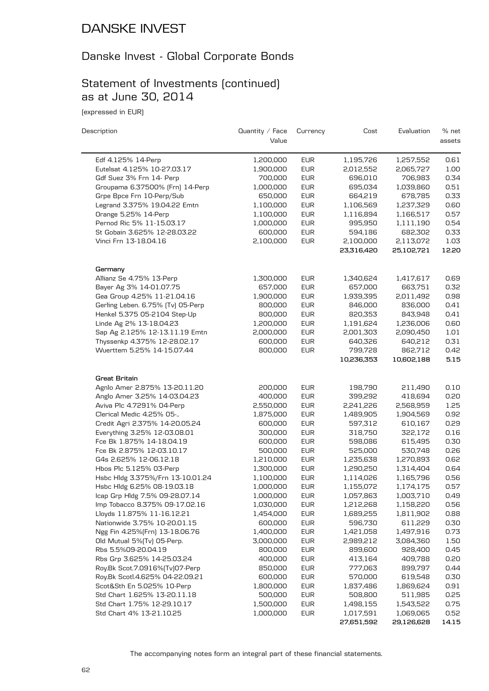## Danske Invest - Global Corporate Bonds

## Statement of Investments (continued) as at June 30, 2014

(expressed in EUR)

| Description                       | Quantity / Face<br>Value | Currency   | Cost       | Evaluation | % net<br>assets |
|-----------------------------------|--------------------------|------------|------------|------------|-----------------|
| Edf 4.125% 14-Perp                | 1,200,000                | <b>EUR</b> | 1,195,726  | 1,257,552  | 0.61            |
| Eutelsat 4.125% 10-27.03.17       | 1,900,000                | <b>EUR</b> | 2,012,552  | 2,065,727  | 1.00            |
| Gdf Suez 3% Frn 14- Perp          | 700,000                  | <b>EUR</b> | 696,010    | 706,983    | 0.34            |
| Groupama 6.37500% [Frn] 14-Perp   | 1,000,000                | <b>EUR</b> | 695,034    | 1,039,860  | 0.51            |
| Grpe Bpce Frn 10-Perp/Sub         | 650,000                  | <b>EUR</b> | 664,219    | 678,785    | 0.33            |
| Legrand 3.375% 19.04.22 Emtn      | 1,100,000                | <b>EUR</b> | 1,106,569  | 1,237,329  | 0.60            |
| Orange 5.25% 14-Perp              | 1,100,000                | <b>EUR</b> | 1,116,894  | 1,166,517  | 0.57            |
| Pernod Ric 5% 11-15.03.17         | 1,000,000                | <b>EUR</b> | 995,950    | 1,111,190  | 0.54            |
| St Gobain 3.625% 12-28.03.22      | 600,000                  | <b>EUR</b> | 594,186    | 682,302    | 0.33            |
| Vinci Frn 13-18.04.16             | 2,100,000                | <b>EUR</b> | 2,100,000  | 2,113,072  | 1.03            |
|                                   |                          |            | 23,316,420 | 25,102,721 | 12.20           |
| Germany                           |                          |            |            |            |                 |
| Allianz Se 4.75% 13-Perp          | 1,300,000                | <b>EUR</b> | 1,340,624  | 1,417,617  | 0.69            |
| Bayer Ag 3% 14-01.07.75           | 657,000                  | <b>EUR</b> | 657,000    | 663,751    | 0.32            |
| Gea Group 4.25% 11-21.04.16       | 1,900,000                | <b>EUR</b> | 1,939,395  | 2,011,492  | 0.98            |
| Gerling Leben. 6.75% (Tv) 05-Perp | 800,000                  | <b>EUR</b> | 846,000    | 836,000    | 0.41            |
| Henkel 5.375 05-2104 Step-Up      | 800,000                  | <b>EUR</b> | 820,353    | 843,948    | 0.41            |
| Linde Ag 2% 13-18.04.23           | 1,200,000                | <b>EUR</b> | 1,191,624  | 1,236,006  | 0.60            |
| Sap Ag 2.125% 12-13.11.19 Emtn    | 2,000,000                | <b>EUR</b> | 2,001,303  | 2,090,450  | 1.01            |
| Thyssenkp 4.375% 12-28.02.17      | 600,000                  | <b>EUR</b> | 640,326    | 640,212    | 0.31            |
| Wuerttem 5.25% 14-15.07.44        | 800,000                  | <b>EUR</b> | 799,728    | 862,712    | 0.42            |
|                                   |                          |            | 10,236,353 | 10,602,188 | 5.15            |
| Great Britain                     |                          |            |            |            |                 |
| Agnlo Amer 2.875% 13-20.11.20     | 200,000                  | <b>EUR</b> | 198,790    | 211,490    | 0.10            |
| Anglo Amer 3.25% 14-03.04.23      | 400,000                  | <b>EUR</b> | 399,292    | 418,694    | 0.20            |
| Aviva Plc 4.7291% 04-Perp         | 2,550,000                | <b>EUR</b> | 2,241,226  | 2,568,959  | 1.25            |
| Clerical Medic 4.25% 05-          | 1,875,000                | <b>EUR</b> | 1,489,905  | 1,904,569  | 0.92            |
| Credit Agri 2.375% 14-20.05.24    | 600,000                  | <b>EUR</b> | 597,312    | 610,167    | 0.29            |
| Everything 3.25% 12-03.08.01      | 300,000                  | <b>EUR</b> | 318,750    | 322,172    | 0.16            |
| Fce Bk 1.875% 14-18.04.19         | 600,000                  | <b>EUR</b> | 598,086    | 615,495    | 0.30            |
| Fce Bk 2.875% 12-03.10.17         | 500,000                  | <b>EUR</b> | 525,000    | 530,748    | 0.26            |
| G4s 2.625% 12-06.12.18            | 1,210,000                | <b>EUR</b> | 1,235,638  | 1,270,893  | 0.62            |
| Hbos Plc 5.125% 03-Perp           | 1,300,000                | <b>EUR</b> | 1,290,250  | 1,314,404  | 0.64            |
| Hsbc Hldg 3.375%/Frn 13-10.01.24  | 1,100,000                | <b>EUR</b> | 1,114,026  | 1,165,796  | 0.56            |
| Hsbc Hldg 6.25% 08-19.03.18       | 1,000,000                | <b>EUR</b> | 1,155,072  | 1,174,175  | 0.57            |
| Icap Grp Hldg 7.5% 09-28.07.14    | 1,000,000                | <b>EUR</b> | 1,057,863  | 1,003,710  | 0.49            |
| Imp Tobacco 8.375% 09-17.02.16    | 1,030,000                | <b>EUR</b> | 1,212,268  | 1,158,220  | 0.56            |
| Lloyds 11.875% 11-16.12.21        | 1,454,000                | <b>EUR</b> | 1,689,255  | 1,811,902  | 0.88            |
| Nationwide 3.75% 10-20.01.15      | 600,000                  | <b>EUR</b> | 596,730    | 611,229    | 0.30            |
| Ngg Fin 4.25% [Frn] 13-18.06.76   | 1,400,000                | <b>EUR</b> | 1,421,058  | 1,497,916  | 0.73            |
| Old Mutual 5%(Tv) 05-Perp.        | 3,000,000                | <b>EUR</b> | 2,989,212  | 3,084,360  | 1.50            |
| Rbs 5.5%09-20.04.19               | 800,000                  | <b>EUR</b> | 899,600    | 928,400    | 0.45            |
| Rbs Grp 3.625% 14-25.03.24        | 400,000                  | <b>EUR</b> | 413,164    | 409,788    | 0.20            |
| Roy.Bk Scot.7.0916%(Tv)07-Perp    | 850,000                  | <b>EUR</b> | 777,063    | 899,797    | 0.44            |
| Roy.Bk Scotl.4.625% 04-22.09.21   | 600,000                  | <b>EUR</b> | 570,000    | 619,548    | 0.30            |
| Scot&Sth En 5.025% 10-Perp        | 1,800,000                | <b>EUR</b> | 1,837,486  | 1,869,624  | 0.91            |
| Std Chart 1.625% 13-20.11.18      | 500,000                  | <b>EUR</b> | 508,800    | 511,985    | 0.25            |
| Std Chart 1.75% 12-29.10.17       | 1,500,000                | <b>EUR</b> | 1,498,155  | 1,543,522  | 0.75            |
| Std Chart 4% 13-21.10.25          | 1,000,000                | <b>EUR</b> | 1,017,591  | 1,069,065  | 0.52            |
|                                   |                          |            | 27,651,592 | 29,126,628 | 14.15           |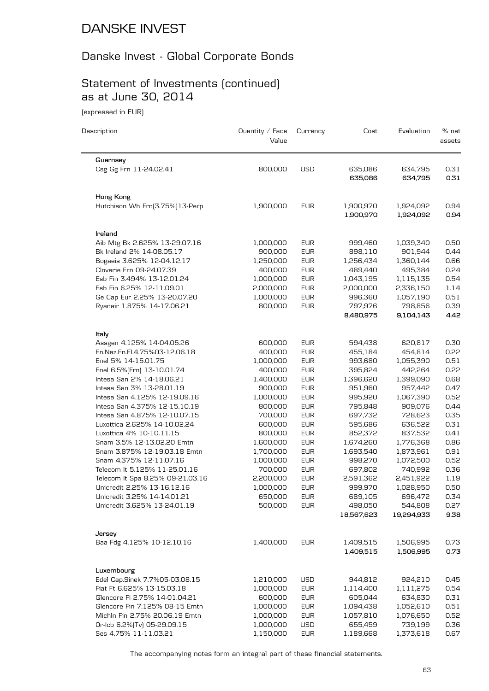# Danske Invest - Global Corporate Bonds

## Statement of Investments (continued) as at June 30, 2014

(expressed in EUR)

| Description                                                     | Quantity $\angle$ Face<br>Value | Currency                 | Cost                   | Evaluation             | % net<br>assets |
|-----------------------------------------------------------------|---------------------------------|--------------------------|------------------------|------------------------|-----------------|
| Guernsey                                                        |                                 |                          |                        |                        |                 |
| Csg Gg Frn 11-24.02.41                                          | 800,000                         | <b>USD</b>               | 635,086<br>635,086     | 634,795<br>634,795     | 0.31<br>0.31    |
| Hong Kong                                                       |                                 |                          |                        |                        |                 |
| Hutchison Wh Frn(3.75%)13-Perp                                  | 1,900,000                       | <b>EUR</b>               | 1,900,970<br>1,900,970 | 1,924,092<br>1,924,092 | 0.94<br>0.94    |
| Ireland                                                         |                                 |                          |                        |                        |                 |
| Aib Mtg Bk 2.625% 13-29.07.16                                   | 1,000,000                       | <b>EUR</b>               | 999,460                | 1,039,340              | 0.50            |
| Bk Ireland 2% 14-08.05.17                                       | 900,000                         | <b>EUR</b>               | 898,110                | 901,944                | 0.44            |
| Bogaeis 3.625% 12-04.12.17                                      | 1,250,000                       | <b>EUR</b>               | 1,256,434              | 1,360,144              | 0.66            |
| Cloverie Frn 09-24.07.39                                        | 400,000                         | <b>EUR</b>               | 489,440                | 495,384                | 0.24            |
| Esb Fin 3.494% 13-12.01.24                                      | 1,000,000                       | <b>EUR</b>               | 1,043,195              | 1,115,135              | 0.54            |
| Esb Fin 6.25% 12-11.09.01                                       | 2,000,000                       | <b>EUR</b>               | 2,000,000              | 2,336,150              | 1.14            |
| Ge Cap Eur 2.25% 13-20.07.20                                    | 1,000,000                       | <b>EUR</b>               | 996,360                | 1,057,190              | 0.51            |
| Ryanair 1.875% 14-17.06.21                                      | 800,000                         | <b>EUR</b>               | 797,976<br>8,480,975   | 798,856<br>9,104,143   | 0.39<br>4.42    |
| Italy                                                           |                                 |                          |                        |                        |                 |
| Assgen 4.125% 14-04.05.26                                       | 600,000                         | <b>EUR</b>               | 594,438                | 620,817                | 0.30            |
| En.Naz.En.El.4.75%03-12.06.18                                   | 400,000                         | <b>EUR</b>               | 455,184                | 454,814                | 0.22            |
| Enel 5% 14-15.01.75                                             | 1,000,000                       | <b>EUR</b>               | 993,680                | 1,055,390              | 0.51            |
| Enel 6.5% [Frn] 13-10.01.74                                     | 400,000                         | <b>EUR</b>               | 395,824                | 442,264                | 0.22            |
| Intesa San 2% 14-18.06.21                                       | 1,400,000                       | <b>EUR</b>               | 1,396,620              | 1,399,090              | 0.68            |
| Intesa San 3% 13-28.01.19                                       | 900,000                         | <b>EUR</b>               | 951,960                | 957,442                | 0.47            |
| Intesa San 4.125% 12-19.09.16                                   | 1,000,000                       | <b>EUR</b>               | 995,920                | 1,067,390              | 0.52            |
| Intesa San 4.375% 12-15.10.19                                   | 800,000                         | <b>EUR</b>               | 795,848                | 909,076                | 0.44            |
| Intesa San 4.875% 12-10.07.15                                   | 700,000                         | <b>EUR</b>               | 697,732                | 728,623                | 0.35            |
| Luxottica 2.625% 14-10.02.24                                    | 600,000                         | <b>EUR</b>               | 595,686                | 636,522                | 0.31            |
| Luxottica 4% 10-10.11.15                                        | 800,000                         | <b>EUR</b>               | 852,372                | 837,532                | 0.41            |
| Snam 3.5% 12-13.02.20 Emtn<br>Snam 3.875% 12-19.03.18 Emtn      | 1,600,000<br>1,700,000          | <b>EUR</b><br><b>EUR</b> | 1,674,260<br>1,693,540 | 1,776,368<br>1,873,961 | 0.86<br>0.91    |
| Snam 4.375% 12-11.07.16                                         | 1,000,000                       | <b>EUR</b>               | 998,270                | 1,072,500              | 0.52            |
| Telecom It 5.125% 11-25.01.16                                   | 700,000                         | <b>EUR</b>               | 697,802                | 740,992                | 0.36            |
| Telecom It Spa 8.25% 09-21.03.16                                | 2,200,000                       | <b>EUR</b>               | 2,591,362              | 2,451,922              | 1.19            |
| Unicredit 2.25% 13-16.12.16                                     | 1,000,000                       | <b>EUR</b>               | 999,970                | 1,028,950              | 0.50            |
| Unicredit 3.25% 14-14.01.21                                     | 650,000                         | <b>EUR</b>               | 689,105                | 696,472                | 0.34            |
| Unicredit 3.625% 13-24.01.19                                    | 500,000                         | <b>EUR</b>               | 498,050                | 544,808                | 0.27            |
|                                                                 |                                 |                          | 18,567,623             | 19,294,933             | 9.38            |
| Jersey                                                          |                                 |                          |                        |                        |                 |
| Baa Fdg 4.125% 10-12.10.16                                      | 1,400,000                       | <b>EUR</b>               | 1,409,515              | 1,506,995              | 0.73            |
|                                                                 |                                 |                          | 1,409,515              | 1,506,995              | 0.73            |
| Luxembourg                                                      |                                 |                          |                        |                        |                 |
| Edel Cap.Sinek 7.7%05-03.08.15                                  | 1,210,000                       | <b>USD</b>               | 944,812                | 924,210                | 0.45            |
| Fiat Ft 6.625% 13-15.03.18                                      | 1,000,000                       | <b>EUR</b>               | 1,114,400              | 1,111,275              | 0.54            |
| Glencore Fi 2.75% 14-01.04.21<br>Glencore Fin 7.125% 08-15 Emtn | 600,000                         | <b>EUR</b>               | 605,044                | 634,830                | 0.31            |
| Michln Fin 2.75% 20.06.19 Emtn                                  | 1,000,000<br>1,000,000          | <b>EUR</b><br><b>EUR</b> | 1,094,438<br>1,057,810 | 1,052,610<br>1,076,650 | 0.51<br>0.52    |
| Or-Icb 6.2%(Tv) 05-29.09.15                                     | 1,000,000                       | USD                      | 655,459                | 739,199                | 0.36            |
| Ses 4.75% 11-11.03.21                                           | 1,150,000                       | <b>EUR</b>               | 1,189,668              | 1,373,618              | 0.67            |
|                                                                 |                                 |                          |                        |                        |                 |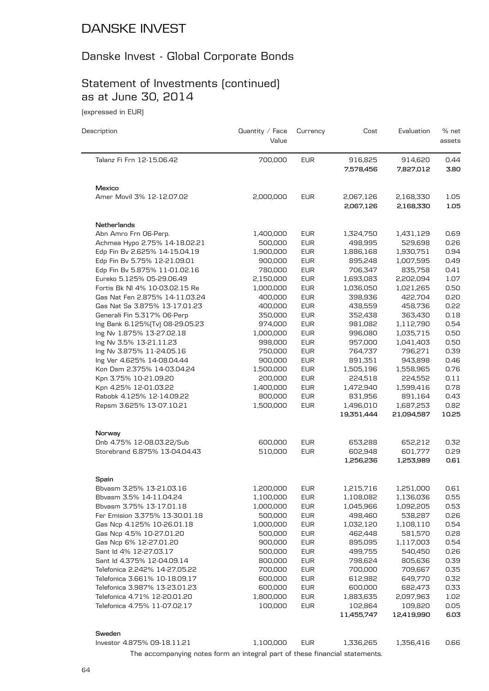#### Danske Invest - Global Corporate Bonds

# Statement of Investments (continued) as at June 30, 2014

(expressed in EUR)

| Description                     | Quantity / Face<br>Value | Currency   | Cost                    | Evaluation              | % net<br>assets |
|---------------------------------|--------------------------|------------|-------------------------|-------------------------|-----------------|
| Talanz Fi Frn 12-15.06.42       | 700,000                  | <b>EUR</b> | 916,825<br>7,578,456    | 914,620<br>7,827,012    | 0.44<br>3.80    |
| Mexico                          |                          |            |                         |                         |                 |
| Amer Movil 3% 12-12.07.02       | 2,000,000                | <b>EUR</b> | 2,067,126<br>2,067,126  | 2,168,330<br>2,168,330  | 1.05<br>1.05    |
| Netherlands                     |                          |            |                         |                         |                 |
| Abn Amro Frn 06-Perp.           | 1,400,000                | <b>EUR</b> | 1,324,750               | 1,431,129               | 0.69            |
| Achmea Hypo 2.75% 14-18.02.21   | 500,000                  | <b>EUR</b> | 498,995                 | 529,698                 | 0.26            |
| Edp Fin Bv 2.625% 14-15.04.19   | 1,900,000                | <b>EUR</b> | 1,886,168               | 1,930,751               | 0.94            |
| Edp Fin Bv 5.75% 12-21.09.01    | 900,000                  | <b>EUR</b> | 895,248                 | 1,007,595               | 0.49            |
| Edp Fin Bv 5.875% 11-01.02.16   | 780,000                  | <b>EUR</b> | 706,347                 | 835,758                 | 0.41            |
| Eureko 5.125% 05-29.06.49       | 2,150,000                | <b>EUR</b> | 1,693,083               | 2,202,094               | 1.07            |
| Fortis Bk NI 4% 10-03.02.15 Re  | 1,000,000                | <b>EUR</b> | 1,036,050               | 1,021,265               | 0.50            |
| Gas Nat Fen 2.875% 14-11.03.24  | 400,000                  | <b>EUR</b> | 398,936                 | 422,704                 | 0.20            |
| Gas Nat Sa 3.875% 13-17.01.23   | 400,000                  | <b>EUR</b> | 438,559                 | 458,736                 | 0.22            |
| Generali Fin 5.317% 06-Perp     | 350,000                  | <b>EUR</b> | 352,438                 | 363,430                 | 0.18            |
| Ing Bank 6.125%(Tv) 08-29.05.23 | 974,000                  | <b>EUR</b> | 981,082                 | 1,112,790               | 0.54            |
| Ing Nv 1.875% 13-27.02.18       | 1,000,000                | <b>EUR</b> | 996,080                 | 1,035,715               | 0.50            |
| Ing Nv 3.5% 13-21.11.23         | 998,000                  | <b>EUR</b> | 957,000                 | 1,041,403               | 0.50            |
| Ing Nv 3.875% 11-24.05.16       | 750,000                  | <b>EUR</b> | 764,737                 | 796,271                 | 0.39            |
| Ing Ver 4.625% 14-08.04.44      | 900,000                  | <b>EUR</b> | 891,351                 | 943,898                 | 0.46            |
| Kon Dsm 2.375% 14-03.04.24      | 1,500,000                | <b>EUR</b> | 1,505,196               | 1,558,965               | 0.76            |
| Kpn 3.75% 10-21.09.20           | 200,000                  | <b>EUR</b> | 224,518                 | 224,552                 | 0.11            |
| Kpn 4.25% 12-01.03.22           | 1,400,000                | <b>EUR</b> | 1,472,940               | 1,599,416               | 0.78            |
| Rabobk 4.125% 12-14.09.22       | 800,000                  | <b>EUR</b> | 831,956                 | 891,164                 | 0.43            |
| Repsm 3.625% 13-07.10.21        | 1,500,000                | <b>EUR</b> | 1,496,010<br>19,351,444 | 1,687,253<br>21,094,587 | 0.82<br>10.25   |
| Norway                          |                          |            |                         |                         |                 |
| Dnb 4.75% 12-08.03.22/Sub       | 600,000                  | <b>EUR</b> | 653,288                 | 652,212                 | 0.32            |
| Storebrand 6.875% 13-04.04.43   | 510,000                  | <b>EUR</b> | 602,948                 | 601,777                 | 0.29            |
|                                 |                          |            | 1,256,236               | 1,253,989               | 0.61            |
| Spain                           |                          |            |                         |                         |                 |
| Bbvasm 3.25% 13-21.03.16        | 1,200,000                | <b>EUR</b> | 1,215,716               | 1,251,000               | 0.61            |
| Bbvasm 3.5% 14-11.04.24         | 1,100,000                | EUR        | 1,108,082               | 1,136,036               | 0.55            |
| Bbvasm 3.75% 13-17.01.18        | 1,000,000                | <b>EUR</b> | 1,045,966               | 1,092,205               | 0.53            |
| Fer Emision 3.375% 13-30.01.18  | 500,000                  | <b>EUR</b> | 498,460                 | 538,287                 | 0.26            |
| Gas Ncp 4.125% 10-26.01.18      | 1,000,000                | <b>EUR</b> | 1,032,120               | 1,108,110               | 0.54            |
| Gas Ncp 4.5% 10-27.01.20        | 500,000                  | <b>EUR</b> | 462,448                 | 581,570                 | 0.28            |
| Gas Ncp 6% 12-27.01.20          | 900,000                  | <b>EUR</b> | 895,095                 | 1,117,003               | 0.54            |
| Sant Id 4% 12-27.03.17          | 500,000                  | <b>EUR</b> | 499,755                 | 540,450                 | 0.26            |
| Sant Id 4.375% 12-04.09.14      | 800,000                  | <b>EUR</b> | 798,624                 | 805,636                 | 0.39            |
| Telefonica 2.242% 14-27.05.22   | 700,000                  | <b>EUR</b> | 700,000                 | 709,667                 | 0.35            |
| Telefonica 3.661% 10-18.09.17   | 600,000                  | <b>EUR</b> | 612,982                 | 649,770                 | 0.32            |
| Telefonica 3.987% 13-23.01.23   | 600,000                  | <b>EUR</b> | 600,000                 | 682,473                 | 0.33            |
| Telefonica 4.71% 12-20.01.20    | 1,800,000                | <b>EUR</b> | 1,883,635               | 2,097,963               | 1.02            |
| Telefonica 4.75% 11-07.02.17    | 100,000                  | <b>EUR</b> | 102,864                 | 109,820                 | 0.05            |
|                                 |                          |            | 11,455,747              | 12,419,990              | 6.03            |
| Sweden                          |                          |            |                         |                         |                 |
| Investor 4.875% 09-18.11.21     | 1,100,000                | <b>EUR</b> | 1,336,265               | 1,356,416               | 0.66            |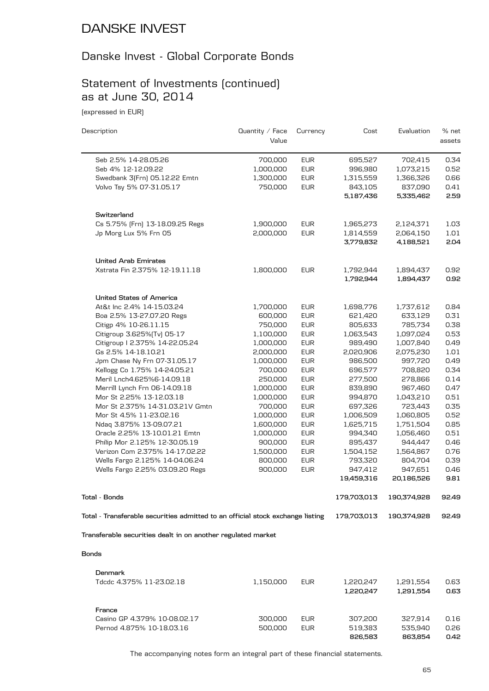#### Danske Invest - Global Corporate Bonds

## Statement of Investments (continued) as at June 30, 2014

(expressed in EUR)

| Description                                                                    | Quantity $\angle$ Face<br>Value | Currency   | Cost        | Evaluation  | % net<br>assets |
|--------------------------------------------------------------------------------|---------------------------------|------------|-------------|-------------|-----------------|
|                                                                                |                                 |            |             |             |                 |
| Seb 2.5% 14-28.05.26                                                           | 700,000                         | <b>EUR</b> | 695,527     | 702,415     | 0.34            |
| Seb 4% 12-12.09.22                                                             | 1,000,000                       | <b>EUR</b> | 996,980     | 1,073,215   | 0.52            |
| Swedbank 3(Frn) 05.12.22 Emtn                                                  | 1,300,000                       | <b>EUR</b> | 1,315,559   | 1,366,326   | 0.66            |
| Volvo Tsy 5% 07-31.05.17                                                       | 750,000                         | <b>EUR</b> | 843,105     | 837,090     | 0.41            |
|                                                                                |                                 |            | 5,187,436   | 5,335,462   | 2.59            |
| Switzerland                                                                    |                                 |            |             |             |                 |
| Cs 5.75% [Frn] 13-18.09.25 Regs                                                | 1,900,000                       | <b>EUR</b> | 1,965,273   | 2,124,371   | 1.03            |
| Jp Morg Lux 5% Frn 05                                                          | 2,000,000                       | <b>EUR</b> | 1,814,559   | 2,064,150   | 1.01            |
|                                                                                |                                 |            | 3,779,832   | 4,188,521   | 2.04            |
| <b>United Arab Emirates</b>                                                    |                                 |            |             |             |                 |
| Xstrata Fin 2.375% 12-19.11.18                                                 | 1,800,000                       | <b>EUR</b> | 1,792,944   | 1,894,437   | 0.92            |
|                                                                                |                                 |            | 1,792,944   | 1,894,437   | 0.92            |
| <b>United States of America</b>                                                |                                 |            |             |             |                 |
| At&t Inc 2.4% 14-15.03.24                                                      | 1,700,000                       | <b>EUR</b> | 1,698,776   | 1,737,612   | 0.84            |
| Boa 2.5% 13-27.07.20 Regs                                                      | 600,000                         | <b>EUR</b> | 621,420     | 633,129     | 0.31            |
| Citigp 4% 10-26.11.15                                                          | 750,000                         | <b>EUR</b> | 805,633     | 785,734     | 0.38            |
| Citigroup 3.625% [Tv] 05-17                                                    | 1,100,000                       | <b>EUR</b> | 1,063,543   | 1,097,024   | 0.53            |
| Citigroup I 2.375% 14-22.05.24                                                 | 1,000,000                       | <b>EUR</b> | 989,490     | 1,007,840   | 0.49            |
| Gs 2.5% 14-18.10.21                                                            | 2,000,000                       | <b>EUR</b> | 2,020,906   | 2,075,230   | 1.01            |
| Jpm Chase Ny Frn 07-31.05.17                                                   | 1,000,000                       | <b>EUR</b> | 986,500     | 997,720     | 0.49            |
| Kellogg Co 1.75% 14-24.05.21                                                   | 700,000                         | <b>EUR</b> | 696,577     | 708,820     | 0.34            |
| Meril Lnch4.625%6-14.09.18                                                     | 250,000                         | <b>EUR</b> | 277,500     | 278,866     | 0.14            |
| Merrill Lynch Frn 06-14.09.18                                                  | 1,000,000                       | <b>EUR</b> | 839,890     | 967,460     | 0.47            |
| Mor St 2.25% 13-12.03.18                                                       | 1,000,000                       | <b>EUR</b> | 994,870     | 1,043,210   | 0.51            |
| Mor St 2.375% 14-31.03.21V Gmtn                                                | 700,000                         | <b>EUR</b> | 697,326     | 723,443     | 0.35            |
| Mor St 4.5% 11-23.02.16                                                        | 1,000,000                       | <b>EUR</b> | 1,006,509   | 1,060,805   | 0.52            |
| Ndaq 3.875% 13-09.07.21                                                        | 1,600,000                       | <b>EUR</b> | 1,625,715   | 1,751,504   | 0.85            |
| Oracle 2.25% 13-10.01.21 Emtn                                                  | 1,000,000                       | <b>EUR</b> | 994,340     | 1,056,460   | 0.51            |
| Philip Mor 2.125% 12-30.05.19                                                  | 900,000                         | <b>EUR</b> | 895,437     | 944,447     | 0.46            |
| Verizon Com 2.375% 14-17.02.22                                                 | 1,500,000                       | <b>EUR</b> | 1,504,152   | 1,564,867   | 0.76            |
| Wells Fargo 2.125% 14-04.06.24                                                 | 800,000                         | <b>EUR</b> | 793,320     | 804,704     | 0.39            |
| Wells Fargo 2.25% 03.09.20 Regs                                                | 900,000                         | <b>EUR</b> | 947,412     | 947,651     | 0.46            |
|                                                                                |                                 |            | 19,459,316  | 20,186,526  | 9.81            |
| Tota1 - Bonds                                                                  |                                 |            | 179,703,013 | 190,374,928 | 92.49           |
| Total - Transferable securities admitted to an official stock exchange listing |                                 |            | 179,703,013 | 190,374,928 | 92.49           |
| Transferable securities dealt in on another regulated market                   |                                 |            |             |             |                 |
|                                                                                |                                 |            |             |             |                 |
| <b>Bonds</b>                                                                   |                                 |            |             |             |                 |
| Denmark                                                                        |                                 |            |             |             |                 |
| Tdcdc 4.375% 11-23.02.18                                                       | 1,150,000                       | <b>EUR</b> | 1,220,247   | 1,291,554   | 0.63            |
|                                                                                |                                 |            | 1,220,247   | 1,291,554   | 0.63            |
| France                                                                         |                                 |            |             |             |                 |

The accompanying notes form an integral part of these financial statements.

Casino GP 4.379% 10-08.02.17 300,000 EUR 307,200 327,914 0.16 Pernod 4.875% 10-18.03.16 500,000 EUR 519,383 535,940 0.26

**826,583 863,854 0.42**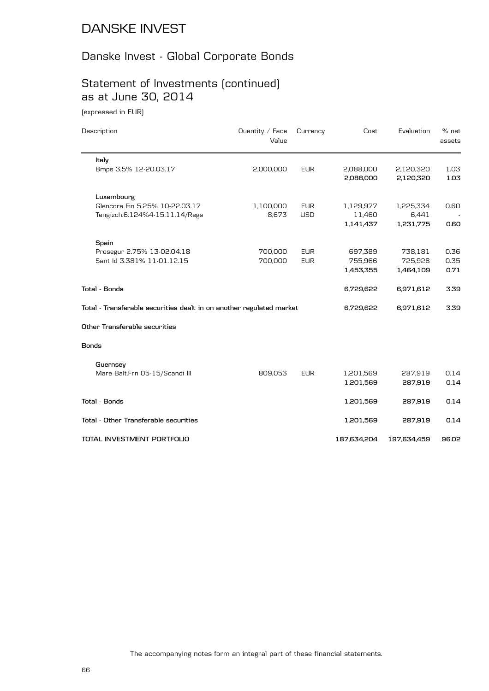#### Danske Invest - Global Corporate Bonds

## Statement of Investments (continued) as at June 30, 2014

(expressed in EUR)

| Description                                                          | Quantity / Face<br>Value | Currency                 | Cost                   | Evaluation             | $%$ net<br>assets |
|----------------------------------------------------------------------|--------------------------|--------------------------|------------------------|------------------------|-------------------|
| Italy                                                                |                          |                          |                        |                        |                   |
| Bmps 3.5% 12-20.03.17                                                | 2,000,000                | <b>EUR</b>               | 2,088,000<br>2,088,000 | 2,120,320<br>2,120,320 | 1.03<br>1.03      |
| Luxembourg                                                           |                          |                          |                        |                        |                   |
| Glencore Fin 5.25% 10-22.03.17<br>Tengizch.6.124%4-15.11.14/Regs     | 1,100,000<br>8,673       | <b>EUR</b><br><b>USD</b> | 1,129,977<br>11,460    | 1,225,334<br>6,441     | 0.60              |
|                                                                      |                          |                          | 1,141,437              | 1,231,775              | 0.60              |
| Spain                                                                |                          |                          |                        |                        |                   |
| Prosegur 2.75% 13-02.04.18                                           | 700,000                  | <b>EUR</b>               | 697,389                | 738,181                | 0.36              |
| Sant Id 3.381% 11-01.12.15                                           | 700,000                  | <b>EUR</b>               | 755,966                | 725,928                | 0.35              |
|                                                                      |                          |                          | 1,453,355              | 1,464,109              | 0.71              |
| Total - Bonds                                                        |                          |                          | 6,729,622              | 6,971,612              | 3.39              |
| Total - Transferable securities dealt in on another regulated market |                          |                          | 6,729,622              | 6,971,612              | 3.39              |
| Other Transferable securities                                        |                          |                          |                        |                        |                   |
| <b>Bonds</b>                                                         |                          |                          |                        |                        |                   |
| Guernsey                                                             |                          |                          |                        |                        |                   |
| Mare Balt.Frn 05-15/Scandi III                                       | 809,053                  | <b>EUR</b>               | 1,201,569              | 287,919                | 0.14              |
|                                                                      |                          |                          | 1,201,569              | 287,919                | 0.14              |
| <b>Total - Bonds</b>                                                 |                          |                          | 1,201,569              | 287,919                | 0.14              |
| Total - Other Transferable securities                                |                          |                          | 1,201,569              | 287,919                | 0.14              |
| TOTAL INVESTMENT PORTFOLIO                                           |                          |                          | 187,634,204            | 197,634,459            | 96.02             |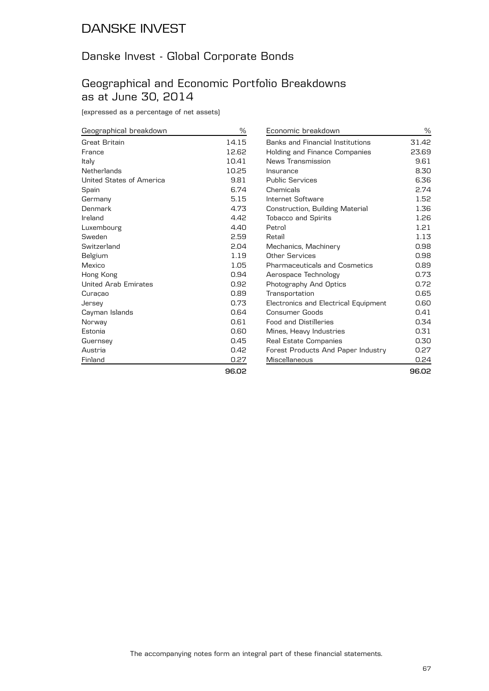#### Danske Invest - Global Corporate Bonds

#### Geographical and Economic Portfolio Breakdowns as at June 30, 2014

(expressed as a percentage of net assets)

| Geographical breakdown      | $\frac{0}{0}$ |
|-----------------------------|---------------|
| Great Britain               | 14.15         |
| France                      | 12.62         |
| Italy                       | 10.41         |
| Netherlands                 | 10.25         |
| United States of America    | 9.81          |
| Spain                       | 6.74          |
| Germany                     | 5.15          |
| Denmark                     | 4.73          |
| Ireland                     | 4.42          |
| Luxembourg                  | 4.40          |
| Sweden                      | 2.59          |
| Switzerland                 | 2.04          |
| Belgium                     | 1.19          |
| Mexico                      | 1.05          |
| Hong Kong                   | 0.94          |
| <b>United Arab Emirates</b> | 0.92          |
| Curaçao                     | 0.89          |
| Jersey                      | 0.73          |
| Cayman Islands              | 0.64          |
| Norway                      | 0.61          |
| Estonia                     | 0.60          |
| Guernsey                    | 0.45          |
| Austria                     | 0.42          |
| Finland                     | 0.27          |
|                             | כה סם         |

| Economic breakdown                   | %     |
|--------------------------------------|-------|
| Banks and Financial Institutions     | 31.42 |
| Holding and Finance Companies        | 23.69 |
| News Transmission                    | 9.61  |
| Insurance                            | 8.30  |
| <b>Public Services</b>               | 6.36  |
| Chemicals                            | 2.74  |
| Internet Software                    | 1.52  |
| Construction, Building Material      | 1.36  |
| <b>Tobacco and Spirits</b>           | 1.26  |
| Petrol                               | 1.21  |
| Retail                               | 1.13  |
| Mechanics, Machinery                 | 0.98  |
| Other Services                       | 0.98  |
| <b>Pharmaceuticals and Cosmetics</b> | 0.89  |
| Aerospace Technology                 | 0.73  |
| Photography And Optics               | 0.72  |
| Transportation                       | 0.65  |
| Electronics and Electrical Equipment | 0.60  |
| Consumer Goods                       | 0.41  |
| <b>Food and Distilleries</b>         | 0.34  |
| Mines, Heavy Industries              | 0.31  |
| Real Estate Companies                | 0.30  |
| Forest Products And Paper Industry   | 0.27  |
| Miscellaneous                        | 0.24  |
|                                      | 96.02 |

**96.02**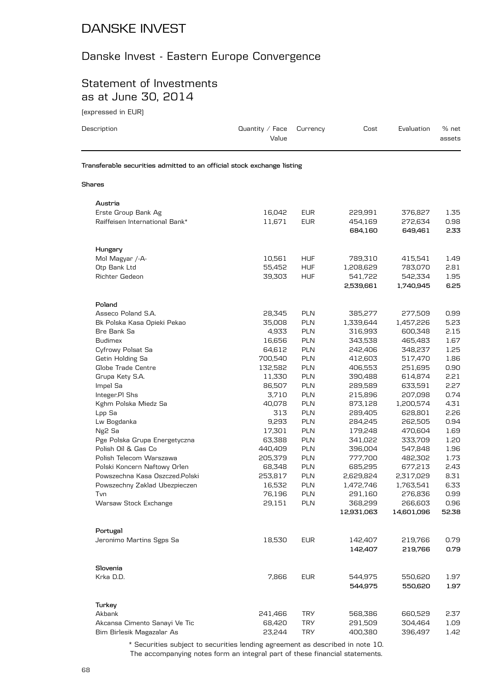#### Danske Invest - Eastern Europe Convergence

#### Statement of Investments as at June 30, 2014

(expressed in EUR)

| Description                                                            | Quantity / Face<br>Value | Currency   | Cost                  | Evaluation            | % net<br>assets |
|------------------------------------------------------------------------|--------------------------|------------|-----------------------|-----------------------|-----------------|
| Transferable securities admitted to an official stock exchange listing |                          |            |                       |                       |                 |
| Shares                                                                 |                          |            |                       |                       |                 |
| Austria                                                                |                          |            |                       |                       |                 |
| Erste Group Bank Ag                                                    | 16,042                   | <b>EUR</b> | 229,991               | 376,827               | 1.35            |
| Raiffeisen International Bank*                                         | 11,671                   | <b>EUR</b> | 454,169               | 272,634               | 0.98            |
|                                                                        |                          |            | 684,160               | 649,461               | 2.33            |
| Hungary                                                                |                          |            |                       |                       |                 |
| Mol Magyar /-A-                                                        | 10,561                   | <b>HUF</b> | 789,310               | 415,541               | 1.49            |
| Otp Bank Ltd                                                           | 55,452                   | <b>HUF</b> | 1,208,629             | 783,070               | 2.81            |
| Richter Gedeon                                                         | 39,303                   | <b>HUF</b> | 541,722               | 542,334               | 1.95            |
|                                                                        |                          |            | 2,539,661             | 1,740,945             | 6.25            |
| Poland                                                                 |                          |            |                       |                       |                 |
| Asseco Poland S.A.                                                     | 28,345                   | <b>PLN</b> | 385,277               | 277,509               | 0.99            |
| Bk Polska Kasa Opieki Pekao                                            | 35,008                   | <b>PLN</b> | 1,339,644             | 1,457,226             | 5.23            |
| Bre Bank Sa                                                            | 4,933                    | <b>PLN</b> | 316,993               | 600,348               | 2.15            |
| <b>Budimex</b>                                                         | 16,656                   | <b>PLN</b> | 343,538               | 465,483               | 1.67            |
| Cyfrowy Polsat Sa                                                      | 64,612                   | <b>PLN</b> | 242,406               | 348,237               | 1.25            |
| Getin Holding Sa                                                       | 700,540                  | <b>PLN</b> | 412,603               | 517,470               | 1.86            |
| Globe Trade Centre                                                     | 132,582                  | <b>PLN</b> | 406,553               | 251,695               | 0.90            |
| Grupa Kety S.A.                                                        | 11,330                   | <b>PLN</b> | 390,488               | 614,874               | 2.21            |
| Impel Sa                                                               | 86,507                   | PLN        | 289,589               | 633,591               | 2.27            |
| Integer.PI Shs                                                         | 3,710                    | <b>PLN</b> | 215,896               | 207,098               | 0.74            |
| Kghm Polska Miedz Sa                                                   | 40,078                   | <b>PLN</b> | 873,128               | 1,200,574             | 4.31            |
| Lpp Sa                                                                 | 313                      | <b>PLN</b> | 289,405               | 628,801               | 2.26            |
|                                                                        | 9,293                    | <b>PLN</b> | 284,245               | 262,505               | 0.94            |
| Lw Bogdanka                                                            | 17,301                   | <b>PLN</b> | 179,248               |                       | 1.69            |
| Ng <sub>2</sub> Sa                                                     | 63,388                   | <b>PLN</b> |                       | 470,604               | 1.20            |
| Pge Polska Grupa Energetyczna<br>Polish Oil & Gas Co                   |                          | <b>PLN</b> | 341,022               | 333,709               | 1.96            |
| Polish Telecom Warszawa                                                | 440,409                  |            | 396,004               | 547,848               |                 |
|                                                                        | 205,379                  | <b>PLN</b> | 777,700               | 482,302               | 1.73            |
| Polski Koncern Naftowy Orlen                                           | 68,348                   | <b>PLN</b> | 685,295               | 677,213               | 2.43            |
| Powszechna Kasa Oszczed.Polski                                         | 253,817                  | <b>PLN</b> | 2,629,824             | 2,317,029             | 8.31            |
| Powszechny Zaklad Ubezpieczen                                          | 16,532                   | <b>PLN</b> | 1,472,746             | 1,763,541             | 6.33            |
| Tvn                                                                    | 76,196                   | <b>PLN</b> | 291,160               | 276,836               | 0.99            |
| Warsaw Stock Exchange                                                  | 29,151                   | <b>PLN</b> | 368,299<br>12,931,063 | 266,603<br>14,601,096 | 0.96<br>52.38   |
|                                                                        |                          |            |                       |                       |                 |
| Portugal                                                               |                          |            |                       |                       |                 |
| Jeronimo Martins Sgps Sa                                               | 18,530                   | <b>EUR</b> | 142,407               | 219,766               | 0.79            |
|                                                                        |                          |            | 142,407               | 219,766               | 0.79            |
| Slovenia                                                               |                          |            |                       |                       |                 |
| Krka D.D.                                                              | 7,866                    | <b>EUR</b> | 544,975               | 550,620               | 1.97            |
|                                                                        |                          |            | 544,975               | 550,620               | 1.97            |
| Turkey                                                                 |                          |            |                       |                       |                 |
| Akbank                                                                 | 241,466                  | <b>TRY</b> | 568,386               | 660,529               | 2.37            |
| Akcansa Cimento Sanayi Ve Tic                                          | 68,420                   | <b>TRY</b> | 291,509               | 304,464               | 1.09            |
| Bim Birlesik Magazalar As                                              | 23,244                   | <b>TRY</b> | 400,380               | 396,497               | 1.42            |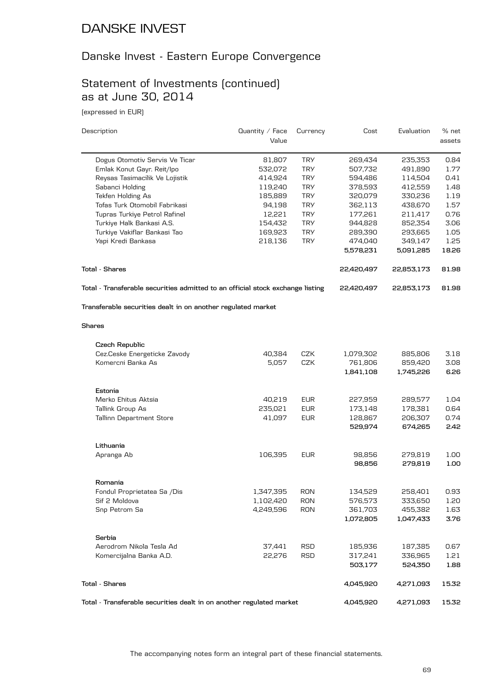#### Danske Invest - Eastern Europe Convergence

#### Statement of Investments (continued) as at June 30, 2014

(expressed in EUR)

| Value<br><b>TRY</b><br>Dogus Otomotiv Servis Ve Ticar<br>81,807<br>269,434<br>235,353<br>0.84<br>532,072<br><b>TRY</b><br>507,732<br>491,890<br>1.77<br>Emlak Konut Gayr. Reit/Ipo<br><b>TRY</b><br>594,486<br>Reysas Tasimacilik Ve Lojistik<br>414,924<br>114,504<br>0.41<br><b>TRY</b><br>Sabanci Holding<br>119,240<br>378,593<br>412,559<br>1.48<br>Tekfen Holding As<br><b>TRY</b><br>1.19<br>185,889<br>320,079<br>330,236<br>Tofas Turk Otomobil Fabrikasi<br><b>TRY</b><br>94,198<br>362,113<br>438,670<br>1.57<br><b>TRY</b><br>0.76<br>Tupras Turkiye Petrol Rafinel<br>12,221<br>177,261<br>211,417<br><b>TRY</b><br>3.06<br>Turkiye Halk Bankasi A.S.<br>154,432<br>944,828<br>852,354<br><b>TRY</b><br>Turkiye Vakiflar Bankasi Tao<br>169,923<br>289,390<br>1.05<br>293,665<br>Yapi Kredi Bankasa<br><b>TRY</b><br>349,147<br>1.25<br>218,136<br>474,040<br>5,578,231<br>5,091,285<br>22,420,497<br>22,853,173<br>Total - Transferable securities admitted to an official stock exchange listing<br>22,420,497<br>22,853,173<br>Transferable securities dealt in on another regulated market<br>Czech Republic<br>Cez.Ceske Energeticke Zavody<br>CZK<br>3.18<br>40,384<br>1,079,302<br>885,806<br>Komercni Banka As<br>CZK<br>5,057<br>761,806<br>859,420<br>3.08<br>1,841,108<br>1,745,226<br>Estonia<br><b>EUR</b><br>Merko Ehitus Aktsia<br>40,219<br>227,959<br>289,577<br>1.04<br><b>EUR</b><br>Tallink Group As<br>235,021<br>173,148<br>178,381<br>Tallinn Department Store<br>41,097<br><b>EUR</b><br>128,867<br>206,307<br>529,974<br>674,265<br>Lithuania<br>106,395<br><b>EUR</b><br>98,856<br>279,819<br>Apranga Ab<br>98,856<br>279,819<br>1.00<br>Romania<br>1,347,395<br>134,529<br>258,401<br>0.93<br>RON<br>Fondul Proprietatea Sa /Dis<br><b>RON</b><br>Sif 2 Moldova<br>1,102,420<br>576,573<br>333,650<br>1.20<br>Snp Petrom Sa<br>4,249,596<br><b>RON</b><br>361,703<br>455,382<br>1,072,805<br>1,047,433<br>Serbia<br>Aerodrom Nikola Tesla Ad<br>37,441<br>RSD<br>185,936<br>187,385<br>0.67<br><b>RSD</b><br>Komercijalna Banka A.D.<br>22,276<br>317,241<br>336,965<br>1.21<br>503,177<br>524,350<br>1.88<br>4,045,920<br>4,271,093<br>15.32 | Description           | Quantity / Face | Currency | Cost | Evaluation | % net  |
|---------------------------------------------------------------------------------------------------------------------------------------------------------------------------------------------------------------------------------------------------------------------------------------------------------------------------------------------------------------------------------------------------------------------------------------------------------------------------------------------------------------------------------------------------------------------------------------------------------------------------------------------------------------------------------------------------------------------------------------------------------------------------------------------------------------------------------------------------------------------------------------------------------------------------------------------------------------------------------------------------------------------------------------------------------------------------------------------------------------------------------------------------------------------------------------------------------------------------------------------------------------------------------------------------------------------------------------------------------------------------------------------------------------------------------------------------------------------------------------------------------------------------------------------------------------------------------------------------------------------------------------------------------------------------------------------------------------------------------------------------------------------------------------------------------------------------------------------------------------------------------------------------------------------------------------------------------------------------------------------------------------------------------------------------------------------------------------------------------------------------------------------------------------------------------------|-----------------------|-----------------|----------|------|------------|--------|
|                                                                                                                                                                                                                                                                                                                                                                                                                                                                                                                                                                                                                                                                                                                                                                                                                                                                                                                                                                                                                                                                                                                                                                                                                                                                                                                                                                                                                                                                                                                                                                                                                                                                                                                                                                                                                                                                                                                                                                                                                                                                                                                                                                                       |                       |                 |          |      |            | assets |
|                                                                                                                                                                                                                                                                                                                                                                                                                                                                                                                                                                                                                                                                                                                                                                                                                                                                                                                                                                                                                                                                                                                                                                                                                                                                                                                                                                                                                                                                                                                                                                                                                                                                                                                                                                                                                                                                                                                                                                                                                                                                                                                                                                                       |                       |                 |          |      |            |        |
|                                                                                                                                                                                                                                                                                                                                                                                                                                                                                                                                                                                                                                                                                                                                                                                                                                                                                                                                                                                                                                                                                                                                                                                                                                                                                                                                                                                                                                                                                                                                                                                                                                                                                                                                                                                                                                                                                                                                                                                                                                                                                                                                                                                       |                       |                 |          |      |            |        |
|                                                                                                                                                                                                                                                                                                                                                                                                                                                                                                                                                                                                                                                                                                                                                                                                                                                                                                                                                                                                                                                                                                                                                                                                                                                                                                                                                                                                                                                                                                                                                                                                                                                                                                                                                                                                                                                                                                                                                                                                                                                                                                                                                                                       |                       |                 |          |      |            |        |
|                                                                                                                                                                                                                                                                                                                                                                                                                                                                                                                                                                                                                                                                                                                                                                                                                                                                                                                                                                                                                                                                                                                                                                                                                                                                                                                                                                                                                                                                                                                                                                                                                                                                                                                                                                                                                                                                                                                                                                                                                                                                                                                                                                                       |                       |                 |          |      |            |        |
|                                                                                                                                                                                                                                                                                                                                                                                                                                                                                                                                                                                                                                                                                                                                                                                                                                                                                                                                                                                                                                                                                                                                                                                                                                                                                                                                                                                                                                                                                                                                                                                                                                                                                                                                                                                                                                                                                                                                                                                                                                                                                                                                                                                       |                       |                 |          |      |            |        |
|                                                                                                                                                                                                                                                                                                                                                                                                                                                                                                                                                                                                                                                                                                                                                                                                                                                                                                                                                                                                                                                                                                                                                                                                                                                                                                                                                                                                                                                                                                                                                                                                                                                                                                                                                                                                                                                                                                                                                                                                                                                                                                                                                                                       |                       |                 |          |      |            |        |
|                                                                                                                                                                                                                                                                                                                                                                                                                                                                                                                                                                                                                                                                                                                                                                                                                                                                                                                                                                                                                                                                                                                                                                                                                                                                                                                                                                                                                                                                                                                                                                                                                                                                                                                                                                                                                                                                                                                                                                                                                                                                                                                                                                                       |                       |                 |          |      |            |        |
|                                                                                                                                                                                                                                                                                                                                                                                                                                                                                                                                                                                                                                                                                                                                                                                                                                                                                                                                                                                                                                                                                                                                                                                                                                                                                                                                                                                                                                                                                                                                                                                                                                                                                                                                                                                                                                                                                                                                                                                                                                                                                                                                                                                       |                       |                 |          |      |            |        |
|                                                                                                                                                                                                                                                                                                                                                                                                                                                                                                                                                                                                                                                                                                                                                                                                                                                                                                                                                                                                                                                                                                                                                                                                                                                                                                                                                                                                                                                                                                                                                                                                                                                                                                                                                                                                                                                                                                                                                                                                                                                                                                                                                                                       |                       |                 |          |      |            |        |
|                                                                                                                                                                                                                                                                                                                                                                                                                                                                                                                                                                                                                                                                                                                                                                                                                                                                                                                                                                                                                                                                                                                                                                                                                                                                                                                                                                                                                                                                                                                                                                                                                                                                                                                                                                                                                                                                                                                                                                                                                                                                                                                                                                                       |                       |                 |          |      |            |        |
|                                                                                                                                                                                                                                                                                                                                                                                                                                                                                                                                                                                                                                                                                                                                                                                                                                                                                                                                                                                                                                                                                                                                                                                                                                                                                                                                                                                                                                                                                                                                                                                                                                                                                                                                                                                                                                                                                                                                                                                                                                                                                                                                                                                       |                       |                 |          |      |            | 18.26  |
|                                                                                                                                                                                                                                                                                                                                                                                                                                                                                                                                                                                                                                                                                                                                                                                                                                                                                                                                                                                                                                                                                                                                                                                                                                                                                                                                                                                                                                                                                                                                                                                                                                                                                                                                                                                                                                                                                                                                                                                                                                                                                                                                                                                       | <b>Total - Shares</b> |                 |          |      |            | 81.98  |
|                                                                                                                                                                                                                                                                                                                                                                                                                                                                                                                                                                                                                                                                                                                                                                                                                                                                                                                                                                                                                                                                                                                                                                                                                                                                                                                                                                                                                                                                                                                                                                                                                                                                                                                                                                                                                                                                                                                                                                                                                                                                                                                                                                                       |                       |                 |          |      |            | 81.98  |
|                                                                                                                                                                                                                                                                                                                                                                                                                                                                                                                                                                                                                                                                                                                                                                                                                                                                                                                                                                                                                                                                                                                                                                                                                                                                                                                                                                                                                                                                                                                                                                                                                                                                                                                                                                                                                                                                                                                                                                                                                                                                                                                                                                                       |                       |                 |          |      |            |        |
|                                                                                                                                                                                                                                                                                                                                                                                                                                                                                                                                                                                                                                                                                                                                                                                                                                                                                                                                                                                                                                                                                                                                                                                                                                                                                                                                                                                                                                                                                                                                                                                                                                                                                                                                                                                                                                                                                                                                                                                                                                                                                                                                                                                       | <b>Shares</b>         |                 |          |      |            |        |
|                                                                                                                                                                                                                                                                                                                                                                                                                                                                                                                                                                                                                                                                                                                                                                                                                                                                                                                                                                                                                                                                                                                                                                                                                                                                                                                                                                                                                                                                                                                                                                                                                                                                                                                                                                                                                                                                                                                                                                                                                                                                                                                                                                                       |                       |                 |          |      |            |        |
|                                                                                                                                                                                                                                                                                                                                                                                                                                                                                                                                                                                                                                                                                                                                                                                                                                                                                                                                                                                                                                                                                                                                                                                                                                                                                                                                                                                                                                                                                                                                                                                                                                                                                                                                                                                                                                                                                                                                                                                                                                                                                                                                                                                       |                       |                 |          |      |            |        |
|                                                                                                                                                                                                                                                                                                                                                                                                                                                                                                                                                                                                                                                                                                                                                                                                                                                                                                                                                                                                                                                                                                                                                                                                                                                                                                                                                                                                                                                                                                                                                                                                                                                                                                                                                                                                                                                                                                                                                                                                                                                                                                                                                                                       |                       |                 |          |      |            |        |
|                                                                                                                                                                                                                                                                                                                                                                                                                                                                                                                                                                                                                                                                                                                                                                                                                                                                                                                                                                                                                                                                                                                                                                                                                                                                                                                                                                                                                                                                                                                                                                                                                                                                                                                                                                                                                                                                                                                                                                                                                                                                                                                                                                                       |                       |                 |          |      |            | 6.26   |
|                                                                                                                                                                                                                                                                                                                                                                                                                                                                                                                                                                                                                                                                                                                                                                                                                                                                                                                                                                                                                                                                                                                                                                                                                                                                                                                                                                                                                                                                                                                                                                                                                                                                                                                                                                                                                                                                                                                                                                                                                                                                                                                                                                                       |                       |                 |          |      |            |        |
|                                                                                                                                                                                                                                                                                                                                                                                                                                                                                                                                                                                                                                                                                                                                                                                                                                                                                                                                                                                                                                                                                                                                                                                                                                                                                                                                                                                                                                                                                                                                                                                                                                                                                                                                                                                                                                                                                                                                                                                                                                                                                                                                                                                       |                       |                 |          |      |            |        |
|                                                                                                                                                                                                                                                                                                                                                                                                                                                                                                                                                                                                                                                                                                                                                                                                                                                                                                                                                                                                                                                                                                                                                                                                                                                                                                                                                                                                                                                                                                                                                                                                                                                                                                                                                                                                                                                                                                                                                                                                                                                                                                                                                                                       |                       |                 |          |      |            | 0.64   |
|                                                                                                                                                                                                                                                                                                                                                                                                                                                                                                                                                                                                                                                                                                                                                                                                                                                                                                                                                                                                                                                                                                                                                                                                                                                                                                                                                                                                                                                                                                                                                                                                                                                                                                                                                                                                                                                                                                                                                                                                                                                                                                                                                                                       |                       |                 |          |      |            | 0.74   |
|                                                                                                                                                                                                                                                                                                                                                                                                                                                                                                                                                                                                                                                                                                                                                                                                                                                                                                                                                                                                                                                                                                                                                                                                                                                                                                                                                                                                                                                                                                                                                                                                                                                                                                                                                                                                                                                                                                                                                                                                                                                                                                                                                                                       |                       |                 |          |      |            | 2.42   |
|                                                                                                                                                                                                                                                                                                                                                                                                                                                                                                                                                                                                                                                                                                                                                                                                                                                                                                                                                                                                                                                                                                                                                                                                                                                                                                                                                                                                                                                                                                                                                                                                                                                                                                                                                                                                                                                                                                                                                                                                                                                                                                                                                                                       |                       |                 |          |      |            |        |
|                                                                                                                                                                                                                                                                                                                                                                                                                                                                                                                                                                                                                                                                                                                                                                                                                                                                                                                                                                                                                                                                                                                                                                                                                                                                                                                                                                                                                                                                                                                                                                                                                                                                                                                                                                                                                                                                                                                                                                                                                                                                                                                                                                                       |                       |                 |          |      |            | 1.00   |
|                                                                                                                                                                                                                                                                                                                                                                                                                                                                                                                                                                                                                                                                                                                                                                                                                                                                                                                                                                                                                                                                                                                                                                                                                                                                                                                                                                                                                                                                                                                                                                                                                                                                                                                                                                                                                                                                                                                                                                                                                                                                                                                                                                                       |                       |                 |          |      |            |        |
|                                                                                                                                                                                                                                                                                                                                                                                                                                                                                                                                                                                                                                                                                                                                                                                                                                                                                                                                                                                                                                                                                                                                                                                                                                                                                                                                                                                                                                                                                                                                                                                                                                                                                                                                                                                                                                                                                                                                                                                                                                                                                                                                                                                       |                       |                 |          |      |            |        |
|                                                                                                                                                                                                                                                                                                                                                                                                                                                                                                                                                                                                                                                                                                                                                                                                                                                                                                                                                                                                                                                                                                                                                                                                                                                                                                                                                                                                                                                                                                                                                                                                                                                                                                                                                                                                                                                                                                                                                                                                                                                                                                                                                                                       |                       |                 |          |      |            |        |
|                                                                                                                                                                                                                                                                                                                                                                                                                                                                                                                                                                                                                                                                                                                                                                                                                                                                                                                                                                                                                                                                                                                                                                                                                                                                                                                                                                                                                                                                                                                                                                                                                                                                                                                                                                                                                                                                                                                                                                                                                                                                                                                                                                                       |                       |                 |          |      |            |        |
|                                                                                                                                                                                                                                                                                                                                                                                                                                                                                                                                                                                                                                                                                                                                                                                                                                                                                                                                                                                                                                                                                                                                                                                                                                                                                                                                                                                                                                                                                                                                                                                                                                                                                                                                                                                                                                                                                                                                                                                                                                                                                                                                                                                       |                       |                 |          |      |            | 1.63   |
|                                                                                                                                                                                                                                                                                                                                                                                                                                                                                                                                                                                                                                                                                                                                                                                                                                                                                                                                                                                                                                                                                                                                                                                                                                                                                                                                                                                                                                                                                                                                                                                                                                                                                                                                                                                                                                                                                                                                                                                                                                                                                                                                                                                       |                       |                 |          |      |            | 3.76   |
|                                                                                                                                                                                                                                                                                                                                                                                                                                                                                                                                                                                                                                                                                                                                                                                                                                                                                                                                                                                                                                                                                                                                                                                                                                                                                                                                                                                                                                                                                                                                                                                                                                                                                                                                                                                                                                                                                                                                                                                                                                                                                                                                                                                       |                       |                 |          |      |            |        |
|                                                                                                                                                                                                                                                                                                                                                                                                                                                                                                                                                                                                                                                                                                                                                                                                                                                                                                                                                                                                                                                                                                                                                                                                                                                                                                                                                                                                                                                                                                                                                                                                                                                                                                                                                                                                                                                                                                                                                                                                                                                                                                                                                                                       |                       |                 |          |      |            |        |
|                                                                                                                                                                                                                                                                                                                                                                                                                                                                                                                                                                                                                                                                                                                                                                                                                                                                                                                                                                                                                                                                                                                                                                                                                                                                                                                                                                                                                                                                                                                                                                                                                                                                                                                                                                                                                                                                                                                                                                                                                                                                                                                                                                                       |                       |                 |          |      |            |        |
|                                                                                                                                                                                                                                                                                                                                                                                                                                                                                                                                                                                                                                                                                                                                                                                                                                                                                                                                                                                                                                                                                                                                                                                                                                                                                                                                                                                                                                                                                                                                                                                                                                                                                                                                                                                                                                                                                                                                                                                                                                                                                                                                                                                       |                       |                 |          |      |            |        |
|                                                                                                                                                                                                                                                                                                                                                                                                                                                                                                                                                                                                                                                                                                                                                                                                                                                                                                                                                                                                                                                                                                                                                                                                                                                                                                                                                                                                                                                                                                                                                                                                                                                                                                                                                                                                                                                                                                                                                                                                                                                                                                                                                                                       | <b>Total - Shares</b> |                 |          |      |            |        |

**Total - Transferable securities dealt in on another regulated market 4,045,920 4,271,093 15.32**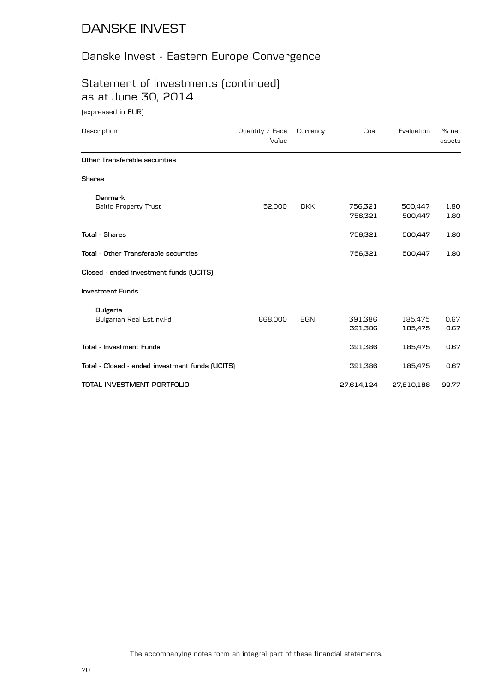# Danske Invest - Eastern Europe Convergence

## Statement of Investments (continued) as at June 30, 2014

(expressed in EUR)

| Description                                     | Quantity $\angle$ Face<br>Value | Currency   | Cost               | Evaluation         | % net<br>assets |
|-------------------------------------------------|---------------------------------|------------|--------------------|--------------------|-----------------|
| Other Transferable securities                   |                                 |            |                    |                    |                 |
| <b>Shares</b>                                   |                                 |            |                    |                    |                 |
| Denmark<br><b>Baltic Property Trust</b>         | 52,000                          | <b>DKK</b> | 756,321<br>756,321 | 500,447<br>500,447 | 1.80<br>1.80    |
| <b>Total - Shares</b>                           |                                 |            | 756,321            | 500,447            | 1.80            |
| Total - Other Transferable securities           |                                 |            | 756,321            | 500,447            | 1.80            |
| Closed - ended investment funds (UCITS)         |                                 |            |                    |                    |                 |
| <b>Investment Funds</b>                         |                                 |            |                    |                    |                 |
| <b>Bulgaria</b><br>Bulgarian Real Est.Inv.Fd    | 668,000                         | <b>BGN</b> | 391,386<br>391,386 | 185,475<br>185,475 | 0.67<br>0.67    |
| <b>Total - Investment Funds</b>                 |                                 |            | 391,386            | 185,475            | 0.67            |
| Total - Closed - ended investment funds (UCITS) |                                 |            | 391,386            | 185,475            | 0.67            |
| TOTAL INVESTMENT PORTFOLIO                      |                                 |            | 27,614,124         | 27,810,188         | 99.77           |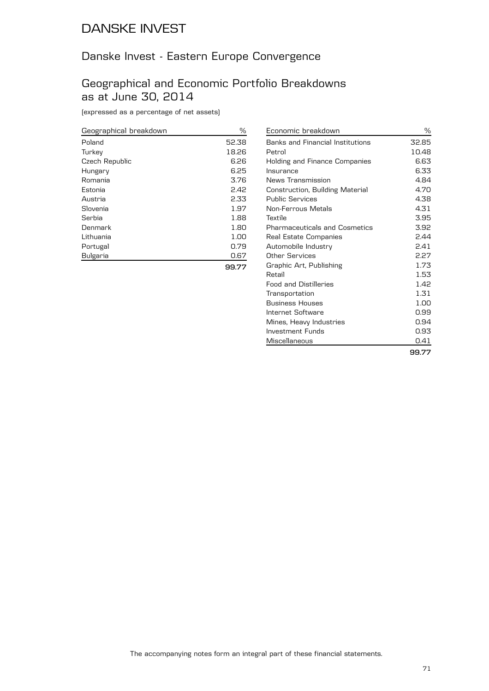# Danske Invest - Eastern Europe Convergence

#### Geographical and Economic Portfolio Breakdowns as at June 30, 2014

(expressed as a percentage of net assets)

| Geographical breakdown | ℅     |
|------------------------|-------|
| Poland                 | 52.38 |
| Turkey                 | 18.26 |
| Czech Republic         | 6.26  |
| Hungary                | 6.25  |
| Romania                | 3.76  |
| Estonia                | 2.42  |
| Austria                | 2.33  |
| Slovenia               | 1.97  |
| Serbia                 | 1.88  |
| Denmark                | 1.80  |
| Lithuania              | 1.00  |
| Portugal               | 0.79  |
| <b>Bulgaria</b>        | 0.67  |
|                        |       |

| Economic breakdown                   | ℅     |
|--------------------------------------|-------|
| Banks and Financial Institutions     | 32.85 |
| Petrol                               | 10.48 |
| Holding and Finance Companies        | 6.63  |
| Insurance                            | 6.33  |
| News Transmission                    | 4.84  |
| Construction, Building Material      | 4.70  |
| <b>Public Services</b>               | 4.38  |
| Non-Ferrous Metals                   | 4.31  |
| Textile                              | 3.95  |
| <b>Pharmaceuticals and Cosmetics</b> | 3.92  |
| Real Estate Companies                | 2.44  |
| Automobile Industry                  | 2.41  |
| Other Services                       | 2.27  |
| Graphic Art, Publishing              | 1.73  |
| Retail                               | 1.53  |
| <b>Food and Distilleries</b>         | 1.42  |
| Transportation                       | 1.31  |
| <b>Business Houses</b>               | 1.00  |
| Internet Software                    | 0.99  |
| Mines, Heavy Industries              | 0.94  |
| Investment Funds                     | 0.93  |
| Miscellaneous                        | 0.41  |
|                                      | 99.77 |

**99.77**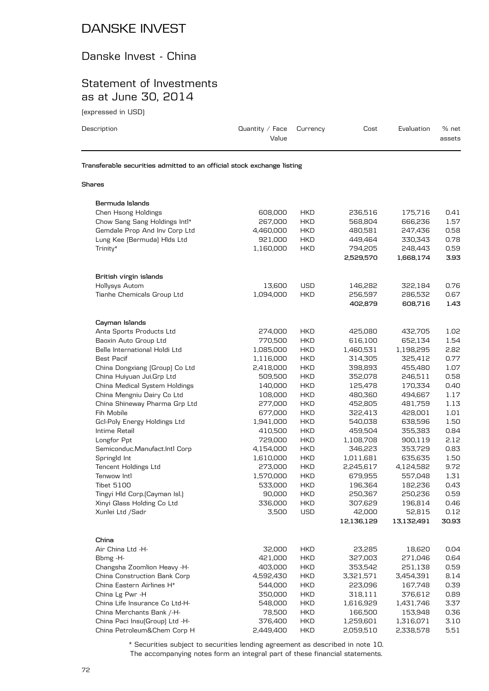#### Danske Invest - China

#### Statement of Investments as at June 30, 2014

(expressed in USD)

| Description                                                            | Quantity / Face<br>Value | Currency | Cost | Evaluation | % net<br>assets |  |
|------------------------------------------------------------------------|--------------------------|----------|------|------------|-----------------|--|
| Transferable securities admitted to an official stock exchange listing |                          |          |      |            |                 |  |
| Shares                                                                 |                          |          |      |            |                 |  |

| Bermuda Islands                |           |            |            |            |       |
|--------------------------------|-----------|------------|------------|------------|-------|
| Chen Hsong Holdings            | 608,000   | <b>HKD</b> | 236,516    | 175,716    | 0.41  |
| Chow Sang Sang Holdings Intl*  | 267,000   | HKD        | 568,804    | 666,236    | 1.57  |
| Gemdale Prop And Inv Corp Ltd  | 4,460,000 | <b>HKD</b> | 480,581    | 247,436    | 0.58  |
| Lung Kee (Bermuda) Hids Ltd    | 921,000   | <b>HKD</b> | 449,464    | 330,343    | 0.78  |
| Trinity*                       | 1,160,000 | <b>HKD</b> | 794,205    | 248,443    | 0.59  |
|                                |           |            | 2,529,570  | 1,668,174  | 3.93  |
| British virgin islands         |           |            |            |            |       |
| Hollysys Autom                 | 13,600    | <b>USD</b> | 146,282    | 322,184    | 0.76  |
| Tianhe Chemicals Group Ltd     | 1,094,000 | <b>HKD</b> | 256,597    | 286,532    | 0.67  |
|                                |           |            | 402,879    | 608,716    | 1.43  |
| Cayman Islands                 |           |            |            |            |       |
| Anta Sports Products Ltd       | 274,000   | <b>HKD</b> | 425,080    | 432,705    | 1.02  |
| Baoxin Auto Group Ltd          | 770,500   | <b>HKD</b> | 616,100    | 652,134    | 1.54  |
| Belle International Holdi Ltd  | 1,085,000 | <b>HKD</b> | 1,460,531  | 1,198,295  | 2.82  |
| <b>Best Pacif</b>              | 1,116,000 | HKD        | 314,305    | 325,412    | 0.77  |
| China Dongxiang (Group) Co Ltd | 2,418,000 | <b>HKD</b> | 398,893    | 455,480    | 1.07  |
| China Huiyuan Jui.Grp Ltd      | 509,500   | HKD        | 352,078    | 246,511    | 0.58  |
| China Medical System Holdings  | 140,000   | <b>HKD</b> | 125,478    | 170,334    | 0.40  |
| China Mengniu Dairy Co Ltd     | 108,000   | HKD        | 480,360    | 494,667    | 1.17  |
| China Shineway Pharma Grp Ltd  | 277,000   | HKD        | 452,805    | 481,759    | 1.13  |
| Fih Mobile                     | 677,000   | <b>HKD</b> | 322,413    | 428,001    | 1.01  |
| Gcl-Poly Energy Holdings Ltd   | 1,941,000 | <b>HKD</b> | 540,038    | 638,596    | 1.50  |
| Intime Retail                  | 410,500   | <b>HKD</b> | 459,504    | 355,383    | 0.84  |
| Longfor Ppt                    | 729,000   | <b>HKD</b> | 1,108,708  | 900,119    | 2.12  |
| Semiconduc.Manufact.Intl Corp  | 4,154,000 | <b>HKD</b> | 346,223    | 353,729    | 0.83  |
| Springld Int                   | 1,610,000 | HKD        | 1,011,681  | 635,635    | 1.50  |
| Tencent Holdings Ltd           | 273,000   | <b>HKD</b> | 2,245,617  | 4,124,582  | 9.72  |
| Tenwow Intl                    | 1,570,000 | <b>HKD</b> | 679,955    | 557,048    | 1.31  |
| <b>Tibet 5100</b>              | 533,000   | <b>HKD</b> | 196,364    | 182,236    | 0.43  |
| Tingyi Hld Corp. [Cayman Isl.] | 90,000    | HKD        | 250,367    | 250,236    | 0.59  |
| Xinyi Glass Holding Co Ltd     | 336,000   | HKD        | 307,629    | 196,814    | 0.46  |
| Xunlei Ltd /Sadr               | 3,500     | <b>USD</b> | 42,000     | 52,815     | 0.12  |
|                                |           |            | 12,136,129 | 13,132,491 | 30.93 |
| China                          |           |            |            |            |       |
| Air China Ltd -H-              | 32,000    | HKD        | 23,285     | 18,620     | 0.04  |
| Bbmg -H-                       | 421,000   | <b>HKD</b> | 327,003    | 271,046    | 0.64  |
| Changsha Zoomlion Heavy -H-    | 403,000   | <b>HKD</b> | 353,542    | 251,138    | 0.59  |
| China Construction Bank Corp   | 4,592,430 | HKD        | 3,321,571  | 3,454,391  | 8.14  |
| China Eastern Airlines H*      | 544,000   | <b>HKD</b> | 223,096    | 167,748    | 0.39  |
| China Lg Pwr -H                | 350,000   | HKD        | 318,111    | 376,612    | 0.89  |
| China Life Insurance Co Ltd-H- | 548,000   | <b>HKD</b> | 1,616,929  | 1,431,746  | 3.37  |
| China Merchants Bank /-H-      | 78,500    | <b>HKD</b> | 166,500    | 153,948    | 0.36  |
| China Paci Insu(Group) Ltd -H- | 376,400   | <b>HKD</b> | 1,259,601  | 1,316,071  | 3.10  |
| China Petroleum&Chem Corp H    | 2,449,400 | HKD        | 2,059,510  | 2,338,578  | 5.51  |
|                                |           |            |            |            |       |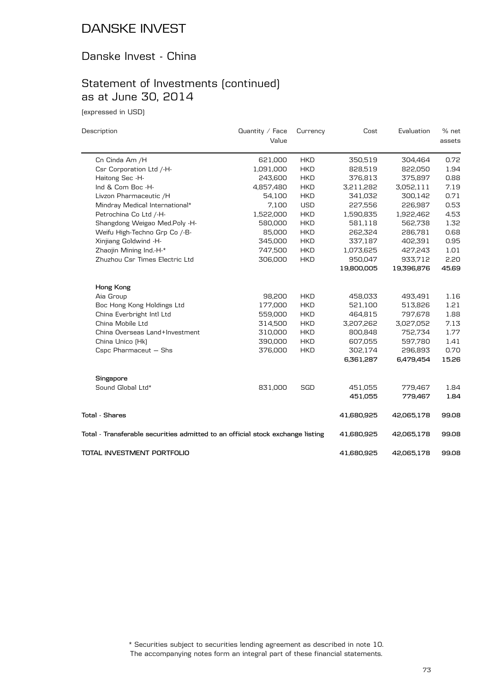### Danske Invest - China

# Statement of Investments (continued) as at June 30, 2014

(expressed in USD)

| Description                                                                    | Quantity $\angle$ Face | Currency    | Cost       | Evaluation | % net  |
|--------------------------------------------------------------------------------|------------------------|-------------|------------|------------|--------|
|                                                                                | Value                  |             |            |            | assets |
| Cn Cinda Am /H                                                                 | 621,000                | <b>HKD</b>  | 350,519    | 304,464    | 0.72   |
| Csr Corporation Ltd /-H-                                                       | 1,091,000              | <b>HKD</b>  | 828,519    | 822,050    | 1.94   |
| Haitong Sec -H-                                                                | 243,600                | <b>HKD</b>  | 376,813    | 375,897    | 0.88   |
| Ind & Com Boc -H-                                                              | 4,857,480              | <b>HKD</b>  | 3,211,282  | 3,052,111  | 7.19   |
| Livzon Pharmaceutic /H                                                         | 54,100                 | <b>HKD</b>  | 341,032    | 300,142    | 0.71   |
| Mindray Medical International*                                                 | 7,100                  | <b>USD</b>  | 227,556    | 226,987    | 0.53   |
| Petrochina Co Ltd /-H-                                                         | 1,522,000              | <b>HKD</b>  | 1,590,835  | 1,922,462  | 4.53   |
| Shangdong Weigao Med.Poly -H-                                                  | 580,000                | <b>HKD</b>  | 581,118    | 562,738    | 1.32   |
| Weifu High-Techno Grp Co /-B-                                                  | 85,000                 | <b>HKD</b>  | 262,324    | 286,781    | 0.68   |
| Xinjiang Goldwind -H-                                                          | 345,000                | ${\sf HKD}$ | 337,187    | 402,391    | 0.95   |
| Zhaojin Mining Ind.-H-*                                                        | 747,500                | <b>HKD</b>  | 1,073,625  | 427,243    | 1.01   |
| Zhuzhou Csr Times Electric Ltd                                                 | 306,000                | <b>HKD</b>  | 950,047    | 933,712    | 2.20   |
|                                                                                |                        |             | 19,800,005 | 19,396,876 | 45.69  |
| Hong Kong                                                                      |                        |             |            |            |        |
| Aia Group                                                                      | 98,200                 | <b>HKD</b>  | 458,033    | 493,491    | 1.16   |
| Boc Hong Kong Holdings Ltd                                                     | 177,000                | <b>HKD</b>  | 521,100    | 513,826    | 1.21   |
| China Everbright Intl Ltd                                                      | 559,000                | <b>HKD</b>  | 464,815    | 797,678    | 1.88   |
| China Mobile Ltd                                                               | 314,500                | <b>HKD</b>  | 3,207,262  | 3,027,052  | 7.13   |
| China Overseas Land+Investment                                                 | 310,000                | <b>HKD</b>  | 800,848    | 752,734    | 1.77   |
| China Unico (Hk)                                                               | 390,000                | <b>HKD</b>  | 607,055    | 597,780    | 1.41   |
| Cspc Pharmaceut - Shs                                                          | 376,000                | <b>HKD</b>  | 302,174    | 296,893    | 0.70   |
|                                                                                |                        |             | 6,361,287  | 6,479,454  | 15.26  |
| Singapore                                                                      |                        |             |            |            |        |
| Sound Global Ltd*                                                              | 831,000                | <b>SGD</b>  | 451,055    | 779,467    | 1.84   |
|                                                                                |                        |             | 451,055    | 779,467    | 1.84   |
| <b>Total - Shares</b>                                                          |                        |             | 41,680,925 | 42,065,178 | 99.08  |
| Total - Transferable securities admitted to an official stock exchange listing |                        |             | 41,680,925 | 42,065,178 | 99.08  |
| TOTAL INVESTMENT PORTFOLIO                                                     |                        |             | 41,680,925 | 42,065,178 | 99.08  |

The accompanying notes form an integral part of these financial statements. \* Securities subject to securities lending agreement as described in note 10.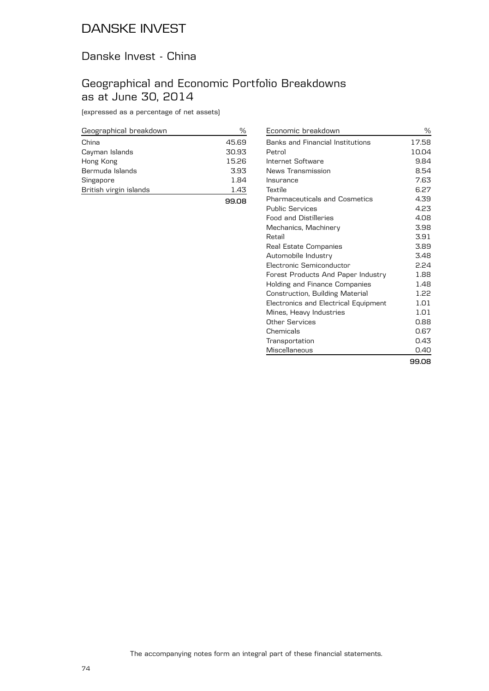### Danske Invest - China

### Geographical and Economic Portfolio Breakdowns as at June 30, 2014

(expressed as a percentage of net assets)

| Geographical breakdown | %     |
|------------------------|-------|
| China                  | 45.69 |
| Cayman Islands         | 30.93 |
| Hong Kong              | 15.26 |
| Bermuda Islands        | 3.93  |
| Singapore              | 1.84  |
| British virgin islands | 1.43  |
|                        | 99.08 |

| Economic breakdown                   | ℅     |
|--------------------------------------|-------|
| Banks and Financial Institutions     | 17.58 |
| Petrol                               | 10.04 |
| Internet Software                    | 9.84  |
| News Transmission                    | 8.54  |
| Insurance                            | 7.63  |
| Textile                              | 6.27  |
| <b>Pharmaceuticals and Cosmetics</b> | 4.39  |
| <b>Public Services</b>               | 4.23  |
| <b>Food and Distilleries</b>         | 4.08  |
| Mechanics, Machinery                 | 3.98  |
| Retail                               | 3.91  |
| Real Estate Companies                | 3.89  |
| Automobile Industry                  | 3.48  |
| Electronic Semiconductor             | 2.24  |
| Forest Products And Paper Industry   | 1.88  |
| Holding and Finance Companies        | 1.48  |
| Construction, Building Material      | 1.22  |
| Electronics and Electrical Equipment | 1.01  |
| Mines, Heavy Industries              | 1.01  |
| Other Services                       | 0.88  |
| Chemicals                            | 0.67  |
| Transportation                       | 0.43  |
| Miscellaneous                        | 0.40  |
|                                      | 99.08 |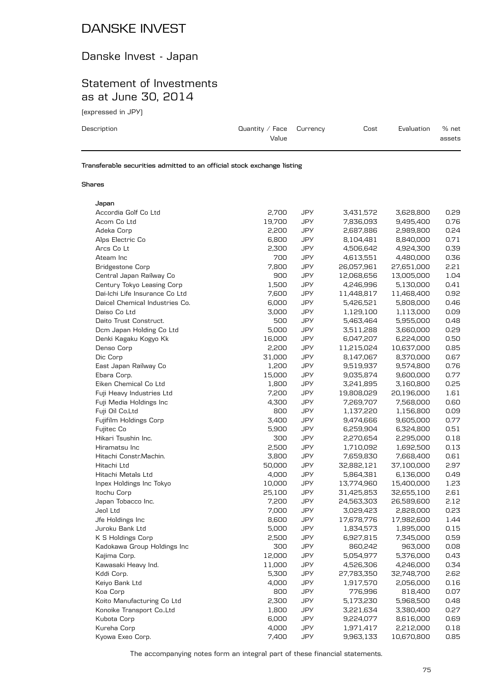# Danske Invest - Japan

## Statement of Investments as at June 30, 2014

(expressed in JPY)

| Description                            | Quantity / Face $C$ urrency<br>Value | Cost | Evaluation | % net<br>assets |
|----------------------------------------|--------------------------------------|------|------------|-----------------|
| $\overline{\phantom{a}}$<br>.<br>- - - | -- -                                 |      |            |                 |

**Transferable securities admitted to an official stock exchange listing**

#### **Shares**

| Japan                          |        |            |            |            |      |
|--------------------------------|--------|------------|------------|------------|------|
| Accordia Golf Co Ltd           | 2,700  | JPY        | 3,431,572  | 3,628,800  | 0.29 |
| Acom Co Ltd                    | 19,700 | <b>JPY</b> | 7,836,093  | 9,495,400  | 0.76 |
| Adeka Corp                     | 2,200  | <b>JPY</b> | 2,687,886  | 2,989,800  | 0.24 |
| Alps Electric Co               | 6,800  | <b>JPY</b> | 8,104,481  | 8,840,000  | 0.71 |
| Arcs Co Lt                     | 2,300  | <b>JPY</b> | 4,506,642  | 4,924,300  | 0.39 |
| Ateam Inc                      | 700    | <b>JPY</b> | 4,613,551  | 4,480,000  | 0.36 |
| <b>Bridgestone Corp</b>        | 7,800  | <b>JPY</b> | 26,057,961 | 27,651,000 | 2.21 |
| Central Japan Railway Co       | 900    | <b>JPY</b> | 12,068,656 | 13,005,000 | 1.04 |
| Century Tokyo Leasing Corp     | 1,500  | <b>JPY</b> | 4,246,996  | 5,130,000  | 0.41 |
| Dai-Ichi Life Insurance Co Ltd | 7,600  | JPY        | 11,448,817 | 11,468,400 | 0.92 |
| Daicel Chemical Industries Co. | 6,000  | <b>JPY</b> | 5,426,521  | 5,808,000  | 0.46 |
| Daiso Co Ltd                   | 3,000  | <b>JPY</b> | 1,129,100  | 1,113,000  | 0.09 |
| Daito Trust Construct.         | 500    | <b>JPY</b> | 5,463,464  | 5,955,000  | 0.48 |
| Dcm Japan Holding Co Ltd       | 5,000  | <b>JPY</b> | 3,511,288  | 3,660,000  | 0.29 |
| Denki Kagaku Kogyo Kk          | 16,000 | <b>JPY</b> | 6,047,207  | 6,224,000  | 0.50 |
| Denso Corp                     | 2,200  | <b>JPY</b> | 11,215,024 | 10,637,000 | 0.85 |
| Dic Corp                       | 31,000 | <b>JPY</b> | 8,147,067  | 8,370,000  | 0.67 |
| East Japan Railway Co          | 1,200  | <b>JPY</b> | 9,519,937  | 9,574,800  | 0.76 |
| Ebara Corp.                    | 15,000 | <b>JPY</b> | 9,035,874  | 9,600,000  | 0.77 |
| Eiken Chemical Co Ltd          | 1,800  | <b>JPY</b> | 3,241,895  | 3,160,800  | 0.25 |
| Fuji Heavy Industries Ltd      | 7,200  | <b>JPY</b> | 19,808,029 | 20,196,000 | 1.61 |
| Fuji Media Holdings Inc        | 4,300  | JPY        | 7,269,707  | 7,568,000  | 0.60 |
| Fuji Oil Co.Ltd                | 800    | <b>JPY</b> | 1,137,220  | 1,156,800  | 0.09 |
| Fujifilm Holdings Corp         | 3,400  | <b>JPY</b> | 9,474,666  | 9,605,000  | 0.77 |
| Fujitec Co                     | 5,900  | <b>JPY</b> | 6,259,904  | 6,324,800  | 0.51 |
| Hikari Tsushin Inc.            | 300    | <b>JPY</b> | 2,270,654  | 2,295,000  | 0.18 |
| Hiramatsu Inc                  | 2,500  | <b>JPY</b> | 1,710,092  | 1,692,500  | 0.13 |
| Hitachi Constr.Machin.         | 3,800  | <b>JPY</b> | 7,659,830  | 7,668,400  | 0.61 |
| Hitachi Ltd                    | 50,000 | <b>JPY</b> | 32,882,121 | 37,100,000 | 2.97 |
| Hitachi Metals Ltd             | 4,000  | <b>JPY</b> | 5,864,381  | 6,136,000  | 0.49 |
| Inpex Holdings Inc Tokyo       | 10,000 | <b>JPY</b> | 13,774,960 | 15,400,000 | 1.23 |
| Itochu Corp                    | 25,100 | <b>JPY</b> | 31,425,853 | 32,655,100 | 2.61 |
| Japan Tobacco Inc.             | 7,200  | JPY        | 24,563,303 | 26,589,600 | 2.12 |
| Jeol Ltd                       | 7,000  | JPY        | 3,029,423  | 2,828,000  | 0.23 |
| Jfe Holdings Inc               | 8,600  | <b>JPY</b> | 17,678,776 | 17,982,600 | 1.44 |
| Juroku Bank Ltd                | 5,000  | <b>JPY</b> | 1,834,573  | 1,895,000  | 0.15 |
| K S Holdings Corp              | 2,500  | <b>JPY</b> | 6,927,815  | 7,345,000  | 0.59 |
| Kadokawa Group Holdings Inc    | 300    | JPY        | 860,242    | 963,000    | 0.08 |
| Kajima Corp.                   | 12,000 | <b>JPY</b> | 5,054,977  | 5,376,000  | 0.43 |
| Kawasaki Heavy Ind.            | 11,000 | JPY        | 4,526,306  | 4,246,000  | 0.34 |
| Kddi Corp.                     | 5,300  | JPY        | 27,783,350 | 32,748,700 | 2.62 |
| Keiyo Bank Ltd                 | 4,000  | <b>JPY</b> | 1,917,570  | 2,056,000  | 0.16 |
| Koa Corp                       | 800    | <b>JPY</b> | 776,996    | 818,400    | 0.07 |
| Koito Manufacturing Co Ltd     | 2,300  | <b>JPY</b> | 5,173,230  | 5,968,500  | 0.48 |
| Konoike Transport CoLtd        | 1,800  | <b>JPY</b> | 3,221,634  | 3,380,400  | 0.27 |
| Kubota Corp                    | 6,000  | <b>JPY</b> | 9,224,077  | 8,616,000  | 0.69 |
| Kureha Corp                    | 4,000  | <b>JPY</b> | 1,971,417  | 2,212,000  | 0.18 |
| Kyowa Exeo Corp.               | 7,400  | <b>JPY</b> | 9,963,133  | 10,670,800 | 0.85 |
|                                |        |            |            |            |      |

The accompanying notes form an integral part of these financial statements.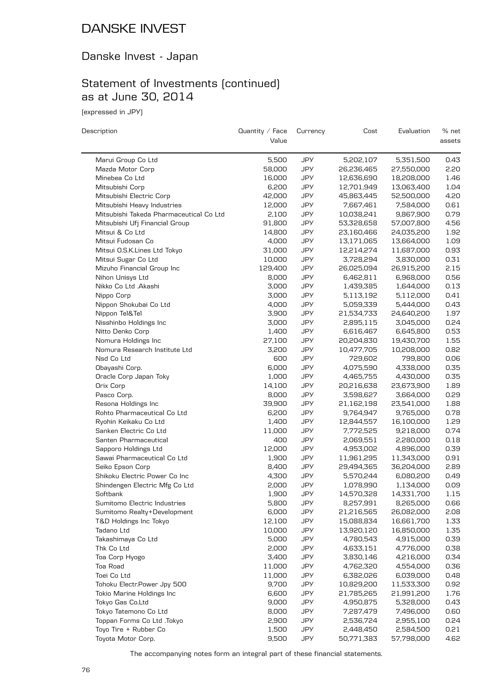## Danske Invest - Japan

# Statement of Investments (continued) as at June 30, 2014

(expressed in JPY)

| Description                             | Quantity / Face<br>Value | Currency   | Cost       | Evaluation | % net<br>assets |
|-----------------------------------------|--------------------------|------------|------------|------------|-----------------|
| Marui Group Co Ltd                      | 5,500                    | JPY        | 5,202,107  | 5,351,500  | 0.43            |
| Mazda Motor Corp                        | 58,000                   | JPY        | 26,236,465 | 27,550,000 | 2.20            |
| Minebea Co Ltd                          | 16,000                   | JPY        | 12,636,690 | 18,208,000 | 1.46            |
| Mitsubishi Corp                         | 6,200                    | <b>JPY</b> | 12,701,949 | 13,063,400 | 1.04            |
| Mitsubishi Electric Corp                | 42,000                   | <b>JPY</b> | 45,863,445 | 52,500,000 | 4.20            |
| Mitsubishi Heavy Industries             | 12,000                   | JPY        | 7,667,461  | 7,584,000  | 0.61            |
| Mitsubishi Takeda Pharmaceutical Co Ltd | 2,100                    | JPY        | 10,038,241 | 9,867,900  | 0.79            |
| Mitsubishi Ufj Financial Group          | 91,800                   | JPY        | 53,328,658 | 57,007,800 | 4.56            |
| Mitsui & Co Ltd                         | 14,800                   | JPY        | 23,160,466 | 24,035,200 | 1.92            |
| Mitsui Fudosan Co                       | 4,000                    | <b>JPY</b> | 13,171,065 | 13,664,000 | 1.09            |
| Mitsui O.S.K.Lines Ltd Tokyo            | 31,000                   | <b>JPY</b> | 12,214,274 | 11,687,000 | 0.93            |
| Mitsui Sugar Co Ltd                     | 10,000                   | JPY        | 3,728,294  | 3,830,000  | 0.31            |
| Mizuho Financial Group Inc              | 129,400                  | JPY        | 26,025,094 | 26,915,200 | 2.15            |
| Nihon Unisys Ltd                        | 8,000                    | JPY        | 6,462,811  | 6,968,000  | 0.56            |
| Nikko Co Ltd .Akashi                    | 3,000                    | JPY        | 1,439,385  | 1,644,000  | 0.13            |
| Nippo Corp                              | 3,000                    | <b>JPY</b> | 5,113,192  | 5,112,000  | 0.41            |
| Nippon Shokubai Co Ltd                  | 4,000                    | <b>JPY</b> | 5,059,339  | 5,444,000  | 0.43            |
| Nippon Tel&Tel                          | 3,900                    | <b>JPY</b> | 21,534,733 | 24,640,200 | 1.97            |
| Nisshinbo Holdings Inc                  | 3,000                    | JPY        | 2,895,115  | 3,045,000  | 0.24            |
| Nitto Denko Corp                        | 1,400                    | JPY        | 6,616,467  | 6,645,800  | 0.53            |
| Nomura Holdings Inc                     | 27,100                   | JPY        | 20,204,830 | 19,430,700 | 1.55            |
| Nomura Research Institute Ltd           | 3,200                    | <b>JPY</b> | 10,477,705 | 10,208,000 | 0.82            |
| Nsd Co Ltd                              | 600                      | JPY        | 729,602    | 799,800    | 0.06            |
| Obayashi Corp.                          | 6,000                    | <b>JPY</b> | 4,075,590  | 4,338,000  | 0.35            |
| Oracle Corp Japan Toky                  | 1,000                    | <b>JPY</b> | 4,465,755  | 4,430,000  | 0.35            |
| Orix Corp                               | 14,100                   | JPY        | 20,216,638 | 23,673,900 | 1.89            |
| Pasco Corp.                             | 8,000                    | JPY        | 3,598,627  | 3,664,000  | 0.29            |
| Resona Holdings Inc                     | 39,900                   | <b>JPY</b> | 21,162,198 | 23,541,000 | 1.88            |
| Rohto Pharmaceutical Co Ltd             | 6,200                    | <b>JPY</b> | 9,764,947  | 9,765,000  | 0.78            |
| Ryohin Keikaku Co Ltd                   | 1,400                    | JPY        | 12,844,557 | 16,100,000 | 1.29            |
| Sanken Electric Co Ltd                  | 11,000                   | JPY        | 7,772,525  | 9,218,000  | 0.74            |
| Santen Pharmaceutical                   | 400                      | JPY        | 2,069,551  | 2,280,000  | 0.18            |
| Sapporo Holdings Ltd                    | 12,000                   | JPY        | 4,953,002  | 4,896,000  | 0.39            |
| Sawai Pharmaceutical Co Ltd             | 1,900                    | <b>JPY</b> | 11,961,295 | 11,343,000 | 0.91            |
| Seiko Epson Corp                        | 8,400                    | <b>JPY</b> | 29,494,365 | 36,204,000 | 2.89            |
| Shikoku Electric Power Co Inc           | 4,300                    | JPY        | 5,570,244  | 6,080,200  | 0.49            |
| Shindengen Electric Mfg Co Ltd          | 2,000                    | JPY        | 1,078,990  | 1,134,000  | 0.09            |
| Softbank                                | 1,900                    | <b>JPY</b> | 14,570,328 | 14,331,700 | 1.15            |
| Sumitomo Electric Industries            | 5,800                    | <b>JPY</b> | 8,257,991  | 8,265,000  | 0.66            |
| Sumitomo Realty+Development             | 6,000                    | JPY        | 21,216,565 | 26,082,000 | 2.08            |
| T&D Holdings Inc Tokyo                  | 12,100                   | <b>JPY</b> | 15,088,834 | 16,661,700 | 1.33            |
| Tadano Ltd                              | 10,000                   | JPY        | 13,920,120 | 16,850,000 | 1.35            |
| Takashimaya Co Ltd                      | 5,000                    | JPY        | 4,780,543  | 4,915,000  | 0.39            |
| Thk Co Ltd                              | 2,000                    | JPY        | 4,633,151  | 4,776,000  | 0.38            |
| Toa Corp Hyogo                          | 3,400                    | JPY        | 3,830,146  | 4,216,000  | 0.34            |
| Toa Road                                | 11,000                   | JPY        | 4,762,320  | 4,554,000  | 0.36            |
| Toei Co Ltd                             | 11,000                   | <b>JPY</b> | 6,382,026  | 6,039,000  | 0.48            |
| Tohoku Electr. Power Jpy 500            | 9,700                    | JPY        | 10,829,200 | 11,533,300 | 0.92            |
| Tokio Marine Holdings Inc               | 6,600                    | <b>JPY</b> | 21,785,265 | 21,991,200 | 1.76            |
| Tokyo Gas Co.Ltd                        | 9,000                    | JPY        | 4,950,875  | 5,328,000  | 0.43            |
| Tokyo Tatemono Co Ltd                   | 8,000                    | JPY        | 7,287,479  | 7,496,000  | 0.60            |
| Toppan Forms Co Ltd .Tokyo              | 2,900                    | JPY        | 2,536,724  | 2,955,100  | 0.24            |
| Toyo Tire + Rubber Co                   | 1,500                    | <b>JPY</b> | 2,448,450  | 2,584,500  | 0.21            |
| Toyota Motor Corp.                      | 9,500                    | JPY        | 50,771,383 | 57,798,000 | 4.62            |

The accompanying notes form an integral part of these financial statements.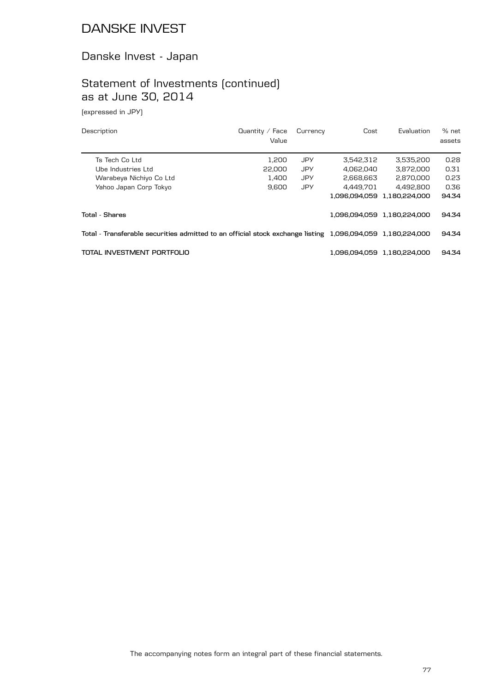## Danske Invest - Japan

# Statement of Investments (continued) as at June 30, 2014

(expressed in JPY)

| Description                                                                                                | Quantity $/$ Face<br>Value | Currency   | Cost          | Evaluation                  | $%$ net<br>assets |
|------------------------------------------------------------------------------------------------------------|----------------------------|------------|---------------|-----------------------------|-------------------|
| Ts Tech Co Ltd                                                                                             | 1.200                      | JPY        | 3.542.312     | 3.535.200                   | 0.28              |
| Ube Industries Ltd                                                                                         | 22,000                     | <b>JPY</b> | 4.062.040     | 3.872.000                   | 0.31              |
| Warabeya Nichiyo Co Ltd                                                                                    | 1.400                      | <b>JPY</b> | 2.668.663     | 2.870.000                   | 0.23              |
| Yahoo Japan Corp Tokyo                                                                                     | 9.600                      | <b>JPY</b> | 4.449.701     | 4.492.800                   | 0.36              |
|                                                                                                            |                            |            | 1.096.094.059 | 1.180.224.000               | 94.34             |
| Total - Shares                                                                                             |                            |            |               | 1,096,094,059 1,180,224,000 | 94.34             |
| Total - Transferable securities admitted to an official stock exchange listing 1,096,094,059 1,180,224,000 |                            |            |               | 94.34                       |                   |
| TOTAL INVESTMENT PORTFOLIO                                                                                 |                            |            |               | 1.096.094.059 1.180.224.000 | 94.34             |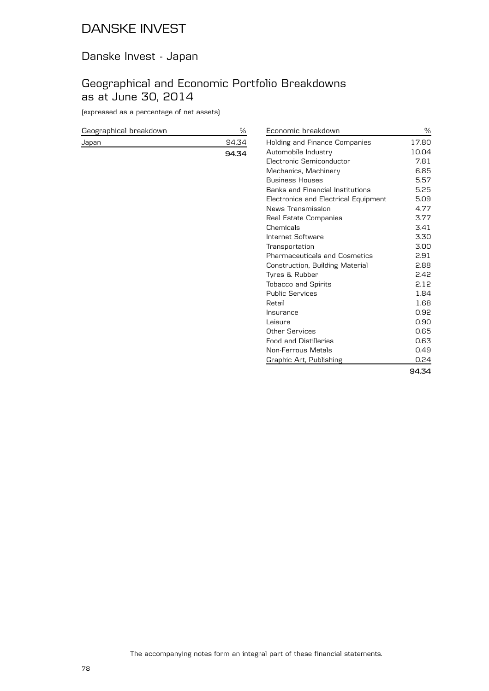## Danske Invest - Japan

## Geographical and Economic Portfolio Breakdowns as at June 30, 2014

(expressed as a percentage of net assets)

| Geographical breakdown |       |
|------------------------|-------|
| Japan                  | 94.34 |
|                        | 94.34 |

| Economic breakdown                   | %     |
|--------------------------------------|-------|
| Holding and Finance Companies        | 17.80 |
| Automobile Industry                  | 10.04 |
| Flectronic Semiconductor             | 7.81  |
| Mechanics, Machinery                 | 6.85  |
| <b>Business Houses</b>               | 5.57  |
| Banks and Financial Institutions     | 5.25  |
| Electronics and Electrical Equipment | 5.09  |
| News Transmission                    | 4.77  |
| Real Estate Companies                | 3.77  |
| Chemicals                            | 3.41  |
| Internet Software                    | 3.30  |
| Transportation                       | 3.00  |
| <b>Pharmaceuticals and Cosmetics</b> | 2.91  |
| Construction, Building Material      | 2.88  |
| Tyres & Rubber                       | 2.42  |
| <b>Tobacco and Spirits</b>           | 2.12  |
| <b>Public Services</b>               | 1.84  |
| Retail                               | 1.68  |
| Insurance                            | 0.92  |
| Leisure                              | 0.90  |
| <b>Other Services</b>                | 0.65  |
| <b>Food and Distilleries</b>         | 0.63  |
| Non-Ferrous Metals                   | 0.49  |
| Graphic Art, Publishing              | 0.24  |
|                                      | 94.34 |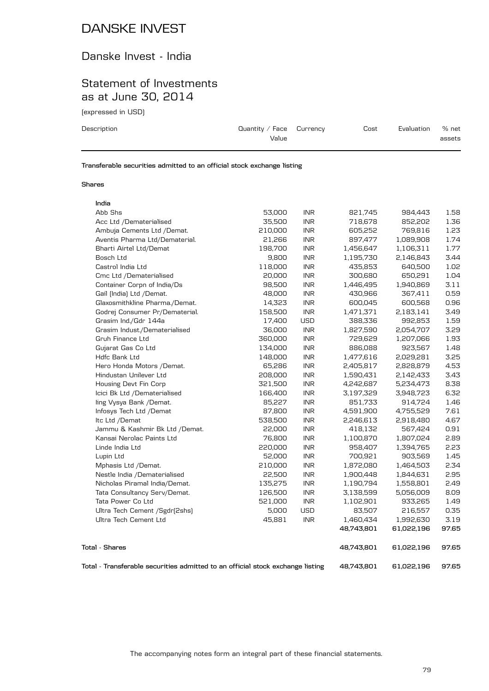### Danske Invest - India

### Statement of Investments as at June 30, 2014

(expressed in USD)

| Description | Quantity / Face $C$ urrency<br>Value | Cost | Evaluation | % net<br>assets |
|-------------|--------------------------------------|------|------------|-----------------|
|             |                                      |      |            |                 |

**Transferable securities admitted to an official stock exchange listing**

#### **Shares**

| India                                                                          |         |                             |            |            |       |
|--------------------------------------------------------------------------------|---------|-----------------------------|------------|------------|-------|
| Abb Shs                                                                        | 53,000  | <b>INR</b>                  | 821,745    | 984,443    | 1.58  |
| Acc Ltd /Dematerialised                                                        | 35,500  | <b>INR</b>                  | 718,678    | 852,202    | 1.36  |
| Ambuja Cements Ltd /Demat.                                                     | 210,000 | <b>INR</b>                  | 605,252    | 769,816    | 1.23  |
| Aventis Pharma Ltd/Dematerial.                                                 | 21,266  | $\ensuremath{\mathsf{INR}}$ | 897,477    | 1,089,908  | 1.74  |
| Bharti Airtel Ltd/Demat                                                        | 198,700 | <b>INR</b>                  | 1,456,647  | 1,106,311  | 1.77  |
| Bosch Ltd                                                                      | 9,800   | <b>INR</b>                  | 1,195,730  | 2,146,843  | 3.44  |
| Castrol India Ltd                                                              | 118,000 | <b>INR</b>                  | 435,853    | 640,500    | 1.02  |
| Cmc Ltd /Dematerialised                                                        | 20,000  | <b>INR</b>                  | 300,680    | 650,291    | 1.04  |
| Container Corpn of India/Ds                                                    | 98,500  | <b>INR</b>                  | 1,446,495  | 1,940,869  | 3.11  |
| Gail (India) Ltd /Demat.                                                       | 48,000  | <b>INR</b>                  | 430,966    | 367,411    | 0.59  |
| Glaxosmithkline Pharma./Demat.                                                 | 14,323  | <b>INR</b>                  | 600,045    | 600,568    | 0.96  |
| Godrej Consumer Pr/Dematerial.                                                 | 158,500 | <b>INR</b>                  | 1,471,371  | 2,183,141  | 3.49  |
| Grasim Ind./Gdr 144a                                                           | 17,400  | <b>USD</b>                  | 388,336    | 992,853    | 1.59  |
| Grasim Indust./Dematerialised                                                  | 36,000  | <b>INR</b>                  | 1,827,590  | 2,054,707  | 3.29  |
| Gruh Finance Ltd                                                               | 360,000 | <b>INR</b>                  | 729,629    | 1,207,066  | 1.93  |
| Gujarat Gas Co Ltd                                                             | 134,000 | <b>INR</b>                  | 886,088    | 923,567    | 1.48  |
| Hdfc Bank Ltd                                                                  | 148,000 | <b>INR</b>                  | 1,477,616  | 2,029,281  | 3.25  |
| Hero Honda Motors / Demat.                                                     | 65,286  | $\ensuremath{\mathsf{INR}}$ | 2,405,817  | 2,828,879  | 4.53  |
| Hindustan Unilever Ltd                                                         | 208,000 | <b>INR</b>                  | 1,590,431  | 2,142,433  | 3.43  |
| Housing Devt Fin Corp                                                          | 321,500 | <b>INR</b>                  | 4,242,687  | 5,234,473  | 8.38  |
| Icici Bk Ltd /Dematerialised                                                   | 166,400 | <b>INR</b>                  | 3,197,329  | 3,948,723  | 6.32  |
| ling Vysya Bank /Demat.                                                        | 85,227  | <b>INR</b>                  | 851,733    | 914,724    | 1.46  |
| Infosys Tech Ltd /Demat                                                        | 87,800  | <b>INR</b>                  | 4,591,900  | 4,755,529  | 7.61  |
| Itc Ltd /Demat                                                                 | 538,500 | $\ensuremath{\mathsf{INR}}$ | 2,246,613  | 2,918,480  | 4.67  |
| Jammu & Kashmir Bk Ltd /Demat.                                                 | 22,000  | <b>INR</b>                  | 418,132    | 567,424    | 0.91  |
| Kansai Nerolac Paints Ltd                                                      | 76,800  | $\ensuremath{\mathsf{INR}}$ | 1,100,870  | 1,807,024  | 2.89  |
| Linde India Ltd                                                                | 220,000 | <b>INR</b>                  | 958,407    | 1,394,765  | 2.23  |
| Lupin Ltd                                                                      | 52,000  | <b>INR</b>                  | 700,921    | 903,569    | 1.45  |
| Mphasis Ltd /Demat.                                                            | 210,000 | <b>INR</b>                  | 1,872,080  | 1,464,503  | 2.34  |
| Nestle India /Dematerialised                                                   | 22,500  | <b>INR</b>                  | 1,900,448  | 1,844,631  | 2.95  |
| Nicholas Piramal India/Demat.                                                  | 135,275 | <b>INR</b>                  | 1,190,794  | 1,558,801  | 2.49  |
| Tata Consultancy Serv/Demat.                                                   | 126,500 | <b>INR</b>                  | 3,138,599  | 5,056,009  | 8.09  |
| Tata Power Co Ltd                                                              | 521,000 | <b>INR</b>                  | 1,102,901  | 933,265    | 1.49  |
| Ultra Tech Cement / Sgdr(2shs)                                                 | 5,000   | <b>USD</b>                  | 83,507     | 216,557    | 0.35  |
| Ultra Tech Cement Ltd                                                          | 45,881  | <b>INR</b>                  | 1,460,434  | 1,992,630  | 3.19  |
|                                                                                |         |                             | 48,743,801 | 61,022,196 | 97.65 |
| <b>Total - Shares</b>                                                          |         |                             | 48,743,801 | 61,022,196 | 97.65 |
| Total - Transferable securities admitted to an official stock exchange listing |         |                             | 48,743,801 | 61,022,196 | 97.65 |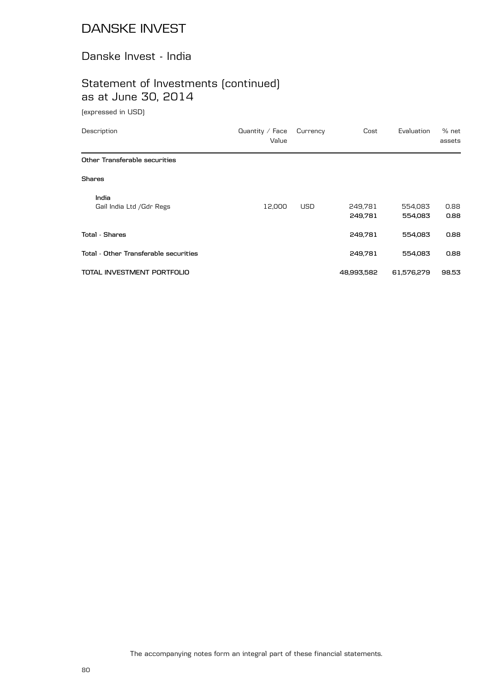### Danske Invest - India

# Statement of Investments (continued) as at June 30, 2014

(expressed in USD)

| Description                           | Quantity $\angle$ Face<br>Value | Currency   | Cost               | Evaluation         | % net<br>assets |
|---------------------------------------|---------------------------------|------------|--------------------|--------------------|-----------------|
| Other Transferable securities         |                                 |            |                    |                    |                 |
| Shares                                |                                 |            |                    |                    |                 |
| India<br>Gail India Ltd / Gdr Regs    | 12,000                          | <b>USD</b> | 249,781<br>249,781 | 554,083<br>554,083 | 0.88<br>0.88    |
| Total - Shares                        |                                 |            | 249,781            | 554,083            | 0.88            |
| Total - Other Transferable securities |                                 |            | 249.781            | 554,083            | 0.88            |
| TOTAL INVESTMENT PORTFOLIO            |                                 |            | 48,993,582         | 61,576,279         | 98.53           |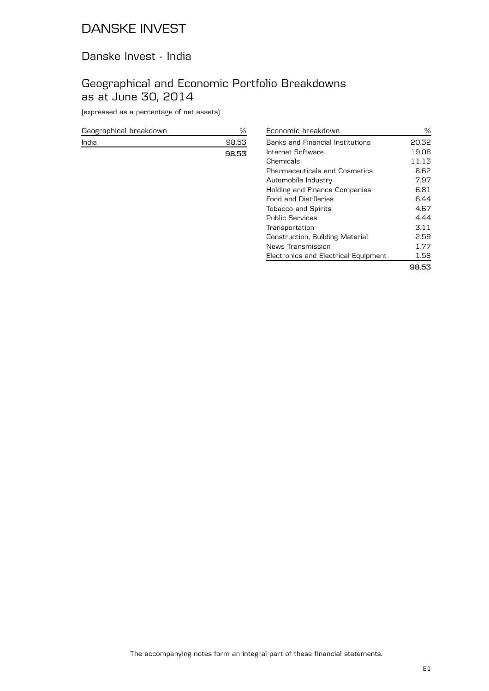### Danske Invest - India

## Geographical and Economic Portfolio Breakdowns as at June 30, 2014

(expressed as a percentage of net assets)

| Geographical breakdown |       |
|------------------------|-------|
| India                  | 98.53 |
|                        | 98.53 |

| Economic breakdown                   | ℅     |
|--------------------------------------|-------|
| Banks and Financial Institutions     | 20.32 |
| Internet Software                    | 19.08 |
| Chemicals                            | 11.13 |
| <b>Pharmaceuticals and Cosmetics</b> | 8.62  |
| Automobile Industry                  | 7.97  |
| Holding and Finance Companies        | 6.81  |
| <b>Food and Distilleries</b>         | 6.44  |
| <b>Tobacco and Spirits</b>           | 4.67  |
| Public Services                      | 4.44  |
| Transportation                       | 3.11  |
| Construction, Building Material      | 2.59  |
| News Transmission                    | 1.77  |
| Electronics and Electrical Equipment | 1.58  |
|                                      |       |

**98.53**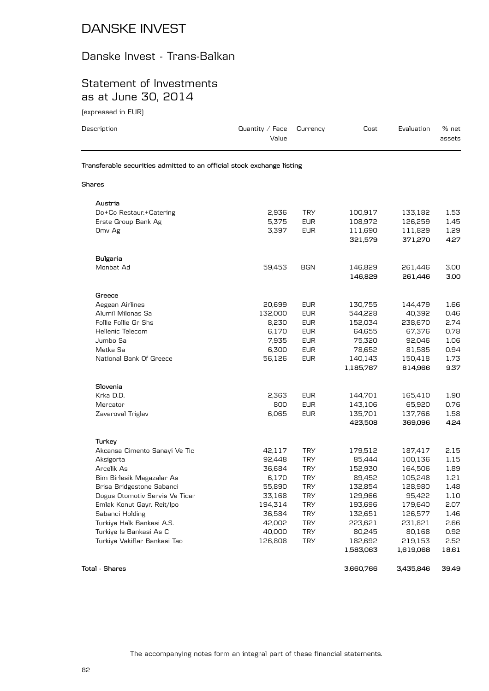# Danske Invest - Trans-Balkan

## Statement of Investments as at June 30, 2014

(expressed in EUR)

| Description                                                            | Quantity / Face<br>Value | Currency   | Cost      | Evaluation | % net<br>assets |
|------------------------------------------------------------------------|--------------------------|------------|-----------|------------|-----------------|
| Transferable securities admitted to an official stock exchange listing |                          |            |           |            |                 |
| Shares                                                                 |                          |            |           |            |                 |
| Austria                                                                |                          |            |           |            |                 |
| Do+Co Restaur.+Catering                                                | 2,936                    | <b>TRY</b> | 100,917   | 133,182    | 1.53            |
| Erste Group Bank Ag                                                    | 5,375                    | <b>EUR</b> | 108,972   | 126,259    | 1.45            |
| Omv Ag                                                                 | 3,397                    | <b>EUR</b> | 111,690   | 111,829    | 1.29            |
|                                                                        |                          |            | 321,579   | 371,270    | 4.27            |
| <b>Bulgaria</b>                                                        |                          |            |           |            |                 |
| Monbat Ad                                                              | 59,453                   | BGN        | 146,829   | 261,446    | 3.00            |
|                                                                        |                          |            | 146,829   | 261,446    | 3.00            |
| Greece                                                                 |                          |            |           |            |                 |
| Aegean Airlines                                                        | 20,699                   | <b>EUR</b> | 130,755   | 144,479    | 1.66            |
| Alumil Milonas Sa                                                      | 132,000                  | <b>EUR</b> | 544,228   | 40,392     | 0.46            |
| Follie Follie Gr Shs                                                   | 8,230                    | <b>EUR</b> | 152,034   | 238,670    | 2.74            |
| Hellenic Telecom                                                       | 6,170                    | <b>EUR</b> | 64,655    | 67,376     | 0.78            |
| Jumbo Sa                                                               | 7,935                    | <b>EUR</b> | 75,320    | 92,046     | 1.06            |
| Metka Sa                                                               | 6,300                    | <b>EUR</b> | 78,652    | 81,585     | 0.94            |
| National Bank Of Greece                                                | 56,126                   | <b>EUR</b> | 140,143   | 150,418    | 1.73            |
|                                                                        |                          |            | 1,185,787 | 814,966    | 9.37            |
| Slovenia                                                               |                          |            |           |            |                 |
| Krka D.D.                                                              | 2,363                    | <b>EUR</b> | 144,701   | 165,410    | 1.90            |
| Mercator                                                               | 800                      | <b>EUR</b> | 143,106   | 65,920     | 0.76            |
| Zavaroval Triglav                                                      | 6,065                    | <b>EUR</b> | 135,701   | 137,766    | 1.58            |
|                                                                        |                          |            | 423,508   | 369,096    | 4.24            |
| Turkey                                                                 |                          |            |           |            |                 |
| Akcansa Cimento Sanayi Ve Tic                                          | 42,117                   | <b>TRY</b> | 179,512   | 187,417    | 2.15            |
| Aksigorta                                                              | 92,448                   | <b>TRY</b> | 85,444    | 100,136    | 1.15            |
| Arcelik As                                                             | 36,684                   | <b>TRY</b> | 152,930   | 164,506    | 1.89            |
| Bim Birlesik Magazalar As                                              | 6,170                    | <b>TRY</b> | 89,452    | 105,248    | 1.21            |
| Brisa Bridgestone Sabanci                                              | 55,890                   | <b>TRY</b> | 132,854   | 128,980    | 1.48            |
| Dogus Otomotiv Servis Ve Ticar                                         | 33,168                   | <b>TRY</b> | 129,966   | 95,422     | 1.10            |
| Emlak Konut Gayr. Reit/Ipo                                             | 194,314                  | <b>TRY</b> | 193,696   | 179,640    | 2.07            |
| Sabanci Holding                                                        | 36,584                   | <b>TRY</b> | 132,651   | 126,577    | 1.46            |
| Turkiye Halk Bankasi A.S.                                              | 42,002                   | <b>TRY</b> | 223,621   | 231,821    | 2.66            |
| Turkiye Is Bankasi As C                                                | 40,000                   | <b>TRY</b> | 80,245    | 80,168     | 0.92            |
| Turkiye Vakiflar Bankasi Tao                                           | 126,808                  | <b>TRY</b> | 182,692   | 219,153    | 2.52            |
|                                                                        |                          |            | 1,583,063 | 1,619,068  | 18.61           |
|                                                                        |                          |            |           |            |                 |

**Total - Shares 3,660,766 3,435,846 39.49**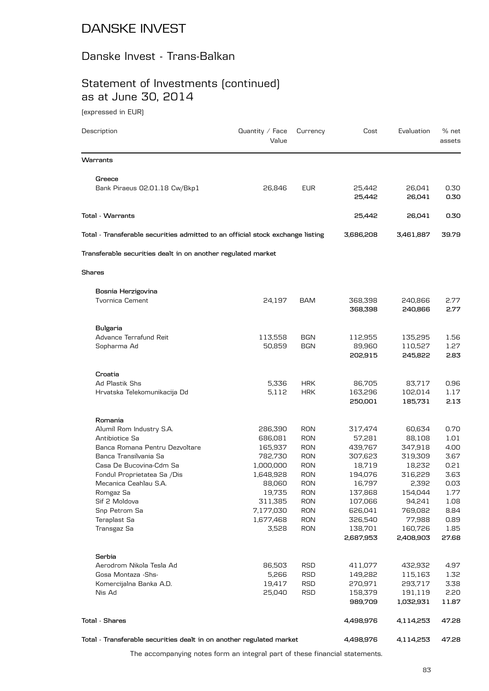### Danske Invest - Trans-Balkan

# Statement of Investments (continued) as at June 30, 2014

(expressed in EUR)

| Description                                                                    | Quantity $\angle$ Face<br>Value | Currency                 | Cost                 | Evaluation           | % net<br>assets |
|--------------------------------------------------------------------------------|---------------------------------|--------------------------|----------------------|----------------------|-----------------|
| Warrants                                                                       |                                 |                          |                      |                      |                 |
| Greece                                                                         |                                 |                          |                      |                      |                 |
| Bank Piraeus 02.01.18 Cw/Bkp1                                                  | 26,846                          | <b>EUR</b>               | 25,442<br>25,442     | 26,041<br>26,041     | 0.30<br>0.30    |
| Total - Warrants                                                               |                                 |                          | 25,442               | 26,041               | 0.30            |
| Total - Transferable securities admitted to an official stock exchange listing |                                 |                          | 3,686,208            | 3,461,887            | 39.79           |
| Transferable securities dealt in on another regulated market                   |                                 |                          |                      |                      |                 |
| <b>Shares</b>                                                                  |                                 |                          |                      |                      |                 |
| Bosnia Herzigovina                                                             |                                 |                          |                      |                      |                 |
| <b>Tvornica Cement</b>                                                         | 24,197                          | <b>BAM</b>               | 368,398<br>368,398   | 240,866<br>240,866   | 2.77<br>2.77    |
| <b>Bulgaria</b>                                                                |                                 |                          |                      |                      |                 |
| Advance Terrafund Reit                                                         | 113,558                         | <b>BGN</b>               | 112,955              | 135,295              | 1.56            |
| Sopharma Ad                                                                    | 50,859                          | <b>BGN</b>               | 89,960<br>202,915    | 110,527<br>245,822   | 1.27<br>2.83    |
|                                                                                |                                 |                          |                      |                      |                 |
| Croatia<br>Ad Plastik Shs                                                      | 5,336                           | <b>HRK</b>               | 86,705               | 83,717               | 0.96            |
| Hrvatska Telekomunikacija Dd                                                   | 5,112                           | <b>HRK</b>               | 163,296              | 102,014              | 1.17            |
|                                                                                |                                 |                          | 250,001              | 185,731              | 2.13            |
| Romania                                                                        |                                 |                          |                      |                      |                 |
| Alumil Rom Industry S.A.                                                       | 286,390                         | <b>RON</b>               | 317,474              | 60,634               | 0.70            |
| Antibiotice Sa                                                                 | 686,081                         | <b>RON</b>               | 57,281               | 88,108               | 1.01            |
| Banca Romana Pentru Dezvoltare                                                 | 165,937                         | <b>RON</b>               | 439,767              | 347,918              | 4.00            |
| Banca Transilvania Sa                                                          | 782,730                         | <b>RON</b>               | 307,623              | 319,309              | 3.67            |
| Casa De Bucovina-Cdm Sa                                                        | 1,000,000                       | <b>RON</b>               | 18,719               | 18,232               | 0.21            |
| Fondul Proprietatea Sa /Dis<br>Mecanica Ceahlau S.A.                           | 1,648,928<br>88,060             | <b>RON</b><br><b>RON</b> | 194,076<br>16,797    | 316,229<br>2,392     | 3.63<br>0.03    |
| Romgaz Sa                                                                      | 19,735                          | <b>RON</b>               | 137,868              | 154,044              | 1.77            |
| Sif 2 Moldova                                                                  | 311,385                         | <b>RON</b>               | 107,066              | 94,241               | 1.08            |
| Snp Petrom Sa                                                                  | 7,177,030                       | <b>RON</b>               | 626,041              | 769,082              | 8.84            |
| Teraplast Sa                                                                   | 1,677,468                       | <b>RON</b>               | 326,540              | 77,988               | 0.89            |
| Transgaz Sa                                                                    | 3,528                           | <b>RON</b>               | 138,701<br>2,687,953 | 160,726<br>2,408,903 | 1.85<br>27.68   |
|                                                                                |                                 |                          |                      |                      |                 |
| Serbia                                                                         |                                 |                          |                      |                      |                 |
| Aerodrom Nikola Tesla Ad<br>Gosa Montaza - Shs-                                | 86,503<br>5,266                 | RSD<br>RSD               | 411,077<br>149,282   | 432,932<br>115,163   | 4.97<br>1.32    |
| Komercijalna Banka A.D.                                                        | 19,417                          | RSD                      | 270,971              | 293,717              | 3.38            |
| Nis Ad                                                                         | 25,040                          | RSD                      | 158,379              | 191,119              | 2.20            |
|                                                                                |                                 |                          | 989,709              | 1,032,931            | 11.87           |
| Total - Shares                                                                 |                                 |                          | 4,498,976            | 4,114,253            | 47.28           |
| Total - Transferable securities dealt in on another regulated market           |                                 |                          | 4,498,976            | 4,114,253            | 47.28           |

The accompanying notes form an integral part of these financial statements.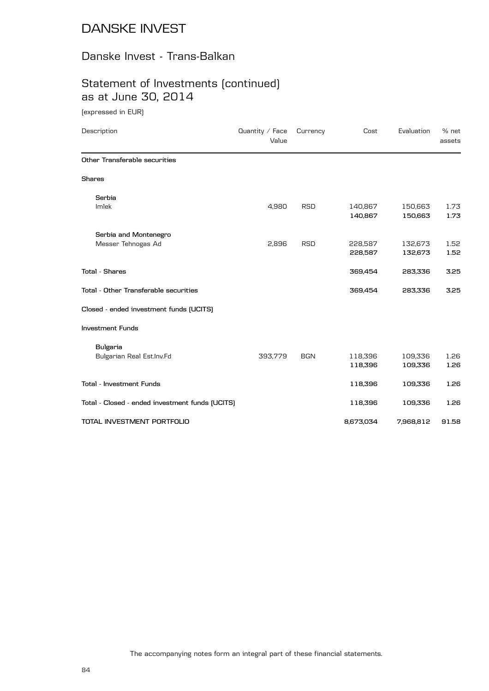### Danske Invest - Trans-Balkan

## Statement of Investments (continued) as at June 30, 2014

(expressed in EUR)

| Description                                     | Quantity / Face<br>Value | Currency   | Cost               | Evaluation         | % net<br>assets |
|-------------------------------------------------|--------------------------|------------|--------------------|--------------------|-----------------|
| Other Transferable securities                   |                          |            |                    |                    |                 |
| <b>Shares</b>                                   |                          |            |                    |                    |                 |
| Serbia                                          |                          |            |                    |                    |                 |
| Imlek                                           | 4,980                    | <b>RSD</b> | 140,867<br>140,867 | 150,663<br>150,663 | 1.73<br>1.73    |
| Serbia and Montenegro                           |                          |            |                    |                    |                 |
| Messer Tehnogas Ad                              | 2,896                    | <b>RSD</b> | 228,587            | 132,673            | 1.52            |
|                                                 |                          |            | 228,587            | 132,673            | 1.52            |
| <b>Total - Shares</b>                           |                          |            | 369,454            | 283,336            | 3.25            |
| Total - Other Transferable securities           |                          |            | 369,454            | 283,336            | 3.25            |
| Closed - ended investment funds (UCITS)         |                          |            |                    |                    |                 |
| <b>Investment Funds</b>                         |                          |            |                    |                    |                 |
| <b>Bulgaria</b>                                 |                          |            |                    |                    |                 |
| Bulgarian Real Est.Inv.Fd                       | 393,779                  | <b>BGN</b> | 118,396            | 109,336            | 1.26            |
|                                                 |                          |            | 118,396            | 109,336            | 1.26            |
| Total - Investment Funds                        |                          |            | 118,396            | 109,336            | 1.26            |
| Total - Closed - ended investment funds (UCITS) |                          |            | 118,396            | 109,336            | 1.26            |
| TOTAL INVESTMENT PORTFOLIO                      |                          |            | 8,673,034          | 7,968,812          | 91.58           |
|                                                 |                          |            |                    |                    |                 |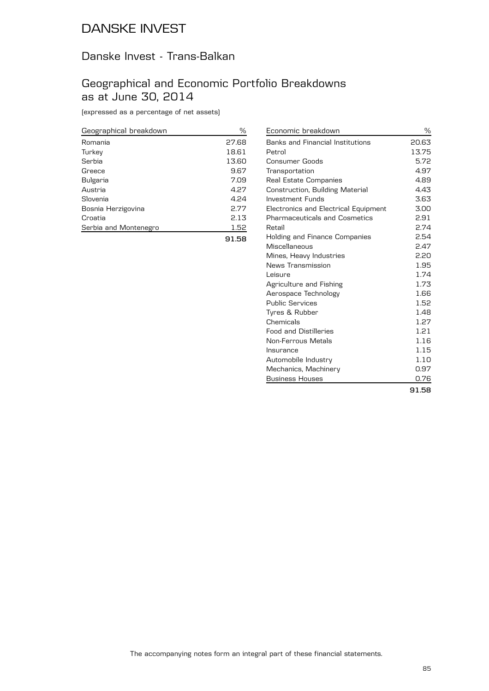## Danske Invest - Trans-Balkan

### Geographical and Economic Portfolio Breakdowns as at June 30, 2014

(expressed as a percentage of net assets)

| Geographical breakdown | ℅     |
|------------------------|-------|
| Romania                | 27.68 |
| Turkey                 | 18.61 |
| Serbia                 | 13.60 |
| Greece                 | 9.67  |
| Bulgaria               | 7.09  |
| Austria                | 4.27  |
| Slovenia               | 4.24  |
| Bosnia Herzigovina     | 2.77  |
| Croatia                | 2.13  |
| Serbia and Montenegro  | 1.52  |
|                        | 91.58 |

| Economic breakdown                   | ℅     |
|--------------------------------------|-------|
| Banks and Financial Institutions     | 20.63 |
| Petrol                               | 13.75 |
| Consumer Goods                       | 5.72  |
| Transportation                       | 4.97  |
| Real Estate Companies                | 4.89  |
| Construction, Building Material      | 4.43  |
| <b>Investment Funds</b>              | 3.63  |
| Electronics and Electrical Equipment | 3.00  |
| <b>Pharmaceuticals and Cosmetics</b> | 2.91  |
| Retail                               | 2.74  |
| <b>Holding and Finance Companies</b> | 2.54  |
| Miscellaneous                        | 2.47  |
| Mines, Heavy Industries              | 2.20  |
| News Transmission                    | 1.95  |
| Leisure                              | 1.74  |
| Agriculture and Fishing              | 1.73  |
| Aerospace Technology                 | 1.66  |
| <b>Public Services</b>               | 1.52  |
| Tyres & Rubber                       | 1.48  |
| Chemicals                            | 1.27  |
| <b>Food and Distilleries</b>         | 1.21  |
| Non-Ferrous Metals                   | 1.16  |
| Insurance                            | 1.15  |
| Automobile Industry                  | 1.10  |
| Mechanics, Machinery                 | 0.97  |
| <b>Business Houses</b>               | 0.76  |
|                                      | 91.58 |

The accompanying notes form an integral part of these financial statements.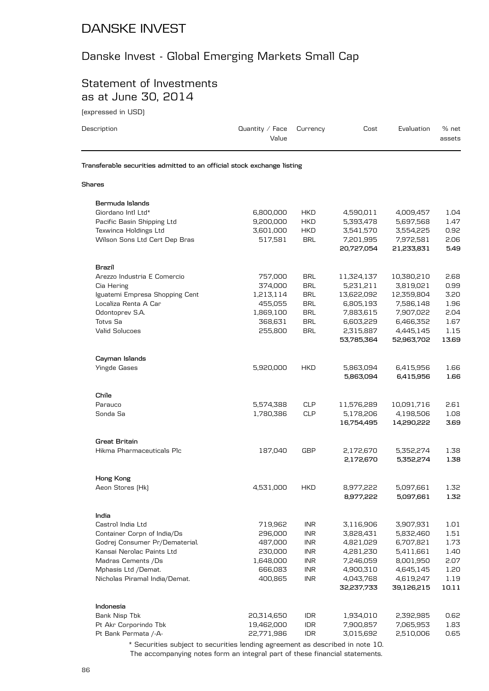## Danske Invest - Global Emerging Markets Small Cap

### Statement of Investments as at June 30, 2014

(expressed in USD)

| Description                                                            | Quantity $/$ Face<br>Value | Currency                    | Cost       | Evaluation | % net<br>assets |
|------------------------------------------------------------------------|----------------------------|-----------------------------|------------|------------|-----------------|
| Transferable securities admitted to an official stock exchange listing |                            |                             |            |            |                 |
| <b>Shares</b>                                                          |                            |                             |            |            |                 |
| Bermuda Islands                                                        |                            |                             |            |            |                 |
| Giordano Intl Ltd*                                                     | 6,800,000                  | <b>HKD</b>                  | 4,590,011  | 4,009,457  | 1.04            |
| Pacific Basin Shipping Ltd                                             | 9,200,000                  | HKD                         | 5,393,478  | 5,697,568  | 1.47            |
| Texwinca Holdings Ltd                                                  | 3,601,000                  | <b>HKD</b>                  | 3,541,570  | 3,554,225  | 0.92            |
| Wilson Sons Ltd Cert Dep Bras                                          | 517,581                    | <b>BRL</b>                  | 7,201,995  | 7,972,581  | 2.06            |
|                                                                        |                            |                             | 20,727,054 | 21,233,831 | 5.49            |
| Brazil                                                                 |                            |                             |            |            |                 |
| Arezzo Industria E Comercio                                            | 757,000                    | <b>BRL</b>                  | 11,324,137 | 10,380,210 | 2.68            |
| Cia Hering                                                             | 374,000                    | <b>BRL</b>                  | 5,231,211  | 3,819,021  | 0.99            |
| Iguatemi Empresa Shopping Cent                                         | 1,213,114                  | <b>BRL</b>                  | 13,622,092 | 12,359,804 | 3.20            |
| Localiza Renta A Car                                                   | 455,055                    | <b>BRL</b>                  | 6,805,193  | 7,586,148  | 1.96            |
| Odontoprev S.A.                                                        | 1,869,100                  | <b>BRL</b>                  | 7,883,615  | 7,907,022  | 2.04            |
| <b>Totvs Sa</b>                                                        | 368,631                    | <b>BRL</b>                  | 6,603,229  | 6,466,352  | 1.67            |
| Valid Solucoes                                                         | 255,800                    | <b>BRL</b>                  | 2,315,887  | 4,445,145  | 1.15            |
|                                                                        |                            |                             | 53,785,364 | 52,963,702 | 13.69           |
| Cayman Islands                                                         |                            |                             |            |            |                 |
| <b>Yingde Gases</b>                                                    | 5,920,000                  | <b>HKD</b>                  | 5,863,094  | 6,415,956  | 1.66            |
|                                                                        |                            |                             | 5,863,094  | 6,415,956  | 1.66            |
| Chile                                                                  |                            |                             |            |            |                 |
| Parauco                                                                | 5,574,388                  | <b>CLP</b>                  | 11,576,289 | 10,091,716 | 2.61            |
| Sonda Sa                                                               | 1,780,386                  | <b>CLP</b>                  | 5,178,206  | 4,198,506  | 1.08            |
|                                                                        |                            |                             | 16,754,495 | 14,290,222 | 3.69            |
| <b>Great Britain</b>                                                   |                            |                             |            |            |                 |
| Hikma Pharmaceuticals Plc                                              | 187,040                    | GBP                         | 2,172,670  | 5,352,274  | 1.38            |
|                                                                        |                            |                             | 2,172,670  | 5,352,274  | 1.38            |
| Hong Kong                                                              |                            |                             |            |            |                 |
| Aeon Stores (Hk)                                                       | 4,531,000                  | <b>HKD</b>                  | 8,977,222  | 5,097,661  | 1.32            |
|                                                                        |                            |                             | 8,977,222  | 5,097,661  | 1.32            |
| India                                                                  |                            |                             |            |            |                 |
| Castrol India Ltd                                                      | 719,962                    | <b>INR</b>                  | 3,116,906  | 3,907,931  | 1.01            |
| Container Corpn of India/Ds                                            | 296,000                    | $\ensuremath{\mathsf{INR}}$ | 3,828,431  | 5,832,460  | 1.51            |
| Godrej Consumer Pr/Dematerial.                                         | 487,000                    | <b>INR</b>                  | 4,821,029  | 6,707,821  | 1.73            |
| Kansai Nerolac Paints Ltd                                              | 230,000                    | <b>INR</b>                  | 4,281,230  | 5,411,661  | 1.40            |
| Madras Cements /Ds                                                     | 1,648,000                  | <b>INR</b>                  | 7,246,059  | 8,001,950  | 2.07            |
| Mphasis Ltd /Demat.                                                    | 666,083                    | <b>INR</b>                  | 4,900,310  | 4,645,145  | 1.20            |
| Nicholas Piramal India/Demat.                                          | 400,865                    | <b>INR</b>                  | 4,043,768  | 4,619,247  | 1.19            |
|                                                                        |                            |                             | 32,237,733 | 39,126,215 | 10.11           |
| Indonesia                                                              |                            |                             |            |            |                 |
| Bank Nisp Tbk                                                          | 20,314,650                 | <b>IDR</b>                  | 1,934,010  | 2,392,985  | 0.62            |
| Pt Akr Corporindo Tbk                                                  | 19,462,000                 | <b>IDR</b>                  | 7,900,857  | 7,065,953  | 1.83            |
| Pt Bank Permata /-A-                                                   | 22,771,986                 | <b>IDR</b>                  | 3,015,692  | 2,510,006  | 0.65            |

The accompanying notes form an integral part of these financial statements. \* Securities subject to securities lending agreement as described in note 10.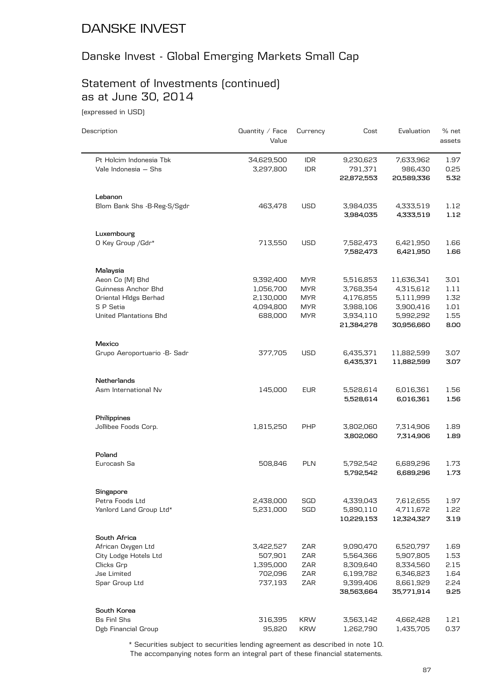# Danske Invest - Global Emerging Markets Small Cap

# Statement of Investments (continued) as at June 30, 2014

(expressed in USD)

| Description                                     | Quantity / Face<br>Value | Currency                 | Cost                               | Evaluation                         | % net<br>assets      |
|-------------------------------------------------|--------------------------|--------------------------|------------------------------------|------------------------------------|----------------------|
| Pt Holcim Indonesia Tbk<br>Vale Indonesia - Shs | 34,629,500<br>3,297,800  | <b>IDR</b><br><b>IDR</b> | 9,230,623<br>791,371<br>22,872,553 | 7,633,962<br>986,430<br>20,589,336 | 1.97<br>0.25<br>5.32 |
| Lebanon                                         |                          |                          |                                    |                                    |                      |
| Blom Bank Shs - B-Reg-S/Sgdr                    | 463,478                  | <b>USD</b>               | 3,984,035                          | 4,333,519                          | 1.12                 |
|                                                 |                          |                          | 3,984,035                          | 4,333,519                          | 1.12                 |
| Luxembourg                                      |                          |                          |                                    |                                    |                      |
| O Key Group / Gdr*                              | 713,550                  | <b>USD</b>               | 7,582,473<br>7,582,473             | 6,421,950<br>6,421,950             | 1.66<br>1.66         |
| Malaysia                                        |                          |                          |                                    |                                    |                      |
| Aeon Co [M] Bhd                                 | 9,392,400                | <b>MYR</b>               | 5,516,853                          | 11,636,341                         | 3.01                 |
| Guinness Anchor Bhd                             | 1,056,700                | <b>MYR</b>               | 3,768,354                          | 4,315,612                          | 1.11                 |
| Oriental HIdgs Berhad                           | 2,130,000                | <b>MYR</b>               | 4,176,855                          | 5,111,999                          | 1.32                 |
| S P Setia                                       | 4,094,800                | <b>MYR</b>               | 3,988,106                          | 3,900,416                          | 1.01                 |
| <b>United Plantations Bhd</b>                   | 688,000                  | <b>MYR</b>               | 3,934,110                          | 5,992,292                          | 1.55                 |
|                                                 |                          |                          | 21,384,278                         | 30,956,660                         | 8.00                 |
| Mexico                                          |                          |                          |                                    |                                    |                      |
| Grupo Aeroportuario - B- Sadr                   | 377,705                  | <b>USD</b>               | 6,435,371<br>6,435,371             | 11,882,599<br>11,882,599           | 3.07<br>3.07         |
| Netherlands                                     |                          |                          |                                    |                                    |                      |
| Asm International Nv                            | 145,000                  | <b>EUR</b>               | 5,528,614                          | 6,016,361                          | 1.56                 |
|                                                 |                          |                          | 5,528,614                          | 6,016,361                          | 1.56                 |
| Philippines                                     |                          |                          |                                    |                                    |                      |
| Jollibee Foods Corp.                            | 1,815,250                | <b>PHP</b>               | 3,802,060                          | 7,314,906                          | 1.89                 |
|                                                 |                          |                          | 3,802,060                          | 7,314,906                          | 1.89                 |
| Poland                                          |                          |                          |                                    |                                    |                      |
| Eurocash Sa                                     | 508,846                  | PLN                      | 5,792,542<br>5,792,542             | 6,689,296<br>6,689,296             | 1.73<br>1.73         |
| Singapore                                       |                          |                          |                                    |                                    |                      |
| Petra Foods Ltd                                 | 2,438,000                | SGD                      | 4,339,043                          | 7,612,655                          | 1.97                 |
| Yanlord Land Group Ltd*                         | 5,231,000                | SGD                      | 5,890,110                          | 4,711,672                          | 1.22                 |
|                                                 |                          |                          | 10,229,153                         | 12,324,327                         | 3.19                 |
| South Africa                                    |                          |                          |                                    |                                    |                      |
| African Oxygen Ltd                              | 3,422,527                | <b>ZAR</b>               | 9,090,470                          | 6,520,797                          | 1.69                 |
| City Lodge Hotels Ltd                           | 507,901                  | <b>ZAR</b>               | 5,564,366                          | 5,907,805                          | 1.53                 |
| Clicks Grp                                      | 1,395,000                | ZAR                      | 8,309,640                          | 8,334,560                          | 2.15                 |
| <b>Jse Limited</b>                              | 702,096                  | ZAR                      | 6,199,782                          | 6,346,823                          | 1.64                 |
| Spar Group Ltd                                  | 737,193                  | ZAR                      | 9,399,406                          | 8,661,929                          | 2.24                 |
|                                                 |                          |                          | 38,563,664                         | 35,771,914                         | 9.25                 |
| South Korea<br><b>Bs Finl Shs</b>               | 316,395                  | <b>KRW</b>               | 3,563,142                          | 4,662,428                          | 1.21                 |
| Dgb Financial Group                             | 95,820                   | <b>KRW</b>               | 1,262,790                          | 1,435,705                          | 0.37                 |
|                                                 |                          |                          |                                    |                                    |                      |

The accompanying notes form an integral part of these financial statements. \* Securities subject to securities lending agreement as described in note 10.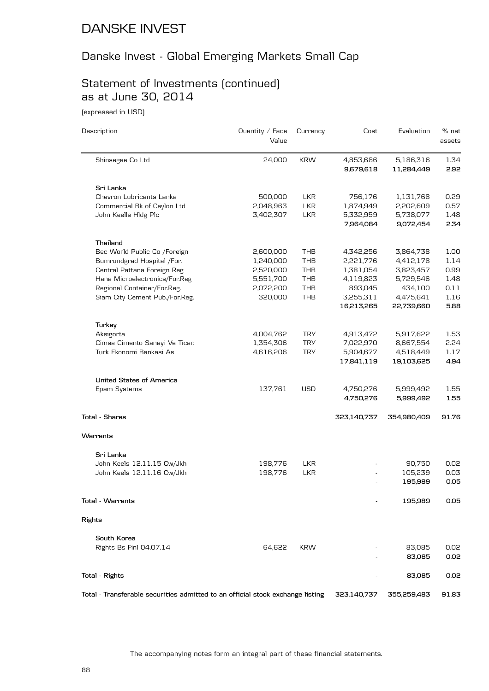## Danske Invest - Global Emerging Markets Small Cap

## Statement of Investments (continued) as at June 30, 2014

(expressed in USD)

| Description                                                                    | Quantity / Face<br>Value | Currency   | Cost                   | Evaluation              | % net<br>assets |
|--------------------------------------------------------------------------------|--------------------------|------------|------------------------|-------------------------|-----------------|
| Shinsegae Co Ltd                                                               | 24,000                   | <b>KRW</b> | 4,853,686<br>9,679,618 | 5,186,316<br>11,284,449 | 1.34<br>2.92    |
| Sri Lanka                                                                      |                          |            |                        |                         |                 |
| Chevron Lubricants Lanka                                                       | 500,000                  | <b>LKR</b> | 756,176                | 1,131,768               | 0.29            |
| Commercial Bk of Ceylon Ltd                                                    | 2,048,963                | <b>LKR</b> | 1,874,949              | 2,202,609               | 0.57            |
| John Keells Hldg Plc                                                           | 3,402,307                | <b>LKR</b> | 5,332,959              | 5,738,077               | 1.48            |
|                                                                                |                          |            | 7,964,084              | 9,072,454               | 2.34            |
| Thailand                                                                       |                          |            |                        |                         |                 |
| Bec World Public Co /Foreign                                                   | 2,600,000                | THB        | 4,342,256              | 3,864,738               | 1.00            |
| Bumrundgrad Hospital /For.                                                     | 1,240,000                | <b>THB</b> | 2,221,776              | 4,412,178               | 1.14            |
| Central Pattana Foreign Reg                                                    | 2,520,000                | THB        | 1,381,054              | 3,823,457               | 0.99            |
| Hana Microelectronics/For.Reg                                                  | 5,551,700                | THB        | 4,119,823              | 5,729,546               | 1.48            |
| Regional Container/For.Reg.                                                    | 2,072,200                | <b>THB</b> | 893,045                | 434,100                 | 0.11            |
| Siam City Cement Pub./For.Reg.                                                 | 320,000                  | THB        | 3,255,311              | 4,475,641               | 1.16            |
|                                                                                |                          |            | 16,213,265             | 22,739,660              | 5.88            |
| Turkey                                                                         |                          |            |                        |                         |                 |
| Aksigorta                                                                      | 4,004,762                | <b>TRY</b> | 4,913,472              | 5,917,622               | 1.53            |
| Cimsa Cimento Sanayi Ve Ticar.                                                 | 1,354,306                | <b>TRY</b> | 7,022,970              | 8,667,554               | 2.24            |
| Turk Ekonomi Bankasi As                                                        | 4,616,206                | <b>TRY</b> | 5,904,677              | 4,518,449               | 1.17            |
|                                                                                |                          |            | 17,841,119             | 19,103,625              | 4.94            |
| <b>United States of America</b>                                                |                          |            |                        |                         |                 |
| Epam Systems                                                                   | 137,761                  | <b>USD</b> | 4,750,276              | 5,999,492               | 1.55            |
|                                                                                |                          |            | 4,750,276              | 5,999,492               | 1.55            |
| <b>Total - Shares</b>                                                          |                          |            | 323,140,737            | 354,980,409             | 91.76           |
| Warrants                                                                       |                          |            |                        |                         |                 |
| Sri Lanka                                                                      |                          |            |                        |                         |                 |
| John Keels 12.11.15 Cw/Jkh                                                     | 198,776                  | <b>LKR</b> |                        | 90,750                  | 0.02            |
| John Keels 12.11.16 Cw/Jkh                                                     | 198,776                  | <b>LKR</b> |                        | 105,239                 | 0.03            |
|                                                                                |                          |            |                        | 195,989                 | 0.05            |
| Total - Warrants                                                               |                          |            |                        | 195,989                 | 0.05            |
| Rights                                                                         |                          |            |                        |                         |                 |
| South Korea                                                                    |                          |            |                        |                         |                 |
| Rights Bs Finl 04.07.14                                                        | 64,622                   | <b>KRW</b> |                        | 83,085                  | 0.02            |
|                                                                                |                          |            |                        | 83,085                  | 0.02            |
| Total - Rights                                                                 |                          |            |                        | 83,085                  | 0.02            |
| Total - Transferable securities admitted to an official stock exchange listing |                          |            | 323,140,737            | 355,259,483             | 91.83           |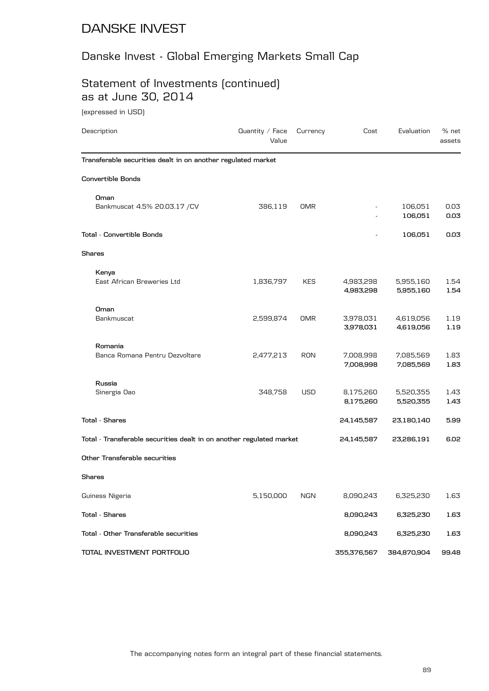# Danske Invest - Global Emerging Markets Small Cap

## Statement of Investments (continued) as at June 30, 2014

(expressed in USD)

| Description                                                          | Quantity $/$ Face<br>Value | Currency   | Cost                   | Evaluation             | $%$ net<br>assets |
|----------------------------------------------------------------------|----------------------------|------------|------------------------|------------------------|-------------------|
| Transferable securities dealt in on another regulated market         |                            |            |                        |                        |                   |
| <b>Convertible Bonds</b>                                             |                            |            |                        |                        |                   |
| Oman<br>Bankmuscat 4.5% 20.03.17 / CV                                | 386,119                    | <b>OMR</b> |                        | 106,051                | 0.03              |
|                                                                      |                            |            |                        | 106,051                | 0.03              |
| Total - Convertible Bonds                                            |                            |            |                        | 106,051                | 0.03              |
| Shares                                                               |                            |            |                        |                        |                   |
| Kenya                                                                |                            |            |                        |                        |                   |
| East African Breweries Ltd                                           | 1,836,797                  | <b>KES</b> | 4,983,298<br>4,983,298 | 5,955,160<br>5,955,160 | 1.54<br>1.54      |
| Oman                                                                 |                            |            |                        |                        |                   |
| Bankmuscat                                                           | 2,599,874                  | OMR        | 3,978,031<br>3,978,031 | 4,619,056<br>4,619,056 | 1.19<br>1.19      |
| Romania                                                              |                            |            |                        |                        |                   |
| Banca Romana Pentru Dezvoltare                                       | 2,477,213                  | <b>RON</b> | 7,008,998<br>7,008,998 | 7,085,569<br>7,085,569 | 1.83<br>1.83      |
| Russia                                                               |                            |            |                        |                        |                   |
| Sinergia Oao                                                         | 348,758                    | USD        | 8,175,260<br>8,175,260 | 5,520,355<br>5,520,355 | 1.43<br>1.43      |
| <b>Total - Shares</b>                                                |                            |            | 24,145,587             | 23,180,140             | 5.99              |
| Total - Transferable securities dealt in on another regulated market |                            |            | 24,145,587             | 23,286,191             | 6.02              |
| Other Transferable securities                                        |                            |            |                        |                        |                   |
| Shares                                                               |                            |            |                        |                        |                   |
| Guiness Nigeria                                                      | 5,150,000                  | <b>NGN</b> | 8,090,243              | 6,325,230              | 1.63              |
| <b>Total - Shares</b>                                                |                            |            | 8,090,243              | 6,325,230              | 1.63              |
| Total - Other Transferable securities                                |                            |            | 8,090,243              | 6,325,230              | 1.63              |
| TOTAL INVESTMENT PORTFOLIO                                           |                            |            | 355,376,567            | 384,870,904            | 99.48             |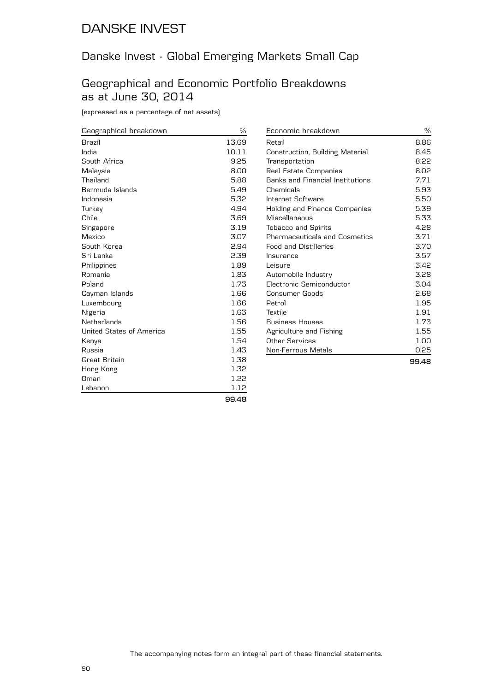## Danske Invest - Global Emerging Markets Small Cap

### Geographical and Economic Portfolio Breakdowns as at June 30, 2014

(expressed as a percentage of net assets)

| Geographical breakdown   | %     |
|--------------------------|-------|
| <b>Brazil</b>            | 13.69 |
| India                    | 10.11 |
| South Africa             | 9.25  |
| Malaysia                 | 8.00  |
| Thailand                 | 5.88  |
| Bermuda Islands          | 5.49  |
| Indonesia                | 5.32  |
| Turkey                   | 4.94  |
| Chile                    | 3.69  |
| Singapore                | 3.19  |
| Mexico                   | 3.07  |
| South Korea              | 2.94  |
| Sri Lanka                | 2.39  |
| Philippines              | 1.89  |
| Romania                  | 1.83  |
| Poland                   | 1.73  |
| Cayman Islands           | 1.66  |
| Luxembourg               | 1.66  |
| Nigeria                  | 1.63  |
| Netherlands              | 1.56  |
| United States of America | 1.55  |
| Kenya                    | 1.54  |
| Russia                   | 1.43  |
| Great Britain            | 1.38  |
| Hong Kong                | 1.32  |
| Oman                     | 1.22  |
| Lebanon                  | 1.12  |
|                          | 00.AO |

| Economic breakdown                   | ℅     |
|--------------------------------------|-------|
| Retail                               | 8.86  |
| Construction, Building Material      | 8.45  |
| Transportation                       | 8.22  |
| Real Estate Companies                | 8.02  |
| Banks and Financial Institutions     | 7.71  |
| Chemicals                            | 5.93  |
| Internet Software                    | 5.50  |
| <b>Holding and Finance Companies</b> | 5.39  |
| Miscellaneous                        | 5.33  |
| <b>Tobacco and Spirits</b>           | 4.28  |
| <b>Pharmaceuticals and Cosmetics</b> | 3.71  |
| <b>Food and Distilleries</b>         | 3.70  |
| Insurance                            | 3.57  |
| Leisure                              | 3.42  |
| Automobile Industry                  | 3.28  |
| Flectronic Semiconductor             | 3.04  |
| Consumer Goods                       | 2.68  |
| Petrol                               | 1.95  |
| Textile                              | 1.91  |
| <b>Business Houses</b>               | 1.73  |
| Agriculture and Fishing              | 1.55  |
| Other Services                       | 1.00  |
| <b>Non-Ferrous Metals</b>            | 0.25  |
|                                      | 99.48 |

**99.48**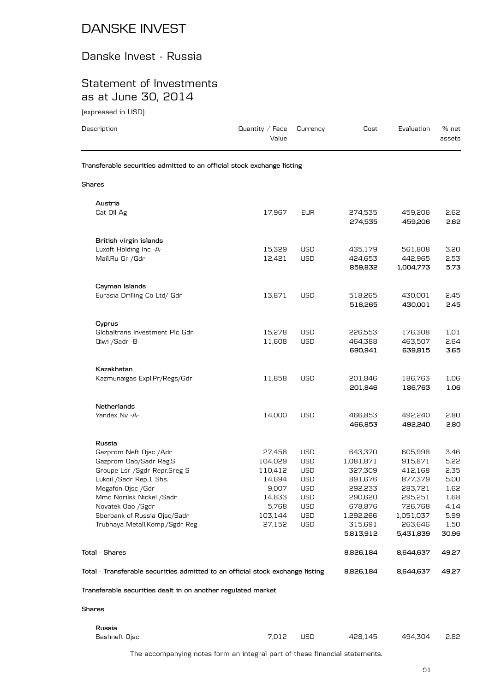### Danske Invest - Russia

### Statement of Investments as at June 30, 2014

(expressed in USD)

| Description                                                            | Quantity $/$ Face<br>Value | Currency   | Cost    | Evaluation | % net<br>assets |
|------------------------------------------------------------------------|----------------------------|------------|---------|------------|-----------------|
| Transferable securities admitted to an official stock exchange listing |                            |            |         |            |                 |
| Shares                                                                 |                            |            |         |            |                 |
| Austria                                                                |                            |            |         |            |                 |
| Cat Oil Ag                                                             | 17,967                     | <b>EUR</b> | 274,535 | 459,206    | 2.62            |
|                                                                        |                            |            | 274,535 | 459,206    | 2.62            |
| British virgin islands                                                 |                            |            |         |            |                 |
| Luxoft Holding Inc -A-                                                 | 15,329                     | <b>USD</b> | 435,179 | 561,808    | 3.20            |
| Mail.Ru Gr /Gdr                                                        | 12,421                     | <b>USD</b> | 424,653 | 442,965    | 2.53            |
|                                                                        |                            |            | 859,832 | 1,004,773  | 5.73            |

| Mmc Norilsk Nickel /Sadr<br>Novatek Oao /Sgdr<br>Sberbank of Russia Ojsc/Sadr<br>Trubnaya Metall.Komp./Sgdr Reg<br><b>Total - Shares</b><br>Total - Transferable securities admitted to an official stock exchange listing | 14,833<br>5,768<br>103,144<br>27,152                                                                                                                                                                 | <b>USD</b><br><b>USD</b><br><b>USD</b><br><b>USD</b>       | 290,620<br>678,876<br>1,292,266<br>315,691<br>5,813,912<br>8,826,184<br>8,826,184                       | 295,251<br>726,768<br>1,051,037<br>263,646<br>5,431,839<br>8,644,637<br>8,644,637 | 1.68<br>4.14<br>5.99<br>1.50<br>30.96<br>49.27<br>49.27                              |
|----------------------------------------------------------------------------------------------------------------------------------------------------------------------------------------------------------------------------|------------------------------------------------------------------------------------------------------------------------------------------------------------------------------------------------------|------------------------------------------------------------|---------------------------------------------------------------------------------------------------------|-----------------------------------------------------------------------------------|--------------------------------------------------------------------------------------|
|                                                                                                                                                                                                                            |                                                                                                                                                                                                      |                                                            |                                                                                                         |                                                                                   |                                                                                      |
|                                                                                                                                                                                                                            |                                                                                                                                                                                                      |                                                            |                                                                                                         |                                                                                   |                                                                                      |
|                                                                                                                                                                                                                            |                                                                                                                                                                                                      |                                                            |                                                                                                         |                                                                                   |                                                                                      |
|                                                                                                                                                                                                                            |                                                                                                                                                                                                      |                                                            |                                                                                                         |                                                                                   |                                                                                      |
|                                                                                                                                                                                                                            |                                                                                                                                                                                                      |                                                            |                                                                                                         |                                                                                   |                                                                                      |
|                                                                                                                                                                                                                            |                                                                                                                                                                                                      |                                                            |                                                                                                         |                                                                                   |                                                                                      |
|                                                                                                                                                                                                                            |                                                                                                                                                                                                      |                                                            |                                                                                                         |                                                                                   |                                                                                      |
|                                                                                                                                                                                                                            |                                                                                                                                                                                                      |                                                            |                                                                                                         |                                                                                   | 5.00<br>1.62                                                                         |
|                                                                                                                                                                                                                            |                                                                                                                                                                                                      |                                                            |                                                                                                         |                                                                                   | 2.35                                                                                 |
|                                                                                                                                                                                                                            |                                                                                                                                                                                                      |                                                            |                                                                                                         |                                                                                   | 5.22                                                                                 |
|                                                                                                                                                                                                                            |                                                                                                                                                                                                      |                                                            |                                                                                                         |                                                                                   | 3.46                                                                                 |
| Russia                                                                                                                                                                                                                     |                                                                                                                                                                                                      |                                                            |                                                                                                         |                                                                                   |                                                                                      |
| Yandex Nv -A-                                                                                                                                                                                                              | 14,000                                                                                                                                                                                               | <b>USD</b>                                                 | 466,853<br>466,853                                                                                      | 492,240<br>492,240                                                                | 2.80<br>2.80                                                                         |
| Netherlands                                                                                                                                                                                                                |                                                                                                                                                                                                      |                                                            |                                                                                                         |                                                                                   |                                                                                      |
|                                                                                                                                                                                                                            |                                                                                                                                                                                                      |                                                            | 201,846                                                                                                 | 186,763                                                                           | 1.06<br>1.06                                                                         |
| Kazakhstan                                                                                                                                                                                                                 |                                                                                                                                                                                                      |                                                            |                                                                                                         |                                                                                   |                                                                                      |
|                                                                                                                                                                                                                            |                                                                                                                                                                                                      |                                                            | 690,941                                                                                                 | 639,815                                                                           | 2.64<br>3.65                                                                         |
| Cyprus<br>Globaltrans Investment Plc Gdr                                                                                                                                                                                   | 15,278                                                                                                                                                                                               | <b>USD</b>                                                 | 226,553                                                                                                 | 176,308                                                                           | 1.01                                                                                 |
| Eurasia Drilling Co Ltd/ Gdr                                                                                                                                                                                               | 13,871                                                                                                                                                                                               | <b>USD</b>                                                 | 518,265<br>518,265                                                                                      | 430,001<br>430,001                                                                | 2.45<br>2.45                                                                         |
|                                                                                                                                                                                                                            |                                                                                                                                                                                                      |                                                            |                                                                                                         |                                                                                   |                                                                                      |
|                                                                                                                                                                                                                            | Cayman Islands<br>Qiwi /Sadr -B-<br>Kazmunaigas Expl.Pr/Regs/Gdr<br>Gazprom Neft Ojsc /Adr<br>Gazprom Oao/Sadr Reg.S<br>Groupe Lsr /Sgdr Repr.Sreg S<br>Lukoil /Sadr Rep.1 Shs.<br>Megafon Ojsc /Gdr | 11,608<br>11,858<br>27,458<br>104,029<br>110.412<br>14,694 | <b>USD</b><br><b>USD</b><br><b>USD</b><br><b>USD</b><br><b>USD</b><br><b>USD</b><br>9,007<br><b>USD</b> | 464,388<br>201,846<br>643,370<br>1,081,871<br>327,309<br>891,676                  | 463,507<br>186,763<br>605,998<br>915,871<br>412,168<br>877,379<br>292,233<br>283,721 |

**Shares**

**Russia** Bashneft Ojsc 7,012 USD 428,145 494,304 2.82

The accompanying notes form an integral part of these financial statements.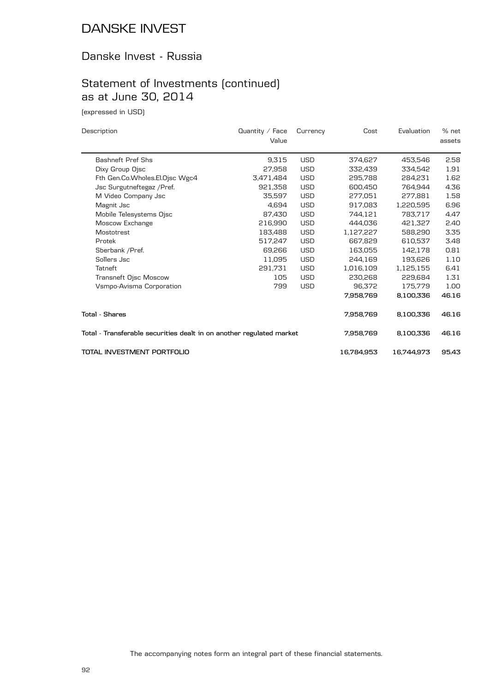### Danske Invest - Russia

# Statement of Investments (continued) as at June 30, 2014

(expressed in USD)

| Description                                                          | Quantity $\angle$ Face | Currency   | Cost       | Evaluation | % net  |
|----------------------------------------------------------------------|------------------------|------------|------------|------------|--------|
|                                                                      | Value                  |            |            |            | assets |
| <b>Bashneft Pref Shs</b>                                             | 9,315                  | <b>USD</b> | 374,627    | 453,546    | 2.58   |
| Dixy Group Ojsc                                                      | 27,958                 | <b>USD</b> | 332,439    | 334,542    | 1.91   |
| Fth Gen.Co.Wholes.El.Ojsc Wgc4                                       | 3,471,484              | <b>USD</b> | 295,788    | 284,231    | 1.62   |
| Jsc Surgutneftegaz / Pref.                                           | 921,358                | <b>USD</b> | 600,450    | 764,944    | 4.36   |
| M Video Company Jsc                                                  | 35.597                 | <b>USD</b> | 277.051    | 277.881    | 1.58   |
| Magnit Jsc                                                           | 4,694                  | <b>USD</b> | 917,083    | 1,220,595  | 6.96   |
| Mobile Telesystems Ojsc                                              | 87,430                 | <b>USD</b> | 744,121    | 783,717    | 4.47   |
| Moscow Exchange                                                      | 216,990                | <b>USD</b> | 444.036    | 421.327    | 2.40   |
| Mostotrest                                                           | 183.488                | <b>USD</b> | 1,127,227  | 588.290    | 3.35   |
| Protek                                                               | 517,247                | <b>USD</b> | 667,829    | 610,537    | 3.48   |
| Sberbank / Pref.                                                     | 69.266                 | <b>USD</b> | 163.055    | 142.178    | 0.81   |
| Sollers Jsc                                                          | 11,095                 | <b>USD</b> | 244,169    | 193.626    | 1.10   |
| Tatneft                                                              | 291.731                | <b>USD</b> | 1,016,109  | 1,125,155  | 6.41   |
| Transneft Ojsc Moscow                                                | 105                    | <b>USD</b> | 230,268    | 229.684    | 1.31   |
| Vsmpo-Avisma Corporation                                             | 799                    | <b>USD</b> | 96,372     | 175,779    | 1.00   |
|                                                                      |                        |            | 7,958,769  | 8,100,336  | 46.16  |
| Total - Shares                                                       |                        |            | 7,958,769  | 8,100,336  | 46.16  |
| Total - Transferable securities dealt in on another regulated market |                        |            | 7,958,769  | 8,100,336  | 46.16  |
| TOTAL INVESTMENT PORTFOLIO                                           |                        |            | 16,784,953 | 16,744,973 | 95.43  |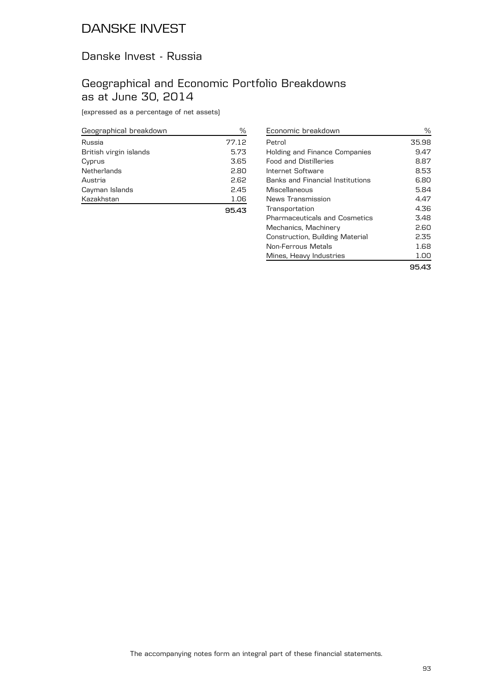### Danske Invest - Russia

### Geographical and Economic Portfolio Breakdowns as at June 30, 2014

(expressed as a percentage of net assets)

| Geographical breakdown | %     |
|------------------------|-------|
| Russia                 | 77.12 |
| British virgin islands | 5.73  |
| Cyprus                 | 3.65  |
| Netherlands            | 2.80  |
| Austria                | 2.62  |
| Cayman Islands         | 2.45  |
| Kazakhstan             | 1.06  |
|                        | 95.43 |

| Holding and Finance Companies           | 9.47 |
|-----------------------------------------|------|
| <b>Food and Distilleries</b>            | 8.87 |
| Internet Software                       | 8.53 |
| <b>Banks and Financial Institutions</b> | 6.80 |
| Miscellaneous                           | 5.84 |
| News Transmission                       | 4.47 |
| Transportation                          | 4.36 |
| <b>Pharmaceuticals and Cosmetics</b>    | 3.48 |
| Mechanics, Machinery                    | 2.60 |
| Construction, Building Material         | 2.35 |
| Non-Ferrous Metals                      | 1.68 |
| Mines, Heavy Industries                 | 1.OO |

Economic breakdown  $\%$ Petrol 35.98

**95.43**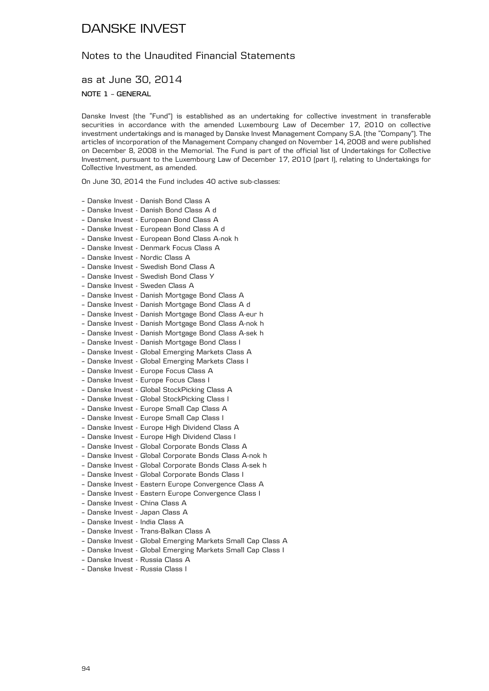### Notes to the Unaudited Financial Statements

as at June 30, 2014

**NOTE 1 – GENERAL**

Danske Invest (the "Fund") is established as an undertaking for collective investment in transferable securities in accordance with the amended Luxembourg Law of December 17, 2010 on collective investment undertakings and is managed by Danske Invest Management Company S.A. (the "Company"). The articles of incorporation of the Management Company changed on November 14, 2008 and were published on December 8, 2008 in the Memorial. The Fund is part of the official list of Undertakings for Collective Investment, pursuant to the Luxembourg Law of December 17, 2010 (part I), relating to Undertakings for Collective Investment, as amended.

On June 30, 2014 the Fund includes 40 active sub-classes:

- Danske Invest Danish Bond Class A
- Danske Invest Danish Bond Class A d
- Danske Invest European Bond Class A
- Danske Invest European Bond Class A d
- Danske Invest European Bond Class A-nok h
- Danske Invest Denmark Focus Class A
- Danske Invest Nordic Class A
- Danske Invest Swedish Bond Class A
- Danske Invest Swedish Bond Class Y
- Danske Invest Sweden Class A
- Danske Invest Danish Mortgage Bond Class A
- Danske Invest Danish Mortgage Bond Class A d
- Danske Invest Danish Mortgage Bond Class A-eur h
- Danske Invest Danish Mortgage Bond Class A-nok h
- Danske Invest Danish Mortgage Bond Class A-sek h
- Danske Invest Danish Mortgage Bond Class I
- Danske Invest Global Emerging Markets Class A
- Danske Invest Global Emerging Markets Class I
- Danske Invest Europe Focus Class A
- Danske Invest Europe Focus Class I
- Danske Invest Global StockPicking Class A
- Danske Invest Global StockPicking Class I
- Danske Invest Europe Small Cap Class A
- Danske Invest Europe Small Cap Class I
- Danske Invest Europe High Dividend Class A
- Danske Invest Europe High Dividend Class I
- Danske Invest Global Corporate Bonds Class A
- Danske Invest Global Corporate Bonds Class A-nok h
- Danske Invest Global Corporate Bonds Class A-sek h
- Danske Invest Global Corporate Bonds Class I
- Danske Invest Eastern Europe Convergence Class A
- Danske Invest Eastern Europe Convergence Class I
- Danske Invest China Class A
- Danske Invest Japan Class A
- Danske Invest India Class A
- Danske Invest Trans-Balkan Class A
- Danske Invest Global Emerging Markets Small Cap Class A
- Danske Invest Global Emerging Markets Small Cap Class I
- Danske Invest Russia Class A
- Danske Invest Russia Class I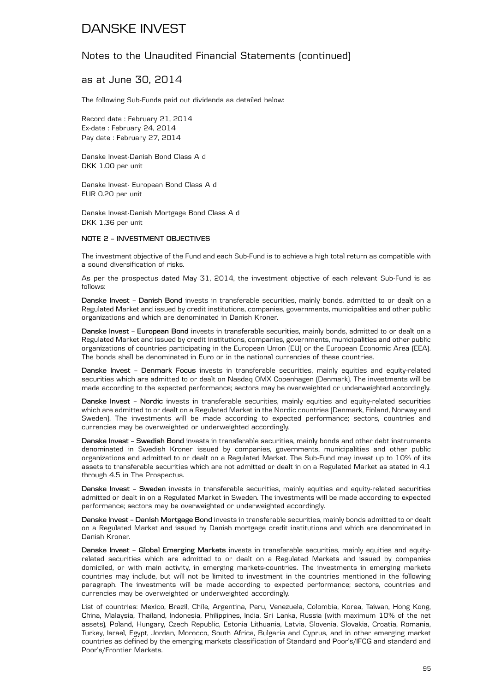### Notes to the Unaudited Financial Statements (continued)

### as at June 30, 2014

The following Sub-Funds paid out dividends as detailed below:

Record date : February 21, 2014 Ex-date : February 24, 2014 Pay date : February 27, 2014

Danske Invest-Danish Bond Class A d DKK 1.00 per unit

Danske Invest- European Bond Class A d EUR 0.20 per unit

Danske Invest-Danish Mortgage Bond Class A d DKK 1.36 per unit

#### **NOTE 2 – INVESTMENT OBJECTIVES**

The investment objective of the Fund and each Sub-Fund is to achieve a high total return as compatible with a sound diversification of risks.

As per the prospectus dated May 31, 2014, the investment objective of each relevant Sub-Fund is as follows:

**Danske Invest – Danish Bond** invests in transferable securities, mainly bonds, admitted to or dealt on a Regulated Market and issued by credit institutions, companies, governments, municipalities and other public organizations and which are denominated in Danish Kroner.

**Danske Invest – European Bond** invests in transferable securities, mainly bonds, admitted to or dealt on a Regulated Market and issued by credit institutions, companies, governments, municipalities and other public organizations of countries participating in the European Union (EU) or the European Economic Area (EEA). The bonds shall be denominated in Euro or in the national currencies of these countries.

**Danske Invest – Denmark Focus** invests in transferable securities, mainly equities and equity-related securities which are admitted to or dealt on Nasdaq OMX Copenhagen (Denmark). The investments will be made according to the expected performance; sectors may be overweighted or underweighted accordingly.

**Danske Invest – Nordic** invests in transferable securities, mainly equities and equity-related securities which are admitted to or dealt on a Regulated Market in the Nordic countries (Denmark, Finland, Norway and Sweden). The investments will be made according to expected performance; sectors, countries and currencies may be overweighted or underweighted accordingly.

**Danske Invest – Swedish Bond** invests in transferable securities, mainly bonds and other debt instruments denominated in Swedish Kroner issued by companies, governments, municipalities and other public organizations and admitted to or dealt on a Regulated Market. The Sub-Fund may invest up to 10% of its assets to transferable securities which are not admitted or dealt in on a Regulated Market as stated in 4.1 through 4.5 in The Prospectus.

**Danske Invest - Sweden** invests in transferable securities, mainly equities and equity-related securities admitted or dealt in on a Regulated Market in Sweden. The investments will be made according to expected performance; sectors may be overweighted or underweighted accordingly.

**Danske Invest – Danish Mortgage Bond** invests in transferable securities, mainly bonds admitted to or dealt on a Regulated Market and issued by Danish mortgage credit institutions and which are denominated in Danish Kroner.

**Danske Invest – Global Emerging Markets** invests in transferable securities, mainly equities and equityrelated securities which are admitted to or dealt on a Regulated Markets and issued by companies domiciled, or with main activity, in emerging markets-countries. The investments in emerging markets countries may include, but will not be limited to investment in the countries mentioned in the following paragraph. The investments will be made according to expected performance; sectors, countries and currencies may be overweighted or underweighted accordingly.

List of countries: Mexico, Brazil, Chile, Argentina, Peru, Venezuela, Colombia, Korea, Taiwan, Hong Kong, China, Malaysia, Thailand, Indonesia, Philippines, India, Sri Lanka, Russia (with maximum 10% of the net assets), Poland, Hungary, Czech Republic, Estonia Lithuania, Latvia, Slovenia, Slovakia, Croatia, Romania, Turkey, Israel, Egypt, Jordan, Morocco, South Africa, Bulgaria and Cyprus, and in other emerging market countries as defined by the emerging markets classification of Standard and Poor's/IFCG and standard and Poor's/Frontier Markets.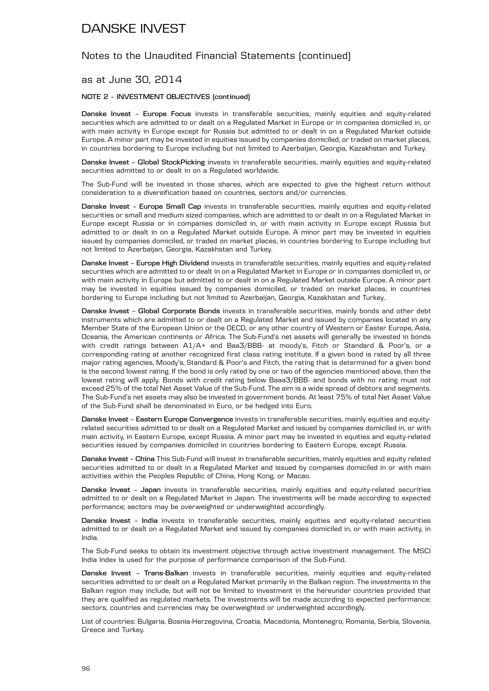### Notes to the Unaudited Financial Statements (continued)

#### as at June 30, 2014

#### **NOTE 2 – INVESTMENT OBJECTIVES (continued)**

**Danske Invest – Europe Focus** invests in transferable securities, mainly equities and equity-related securities which are admitted to or dealt on a Regulated Market in Europe or in companies domiciled in, or with main activity in Europe except for Russia but admitted to or dealt in on a Regulated Market outside Europe. A minor part may be invested in equities issued by companies domiciled, or traded on market places, in countries bordering to Europe including but not limited to Azerbaijan, Georgia, Kazakhstan and Turkey.

**Danske Invest – Global StockPicking** invests in transferable securities, mainly equities and equity-related securities admitted to or dealt in on a Regulated worldwide.

The Sub-Fund will be invested in those shares, which are expected to give the highest return without consideration to a diversification based on countries, sectors and/or currencies.

**Danske Invest - Europe Small Cap** invests in transferable securities, mainly equities and equity-related securities or small and medium sized companies, which are admitted to or dealt in on a Regulated Market in Europe except Russia or in companies domiciled in, or with main activity in Europe except Russia but admitted to or dealt in on a Regulated Market outside Europe. A minor part may be invested in equities issued by companies domiciled, or traded on market places, in countries bordering to Europe including but not limited to Azerbaijan, Georgia, Kazakhstan and Turkey.

**Danske Invest – Europe High Dividend** invests in transferable securities, mainly equities and equity-related securities which are admitted to or dealt in on a Regulated Market in Europe or in companies domiciled in, or with main activity in Europe but admitted to or dealt in on a Regulated Market outside Europe. A minor part may be invested in equities issued by companies domiciled, or traded on market places, in countries bordering to Europe including but not limited to Azerbaijan, Georgia, Kazakhstan and Turkey.

**Danske Invest – Global Corporate Bonds** invests in transferable securities, mainly bonds and other debt instruments which are admitted to or dealt on a Regulated Market and issued by companies located in any Member State of the European Union or the OECD, or any other country of Western or Easter Europe, Asia, Oceania, the American continents or Africa. The Sub-Fund's net assets will generally be invested in bonds with credit ratings between A1/A+ and Baa3/BBB- at moody's, Fitch or Standard & Poor's, or a corresponding rating at another recognized first class rating institute. If a given bond is rated by all three major rating agencies, Moody's, Standard & Poor's and Fitch, the rating that is determined for a given bond is the second lowest rating. If the bond is only rated by one or two of the agencies mentioned above, then the lowest rating will apply. Bonds with credit rating below Baaa3/BBB- and bonds with no rating must not exceed 25% of the total Net Asset Value of the Sub-Fund. The aim is a wide spread of debtors and segments. The Sub-Fund's net assets may also be invested in government bonds. At least 75% of total Net Asset Value of the Sub-Fund shall be denominated in Euro, or be hedged into Euro.

**Danske Invest – Eastern Europe Convergence** invests in transferable securities, mainly equities and equityrelated securities admitted to or dealt on a Regulated Market and issued by companies domiciled in, or with main activity, in Eastern Europe, except Russia. A minor part may be invested in equities and equity-related securities issued by companies domiciled in countries bordering to Eastern Europe, except Russia.

**Danske Invest – China** This Sub-Fund will invest in transferable securities, mainly equities and equity related securities admitted to or dealt in a Regulated Market and issued by companies domiciled in or with main activities within the Peoples Republic of China, Hong Kong, or Macao.

**Danske Invest – Japan** invests in transferable securities, mainly equities and equity-related securities admitted to or dealt on a Regulated Market in Japan. The investments will be made according to expected performance; sectors may be overweighted or underweighted accordingly.

**Danske Invest – India** invests in transferable securities, mainly equities and equity-related securities admitted to or dealt on a Regulated Market and issued by companies domiciled in, or with main activity, in India.

The Sub-Fund seeks to obtain its investment objective through active investment management. The MSCI India Index is used for the purpose of performance comparison of the Sub-Fund.

**Danske Invest – Trans-Balkan** invests in transferable securities, mainly equities and equity-related securities admitted to or dealt on a Regulated Market primarily in the Balkan region. The investments in the Balkan region may include, but will not be limited to investment in the hereunder countries provided that they are qualified as regulated markets. The investments will be made according to expected performance; sectors, countries and currencies may be overweighted or underweighted accordingly.

List of countries: Bulgaria, Bosnia-Herzegovina, Croatia, Macedonia, Montenegro, Romania, Serbia, Slovenia, Greece and Turkey.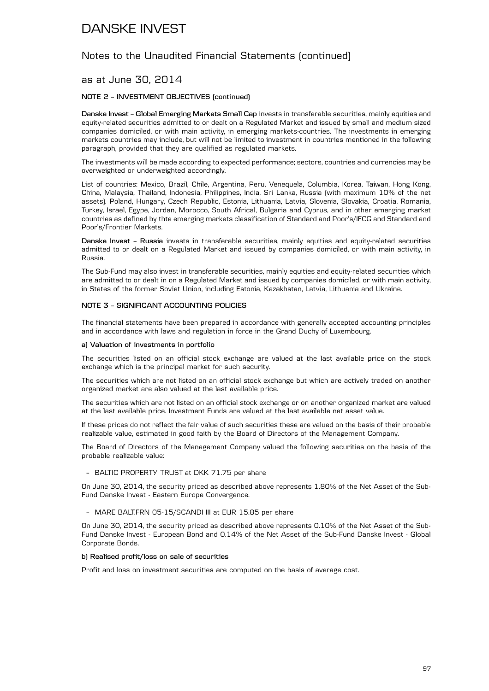### Notes to the Unaudited Financial Statements (continued)

### as at June 30, 2014

#### **NOTE 2 – INVESTMENT OBJECTIVES (continued)**

**Danske Invest – Global Emerging Markets Small Cap** invests in transferable securities, mainly equities and equity-related securities admitted to or dealt on a Regulated Market and issued by small and medium sized companies domiciled, or with main activity, in emerging markets-countries. The investments in emerging markets countries may include, but will not be limited to investment in countries mentioned in the following paragraph, provided that they are qualified as regulated markets.

The investments will be made according to expected performance; sectors, countries and currencies may be overweighted or underweighted accordingly.

List of countries: Mexico, Brazil, Chile, Argentina, Peru, Venequela, Columbia, Korea, Taiwan, Hong Kong, China, Malaysia, Thailand, Indonesia, Philippines, India, Sri Lanka, Russia (with maximum 10% of the net assets). Poland, Hungary, Czech Republic, Estonia, Lithuania, Latvia, Slovenia, Slovakia, Croatia, Romania, Turkey, Israel, Egype, Jordan, Morocco, South Africal, Bulgaria and Cyprus, and in other emerging market countries as defined by thte emerging markets classification of Standard and Poor's/IFCG and Standard and Poor's/Frontier Markets.

**Danske Invest – Russia** invests in transferable securities, mainly equities and equity-related securities admitted to or dealt on a Regulated Market and issued by companies domiciled, or with main activity, in Russia.

The Sub-Fund may also invest in transferable securities, mainly equities and equity-related securities which are admitted to or dealt in on a Regulated Market and issued by companies domiciled, or with main activity, in States of the former Soviet Union, including Estonia, Kazakhstan, Latvia, Lithuania and Ukraine.

#### **NOTE 3 – SIGNIFICANT ACCOUNTING POLICIES**

The financial statements have been prepared in accordance with generally accepted accounting principles and in accordance with laws and regulation in force in the Grand Duchy of Luxembourg.

#### **a) Valuation of investments in portfolio**

The securities listed on an official stock exchange are valued at the last available price on the stock exchange which is the principal market for such security.

The securities which are not listed on an official stock exchange but which are actively traded on another organized market are also valued at the last available price.

The securities which are not listed on an official stock exchange or on another organized market are valued at the last available price. Investment Funds are valued at the last available net asset value.

If these prices do not reflect the fair value of such securities these are valued on the basis of their probable realizable value, estimated in good faith by the Board of Directors of the Management Company.

The Board of Directors of the Management Company valued the following securities on the basis of the probable realizable value:

#### – BALTIC PROPERTY TRUST at DKK 71.75 per share

On June 30, 2014, the security priced as described above represents 1.80% of the Net Asset of the Sub-Fund Danske Invest - Eastern Europe Convergence.

#### – MARE BALT.FRN 05-15/SCANDI III at EUR 15.85 per share

On June 30, 2014, the security priced as described above represents 0.10% of the Net Asset of the Sub-Fund Danske Invest - European Bond and 0.14% of the Net Asset of the Sub-Fund Danske Invest - Global Corporate Bonds.

#### **b) Realised profit/loss on sale of securities**

Profit and loss on investment securities are computed on the basis of average cost.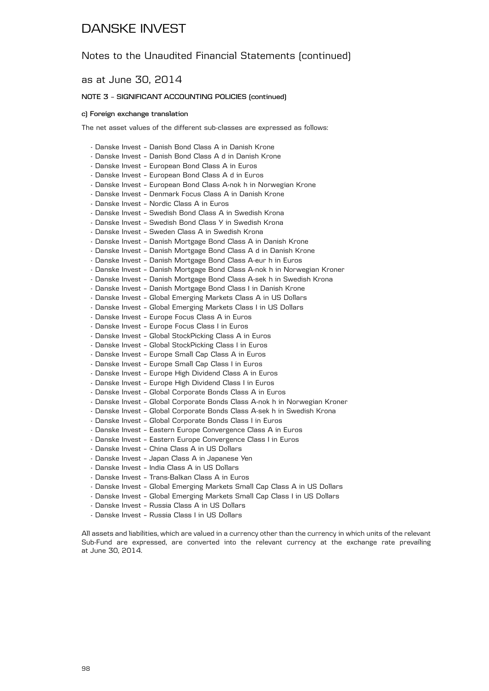### Notes to the Unaudited Financial Statements (continued)

as at June 30, 2014

#### **NOTE 3 – SIGNIFICANT ACCOUNTING POLICIES (continued)**

#### **c) Foreign exchange translation**

The net asset values of the different sub-classes are expressed as follows:

- Danske Invest Danish Bond Class A in Danish Krone
- Danske Invest Danish Bond Class A d in Danish Krone
- Danske Invest European Bond Class A in Euros
- Danske Invest European Bond Class A d in Euros
- Danske Invest European Bond Class A-nok h in Norwegian Krone
- Danske Invest Denmark Focus Class A in Danish Krone
- Danske Invest Nordic Class A in Euros
- Danske Invest Swedish Bond Class A in Swedish Krona
- Danske Invest Swedish Bond Class Y in Swedish Krona
- Danske Invest Sweden Class A in Swedish Krona
- Danske Invest Danish Mortgage Bond Class A in Danish Krone
- Danske Invest Danish Mortgage Bond Class A d in Danish Krone
- Danske Invest Danish Mortgage Bond Class A-eur h in Euros
- Danske Invest Danish Mortgage Bond Class A-nok h in Norwegian Kroner
- Danske Invest Danish Mortgage Bond Class A-sek h in Swedish Krona
- Danske Invest Danish Mortgage Bond Class I in Danish Krone
- Danske Invest Global Emerging Markets Class A in US Dollars
- Danske Invest Global Emerging Markets Class I in US Dollars
- Danske Invest Europe Focus Class A in Euros
- Danske Invest Europe Focus Class I in Euros
- Danske Invest Global StockPicking Class A in Euros
- Danske Invest Global StockPicking Class I in Euros
- Danske Invest Europe Small Cap Class A in Euros
- Danske Invest Europe Small Cap Class I in Euros
- Danske Invest Europe High Dividend Class A in Euros
- Danske Invest Europe High Dividend Class I in Euros
- Danske Invest Global Corporate Bonds Class A in Euros
- Danske Invest Global Corporate Bonds Class A-nok h in Norwegian Kroner
- Danske Invest Global Corporate Bonds Class A-sek h in Swedish Krona
- Danske Invest Global Corporate Bonds Class I in Euros
- Danske Invest Eastern Europe Convergence Class A in Euros
- Danske Invest Eastern Europe Convergence Class I in Euros
- Danske Invest China Class A in US Dollars
- Danske Invest Japan Class A in Japanese Yen
- Danske Invest India Class A in US Dollars
- Danske Invest Trans-Balkan Class A in Euros
- Danske Invest Global Emerging Markets Small Cap Class A in US Dollars
- Danske Invest Global Emerging Markets Small Cap Class I in US Dollars
- Danske Invest Russia Class A in US Dollars
- Danske Invest Russia Class I in US Dollars

All assets and liabilities, which are valued in a currency other than the currency in which units of the relevant Sub-Fund are expressed, are converted into the relevant currency at the exchange rate prevailing at June 30, 2014.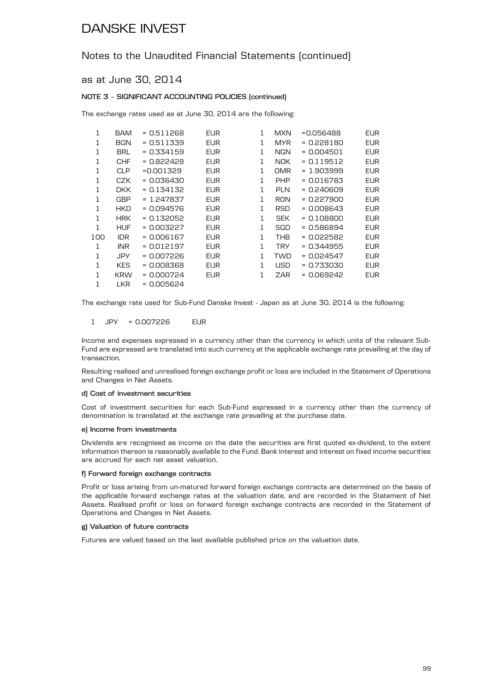### Notes to the Unaudited Financial Statements (continued)

as at June 30, 2014

#### **NOTE 3 – SIGNIFICANT ACCOUNTING POLICIES (continued)**

The exchange rates used as at June 30, 2014 are the following:

| 1   | BAM        | $= 0.511268$ | <b>EUR</b> | 1 | MXN        | =0.056488    | <b>EUR</b> |
|-----|------------|--------------|------------|---|------------|--------------|------------|
| 1   | <b>BGN</b> | $= 0.511339$ | <b>EUR</b> | 1 | <b>MYR</b> | $= 0.228180$ | <b>EUR</b> |
| 1   | <b>BRL</b> | $= 0.334159$ | <b>EUR</b> | 1 | NGN        | $= 0.004501$ | <b>EUR</b> |
| 1   | <b>CHF</b> | = 0.822428   | <b>EUR</b> | 1 | NOK.       | = 0.119512   | EUR        |
| 1   | <b>CLP</b> | $=0.001329$  | <b>EUR</b> | 1 | <b>OMR</b> | $= 1.903999$ | <b>EUR</b> |
| 1   | CZK        | $= 0.036430$ | <b>EUR</b> | 1 | <b>PHP</b> | = 0.016783   | <b>EUR</b> |
| 1   | DKK        | $= 0.134132$ | <b>EUR</b> | 1 | <b>PLN</b> | = 0.240609   | EUR        |
| 1   | GBP        | = 1.247837   | <b>EUR</b> | 1 | <b>RON</b> | = 0.227900   | <b>EUR</b> |
| 1   | <b>HKD</b> | = 0.094576   | <b>EUR</b> | 1 | <b>RSD</b> | $= 0.008643$ | <b>EUR</b> |
| 1   | <b>HRK</b> | $= 0.132052$ | <b>EUR</b> | 1 | <b>SEK</b> | $= 0.108800$ | <b>EUR</b> |
| 1   | <b>HUF</b> | $= 0.003227$ | <b>EUR</b> | 1 | SGD        | $= 0.586894$ | <b>EUR</b> |
| 100 | <b>IDR</b> | $= 0.006167$ | <b>EUR</b> | 1 | THB        | = 0.022582   | <b>EUR</b> |
| 1   | INR        | $= 0.012197$ | <b>EUR</b> | 1 | <b>TRY</b> | = 0.344955   | <b>EUR</b> |
| 1   | JPY        | $= 0.007226$ | <b>EUR</b> | 1 | <b>TWD</b> | = 0.024547   | <b>EUR</b> |
| 1   | <b>KES</b> | $= 0.008368$ | <b>EUR</b> | 1 | <b>USD</b> | $= 0.733030$ | <b>EUR</b> |
| 1   | <b>KRW</b> | = 0.000724   | <b>EUR</b> | 1 | ZAR        | $= 0.069242$ | <b>EUR</b> |
| 1   | <b>LKR</b> | = 0.005624   |            |   |            |              |            |

The exchange rate used for Sub-Fund Danske Invest - Japan as at June 30, 2014 is the following:

#### 1 JPY = 0.007226 EUR

Income and expenses expressed in a currency other than the currency in which units of the relevant Sub-Fund are expressed are translated into such currency at the applicable exchange rate prevailing at the day of transaction.

Resulting realised and unrealised foreign exchange profit or loss are included in the Statement of Operations and Changes in Net Assets.

#### **d) Cost of investment securities**

Cost of investment securities for each Sub-Fund expressed in a currency other than the currency of denomination is translated at the exchange rate prevailing at the purchase date.

#### **e) Income from investments**

Dividends are recognised as income on the date the securities are first quoted ex-dividend, to the extent information thereon is reasonably available to the Fund. Bank interest and interest on fixed income securities are accrued for each net asset valuation.

#### **f) Forward foreign exchange contracts**

Profit or loss arising from un-matured forward foreign exchange contracts are determined on the basis of the applicable forward exchange rates at the valuation date, and are recorded in the Statement of Net Assets. Realised profit or loss on forward foreign exchange contracts are recorded in the Statement of Operations and Changes in Net Assets.

#### **g) Valuation of future contracts**

Futures are valued based on the last available published price on the valuation date.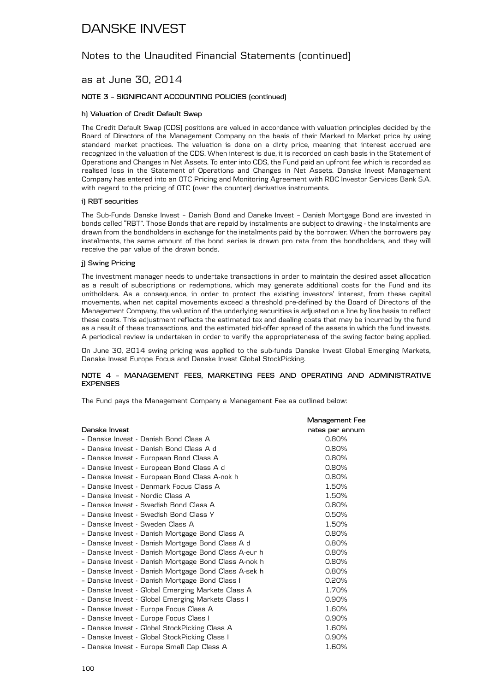### Notes to the Unaudited Financial Statements (continued)

### as at June 30, 2014

#### **NOTE 3 – SIGNIFICANT ACCOUNTING POLICIES (continued)**

#### **h) Valuation of Credit Default Swap**

The Credit Default Swap (CDS) positions are valued in accordance with valuation principles decided by the Board of Directors of the Management Company on the basis of their Marked to Market price by using standard market practices. The valuation is done on a dirty price, meaning that interest accrued are recognized in the valuation of the CDS. When interest is due, it is recorded on cash basis in the Statement of Operations and Changes in Net Assets. To enter into CDS, the Fund paid an upfront fee which is recorded as realised loss in the Statement of Operations and Changes in Net Assets. Danske Invest Management Company has entered into an OTC Pricing and Monitoring Agreement with RBC Investor Services Bank S.A. with regard to the pricing of OTC (over the counter) derivative instruments.

#### **i) RBT securities**

The Sub-Funds Danske Invest – Danish Bond and Danske Invest – Danish Mortgage Bond are invested in bonds called "RBT". Those Bonds that are repaid by instalments are subject to drawing - the instalments are drawn from the bondholders in exchange for the instalments paid by the borrower. When the borrowers pay instalments, the same amount of the bond series is drawn pro rata from the bondholders, and they will receive the par value of the drawn bonds.

#### **j) Swing Pricing**

The investment manager needs to undertake transactions in order to maintain the desired asset allocation as a result of subscriptions or redemptions, which may generate additional costs for the Fund and its unitholders. As a consequence, in order to protect the existing investors' interest, from these capital movements, when net capital movements exceed a threshold pre-defined by the Board of Directors of the Management Company, the valuation of the underlying securities is adjusted on a line by line basis to reflect these costs. This adjustment reflects the estimated tax and dealing costs that may be incurred by the fund as a result of these transactions, and the estimated bid-offer spread of the assets in which the fund invests. A periodical review is undertaken in order to verify the appropriateness of the swing factor being applied.

On June 30, 2014 swing pricing was applied to the sub-funds Danske Invest Global Emerging Markets, Danske Invest Europe Focus and Danske Invest Global StockPicking.

#### **NOTE 4 – MANAGEMENT FEES, MARKETING FEES AND OPERATING AND ADMINISTRATIVE EXPENSES**

The Fund pays the Management Company a Management Fee as outlined below:

|                                                      | <b>Management Fee</b> |
|------------------------------------------------------|-----------------------|
| Danske Invest                                        | rates per annum       |
| - Danske Invest - Danish Bond Class A                | 0.80%                 |
| - Danske Invest - Danish Bond Class A d              | 0.80%                 |
| - Danske Invest - European Bond Class A              | 0.80%                 |
| - Danske Invest - European Bond Class A d            | $0.80\%$              |
| - Danske Invest - European Bond Class A-nok h        | 0.80%                 |
| - Danske Invest - Denmark Focus Class A              | 1.50%                 |
| - Danske Invest - Nordic Class A                     | 1.50%                 |
| - Danske Invest - Swedish Bond Class A               | 0.80%                 |
| - Danske Invest - Swedish Bond Class Y               | 0.50%                 |
| - Danske Invest - Sweden Class A                     | 1.50%                 |
| - Danske Invest - Danish Mortgage Bond Class A       | 0.80%                 |
| - Danske Invest - Danish Mortgage Bond Class A d     | 0.80%                 |
| - Danske Invest - Danish Mortgage Bond Class A-eur h | 0.80%                 |
| - Danske Invest - Danish Mortgage Bond Class A-nok h | $0.80\%$              |
| - Danske Invest - Danish Mortgage Bond Class A-sek h | 0.80%                 |
| - Danske Invest - Danish Mortgage Bond Class I       | 0.20%                 |
| - Danske Invest - Global Emerging Markets Class A    | 1.70%                 |
| - Danske Invest - Global Emerging Markets Class I    | 0.90%                 |
| - Danske Invest - Europe Focus Class A               | 1.60%                 |
| - Danske Invest - Europe Focus Class I               | 0.90%                 |
| - Danske Invest - Global StockPicking Class A        | 1.60%                 |
| - Danske Invest - Global StockPicking Class I        | 0.90%                 |
| - Danske Invest - Europe Small Cap Class A           | 1.60%                 |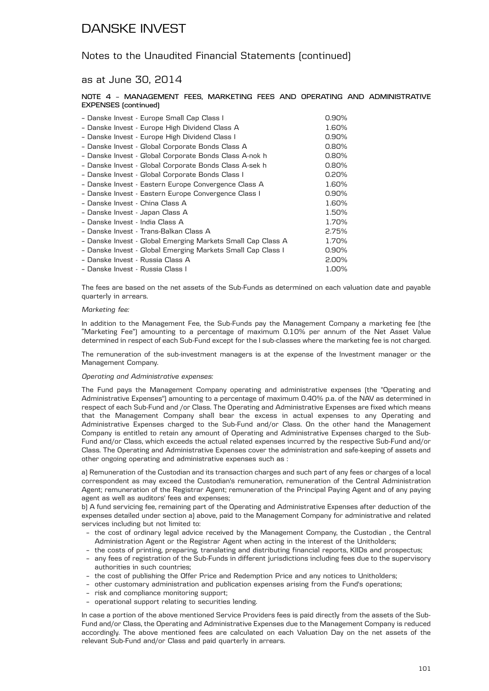### Notes to the Unaudited Financial Statements (continued)

### as at June 30, 2014

#### **NOTE 4 – MANAGEMENT FEES, MARKETING FEES AND OPERATING AND ADMINISTRATIVE EXPENSES (continued)**

| - Danske Invest - Europe Small Cap Class I                  | 0.90%    |
|-------------------------------------------------------------|----------|
| - Danske Invest - Europe High Dividend Class A              | 1.60%    |
| - Danske Invest - Europe High Dividend Class I              | $0.90\%$ |
| - Danske Invest - Global Corporate Bonds Class A            | 0.80%    |
| - Danske Invest - Global Corporate Bonds Class A-nok h      | 0.80%    |
| - Danske Invest - Global Corporate Bonds Class A-sek h      | 0.80%    |
| - Danske Invest - Global Corporate Bonds Class I            | 0.20%    |
| - Danske Invest - Eastern Europe Convergence Class A        | 1.60%    |
| - Danske Invest - Eastern Europe Convergence Class I        | 0.90%    |
| - Danske Invest - China Class A                             | 1.60%    |
| - Danske Invest - Japan Class A                             | 1.50%    |
| - Danske Invest - India Class A                             | 1.70%    |
| - Danske Invest - Trans-Balkan Class A                      | 2.75%    |
| - Danske Invest - Global Emerging Markets Small Cap Class A | 1.70%    |
| - Danske Invest - Global Emerging Markets Small Cap Class I | 0.90%    |
| - Danske Invest - Russia Class A                            | 2.00%    |
| - Danske Invest - Russia Class I                            | 1.00%    |

The fees are based on the net assets of the Sub-Funds as determined on each valuation date and payable quarterly in arrears.

#### *Marketing fee:*

In addition to the Management Fee, the Sub-Funds pay the Management Company a marketing fee (the "Marketing Fee") amounting to a percentage of maximum 0.10% per annum of the Net Asset Value determined in respect of each Sub-Fund except for the I sub-classes where the marketing fee is not charged.

The remuneration of the sub-investment managers is at the expense of the Investment manager or the Management Company.

#### *Operating and Administrative expenses:*

The Fund pays the Management Company operating and administrative expenses (the "Operating and Administrative Expenses") amounting to a percentage of maximum 0.40% p.a. of the NAV as determined in respect of each Sub-Fund and /or Class. The Operating and Administrative Expenses are fixed which means that the Management Company shall bear the excess in actual expenses to any Operating and Administrative Expenses charged to the Sub-Fund and/or Class. On the other hand the Management Company is entitled to retain any amount of Operating and Administrative Expenses charged to the Sub-Fund and/or Class, which exceeds the actual related expenses incurred by the respective Sub-Fund and/or Class. The Operating and Administrative Expenses cover the administration and safe-keeping of assets and other ongoing operating and administrative expenses such as :

a) Remuneration of the Custodian and its transaction charges and such part of any fees or charges of a local correspondent as may exceed the Custodian's remuneration, remuneration of the Central Administration Agent; remuneration of the Registrar Agent; remuneration of the Principal Paying Agent and of any paying agent as well as auditors' fees and expenses;

b) A fund servicing fee, remaining part of the Operating and Administrative Expenses after deduction of the expenses detailed under section a) above, paid to the Management Company for administrative and related services including but not limited to:

- the cost of ordinary legal advice received by the Management Company, the Custodian , the Central Administration Agent or the Registrar Agent when acting in the interest of the Unitholders;
- the costs of printing, preparing, translating and distributing financial reports, KIIDs and prospectus;
- any fees of registration of the Sub-Funds in different jurisdictions including fees due to the supervisory authorities in such countries;
- the cost of publishing the Offer Price and Redemption Price and any notices to Unitholders;
- other customary administration and publication expenses arising from the Fund's operations;
- risk and compliance monitoring support;
- operational support relating to securities lending.

In case a portion of the above mentioned Service Providers fees is paid directly from the assets of the Sub-Fund and/or Class, the Operating and Administrative Expenses due to the Management Company is reduced accordingly. The above mentioned fees are calculated on each Valuation Day on the net assets of the relevant Sub-Fund and/or Class and paid quarterly in arrears.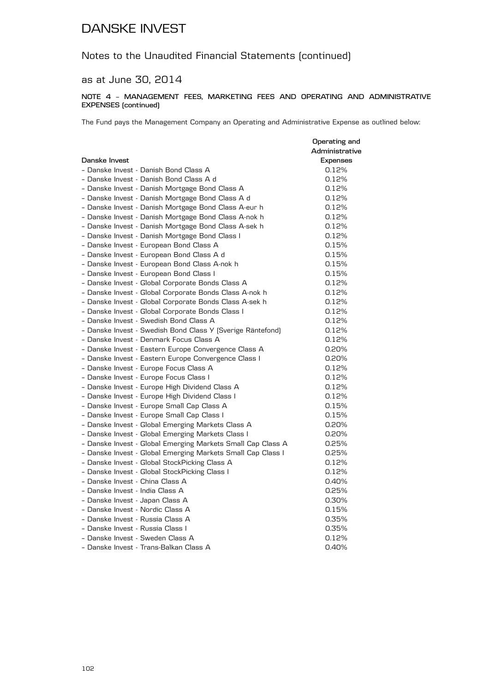### Notes to the Unaudited Financial Statements (continued)

### as at June 30, 2014

#### **NOTE 4 – MANAGEMENT FEES, MARKETING FEES AND OPERATING AND ADMINISTRATIVE EXPENSES (continued)**

The Fund pays the Management Company an Operating and Administrative Expense as outlined below:

|                                                             | Operating and  |
|-------------------------------------------------------------|----------------|
|                                                             | Administrative |
| Danske Invest                                               | Expenses       |
| - Danske Invest - Danish Bond Class A                       | 0.12%          |
| - Danske Invest - Danish Bond Class A d                     | 0.12%          |
| - Danske Invest - Danish Mortgage Bond Class A              | 0.12%          |
| - Danske Invest - Danish Mortgage Bond Class A d            | 0.12%          |
| - Danske Invest - Danish Mortgage Bond Class A-eur h        | 0.12%          |
| - Danske Invest - Danish Mortgage Bond Class A-nok h        | 0.12%          |
| - Danske Invest - Danish Mortgage Bond Class A-sek h        | 0.12%          |
| - Danske Invest - Danish Mortgage Bond Class I              | 0.12%          |
| - Danske Invest - European Bond Class A                     | 0.15%          |
| - Danske Invest - European Bond Class A d                   | 0.15%          |
| - Danske Invest - European Bond Class A-nok h               | 0.15%          |
| - Danske Invest - European Bond Class I                     | 0.15%          |
| - Danske Invest - Global Corporate Bonds Class A            | 0.12%          |
| - Danske Invest - Global Corporate Bonds Class A-nok h      | 0.12%          |
| - Danske Invest - Global Corporate Bonds Class A-sek h      | 0.12%          |
| - Danske Invest - Global Corporate Bonds Class I            | 0.12%          |
| - Danske Invest - Swedish Bond Class A                      | 0.12%          |
| - Danske Invest - Swedish Bond Class Y (Sverige Räntefond)  | 0.12%          |
| - Danske Invest - Denmark Focus Class A                     | 0.12%          |
| - Danske Invest - Eastern Europe Convergence Class A        | 0.20%          |
| - Danske Invest - Eastern Europe Convergence Class I        | 0.20%          |
| - Danske Invest - Europe Focus Class A                      | 0.12%          |
| - Danske Invest - Europe Focus Class I                      | 0.12%          |
| - Danske Invest - Europe High Dividend Class A              | 0.12%          |
| - Danske Invest - Europe High Dividend Class I              | 0.12%          |
| - Danske Invest - Europe Small Cap Class A                  | 0.15%          |
| - Danske Invest - Europe Small Cap Class I                  | 0.15%          |
| - Danske Invest - Global Emerging Markets Class A           | 0.20%          |
| - Danske Invest - Global Emerging Markets Class I           | 0.20%          |
| - Danske Invest - Global Emerging Markets Small Cap Class A | 0.25%          |
| - Danske Invest - Global Emerging Markets Small Cap Class I | 0.25%          |
| - Danske Invest - Global StockPicking Class A               | 0.12%          |
| - Danske Invest - Global StockPicking Class I               | 0.12%          |
| - Danske Invest - China Class A                             | 0.40%          |
| - Danske Invest - India Class A                             | 0.25%          |
| - Danske Invest - Japan Class A                             | 0.30%          |
| - Danske Invest - Nordic Class A                            | 0.15%          |
| - Danske Invest - Russia Class A                            | 0.35%          |
| - Danske Invest - Russia Class I                            | 0.35%          |
| - Danske Invest - Sweden Class A                            | 0.12%          |
| - Danske Invest - Trans-Balkan Class A                      | 0.40%          |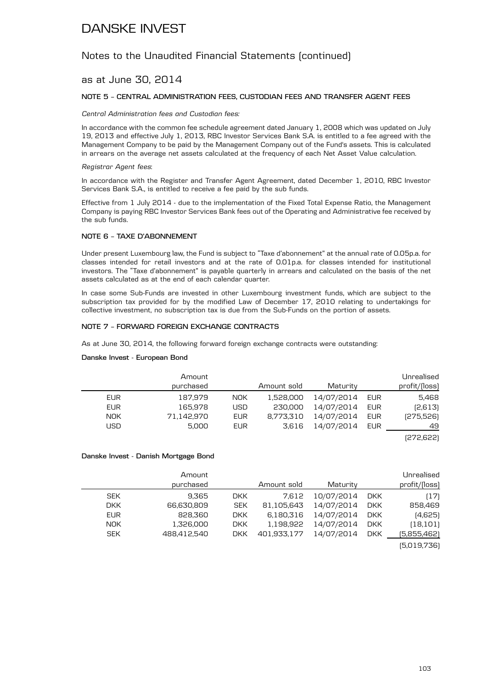### Notes to the Unaudited Financial Statements (continued)

### as at June 30, 2014

#### **NOTE 5 – CENTRAL ADMINISTRATION FEES, CUSTODIAN FEES AND TRANSFER AGENT FEES**

*Central Administration fees and Custodian fees:*

In accordance with the common fee schedule agreement dated January 1, 2008 which was updated on July 19, 2013 and effective July 1, 2013, RBC Investor Services Bank S.A. is entitled to a fee agreed with the Management Company to be paid by the Management Company out of the Fund's assets. This is calculated in arrears on the average net assets calculated at the frequency of each Net Asset Value calculation.

#### *Registrar Agent fees*:

In accordance with the Register and Transfer Agent Agreement, dated December 1, 2010, RBC Investor Services Bank S.A., is entitled to receive a fee paid by the sub funds.

Effective from 1 July 2014 - due to the implementation of the Fixed Total Expense Ratio, the Management Company is paying RBC Investor Services Bank fees out of the Operating and Administrative fee received by the sub funds.

#### **NOTE 6 – TAXE D'ABONNEMENT**

Under present Luxembourg law, the Fund is subject to "Taxe d'abonnement" at the annual rate of 0.05p.a. for classes intended for retail investors and at the rate of 0.01p.a. for classes intended for institutional investors. The "Taxe d'abonnement" is payable quarterly in arrears and calculated on the basis of the net assets calculated as at the end of each calendar quarter.

In case some Sub-Funds are invested in other Luxembourg investment funds, which are subject to the subscription tax provided for by the modified Law of December 17, 2010 relating to undertakings for collective investment, no subscription tax is due from the Sub-Funds on the portion of assets.

#### **NOTE 7 – FORWARD FOREIGN EXCHANGE CONTRACTS**

As at June 30, 2014, the following forward foreign exchange contracts were outstanding:

#### **Danske Invest - European Bond**

|            | Amount<br>purchased |            | Amount sold | Maturity   |     | Unrealised    |
|------------|---------------------|------------|-------------|------------|-----|---------------|
|            |                     |            |             |            |     | profit/(loss) |
| <b>EUR</b> | 187.979             | NOK.       | 1,528,000   | 14/07/2014 | EUR | 5.468         |
| <b>EUR</b> | 165.978             | USD.       | 230,000     | 14/07/2014 | EUR | [2,613]       |
| <b>NOK</b> | 71.142.970          | <b>EUR</b> | 8.773.310   | 14/07/2014 | EUR | [275,526]     |
| USD        | 5.000               | <b>EUR</b> | 3.616       | 14/07/2014 | EUR | 49            |

(272,622)

#### **Danske Invest - Danish Mortgage Bond**

|            | Amount      |            |             |            |            | Unrealised    |
|------------|-------------|------------|-------------|------------|------------|---------------|
|            | purchased   |            | Amount sold | Maturity   |            | profit/(loss) |
| <b>SEK</b> | 9.365       | <b>DKK</b> | 7.612       | 10/07/2014 | <b>DKK</b> | (17)          |
| <b>DKK</b> | 66.630.809  | <b>SEK</b> | 81.105.643  | 14/07/2014 | <b>DKK</b> | 858,469       |
| <b>EUR</b> | 828.360     | <b>DKK</b> | 6,180,316   | 14/07/2014 | <b>DKK</b> | (4,625)       |
| <b>NOK</b> | 1,326,000   | <b>DKK</b> | 1,198,922   | 14/07/2014 | <b>DKK</b> | (18, 101)     |
| <b>SEK</b> | 488.412.540 | DKK        | 401.933.177 | 14/07/2014 | <b>DKK</b> | (5,855,462)   |
|            |             |            |             |            |            | (5.019.736)   |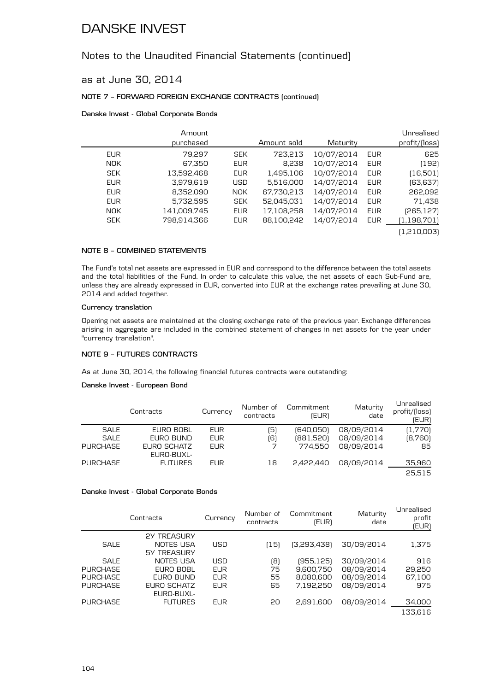### Notes to the Unaudited Financial Statements (continued)

### as at June 30, 2014

#### **NOTE 7 – FORWARD FOREIGN EXCHANGE CONTRACTS (continued)**

#### **Danske Invest - Global Corporate Bonds**

|            | Amount<br>purchased |            | Amount sold | Maturity   |            | Unrealised<br>profit/[loss] |
|------------|---------------------|------------|-------------|------------|------------|-----------------------------|
| <b>EUR</b> | 79.297              | <b>SEK</b> | 723,213     | 10/07/2014 | <b>EUR</b> | 625                         |
| <b>NOK</b> | 67,350              | <b>EUR</b> | 8,238       | 10/07/2014 | <b>EUR</b> | (192)                       |
| <b>SEK</b> | 13,592,468          | <b>EUR</b> | 1,495,106   | 10/07/2014 | <b>EUR</b> | (16,501)                    |
| <b>EUR</b> | 3,979,619           | <b>USD</b> | 5,516,000   | 14/07/2014 | <b>EUR</b> | (63,637)                    |
| <b>EUR</b> | 8,352,090           | NOK.       | 67,730,213  | 14/07/2014 | <b>EUR</b> | 262,092                     |
| <b>EUR</b> | 5,732,595           | <b>SEK</b> | 52,045,031  | 14/07/2014 | <b>EUR</b> | 71,438                      |
| <b>NOK</b> | 141,009,745         | <b>EUR</b> | 17,108,258  | 14/07/2014 | <b>EUR</b> | (265,127)                   |
| <b>SEK</b> | 798,914,366         | <b>EUR</b> | 88,100,242  | 14/07/2014 | <b>EUR</b> | (1,198,701)                 |
|            |                     |            |             |            |            | (1,210,003)                 |

#### **NOTE 8 – COMBINED STATEMENTS**

The Fund's total net assets are expressed in EUR and correspond to the difference between the total assets and the total liabilities of the Fund. In order to calculate this value, the net assets of each Sub-Fund are, unless they are already expressed in EUR, converted into EUR at the exchange rates prevailing at June 30, 2014 and added together.

#### **Currency translation**

Opening net assets are maintained at the closing exchange rate of the previous year. Exchange differences arising in aggregate are included in the combined statement of changes in net assets for the year under "currency translation".

#### **NOTE 9 – FUTURES CONTRACTS**

As at June 30, 2014, the following financial futures contracts were outstanding:

#### **Danske Invest - European Bond**

| Unrealised<br>profit/(loss)<br>(EUR) | Maturity<br>date | Commitment<br>(EUR) | Number of<br>contracts | Currency   | Contracts                 |                 |
|--------------------------------------|------------------|---------------------|------------------------|------------|---------------------------|-----------------|
| (1,770)                              | 08/09/2014       | (640.050)           | (5)                    | <b>EUR</b> | EURO BOBL                 | SALE            |
| [8,760]                              | 08/09/2014       | (881,520)           | [6]                    | <b>EUR</b> | EURO BUND                 | <b>SALE</b>     |
| 85                                   | 08/09/2014       | 774.550             | 7                      | <b>EUR</b> | EURO SCHATZ<br>EURO-BUXL- | <b>PURCHASE</b> |
| 35,960                               | 08/09/2014       | 2.422.440           | 18                     | <b>EUR</b> | <b>FUTURES</b>            | <b>PURCHASE</b> |
| 25.515                               |                  |                     |                        |            |                           |                 |

#### **Danske Invest - Global Corporate Bonds**

|                 | Contracts                       | Currency   | Number of<br>contracts | Commitment<br>(EUR) | Maturity<br>date | Unrealised<br>profit<br>(EUR) |
|-----------------|---------------------------------|------------|------------------------|---------------------|------------------|-------------------------------|
| <b>SALE</b>     | <b>2Y TREASURY</b><br>NOTES USA | USD        | (15)                   | [3,293,438]         | 30/09/2014       | 1,375                         |
|                 | <b>5Y TREASURY</b>              |            |                        |                     |                  |                               |
| <b>SALE</b>     | NOTES USA                       | <b>USD</b> | (8)                    | (955, 125)          | 30/09/2014       | 916                           |
| <b>PURCHASE</b> | EURO BOBL                       | <b>EUR</b> | 75                     | 9,600,750           | 08/09/2014       | 29,250                        |
| <b>PURCHASE</b> | EURO BUND                       | <b>EUR</b> | 55                     | 8,080,600           | 08/09/2014       | 67,100                        |
| <b>PURCHASE</b> | EURO SCHATZ<br>EURO-BUXL-       | <b>EUR</b> | 65                     | 7,192,250           | 08/09/2014       | 975                           |
| <b>PURCHASE</b> | <b>FUTURES</b>                  | <b>EUR</b> | 20                     | 2,691,600           | 08/09/2014       | 34,000                        |
|                 |                                 |            |                        |                     |                  | 133.616                       |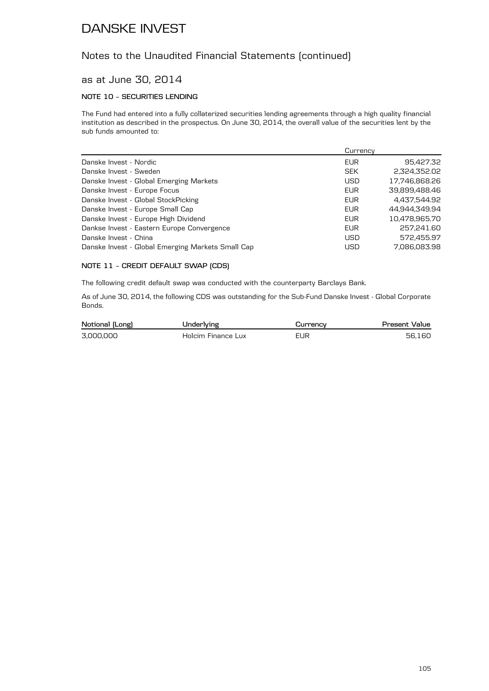### Notes to the Unaudited Financial Statements (continued)

### as at June 30, 2014

### **NOTE 10 – SECURITIES LENDING**

The Fund had entered into a fully collaterized securities lending agreements through a high quality financial institution as described in the prospectus. On June 30, 2014, the overall value of the securities lent by the sub funds amounted to:

|                                                   | Currency   |               |
|---------------------------------------------------|------------|---------------|
| Danske Invest - Nordic                            | <b>EUR</b> | 95,427.32     |
| Danske Invest - Sweden                            | <b>SEK</b> | 2,324,352.02  |
| Danske Invest - Global Emerging Markets           | <b>USD</b> | 17.746.868.26 |
| Danske Invest - Europe Focus                      | EUR        | 39,899,488.46 |
| Danske Invest - Global StockPicking               | EUR        | 4.437.544.92  |
| Danske Invest - Europe Small Cap                  | EUR        | 44.944.349.94 |
| Danske Invest - Europe High Dividend              | EUR        | 10,478,965.70 |
| Dankse Invest - Eastern Europe Convergence        | EUR        | 257,241.60    |
| Danske Invest - China                             | <b>USD</b> | 572.455.97    |
| Danske Invest - Global Emerging Markets Small Cap | <b>USD</b> | 7.086.083.98  |
|                                                   |            |               |

#### **NOTE 11 – CREDIT DEFAULT SWAP (CDS)**

The following credit default swap was conducted with the counterparty Barclays Bank.

As of June 30, 2014, the following CDS was outstanding for the Sub-Fund Danske Invest - Global Corporate Bonds.

| Notional (Long) | Underlving         | urrencvٽ | Present Value |
|-----------------|--------------------|----------|---------------|
| 3.000.000       | Holcim Finance Lux | EUR      | 56.160        |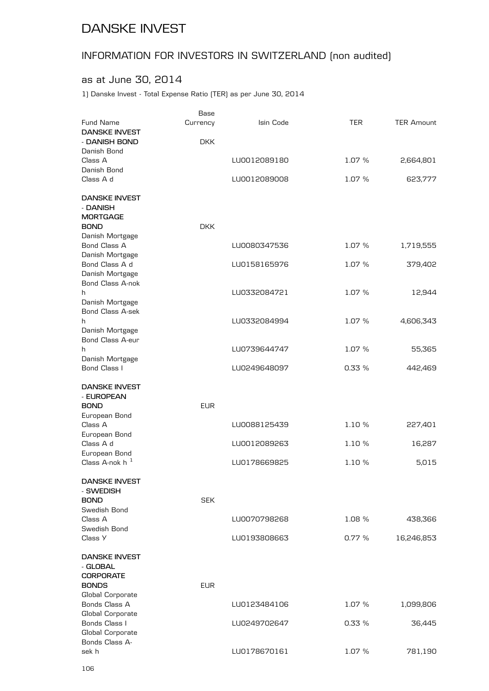# INFORMATION FOR INVESTORS IN SWITZERLAND (non audited)

## as at June 30, 2014

1) Danske Invest - Total Expense Ratio (TER) as per June 30, 2014

|                                            | Base       |              |        |                   |
|--------------------------------------------|------------|--------------|--------|-------------------|
| Fund Name                                  | Currency   | Isin Code    | TER    | <b>TER Amount</b> |
| <b>DANSKE INVEST</b><br>- DANISH BOND      |            |              |        |                   |
| Danish Bond                                | <b>DKK</b> |              |        |                   |
| Class A                                    |            | LU0012089180 | 1.07 % | 2,664,801         |
| Danish Bond                                |            |              |        |                   |
| Class A d                                  |            | LU0012089008 | 1.07 % | 623,777           |
| <b>DANSKE INVEST</b>                       |            |              |        |                   |
| - DANISH                                   |            |              |        |                   |
| <b>MORTGAGE</b>                            |            |              |        |                   |
| <b>BOND</b>                                | <b>DKK</b> |              |        |                   |
| Danish Mortgage<br>Bond Class A            |            | LU0080347536 | 1.07 % | 1,719,555         |
| Danish Mortgage                            |            |              |        |                   |
| Bond Class A d                             |            | LU0158165976 | 1.07 % | 379,402           |
| Danish Mortgage                            |            |              |        |                   |
| Bond Class A-nok                           |            |              |        |                   |
| h                                          |            | LU0332084721 | 1.07 % | 12,944            |
| Danish Mortgage<br><b>Bond Class A-sek</b> |            |              |        |                   |
| h                                          |            | LU0332084994 | 1.07 % | 4,606,343         |
| Danish Mortgage                            |            |              |        |                   |
| Bond Class A-eur                           |            |              |        |                   |
| h                                          |            | LU0739644747 | 1.07 % | 55,365            |
| Danish Mortgage                            |            |              |        |                   |
| Bond Class I                               |            | LU0249648097 | 0.33 % | 442,469           |
| <b>DANSKE INVEST</b>                       |            |              |        |                   |
| - EUROPEAN                                 |            |              |        |                   |
| <b>BOND</b>                                | <b>EUR</b> |              |        |                   |
| European Bond<br>Class A                   |            | LU0088125439 | 1.10 % | 227,401           |
| European Bond                              |            |              |        |                   |
| Class A d                                  |            | LU0012089263 | 1.10 % | 16,287            |
| European Bond                              |            |              |        |                   |
| Class A-nok $h^{-1}$                       |            | LU0178669825 | 1.10 % | 5,015             |
| DANSKE INVEST                              |            |              |        |                   |
| - SWEDISH                                  |            |              |        |                   |
| <b>BOND</b><br>Swedish Bond                | <b>SEK</b> |              |        |                   |
| Class A                                    |            | LU0070798268 | 1.08 % | 438,366           |
| Swedish Bond                               |            |              |        |                   |
| Class Y                                    |            | LU0193808663 | 0.77%  | 16,246,853        |
| <b>DANSKE INVEST</b>                       |            |              |        |                   |
| - GLOBAL                                   |            |              |        |                   |
| <b>CORPORATE</b>                           |            |              |        |                   |
| <b>BONDS</b><br>Global Corporate           | <b>EUR</b> |              |        |                   |
| Bonds Class A                              |            | LU0123484106 | 1.07 % | 1,099,806         |
| Global Corporate                           |            |              |        |                   |
| Bonds Class I                              |            | LU0249702647 | 0.33%  | 36,445            |
| Global Corporate                           |            |              |        |                   |
| Bonds Class A-                             |            |              |        |                   |
| sek h                                      |            | LU0178670161 | 1.07 % | 781,190           |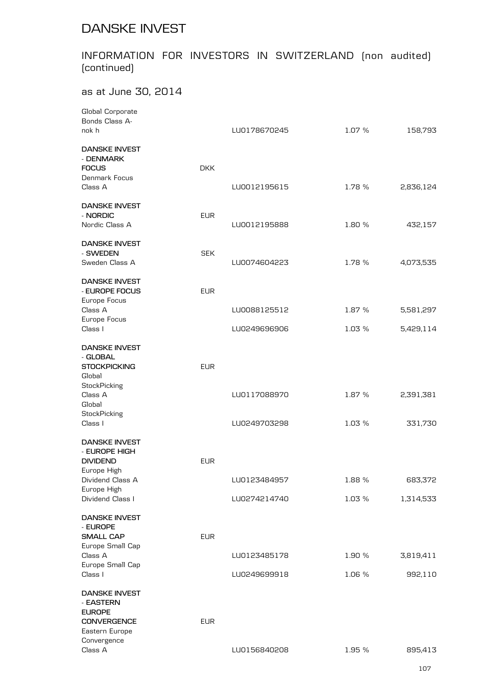# INFORMATION FOR INVESTORS IN SWITZERLAND (non audited) (continued)

## as at June 30, 2014

| Global Corporate                     |            |              |        |           |
|--------------------------------------|------------|--------------|--------|-----------|
| Bonds Class A-                       |            |              |        |           |
| nok h                                |            | LU0178670245 | 1.07 % | 158,793   |
| <b>DANSKE INVEST</b><br>- DENMARK    |            |              |        |           |
| <b>FOCUS</b>                         | <b>DKK</b> |              |        |           |
| Denmark Focus                        |            |              |        |           |
| Class A                              |            | LU0012195615 | 1.78 % | 2,836,124 |
| <b>DANSKE INVEST</b>                 |            |              |        |           |
| - NORDIC                             | <b>EUR</b> |              |        |           |
| Nordic Class A                       |            | LU0012195888 | 1.80 % | 432,157   |
| <b>DANSKE INVEST</b>                 |            |              |        |           |
| - SWEDEN                             | <b>SEK</b> |              |        |           |
| Sweden Class A                       |            | LU0074604223 | 1.78 % | 4,073,535 |
| <b>DANSKE INVEST</b>                 |            |              |        |           |
| - EUROPE FOCUS                       | <b>EUR</b> |              |        |           |
| Europe Focus                         |            |              |        |           |
| Class A<br>Europe Focus              |            | LU0088125512 | 1.87 % | 5,581,297 |
| Class I                              |            | LU0249696906 | 1.03 % | 5,429,114 |
| <b>DANSKE INVEST</b>                 |            |              |        |           |
| - GLOBAL                             |            |              |        |           |
| <b>STOCKPICKING</b>                  | <b>EUR</b> |              |        |           |
| Global                               |            |              |        |           |
| StockPicking                         |            |              |        |           |
| Class A                              |            | LU0117088970 | 1.87 % | 2,391,381 |
| Global                               |            |              |        |           |
| StockPicking                         |            |              | 1.03 % |           |
| Class I                              |            | LU0249703298 |        | 331,730   |
| <b>DANSKE INVEST</b>                 |            |              |        |           |
| - EUROPE HIGH                        |            |              |        |           |
| <b>DIVIDEND</b><br>Europe High       | <b>EUR</b> |              |        |           |
| Dividend Class A                     |            | LU0123484957 | 1.88 % | 683,372   |
| Europe High                          |            |              |        |           |
| Dividend Class I                     |            | LU0274214740 | 1.03 % | 1,314,533 |
| <b>DANSKE INVEST</b>                 |            |              |        |           |
| - EUROPE<br><b>SMALL CAP</b>         | <b>EUR</b> |              |        |           |
| Europe Small Cap                     |            |              |        |           |
| Class A                              |            | LU0123485178 | 1.90 % | 3,819,411 |
| Europe Small Cap                     |            |              |        |           |
| Class I                              |            | LU0249699918 | 1.06 % | 992,110   |
| <b>DANSKE INVEST</b>                 |            |              |        |           |
| - EASTERN                            |            |              |        |           |
| <b>EUROPE</b>                        |            |              |        |           |
| <b>CONVERGENCE</b><br>Eastern Europe | <b>EUR</b> |              |        |           |
| Convergence                          |            |              |        |           |
| Class A                              |            | LU0156840208 | 1.95 % | 895,413   |
|                                      |            |              |        |           |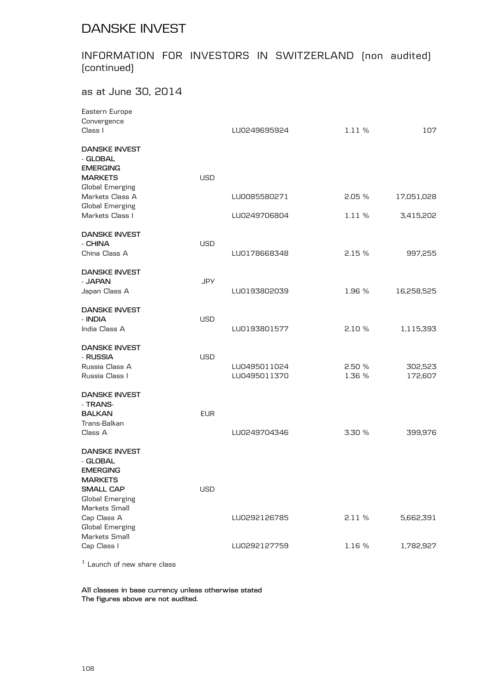## INFORMATION FOR INVESTORS IN SWITZERLAND (non audited) (continued)

### as at June 30, 2014

|            | LU0249695924                 | 1.11 %          | 107                |
|------------|------------------------------|-----------------|--------------------|
| <b>USD</b> |                              |                 |                    |
|            | LU0085580271                 | 2.05%           | 17,051,028         |
|            | LU0249706804                 | 1.11 %          | 3,415,202          |
| <b>USD</b> | LU0178668348                 | 2.15%           | 997,255            |
| <b>JPY</b> |                              |                 |                    |
|            |                              |                 | 16,258,525         |
| <b>USD</b> | LU0193801577                 | 2.10%           | 1,115,393          |
| <b>USD</b> | LU0495011024<br>LU0495011370 | 2.50%<br>1.36 % | 302,523<br>172,607 |
| <b>EUR</b> | LU0249704346                 | 3.30 %          | 399,976            |
| <b>USD</b> |                              |                 |                    |
|            | LU0292126785                 | 2.11%           | 5,662,391          |
|            | LU0292127759                 | 1.16 %          | 1,782,927          |
|            |                              | LU0193802039    | 1.96 %             |

 $1$  Launch of new share class

**All classes in base currency unless otherwise stated The figures above are not audited.**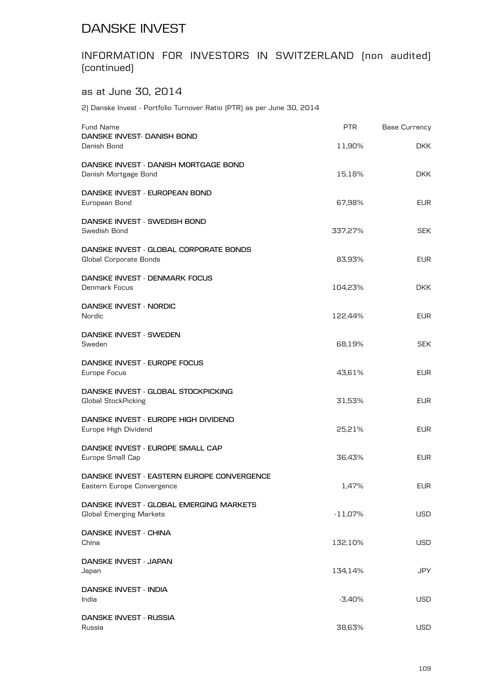## DANSKE INVEST

## INFORMATION FOR INVESTORS IN SWITZERLAND (non audited) (continued)

## as at June 30, 2014

2) Danske Invest - Portfolio Turnover Ratio (PTR) as per June 30, 2014

| <b>Fund Name</b><br>DANSKE INVEST- DANISH BOND<br>Danish Bond             | <b>PTR</b> | <b>Base Currency</b> |
|---------------------------------------------------------------------------|------------|----------------------|
|                                                                           | 11,90%     | DKK.                 |
| DANSKE INVEST - DANISH MORTGAGE BOND<br>Danish Mortgage Bond              | 15,18%     | <b>DKK</b>           |
| DANSKE INVEST - EUROPEAN BOND<br>European Bond                            | 67,98%     | <b>EUR</b>           |
| DANSKE INVEST - SWEDISH BOND<br>Swedish Bond                              | 337,27%    | <b>SEK</b>           |
| DANSKE INVEST - GLOBAL CORPORATE BONDS<br>Global Corporate Bonds          | 83,93%     | <b>EUR</b>           |
| DANSKE INVEST - DENMARK FOCUS<br>Denmark Focus                            | 104,23%    | <b>DKK</b>           |
| DANSKE INVEST - NORDIC<br>Nordic                                          | 122,44%    | <b>EUR</b>           |
| DANSKE INVEST - SWEDEN<br>Sweden                                          | 68,19%     | <b>SEK</b>           |
| DANSKE INVEST - EUROPE FOCUS<br>Europe Focus                              | 43,61%     | <b>EUR</b>           |
| DANSKE INVEST - GLOBAL STOCKPICKING<br>Global StockPicking                | 31,53%     | EUR.                 |
| DANSKE INVEST - EUROPE HIGH DIVIDEND<br>Europe High Dividend              | 25,21%     | <b>EUR</b>           |
| DANSKE INVEST - EUROPE SMALL CAP<br>Europe Small Cap                      | 36,43%     | <b>EUR</b>           |
| DANSKE INVEST - EASTERN EUROPE CONVERGENCE<br>Eastern Europe Convergence  | 1,47%      | <b>EUR</b>           |
| DANSKE INVEST - GLOBAL EMERGING MARKETS<br><b>Global Emerging Markets</b> | $-11,07%$  | USD                  |
| DANSKE INVEST - CHINA<br>China                                            | 132,10%    | USD                  |
| DANSKE INVEST - JAPAN<br>Japan                                            | 134,14%    | JPY                  |
| DANSKE INVEST - INDIA<br>India                                            | $-3,40%$   | USD                  |
| DANSKE INVEST - RUSSIA<br>Russia                                          | 38,63%     | USD                  |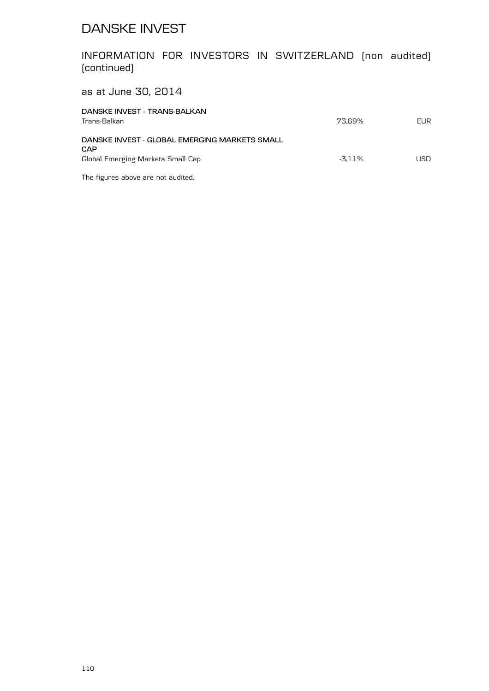## DANSKE INVEST

INFORMATION FOR INVESTORS IN SWITZERLAND (non audited) (continued)

as at June 30, 2014

| DANSKE INVEST - TRANS-BALKAN<br>Trans-Balkan  | 73.69%    | <b>EUR</b> |
|-----------------------------------------------|-----------|------------|
| DANSKE INVEST - GLOBAL EMERGING MARKETS SMALL |           |            |
| CAP                                           |           |            |
| Global Emerging Markets Small Cap             | $-3.11\%$ | <b>USD</b> |
|                                               |           |            |

The figures above are not audited.